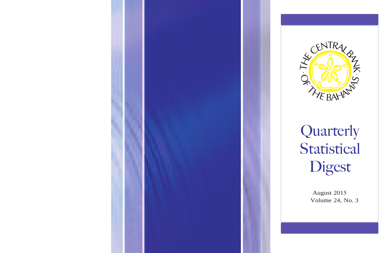



# Quarterly Statistical Digest

August 2015 Volume 24, No. 3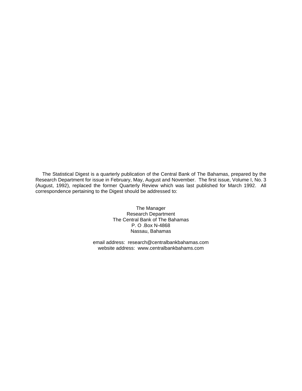The Statistical Digest is a quarterly publication of the Central Bank of The Bahamas, prepared by the Research Department for issue in February, May, August and November. The first issue, Volume I, No. 3 (August, 1992), replaced the former Quarterly Review which was last published for March 1992. All correspondence pertaining to the Digest should be addressed to:

> The Manager Research Department The Central Bank of The Bahamas P. O .Box N-4868 Nassau, Bahamas

email address: research@centralbankbahamas.com website address: www.centralbankbahams.com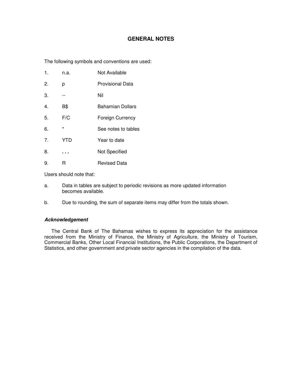#### **GENERAL NOTES**

The following symbols and conventions are used:

| n.a. | Not Available |
|------|---------------|
|------|---------------|

- 2. p Provisional Data
- 3. -- Nil
- 4. B\$ Bahamian Dollars
- 5. F/C Foreign Currency

6. \* See notes to tables

- 7. YTD Year to date
- 8. . . . Not Specified
- 9. R Revised Data

Users should note that:

- a. Data in tables are subject to periodic revisions as more updated information becomes available.
- b. Due to rounding, the sum of separate items may differ from the totals shown.

#### **Acknowledgement**

The Central Bank of The Bahamas wishes to express its appreciation for the assistance received from the Ministry of Finance, the Ministry of Agriculture, the Ministry of Tourism, Commercial Banks, Other Local Financial Institutions, the Public Corporations, the Department of Statistics, and other government and private sector agencies in the compilation of the data.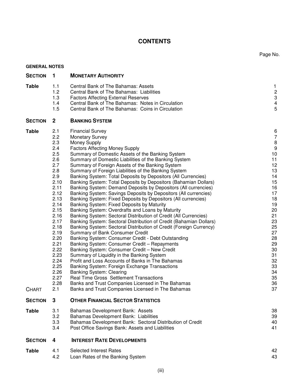## **CONTENTS**

Page No.

| <b>GENERAL NOTES</b>         |                                                                                                                                                                                                                            |                                                                                                                                                                                                                                                                                                                                                                                                                                                                                                                                                                                                                                                                                                                                                                                                                                                                                                                                                                                                                                                                                                                                                                                                                                                                                                                                                                                                                                                                                                                                    |                                                                                                                                                                                                          |
|------------------------------|----------------------------------------------------------------------------------------------------------------------------------------------------------------------------------------------------------------------------|------------------------------------------------------------------------------------------------------------------------------------------------------------------------------------------------------------------------------------------------------------------------------------------------------------------------------------------------------------------------------------------------------------------------------------------------------------------------------------------------------------------------------------------------------------------------------------------------------------------------------------------------------------------------------------------------------------------------------------------------------------------------------------------------------------------------------------------------------------------------------------------------------------------------------------------------------------------------------------------------------------------------------------------------------------------------------------------------------------------------------------------------------------------------------------------------------------------------------------------------------------------------------------------------------------------------------------------------------------------------------------------------------------------------------------------------------------------------------------------------------------------------------------|----------------------------------------------------------------------------------------------------------------------------------------------------------------------------------------------------------|
| <b>SECTION</b>               | 1                                                                                                                                                                                                                          | <b>MONETARY AUTHORITY</b>                                                                                                                                                                                                                                                                                                                                                                                                                                                                                                                                                                                                                                                                                                                                                                                                                                                                                                                                                                                                                                                                                                                                                                                                                                                                                                                                                                                                                                                                                                          |                                                                                                                                                                                                          |
| <b>Table</b>                 | 1.1<br>1.2<br>1.3<br>1.4<br>1.5                                                                                                                                                                                            | Central Bank of The Bahamas: Assets<br>Central Bank of The Bahamas: Liabilities<br><b>Factors Affecting External Reserves</b><br>Central Bank of The Bahamas: Notes in Circulation<br>Central Bank of The Bahamas: Coins in Circulation                                                                                                                                                                                                                                                                                                                                                                                                                                                                                                                                                                                                                                                                                                                                                                                                                                                                                                                                                                                                                                                                                                                                                                                                                                                                                            | $\mathbf{1}$<br>$\sqrt{2}$<br>$\ensuremath{\mathsf{3}}$<br>$\overline{\mathbf{4}}$<br>$\mathbf 5$                                                                                                        |
| <b>SECTION</b>               | $\overline{2}$                                                                                                                                                                                                             | <b>BANKING SYSTEM</b>                                                                                                                                                                                                                                                                                                                                                                                                                                                                                                                                                                                                                                                                                                                                                                                                                                                                                                                                                                                                                                                                                                                                                                                                                                                                                                                                                                                                                                                                                                              |                                                                                                                                                                                                          |
| <b>Table</b><br><b>CHART</b> | 2.1<br>2.2<br>2.3<br>2.4<br>2.5<br>2.6<br>2.7<br>2.8<br>2.9<br>2.10<br>2.11<br>2.12<br>2.13<br>2.14<br>2.15<br>2.16<br>2.17<br>2.18<br>2.19<br>2.20<br>2.21<br>2.22<br>2.23<br>2.24<br>2.25<br>2.26<br>2.27<br>2.28<br>2.1 | <b>Financial Survey</b><br><b>Monetary Survey</b><br>Money Supply<br><b>Factors Affecting Money Supply</b><br>Summary of Domestic Assets of the Banking System<br>Summary of Domestic Liabilities of the Banking System<br>Summary of Foreign Assets of the Banking System<br>Summary of Foreign Liabilities of the Banking System<br>Banking System: Total Deposits by Depositors (All Currencies)<br>Banking System: Total Deposits by Depositors (Bahamian Dollars)<br>Banking System: Demand Deposits by Depositors (All currencies)<br>Banking System: Savings Deposits by Depositors (All currencies)<br>Banking System: Fixed Deposits by Depositors (All currencies)<br>Banking System: Fixed Deposits by Maturity<br>Banking System: Overdrafts and Loans by Maturity<br>Banking System: Sectoral Distribution of Credit (All Currencies)<br>Banking System: Sectoral Distribution of Credit (Bahamian Dollars)<br>Banking System: Sectoral Distribution of Credit (Foreign Currency)<br>Summary of Bank Consumer Credit<br>Banking System: Consumer Credit - Debt Outstanding<br>Banking System: Consumer Credit - Repayments<br>Banking System: Consumer Credit - New Credit<br>Summary of Liquidity in the Banking System<br>Profit and Loss Accounts of Banks in The Bahamas<br>Banking System: Foreign Exchange Transactions<br><b>Banking System: Clearing</b><br>Real Time Gross Settlement Transactions<br>Banks and Trust Companies Licensed in The Bahamas<br>Banks and Trust Companies Licensed in The Bahamas | 6<br>$\overline{7}$<br>$\bf 8$<br>$\boldsymbol{9}$<br>10<br>11<br>12<br>13<br>14<br>15<br>16<br>17<br>18<br>19<br>20<br>21<br>23<br>25<br>27<br>28<br>29<br>30<br>31<br>32<br>33<br>34<br>35<br>36<br>37 |
| <b>SECTION</b>               | 3                                                                                                                                                                                                                          | <b>OTHER FINANCIAL SECTOR STATISTICS</b>                                                                                                                                                                                                                                                                                                                                                                                                                                                                                                                                                                                                                                                                                                                                                                                                                                                                                                                                                                                                                                                                                                                                                                                                                                                                                                                                                                                                                                                                                           |                                                                                                                                                                                                          |
| <b>Table</b>                 | 3.1<br>3.2<br>3.3<br>3.4                                                                                                                                                                                                   | Bahamas Development Bank: Assets<br>Bahamas Development Bank: Liabilities<br>Bahamas Development Bank: Sectoral Distribution of Credit<br>Post Office Savings Bank: Assets and Liabilities                                                                                                                                                                                                                                                                                                                                                                                                                                                                                                                                                                                                                                                                                                                                                                                                                                                                                                                                                                                                                                                                                                                                                                                                                                                                                                                                         | 38<br>39<br>40<br>41                                                                                                                                                                                     |
| <b>SECTION</b>               | 4                                                                                                                                                                                                                          | <b>INTEREST RATE DEVELOPMENTS</b>                                                                                                                                                                                                                                                                                                                                                                                                                                                                                                                                                                                                                                                                                                                                                                                                                                                                                                                                                                                                                                                                                                                                                                                                                                                                                                                                                                                                                                                                                                  |                                                                                                                                                                                                          |
| <b>Table</b>                 | 4.1<br>4.2                                                                                                                                                                                                                 | <b>Selected Interest Rates</b><br>Loan Rates of the Banking System                                                                                                                                                                                                                                                                                                                                                                                                                                                                                                                                                                                                                                                                                                                                                                                                                                                                                                                                                                                                                                                                                                                                                                                                                                                                                                                                                                                                                                                                 | 42<br>43                                                                                                                                                                                                 |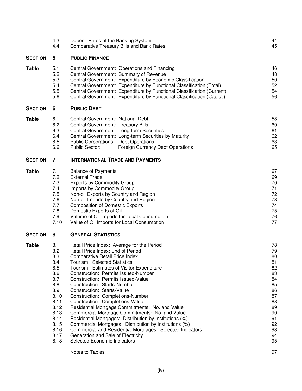|                | 4.3<br>4.4                                                                                                                          | Deposit Rates of the Banking System<br><b>Comparative Treasury Bills and Bank Rates</b>                                                                                                                                                                                                                                                                                                                                                                                                                                                                                                                                                                                                                                                                                      | 44<br>45                                                                                                 |
|----------------|-------------------------------------------------------------------------------------------------------------------------------------|------------------------------------------------------------------------------------------------------------------------------------------------------------------------------------------------------------------------------------------------------------------------------------------------------------------------------------------------------------------------------------------------------------------------------------------------------------------------------------------------------------------------------------------------------------------------------------------------------------------------------------------------------------------------------------------------------------------------------------------------------------------------------|----------------------------------------------------------------------------------------------------------|
| <b>SECTION</b> | 5                                                                                                                                   | <b>PUBLIC FINANCE</b>                                                                                                                                                                                                                                                                                                                                                                                                                                                                                                                                                                                                                                                                                                                                                        |                                                                                                          |
| Table          | 5.1<br>5.2<br>5.3<br>5.4<br>5.5<br>5.6                                                                                              | Central Government: Operations and Financing<br>Central Government: Summary of Revenue<br>Central Government: Expenditure by Economic Classification<br>Central Government: Expenditure by Functional Classification (Total)<br>Central Government: Expenditure by Functional Classification (Current)<br>Central Government: Expenditure by Functional Classification (Capital)                                                                                                                                                                                                                                                                                                                                                                                             | 46<br>48<br>50<br>52<br>54<br>56                                                                         |
| <b>SECTION</b> | 6                                                                                                                                   | <b>PUBLIC DEBT</b>                                                                                                                                                                                                                                                                                                                                                                                                                                                                                                                                                                                                                                                                                                                                                           |                                                                                                          |
| <b>Table</b>   | 6.1<br>6.2<br>6.3<br>6.4<br>6.5<br>6.6                                                                                              | Central Government: National Debt<br>Central Government: Treasury Bills<br>Central Government: Long-term Securities<br>Central Government: Long-term Securities by Maturity<br><b>Public Corporations: Debt Operations</b><br>Public Sector:<br>Foreign Currency Debt Operations                                                                                                                                                                                                                                                                                                                                                                                                                                                                                             | 58<br>60<br>61<br>62<br>63<br>65                                                                         |
| <b>SECTION</b> | 7                                                                                                                                   | <b>INTERNATIONAL TRADE AND PAYMENTS</b>                                                                                                                                                                                                                                                                                                                                                                                                                                                                                                                                                                                                                                                                                                                                      |                                                                                                          |
| Table          | 7.1<br>7.2<br>7.3<br>7.4<br>7.5<br>7.6<br>7.7<br>7.8<br>7.9<br>7.10                                                                 | <b>Balance of Payments</b><br><b>External Trade</b><br><b>Exports by Commodity Group</b><br>Imports by Commodity Group<br>Non-oil Exports by Country and Region<br>Non-oil Imports by Country and Region<br><b>Composition of Domestic Exports</b><br>Domestic Exports of Oil<br>Volume of Oil Imports for Local Consumption<br>Value of Oil Imports for Local Consumption                                                                                                                                                                                                                                                                                                                                                                                                   | 67<br>69<br>70<br>71<br>72<br>73<br>74<br>75<br>76<br>77                                                 |
| <b>SECTION</b> | 8                                                                                                                                   | <b>GENERAL STATISTICS</b>                                                                                                                                                                                                                                                                                                                                                                                                                                                                                                                                                                                                                                                                                                                                                    |                                                                                                          |
| Table          | 8.1<br>8.2<br>8.3<br>8.4<br>8.5<br>8.6<br>8.7<br>8.8<br>8.9<br>8.10<br>8.11<br>8.12<br>8.13<br>8.14<br>8.15<br>8.16<br>8.17<br>8.18 | Retail Price Index: Average for the Period<br>Retail Price Index: End of Period<br>Comparative Retail Price Index<br>Tourism: Selected Statistics<br>Tourism: Estimates of Visitor Expenditure<br>Construction: Permits Issued-Number<br>Construction: Permits Issued-Value<br>Construction: Starts-Number<br>Construction: Starts-Value<br>Construction: Completions-Number<br>Construction: Completions-Value<br>Residential Mortgage Commitments: No. and Value<br>Commercial Mortgage Commitments: No. and Value<br>Residential Mortgages: Distribution by Institutions (%)<br>Commercial Mortgages: Distribution by Institutions (%)<br>Commercial and Residential Mortgages: Selected Indicators<br>Generation and Sale of Electricity<br>Selected Economic Indicators | 78<br>79<br>80<br>81<br>82<br>83<br>84<br>85<br>86<br>87<br>88<br>89<br>90<br>91<br>92<br>93<br>94<br>95 |
|                |                                                                                                                                     | Notes to Tables                                                                                                                                                                                                                                                                                                                                                                                                                                                                                                                                                                                                                                                                                                                                                              | 97                                                                                                       |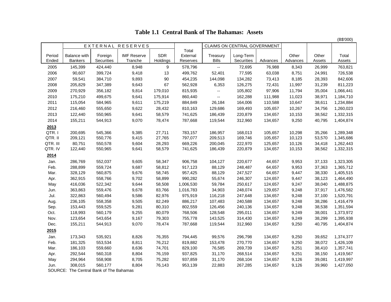**Table 1.1 Central Bank of The Bahamas: Assets**

|                 |                                       |                       |                               |                        |                               |                          |                              |          |                   |                 | (B\$'000)       |
|-----------------|---------------------------------------|-----------------------|-------------------------------|------------------------|-------------------------------|--------------------------|------------------------------|----------|-------------------|-----------------|-----------------|
|                 |                                       |                       | EXTERNAL RESERVES             |                        |                               |                          | CLAIMS ON CENTRAL GOVERNMENT |          |                   |                 |                 |
| Period<br>Ended | <b>Balance with</b><br><b>Bankers</b> | Foreign<br>Securities | <b>IMF Reserve</b><br>Tranche | <b>SDR</b><br>Holdings | Total<br>External<br>Reserves | Treasury<br><b>Bills</b> | Long-Term<br>Securities      | Advances | Other<br>Advances | Other<br>Assets | Total<br>Assets |
| 2005            | 145,399                               | 424,440               | 8,948                         | 9                      | 578,796                       | $\overline{\phantom{a}}$ | 72,695                       | 76,988   | 8,343             | 26,999          | 763,821         |
| 2006            | 90,607                                | 399,724               | 9,418                         | 13                     | 499,762                       | 52,401                   | 77,595                       | 63,038   | 8,751             | 24,991          | 726,538         |
| 2007            | 59,541                                | 384,710               | 9,893                         | 90                     | 454,235                       | 144,098                  | 134,282                      | 73,413   | 8,185             | 28,393          | 842,606         |
| 2008            | 205,829                               | 347,389               | 9,643                         | 67                     | 562,928                       | 6,353                    | 126,275                      | 72,431   | 11,997            | 31,239          | 811,223         |
| 2009            | 270,929                               | 356,182               | 9,814                         | 179,010                | 815,935                       | $\overline{\phantom{a}}$ | 105,802                      | 97,906   | 11,794            | 35,004          | 1,066,441       |
| 2010            | 175,210                               | 499,675               | 9,641                         | 175,914                | 860,440                       | --                       | 162,288                      | 111,988  | 11,023            | 38,971          | 1,184,710       |
| 2011            | 115,054                               | 584,965               | 9,611                         | 175,219                | 884,849                       | 26,184                   | 164,006                      | 110,588  | 10,647            | 38,611          | 1,234,884       |
| 2012            | 216,460                               | 555,650               | 9,622                         | 28,432                 | 810,163                       | 129,686                  | 169,493                      | 105,657  | 10,267            | 34,756          | 1,260,023       |
| 2013            | 122,440                               | 550,965               | 9,641                         | 58,579                 | 741,625                       | 186,439                  | 220,879                      | 134,657  | 10,153            | 38,562          | 1,332,315       |
| 2014            | 155,211                               | 544,913               | 9,070                         | 78,474                 | 787,668                       | 119,544                  | 312,960                      | 134,657  | 9,250             | 40,795          | 1,404,874       |
|                 |                                       |                       |                               |                        |                               |                          |                              |          |                   |                 |                 |
| 2013<br>QTR.I   | 200,695                               | 545,366               | 9,385                         | 27,711                 | 783,157                       | 186,957                  | 168,013                      | 105,657  | 10,298            | 35,266          | 1,289,348       |
| QTR. II         | 209,121                               | 550,776               | 9,415                         | 27,765                 | 797,077                       | 209,513                  | 169,746                      | 105,657  | 10,123            | 53,570          | 1,345,686       |
| QTR. III        | 80,751                                | 550,578               | 9,604                         | 28,293                 | 669,226                       | 200,045                  | 222,970                      | 125,657  | 10,126            | 34,418          | 1,262,443       |
| QTR. IV         | 122,440                               | 550,965               | 9,641                         | 58,579                 | 741,625                       | 186,439                  | 220,879                      | 134,657  | 10,153            | 38,562          | 1,332,315       |
| 2014            |                                       |                       |                               |                        |                               |                          |                              |          |                   |                 |                 |
| Jan.            | 286,769                               | 552,037               | 9,605                         | 58,347                 | 906,758                       | 104,127                  | 220,677                      | 44,657   | 9,953             | 37,133          | 1,323,305       |
| Feb.            | 288,899                               | 559,724               | 9,687                         | 58,812                 | 917,123                       | 88,129                   | 248,487                      | 64,657   | 9,953             | 37,363          | 1,365,712       |
| Mar.            | 328,129                               | 560,875               | 9,676                         | 58,745                 | 957,425                       | 88,129                   | 247,527                      | 64,657   | 9,447             | 38,330          | 1,405,515       |
| Apr.            | 362,915                               | 558,766               | 9,702                         | 58,899                 | 990,282                       | 55,674                   | 246,307                      | 124,657  | 9,447             | 38,123          | 1,464,490       |
| May             | 416,036                               | 522,342               | 9,644                         | 58,508                 | 1,006,530                     | 59,784                   | 250,617                      | 124,657  | 9,247             | 38,040          | 1,488,875       |
| Jun.            | 363,863                               | 559,476               | 9,678                         | 83,766                 | 1,016,783                     | 34,903                   | 248,074                      | 129,657  | 9,248             | 37,917          | 1,476,582       |
| Jul.            | 322,863                               | 560,494               | 9,586                         | 82,976                 | 975,919                       | 116,218                  | 247,648                      | 134,657  | 9,248             | 37,100          | 1,520,791       |
| Aug.            | 236,105                               | 558,358               | 9,505                         | 82,249                 | 886,217                       | 107,483                  | 240,588                      | 134,657  | 9,248             | 38,286          | 1,416,479       |
| Sep.            | 153,443                               | 559,525               | 9,281                         | 80,310                 | 802,559                       | 126,456                  | 240,136                      | 134,657  | 9,248             | 38,538          | 1,351,594       |
| Oct.            | 118,993                               | 560,179               | 9,255                         | 80,079                 | 768,506                       | 128,548                  | 295,011                      | 134,657  | 9,249             | 38,001          | 1,373,972       |
| Nov.            | 123,654                               | 543,654               | 9,167                         | 79,303                 | 755,778                       | 143,525                  | 314,430                      | 134,657  | 9,249             | 38,299          | 1,395,938       |
| Dec.            | 155,211                               | 544,913               | 9,070                         | 78,474                 | 787,668                       | 119,544                  | 312,960                      | 134,657  | 9,250             | 40,795          | 1,404,874       |
| 2015            |                                       |                       |                               |                        |                               |                          |                              |          |                   |                 |                 |
| Jan.            | 173,343                               | 535,921               | 8,826                         | 76,355                 | 794,445                       | 99,576                   | 296,798                      | 134,657  | 9,250             | 39,652          | 1,374,377       |
| Feb.            | 181,325                               | 553,534               | 8,811                         | 76,212                 | 819,882                       | 153,478                  | 270,770                      | 134,657  | 9,250             | 38,072          | 1,426,109       |
| Mar.            | 186,103                               | 559,660               | 8,636                         | 74,701                 | 829,100                       | 76,585                   | 269,739                      | 134,657  | 9,251             | 38,410          | 1,357,741       |
| Apr.            | 292,544                               | 560,318               | 8,804                         | 76,159                 | 937,825                       | 31,170                   | 268,514                      | 134,657  | 9,251             | 38,150          | 1,419,567       |
| May             | 294,964                               | 558,908               | 8,705                         | 75,282                 | 937,859                       | 31,170                   | 268,104                      | 134,657  | 9,126             | 39,081          | 1,419,997       |
| Jun.            | 308,015                               | 560,177               | 8,804                         | 76,143                 | 953,139                       | 22,883                   | 267,285                      | 134,657  | 9,126             | 39,960          | 1,427,050       |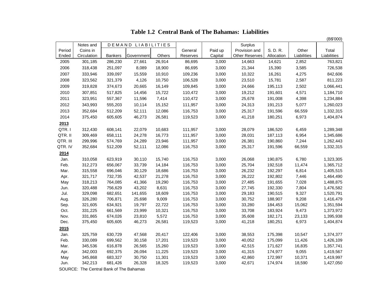(B\$'000) Notes and DEMAND LIABILITIES | | | Surplus Period Coins in General Paid up Provision and S. D. R. Other Total Ended | Circulation | Bankers |Government| Others | Reserves | Capital |Other Reserves | Allocation | Liabilities | Liabilities | 2005 301,185 286,230 27,661 26,914 86,695 3,000 14,663 14,621 2,852 763,821 2006 318,438 251,097 8,089 18,900 86,695 3,000 21,344 15,390 3,585 726,538 2007 333,946 339,097 15,559 10,910 109,236 3,000 10,322 16,261 4,275 842,606 2008 323,562 321,379 4,126 10,750 106,528 3,000 23,510 15,781 2,587 811,223 2009 319,828 374,673 20,665 16,149 109,845 3,000 24,666 195,113 2,502 1,066,441 2010 307,851 517,825 14,456 15,722 110,472 3,000 19,212 191,601 4,571 1,184,710 2011 323,951 557,367 11,596 7,414 110,472 3,000 25,678 191,008 4,398 1,234,884 2012 343,993 555,203 10,114 15,152 111,957 3,000 24,313 191,213 5,077 1,260,023 2013 352,684 512,209 52,111 12,086 116,753 3,000 25,317 191,596 66,559 1,332,315 2014 375,450 605,605 46,273 26,581 119,523 3,000 41,218 180,251 6,973 1,404,874 **2013** QTR. I 312,430 608,141 22,079 10,683 111,957 3,000 28,079 186,520 6,459 1,289,348 QTR. II 309,469 658,111 24,278 16,773 111,957 3,000 28,031 187,113 6,954 1,345,686 QTR. III 299,996 574,769 24,289 23,946 111,957 3,000 26,381 190,860 7,244 1,262,443 QTR. IV 352,684 512,209 52,111 12,086 116,753 3,000 25,317 191,596 66,559 1,332,315 **2014** Jan. 310,058 623,919 30,110 15,740 116,753 3,000 26,068 190,875 6,780 1,323,305 Feb. 312,273 656,067 33,739 14,184 116,753 3,000 25,704 192,518 11,474 1,365,712 Mar. 315,558 696,046 30,129 18,686 116,753 3,000 26,232 192,297 6,814 1,405,515 Apr. 321,717 732,735 42,537 21,278 116,753 3,000 26,222 192,802 7,446 1,464,490 May 318,213 764,085 41,366 19,290 116,753 3,000 27,485 191,655 7,028 1,488,875 Jun. 320,488 756,629 43,202 8,631 116,753 3,000 27,745 192,330 7,804 1,476,582 Jul. 329,098 682,651 141,655 18,609 116,753 3,000 29,183 190,515 9,327 1,520,791 Aug. 326,280 706,871 25,698 9,009 116,753 3,000 30,752 188,907 9,208 1,416,479 Sep. 321,605 634,921 19,797 22,722 116,753 3,000 33,280 184,453 15,062 1,351,594 Oct. 331,225 661,569 23,999 10,321 116,753 3,000 33,708 183,924 9,473 1,373,972 Nov. 331,865 674,026 23,810 5,572 116,753 3,000 35,608 182,171 23,133 1,395,938 Dec. 375,450 605,605 46,273 26,581 119,523 3,000 41,218 180,251 6,973 1,404,874 **2015** Jan. 325,759 630,729 47,568 20,417 122,406 3,000 38,553 175,398 10,547 1,374,377 Feb. 330,089 699,562 30,158 17,201 119,523 3,000 40,052 175,099 11,426 1,426,109 Mar. 345,536 616,878 26,565 15,260 119,523 3,000 42,515 171,627 16,835 1,357,741 Apr. 342,003 692,375 26,094 11,225 119,523 3,000 41,315 174,977 9,055 1,419,567 May 345,868 683,327 30,750 11,301 119,523 3,000 42,860 172,997 10,371 1,419,997 Jun. 342,213 681,426 26,328 18,325 119,523 3,000 42,671 174,974 18,590 1,427,050

**Table 1.2 Central Bank of The Bahamas: Liabilities**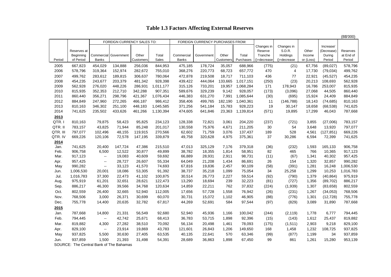## **Table 1.3 Factors Affecting External Reserves**

|          |                          |              |                                         |           |              |              |                                  |           |           |                    |                    |                 |                      | $(B\frac{1}{2}000)$   |
|----------|--------------------------|--------------|-----------------------------------------|-----------|--------------|--------------|----------------------------------|-----------|-----------|--------------------|--------------------|-----------------|----------------------|-----------------------|
|          |                          |              | FOREIGN CURRENCY SALES TO:              |           |              |              | FOREIGN CURRENCY PURCHASES FROM: |           |           |                    |                    |                 |                      |                       |
|          |                          |              |                                         |           |              |              |                                  |           |           | Changes in         | Changes in         |                 | Increase/            |                       |
|          | Reserves at<br>Beginning | Commercial   | Government                              | Other     | Total        | Commercial   | Government                       | Other     | Total     | Reserve<br>Tranche | S.D.R.<br>Holdings | Other<br>Income | (Decrease)<br>During | Reserves<br>at End of |
| Period   | of Period                | <b>Banks</b> |                                         | Customers | <b>Sales</b> | <b>Banks</b> |                                  | Customers | Purchases | ()=decrease        | $()$ =decrease     | or (Loss)       | Period               | Period                |
| 2005     | 667,823                  | 454,029      | 134,888                                 | 256,036   | 844,953      | 475,185      | 178,724                          | 35,057    | 688,966   | (775)              | (21)               | 67,756          | (89, 027)            | 578,796               |
| 2006     | 578,796                  | 319,364      | 152,974                                 | 282,672   | 755,010      | 368,276      | 220,773                          | 68,723    | 657,772   | 470                | 4                  | 17,730          | (79, 034)            | 499,762               |
| 2007     | 499,762                  | 283,612      | 189,815                                 | 306,637   | 780,064      | 472,878      | 219,508                          | 18,717    | 711,103   | 436                | 77                 | 22,921          | (45, 527)            | 454,235               |
| 2008     | 454,235                  | 243,677      | 203,379                                 | 481,342   | 928,398      | 439,422      | 444,064                          | 133,665   | 1,017,151 | (250)              | (23)               | 20,213          | 108,693              | 562,928               |
| 2009     | 562,928                  | 276,020      | 448,226                                 | 286,931   | 1,011,177    | 315,126      | 733,201                          | 19,957    | 1,068,284 | 171                | 178,943            | 16,786          | 253,007              | 815,935               |
| 2010     | 815,935                  | 352,353      | 212.710                                 | 342,288   | 907,351      | 589,676      | 329,239                          | 9.142     | 928,057   | (173)              | (3,096)            | 27,068          | 44,505               | 860,440               |
| 2011     | 860,440                  | 356,271      | 298,796                                 | 421,367   | 1,076,434    | 446,383      | 631,270                          | 7,991     | 1,085,644 | (30)               | (695)              | 15,924          | 24,409               | 884,849               |
| 2012     | 884,849                  | 247,960      | 272,265                                 | 466,187   | 986,412      | 358,406      | 499,765                          | 182,190   | 1,040,361 | 11                 | (146, 788)         | 18,143          | (74, 685)            | 810,163               |
| 2013     | 810,163                  | 346,302      | 251,100                                 | 448,183   | 1,045,585    | 371,256      | 541,184                          | 15,783    | 928,223   | 19                 | 30,147             | 18,658          | (68, 538)            | 741,625               |
| 2014     | 741,625                  | 235,502      | 433,626                                 | 461,266   | 1,130,394    | 474,605      | 641,846                          | 23,363    | 1,139,814 | (571)              | 19,895             | 17,299          | 46,043               | 787,668               |
| 2013     |                          |              |                                         |           |              |              |                                  |           |           |                    |                    |                 |                      |                       |
| QTR.     | 810,163                  | 79,875       | 58,423                                  | 95,825    | 234,123      | 128,338      | 72,821                           | 3,061     | 204,220   | (237)              | (721)              | 3,855           | (27,006)             | 783,157               |
| QTR. II  | 783,157                  | 43,825       | 71,944                                  | 85,248    | 201,017      | 130,558      | 75,976                           | 4,671     | 211,205   | 30                 | 54                 | 3,648           | 13,920               | 797,077               |
| QTR. III | 797,077                  | 102,496      | 48,155                                  | 119,915   | 270,566      | 62,602       | 71,759                           | 3,076     | 137,437   | 189                | 528                | 4,561           | (127, 851)           | 669,226               |
| QTR. IV  | 669,226                  | 120,106      | 72,578                                  | 147,195   | 339,879      | 49,758       | 320,628                          | 4,975     | 375,361   | 37                 | 30,286             | 6,594           | 72,399               | 741,625               |
| 2014     |                          |              |                                         |           |              |              |                                  |           |           |                    |                    |                 |                      |                       |
| Jan.     | 741,625                  | 20,400       | 147,724                                 | 47,386    | 215,510      | 47,013       | 325,129                          | 7,176     | 379,318   | (36)               | (232)              | 1,593           | 165,133              | 906,758               |
| Feb.     | 906,758                  | 6,500        | 12,522                                  | 30,877    | 49,899       | 38,782       | 18,355                           | 1,814     | 58,951    | 82                 | 465                | 766             | 10,365               | 917,123               |
| Mar.     | 917,123                  | $\sim$       | 19,083                                  | 40,609    | 59,692       | 66,889       | 28,931                           | 2,911     | 98,731    | (11)               | (67)               | 1,341           | 40,302               | 957,425               |
| Apr.     | 957,425                  | $\sim$       | 28,727                                  | 26,607    | 55,334       | 64,049       | 21,208                           | 1,434     | 86,691    | 26                 | 154                | 1,320           | 32,857               | 990,282               |
| May      | 990,282                  | $\sim$       | 33,123                                  | 41,570    | 74,693       | 67,816       | 19,836                           | 2,457     | 90,109    | (58)               | (391)              | 1,281           | 16,248               | 1,006,530             |
| Jun.     | 1,006,530                | 20,001       | 18,086                                  | 53,305    | 91,392       | 38,737       | 35,218                           | 1,099     | 75,054    | 34                 | 25,258             | 1,299           | 10,253               | 1,016,783             |
| Jul.     | 1,016,783                | 37,300       | 22,473                                  | 41,102    | 100,875      | 30,514       | 26,773                           | 2,227     | 59,514    | (92)               | (790)              | 1,379           | (40, 864)            | 975,919               |
| Aug.     | 975,919                  | 61,201       | 32,651                                  | 28,621    | 122,473      | 13,290       | 18,694                           | 239       | 32,223    | (81)               | (727)              | 1,356           | (89, 702)            | 886,217               |
| Sep.     | 886,217                  | 46,300       | 39,566                                  | 34,768    | 120,634      | 14,859       | 22,211                           | 762       | 37,832    | (224)              | (1,939)            | 1,307           | (83, 658)            | 802,559               |
| Oct.     | 802,559                  | 26,400       | 32,665                                  | 52,940    | 112,005      | 17,656       | 57,728                           | 1,558     | 76,942    | (26)               | (231)              | 1,267           | (34,053)             | 768,506               |
| Nov.     | 768,506                  | 3,000        | 26,371                                  | 30,699    | 60,070       | 30,731       | 15,072                           | 1,102     | 46,905    | (88)               | (776)              | 1,301           | (12, 728)            | 755,778               |
| Dec.     | 755,778                  | 14,400       | 20,635                                  | 32,782    | 67,817       | 44,269       | 52,691                           | 584       | 97,544    | (97)               | (829)              | 3,089           | 31,890               | 787,668               |
| 2015     |                          |              |                                         |           |              |              |                                  |           |           |                    |                    |                 |                      |                       |
| Jan.     | 787,668                  | 14,800       | 21,331                                  | 56,549    | 92,680       | 52,940       | 45,936                           | 1,166     | 100,042   | (244)              | (2, 119)           | 1,778           | 6,777                | 794,445               |
| Feb.     | 794,445                  | $\sim$       | 42,742                                  | 25,671    | 68,413       | 36,783       | 53,715                           | 1,898     | 92,396    | (15)               | (143)              | 1,612           | 25,437               | 819,882               |
| Mar.     | 819,882                  | 4,300        | 27,282                                  | 38,510    | 70,092       | 56,134       | 20,498                           | 1,461     | 78,093    | (175)              | (1,511)            | 2,903           | 9,218                | 829,100               |
| Apr.     | 829,100                  | $\sim$       | 23,914                                  | 19,869    | 43,783       | 121,601      | 26,843                           | 1,206     | 149,650   | 168                | 1,458              | 1,232           | 108,725              | 937,825               |
| May      | 937,825                  | 5,500        | 30,630                                  | 27,405    | 63,535       | 40,135       | 22,641                           | 570       | 63,346    | (99)               | (877)              | 1,199           | 34                   | 937,859               |
| Jun.     | 937,859                  | 1,500        | 21,393                                  | 31,498    | 54,391       | 28,689       | 36,863                           | 1,898     | 67,450    | 99                 | 861                | 1,261           | 15,280               | 953,139               |
|          |                          |              | SOURCE: The Central Bank of The Bahamas |           |              |              |                                  |           |           |                    |                    |                 |                      |                       |

 $(D^{\text{th}}(000))$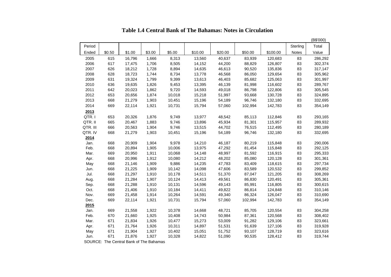|          |        |                                                 |        |        |         |         |         |          |          | (B\$'000) |
|----------|--------|-------------------------------------------------|--------|--------|---------|---------|---------|----------|----------|-----------|
| Period   |        |                                                 |        |        |         |         |         |          | Sterling | Total     |
| Ended    | \$0.50 | \$1.00                                          | \$3.00 | \$5.00 | \$10.00 | \$20.00 | \$50.00 | \$100.00 | Notes    | Value     |
| 2005     | 615    | 16,796                                          | 1,666  | 8,313  | 13,560  | 40,637  | 83,939  | 120,683  | 83       | 286,292   |
| 2006     | 617    | 17,475                                          | 1,706  | 8,505  | 14,152  | 44,200  | 88,829  | 126,807  | 83       | 302,374   |
| 2007     | 626    | 18,212                                          | 1,728  | 8,894  | 14,635  | 46,613  | 90,520  | 135,836  | 83       | 317,147   |
| 2008     | 628    | 18,723                                          | 1,744  | 8,734  | 13,778  | 46,568  | 86,050  | 129,654  | 83       | 305,962   |
| 2009     | 631    | 19,324                                          | 1,799  | 9,399  | 13,613  | 46,403  | 85,682  | 125,063  | 83       | 301,997   |
| 2010     | 636    | 19,635                                          | 1,826  | 9,453  | 13,395  | 46,139  | 81,998  | 116,602  | 83       | 289,767   |
| 2011     | 642    | 20,023                                          | 1,862  | 9,720  | 14,593  | 49,018  | 86,798  | 122,806  | 83       | 305,545   |
| 2012     | 653    | 20,656                                          | 1,874  | 10,018 | 15,218  | 51,997  | 93,668  | 130,728  | 83       | 324,895   |
| 2013     | 668    | 21,279                                          | 1,903  | 10,451 | 15,196  | 54,189  | 96,746  | 132,180  | 83       | 332,695   |
| 2014     | 669    | 22,114                                          | 1,921  | 10,731 | 15,794  | 57,060  | 102,994 | 142,783  | 83       | 354,149   |
| 2013     |        |                                                 |        |        |         |         |         |          |          |           |
| QTR.I    | 653    | 20,326                                          | 1,876  | 9,749  | 13,977  | 48,542  | 85,113  | 112,846  | 83       | 293,165   |
| QTR. II  | 665    | 20,467                                          | 1,883  | 9,746  | 13,896  | 45,934  | 81,301  | 115,957  | 83       | 289,932   |
| QTR. III | 666    | 20,563                                          | 1,904  | 9,746  | 13,515  | 44,702  | 76,515  | 112,495  | 83       | 280,189   |
| QTR. IV  | 668    | 21,279                                          | 1,903  | 10,451 | 15,196  | 54,189  | 96,746  | 132,180  | 83       | 332,695   |
| 2014     |        |                                                 |        |        |         |         |         |          |          |           |
| Jan.     | 668    | 20,909                                          | 1,904  | 9,978  | 14,210  | 46,187  | 80,219  | 115,848  | 83       | 290,006   |
| Feb.     | 668    | 20,894                                          | 1,905  | 10,006 | 13,975  | 47,292  | 81,454  | 115,848  | 83       | 292,125   |
| Mar.     | 669    | 20,950                                          | 1,911  | 10,068 | 14,148  | 48,997  | 81,592  | 116,915  | 83       | 295,333   |
| Apr.     | 668    | 20,996                                          | 1,912  | 10,080 | 14,212  | 48,202  | 85,080  | 120,128  | 83       | 301,361   |
| May      | 668    | 21,146                                          | 1,909  | 9,886  | 14,235  | 47,783  | 83,409  | 118,615  | 83       | 297,734   |
| Jun.     | 668    | 21,225                                          | 1,909  | 10,142 | 14,098  | 47,606  | 83,589  | 120,532  | 83       | 299,852   |
| Jul.     | 668    | 21,297                                          | 1,910  | 10,178 | 14,511  | 51,370  | 87,047  | 121,205  | 83       | 308,269   |
| Aug.     | 668    | 21,284                                          | 1,907  | 10,124 | 14,413  | 49,561  | 86,830  | 120,491  | 83       | 305,361   |
| Sep.     | 668    | 21,288                                          | 1,910  | 10,131 | 14,596  | 49,143  | 85,991  | 116,805  | 83       | 300,615   |
| Oct.     | 668    | 21,406                                          | 1,910  | 10,184 | 14,411  | 49,822  | 86,814  | 124,848  | 83       | 310,146   |
| Nov.     | 669    | 21,458                                          | 1,914  | 10,264 | 14,591  | 49,340  | 86,324  | 126,047  | 83       | 310,690   |
| Dec.     | 669    | 22,114                                          | 1,921  | 10,731 | 15,794  | 57,060  | 102,994 | 142,783  | 83       | 354,149   |
| 2015     |        |                                                 |        |        |         |         |         |          |          |           |
| Jan.     | 669    | 21,558                                          | 1,922  | 10,378 | 14,668  | 48,721  | 85,705  | 120,554  | 83       | 304,258   |
| Feb.     | 670    | 21,660                                          | 1,925  | 10,408 | 14,743  | 50,984  | 87,361  | 120,568  | 83       | 308,402   |
| Mar.     | 671    | 21,834                                          | 1,926  | 10,477 | 15,273  | 53,009  | 91,282  | 129,106  | 83       | 323,661   |
| Apr.     | 671    | 21,764                                          | 1,926  | 10,311 | 14,897  | 51,531  | 91,639  | 127,106  | 83       | 319,928   |
| May      | 671    | 21,904                                          | 1,927  | 10,402 | 15,051  | 51,752  | 93,107  | 128,719  | 83       | 323,616   |
| Jun.     | 671    | 21,876                                          | 1,927  | 10,328 | 14,822  | 51,090  | 90,535  | 128,412  | 83       | 319,744   |
|          |        | <b>COLIDCE: The Central Bank of The Behames</b> |        |        |         |         |         |          |          |           |

**Table 1.4 Central Bank of The Bahamas: Notes in Circulation**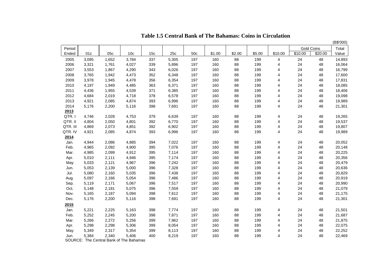|          |       |       |                 |                 |       |     |        |        |        |                |         |                   | (B\$'000) |
|----------|-------|-------|-----------------|-----------------|-------|-----|--------|--------|--------|----------------|---------|-------------------|-----------|
| Period   |       |       |                 |                 |       |     |        |        |        |                |         | <b>Gold Coins</b> | Total     |
| Ended    | 01c   | 05c   | 10 <sub>c</sub> | 15 <sub>c</sub> | 25c   | 50c | \$1.00 | \$2.00 | \$5.00 | \$10.00        | \$10.00 | \$20.00           | Value     |
| 2005     | 3,095 | 1,652 | 3,784           | 337             | 5,305 | 197 | 160    | 88     | 199    | 4              | 24      | 48                | 14,893    |
| 2006     | 3,321 | 1,761 | 4,027           | 339             | 5,896 | 197 | 160    | 88     | 199    | 4              | 24      | 48                | 16,064    |
| 2007     | 3,553 | 1,867 | 4,290           | 343             | 6,026 | 197 | 160    | 88     | 199    | 4              | 24      | 48                | 16,799    |
| 2008     | 3,765 | 1,942 | 4,473           | 352             | 6,348 | 197 | 160    | 88     | 199    | 4              | 24      | 48                | 17,600    |
| 2009     | 3,978 | 1,945 | 4,478           | 356             | 6,354 | 197 | 160    | 88     | 199    | 4              | 24      | 48                | 17,831    |
| 2010     | 4,197 | 1,949 | 4,485           | 363             | 6,371 | 197 | 160    | 88     | 199    | 4              | 24      | 48                | 18,085    |
| 2011     | 4,436 | 1,955 | 4,539           | 371             | 6,385 | 197 | 160    | 88     | 199    | 4              | 24      | 48                | 18,406    |
| 2012     | 4,684 | 2,019 | 4,718           | 378             | 6,578 | 197 | 160    | 88     | 199    | 4              | 24      | 48                | 19,098    |
| 2013     | 4,921 | 2,085 | 4,874           | 393             | 6,996 | 197 | 160    | 88     | 199    | 4              | 24      | 48                | 19,989    |
| 2014     | 5,176 | 2,200 | 5,116           | 398             | 7,691 | 197 | 160    | 88     | 199    | 4              | 24      | 48                | 21,301    |
| 2013     |       |       |                 |                 |       |     |        |        |        |                |         |                   |           |
| QTR.I    | 4,746 | 2,028 | 4,753           | 379             | 6,639 | 197 | 160    | 88     | 199    | 4              | 24      | 48                | 19,265    |
| QTR. II  | 4,804 | 2,050 | 4,801           | 392             | 6,770 | 197 | 160    | 88     | 199    | 4              | 24      | 48                | 19,537    |
| QTR. III | 4,869 | 2,073 | 4,851           | 392             | 6,902 | 197 | 160    | 88     | 199    | 4              | 24      | 48                | 19,807    |
| QTR. IV  | 4,921 | 2,085 | 4,874           | 393             | 6,996 | 197 | 160    | 88     | 199    | $\overline{4}$ | 24      | 48                | 19,989    |
| 2014     |       |       |                 |                 |       |     |        |        |        |                |         |                   |           |
| Jan.     | 4,944 | 2,086 | 4,885           | 394             | 7,022 | 197 | 160    | 88     | 199    | 4              | 24      | 48                | 20,052    |
| Feb.     | 4,965 | 2,092 | 4,900           | 395             | 7,076 | 197 | 160    | 88     | 199    | 4              | 24      | 48                | 20,148    |
| Mar.     | 4,985 | 2,099 | 4,912           | 395             | 7,114 | 197 | 160    | 88     | 199    | 4              | 24      | 48                | 20,225    |
| Apr.     | 5,010 | 2,111 | 4,946           | 395             | 7,174 | 197 | 160    | 88     | 199    | 4              | 24      | 48                | 20,356    |
| May      | 5,033 | 2,121 | 4,967           | 396             | 7,242 | 197 | 160    | 88     | 199    | 4              | 24      | 48                | 20,479    |
| Jun.     | 5,053 | 2,139 | 5,000           | 396             | 7,328 | 197 | 160    | 88     | 199    | 4              | 24      | 48                | 20,636    |
| Jul.     | 5,080 | 2,160 | 5,035           | 396             | 7,438 | 197 | 160    | 88     | 199    | 4              | 24      | 48                | 20,829    |
| Aug.     | 5,097 | 2,166 | 5,054           | 396             | 7,486 | 197 | 160    | 88     | 199    | 4              | 24      | 48                | 20,919    |
| Sep.     | 5,119 | 2,171 | 5,067           | 396             | 7,517 | 197 | 160    | 88     | 199    | 4              | 24      | 48                | 20,990    |
| Oct.     | 5,148 | 2,181 | 5,075           | 396             | 7,559 | 197 | 160    | 88     | 199    | 4              | 24      | 48                | 21,079    |
| Nov.     | 5,165 | 2,187 | 5,094           | 398             | 7,612 | 197 | 160    | 88     | 199    | 4              | 24      | 48                | 21,175    |
| Dec.     | 5,176 | 2,200 | 5,116           | 398             | 7,691 | 197 | 160    | 88     | 199    | 4              | 24      | 48                | 21,301    |
| 2015     |       |       |                 |                 |       |     |        |        |        |                |         |                   |           |
| Jan.     | 5,221 | 2,225 | 5,163           | 398             | 7,774 | 197 | 160    | 88     | 199    | 4              | 24      | 48                | 21,501    |
| Feb.     | 5,252 | 2,245 | 5,200           | 398             | 7,871 | 197 | 160    | 88     | 199    | 4              | 24      | 48                | 21,687    |
| Mar.     | 5,266 | 2,272 | 5,256           | 399             | 7,962 | 197 | 160    | 88     | 199    | 4              | 24      | 48                | 21,875    |
| Apr.     | 5,298 | 2,298 | 5,306           | 399             | 8,054 | 197 | 160    | 88     | 199    | 4              | 24      | 48                | 22,075    |
| May      | 5,349 | 2,317 | 5,354           | 399             | 8,113 | 197 | 160    | 88     | 199    | 4              | 24      | 48                | 22,252    |
| Jun.     | 5,384 | 2,340 | 5,406           | 400             | 8,219 | 197 | 160    | 88     | 199    | 4              | 24      | 48                | 22,469    |

**Table 1.5 Central Bank of The Bahamas: Coins in Circulation**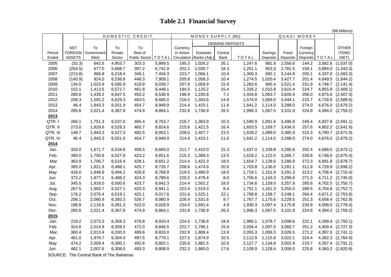# **Table 2.1 Financial Survey**

(B\$ Millions)

|                     |                         |                                                                          |                               |                         |                               |                         |                               |                        |                               |                               |                               | נפווטוווווטו פּט        |         |                                                             |
|---------------------|-------------------------|--------------------------------------------------------------------------|-------------------------------|-------------------------|-------------------------------|-------------------------|-------------------------------|------------------------|-------------------------------|-------------------------------|-------------------------------|-------------------------|---------|-------------------------------------------------------------|
|                     |                         |                                                                          | DOMESTIC CREDIT               |                         |                               | MONEY SUPPLY (M1)       | QUASI MONEY                   |                        |                               |                               |                               |                         |         |                                                             |
|                     |                         |                                                                          |                               |                         |                               |                         |                               | <b>DEMAND DEPOSITS</b> |                               |                               |                               |                         |         |                                                             |
|                     | <b>NET</b>              | To                                                                       | To                            | To                      |                               | Currency                |                               |                        |                               |                               |                               | Foreign                 |         | <b>OTHER</b>                                                |
| Period              |                         | FOREIGN Government                                                       | Private                       | Rest of                 |                               | In Active               | Domestic                      | Central                |                               | Savings                       | Fixed                         | Currency                |         | <b>ITEMS</b>                                                |
| Ended               | <b>ASSETS</b>           | (Net)                                                                    | Sector                        | <b>Public Sector</b>    | TOTAL                         | Circulation             | Banks (Adj.)                  | Bank                   | <b>TOTAL</b>                  | Deposits                      | Deposits                      | Deposits                | TOTAL   | (NET)                                                       |
| 2005                | (32.3)                  | 642.5                                                                    | 4,953.7                       | 303.3                   | 5,899.5                       | 195.3                   | 1,026.2                       | 26.1                   | 1,247.6                       | 881.8                         | 2,556.6                       | 144.2                   | 3,582.6 | (1,037.0)                                                   |
| 2006                | (254.5)                 | 677.0                                                                    | 5,668.7                       | 397.2                   | 6,742.9                       | 202.1                   | 1,030.7                       | 18.3                   | 1,251.1                       | 953.3                         | 2,781.5                       | 159.1                   |         | 3,894.0 (1,343.3)                                           |
| 2007                | (213.8)                 | 866.8                                                                    | 6,218.4                       | 349.1                   | 7,434.3                       | 223.7                   | 1,066.1                       | 10.4                   | 1,300.3                       | 992.1                         | 3,144.8                       | 200.1                   | 4,337.0 | (1,583.3)                                                   |
| 2008                | (140.9)                 | 924.0                                                                    | 6,536.8                       | 448.3                   | 7,909.1                       | 205.8                   | 1,058.3                       | 10.4                   | 1,274.5                       | 1,020.4                       | 3,427.7                       | 201.4                   | 4,649.5 | (1,844.2)                                                   |
| 2009                | 134.0                   | 1,023.9                                                                  | 6,595.9                       | 419.9                   | 8,039.7                       | 207.8                   | 1,059.9                       | 15.9                   | 1,283.6                       | 995.4                         | 3,521.4                       | 231.9                   | 4,748.7 | (2, 141.4)                                                  |
| 2010                | 152.1                   | 1,413.5                                                                  | 6,572.7                       | 461.8                   | 8,448.1                       | 194.5                   | 1,125.2                       | 15.4                   | 1,335.2                       | 1,015.8                       | 3,615.4                       | 224.7                   | 4,855.9 | (2,409.1)                                                   |
| 2011                | 280.8                   | 1,439.2                                                                  | 6,647.5                       | 450.2                   | 8,536.9                       | 196.9                   | 1,230.8                       | 7.1                    | 1,434.8                       | 1,063.7                       | 3,605.9                       | 206.0                   | 4,875.6 | (2,507.3)                                                   |
| 2012                | 208.3                   | 1,592.2                                                                  | 6,629.3                       | 463.5                   | 8,685.0                       | 216.5                   | 1,343.6                       | 14.8                   | 1,574.9                       | 1,069.0                       | 3,444.1                       | 215.7                   | 4,728.8 | (2,589.6)                                                   |
| 2013                | 46.4                    | 1,943.3                                                                  | 6,551.9                       | 454.7                   | 8,949.9                       | 214.4                   | 1,415.1                       | 11.6                   | 1,641.2                       | 1,114.0                       | 3,288.0                       | 274.0                   |         | 4,676.0 (2,679.2)                                           |
| 2014                | 285.6                   | 2,021.4                                                                  | 6,367.8                       | 474.9                   | 8,864.1                       | 232.8                   | 1,736.9                       | 26.5                   | 1,996.3                       | 1,067.5                       | 3,101.9                       | 224.8                   |         | 4,394.2 (2,759.2)                                           |
| 2013                |                         |                                                                          |                               |                         |                               |                         |                               |                        |                               |                               |                               |                         |         |                                                             |
| QTR.I               | 266.1                   | 1,751.3                                                                  | 6,537.0                       | 465.4                   | 8,753.7                       | 216.7                   | 1,363.9                       | 10.3                   | 1,590.9                       | 1,091.6                       | 3,496.8                       | 249.4                   |         | 4,837.8 (2,591.1)                                           |
| QTR. II             | 273.0                   | 1,829.6                                                                  | 6,529.3                       | 465.7                   | 8,824.6                       | 215.6                   | 1,421.5                       | 16.4                   | 1,653.5                       | 1,109.7                       | 3,434.9                       | 257.6                   | 4,802.2 | (2,641.9)                                                   |
| QTR. III            | 148.7                   | 1,943.3                                                                  | 6,527.3                       | 482.5                   | 8,953.1                       | 208.0                   | 1,407.7                       | 23.5                   | 1,639.2                       | 1,089.5                       | 3,385.9                       | 315.3                   | 4,790.7 | (2,671.9)                                                   |
| QTR. IV             | 46.4                    | 1,943.3                                                                  | 6,551.9                       | 454.7                   | 8,949.9                       | 214.4                   | 1,415.1                       | 11.6                   | 1,641.2                       | 1,114.0                       | 3,288.0                       | 274.0                   |         | 4,676.0 (2,679.2)                                           |
| 2014                |                         |                                                                          |                               |                         |                               |                         |                               |                        |                               |                               |                               |                         |         |                                                             |
| Jan.                | 333.0                   | 1,671.7                                                                  | 6,534.8                       | 458.5                   | 8,665.0                       | 211.7                   | 1,410.0                       | 15.3                   | 1,637.0                       | 1,109.8                       | 3,285.8                       | 292.4                   | 4,688.0 | (2,673.1)                                                   |
| Feb.                | 390.0                   | 1,700.6                                                                  | 6,527.8                       | 423.2                   | 8,651.6                       | 215.3                   | 1,389.3                       | 13.5                   | 1,618.2                       | 1,122.5                       | 3,285.7                       | 339.8                   | 4,748.0 | (2,675.4)                                                   |
| Mar.                | 363.9                   | 1,706.7                                                                  | 6,516.4                       | 428.1                   | 8,651.2                       | 214.4                   | 1,422.3                       | 18.0                   | 1,654.7                       | 1,128.6                       | 3,280.8                       | 272.3                   | 4,681.8 | (2,678.7)                                                   |
| Apr.                | 395.2                   | 1,821.9                                                                  | 6,488.1                       | 425.7                   | 8,735.7                       | 208.6                   | 1,474.6                       | 20.6                   | 1,703.8                       | 1,136.0                       | 3,281.1                       | 311.8                   | 4,728.9 | (2,698.2)                                                   |
| May                 | 416.0                   | 1,848.9                                                                  | 6,494.2                       | 426.8                   | 8,769.9                       | 219.5                   | 1,480.9                       | 18.6                   | 1,719.1                       | 1,151.9                       | 3,291.3                       | 313.2                   |         | 4,756.4 (2,710.4)                                           |
| Jun.                | 373.2                   | 1,877.1                                                                  | 6,488.2                       | 424.3                   | 8,789.6                       | 220.2                   | 1,478.4                       | 8.0                    | 1,706.6                       | 1,143.3                       | 3,296.6                       | 271.3                   |         | 4,711.2 (2,745.0)                                           |
| Jul.                | 345.5                   | 1,918.0                                                                  | 6,500.6                       | 423.7                   | 8,842.3                       | 214.4                   | 1,502.2                       | 18.0                   | 1,734.6                       | 1,159.0                       | 3,257.9                       | 285.6                   |         | 4,702.5 (2,750.7)                                           |
| Aug.                | 267.5                   | 1,993.7                                                                  | 6,527.1                       | 420.3                   | 8,941.1                       | 223.4                   | 1,519.3                       | 8.4                    | 1,751.1                       | 1,161.3                       | 3,255.0                       | 288.5                   |         | 4,704.8 (2,752.7)                                           |
| Sep.                | 176.2                   | 2,076.4                                                                  | 6,519.1                       | 422.1                   | 9,017.6                       | 221.6                   | 1,525.1                       | 22.1                   | 1,768.8                       | 1,158.7                       | 3,248.1                       | 264.4                   |         | 4,671.2 (2,753.8)                                           |
| Oct.                | 206.1                   | 2,060.9                                                                  | 6,393.3                       | 526.7                   | 8,980.9                       | 226.4                   | 1,531.6                       | 9.7                    | 1,767.7                       | 1,175.6                       | 3,229.5                       | 251.3                   |         | 4,656.4 (2,762.9)                                           |
| Nov.                | 186.8                   | 2,116.6                                                                  | 6,391.3                       | 522.0                   | 9,029.9                       | 234.0                   | 1,691.4                       | 4.9                    | 1,930.3                       | 1,097.4                       | 3,175.8                       | 234.8                   |         | 4,508.0 (2,778.4)                                           |
| Dec.                | 285.6                   | 2,021.4                                                                  | 6,367.8                       | 474.9                   | 8,864.1                       | 232.8                   | 1,736.9                       | 26.5                   | 1,996.3                       | 1,067.5                       | 3,101.9                       | 224.8                   |         | 4,394.2 (2,759.2)                                           |
| 2015                |                         |                                                                          |                               |                         |                               |                         |                               |                        |                               |                               |                               |                         |         |                                                             |
| Jan.                | 219.2                   | 2,073.3                                                                  | 6,358.3                       | 478.8                   | 8,910.4                       | 224.5                   | 1,736.8                       | 18.8                   | 1,980.1                       | 1,078.7                       | 3,098.6                       | 222.1                   |         | 4,399.4 (2,750.1)                                           |
| Feb.                | 324.6                   | 2,014.9                                                                  | 6,359.5                       | 472.0                   | 8,846.5                       | 222.7                   | 1,796.1                       | 15.6                   | 2,034.4                       | 1,097.5                       | 3,060.7                       | 251.2                   |         | 4,409.4 (2,727.3)                                           |
| Mar.                | 360.4                   | 2,013.4                                                                  | 6,330.0                       | 489.6                   | 8,833.0                       | 232.9                   | 1,808.4                       | 13.9                   | 2,055.3                       | 1,099.3                       | 3,026.5                       | 271.2                   | 4,397.0 | (2,741.1)                                                   |
|                     |                         |                                                                          |                               |                         |                               |                         |                               |                        |                               |                               |                               |                         |         |                                                             |
|                     |                         |                                                                          |                               |                         |                               |                         |                               |                        |                               |                               |                               |                         |         |                                                             |
|                     |                         |                                                                          |                               |                         |                               |                         |                               |                        |                               |                               |                               |                         |         |                                                             |
|                     |                         |                                                                          |                               |                         |                               |                         |                               |                        |                               |                               |                               |                         |         |                                                             |
| Apr.<br>May<br>Jun. | 461.0<br>474.2<br>482.1 | 1,976.7<br>2,009.4<br>2,007.6<br>SOURCE: The Central Bank of The Bahamas | 6,304.9<br>6,300.1<br>6,308.0 | 497.5<br>492.6<br>493.3 | 8,779.1<br>8,802.1<br>8,808.9 | 227.5<br>235.6<br>232.3 | 1,874.9<br>1,881.5<br>1,860.0 | 10.5<br>10.6<br>17.6   | 2,112.9<br>2,127.7<br>2,109.9 | 1,115.8<br>1,134.8<br>1,128.4 | 3,022.1<br>3,002.9<br>3,006.0 | 224.4<br>219.7<br>225.8 |         | 4,362.3 (2,764.9)<br>4,357.4 (2,791.2)<br>4,360.2 (2,820.9) |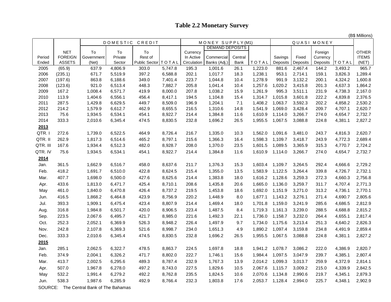## **Table 2.2 Monetary Survey**

(B\$ Millions)

|               |                |                                         | DOMESTIC CREDIT    |                        |                    |                | MONEY SUPPLY(M1)       |              |                    |                    | QUASI MONEY        |                |                    |                    |
|---------------|----------------|-----------------------------------------|--------------------|------------------------|--------------------|----------------|------------------------|--------------|--------------------|--------------------|--------------------|----------------|--------------------|--------------------|
|               | <b>NET</b>     | To                                      | To                 | To                     |                    | Currency       | <b>DEMAND DEPOSITS</b> |              |                    |                    |                    | Foreign        |                    | <b>OTHER</b>       |
| Period        | <b>FOREIGN</b> | Government                              | Private            | Rest of                |                    | In Active      | Commercial             | Central      |                    | Savings            | Fixed              | Currency       |                    | <b>ITEMS</b>       |
| Ended         | <b>ASSETS</b>  | (Net)                                   | Sector             | Public Sector   TO TAL |                    | Circulation    | Banks (Adj.)           | Bank         | TOTAL              | Deposits           | Deposits           | Deposits       | TOTAL              | (NET)              |
| 2005          | (65.9)         | 637.9                                   | 4,806.9            | 303.0                  | 5,747.8            | 195.3          | 1,001.6                | 26.1         | 1,223.0            | 881.6              | 2,467.4            | 144.2          | 3,493.2            | 965.7              |
| 2006          | (235.1)        | 671.7                                   | 5,519.9            | 397.2                  | 6,588.8            | 202.1          | 1,017.7                | 18.3         | 1,238.1            | 953.1              | 2,714.1            | 159.1          | 3,826.3            | 1,289.4            |
| 2007          | (197.6)        | 863.8                                   | 6,188.6            | 349.0                  | 7,401.4            | 223.7          | 1,044.8                | 10.4         | 1,278.9            | 991.9              | 3,132.2            | 200.1          | 4,324.2            | 1,600.8            |
| 2008          | (123.6)        | 921.0                                   | 6,513.4            | 448.3                  | 7,882.7            | 205.8          | 1,041.4                | 10.4         | 1,257.6            | 1,020.2            | 3,415.8            | 201.3          | 4,637.3            | 1,864.2            |
| 2009          | 167.2          | 1,008.4                                 | 6,571.7            | 419.9                  | 8,000.0            | 207.8          | 1,038.2                | 15.9         | 1,261.9            | 995.3              | 3,511.1            | 231.9          | 4,738.3            | 2,167.0            |
| 2010          | 113.9          | 1,404.6                                 | 6,556.1            | 456.4                  | 8,417.1            | 194.5          | 1,104.8                | 15.4         | 1,314.7            | 1,015.8            | 3,601.8            | 222.2          | 4,839.8            | 2,376.5            |
| 2011          | 287.5          | 1,429.8                                 | 6,629.5            | 449.7                  | 8,509.0            | 196.9          | 1,204.1                | 7.1          | 1,408.2            | 1,063.7            | 3,592.3            | 202.2          | 4,858.2            | 2,530.2            |
| 2012          | 214.2<br>75.6  | 1,579.9                                 | 6,612.7            | 462.9<br>454.1         | 8,655.5<br>8,922.7 | 216.5          | 1,310.6                | 14.8         | 1,541.9            | 1,069.0            | 3,428.4            | 209.7          | 4,707.1            | 2,620.7<br>2,732.7 |
| 2013<br>2014  | 333.3          | 1,934.5<br>2,010.6                      | 6,534.1<br>6,345.4 | 474.5                  | 8,830.5            | 214.4<br>232.8 | 1,384.8<br>1,696.2     | 11.6<br>26.5 | 1,610.9<br>1,955.5 | 1,114.0<br>1,067.5 | 3,266.7<br>3,088.8 | 274.0<br>224.8 | 4,654.7<br>4,381.1 | 2,827.2            |
|               |                |                                         |                    |                        |                    |                |                        |              |                    |                    |                    |                |                    |                    |
| 2013<br>QTR.I | 272.6          | 1,739.0                                 | 6,522.5            | 464.9                  | 8,726.4            | 216.7          | 1,335.0                | 10.3         | 1,562.0            | 1,091.6            | 3,481.0            | 243.7          | 4,816.3            | 2,620.7            |
| QTR. II       | 262.9          | 1,817.3                                 | 6,514.6            | 465.2                  | 8,797.1            | 215.6          | 1,366.3                | 16.4         | 1,598.3            | 1,109.7            | 3,418.7            | 243.9          | 4,772.3            | 2,689.4            |
| QTR. III      | 167.6          | 1,934.4                                 | 6,512.3            | 482.0                  | 8,928.7            | 208.0          | 1,370.0                | 23.5         | 1,601.5            | 1,089.5            | 3,365.9            | 315.3          | 4,770.7            | 2,724.2            |
| QTR. IV       | 75.6           | 1,934.5                                 | 6,534.1            | 454.1                  | 8,922.7            | 214.4          | 1,384.8                | 11.6         | 1,610.9            | 1,114.0            | 3,266.7            | 274.0          | 4,654.7            | 2,732.7            |
| 2014          |                |                                         |                    |                        |                    |                |                        |              |                    |                    |                    |                |                    |                    |
| Jan.          | 361.5          | 1,662.9                                 | 6,516.7            | 458.0                  | 8,637.6            | 211.7          | 1,376.3                | 15.3         | 1,603.4            | 1,109.7            | 3,264.5            | 292.4          | 4,666.6            | 2,729.2            |
| Feb.          | 418.2          | 1,691.7                                 | 6,510.0            | 422.8                  | 8,624.5            | 215.4          | 1,355.0                | 13.5         | 1,583.9            | 1,122.5            | 3,264.4            | 339.8          | 4,726.7            | 2,732.1            |
| Mar.          | 407.7          | 1,698.0                                 | 6,500.0            | 427.6                  | 8,625.6            | 214.4          | 1,383.8                | 18.0         | 1,616.2            | 1,128.6            | 3,259.3            | 272.3          | 4,660.3            | 2,756.8            |
| Apr.          | 433.6          | 1,813.0                                 | 6,471.7            | 425.4                  | 8,710.1            | 208.6          | 1,435.8                | 20.6         | 1,665.0            | 1,136.0            | 3,259.7            | 311.7          | 4,707.4            | 2,771.3            |
|               | 461.0          | 1,840.0                                 | 6,470.8            | 426.4                  | 8,737.2            | 219.5          | 1,453.8                | 18.6         | 1,692.0            | 1,151.9            | 3,271.0            | 313.2          | 4,736.1            | 2,770.1            |
| May           |                |                                         |                    | 423.9                  |                    |                |                        |              |                    |                    | 3,276.1            |                |                    |                    |
| Jun.          | 416.5          | 1,868.2                                 | 6,464.8            |                        | 8,756.9            | 220.2          | 1,448.9                | 8.0          | 1,677.1            | 1,143.2            |                    | 271.4          | 4,690.7            | 2,805.6            |
| Jul.          | 393.3          | 1,909.1                                 | 6,475.4            | 423.4                  | 8,807.9            | 214.4          | 1,469.4                | 18.0         | 1,701.8            | 1,159.0            | 3,241.9            | 285.6          | 4,686.5            | 2,812.9            |
| Aug.          | 316.8          | 1,984.8                                 | 6,501.7            | 420.0                  | 8,906.5            | 223.4          | 1,487.5                | 8.4          | 1,719.3            | 1,161.3            | 3,239.0            | 288.5          | 4,688.8            | 2,815.2            |
| Sep.          | 223.5          | 2,067.6                                 | 6,495.7            | 421.7                  | 8,985.0            | 221.6          | 1,492.3                | 22.1         | 1,736.0            | 1,158.7            | 3,232.0            | 264.4          | 4,655.1            | 2,817.4            |
| Oct.          | 252.3          | 2,052.1                                 | 6,369.9            | 526.3                  | 8,948.2            | 226.4          | 1,497.9                | 9.7          | 1,734.0            | 1,175.6            | 3,213.4            | 251.3          | 4,640.2            | 2,826.3            |
| Nov.          | 242.8          | 2,107.8                                 | 6,369.3            | 521.6                  | 8,998.7            | 234.0          | 1,651.3                | 4.9          | 1,890.2            | 1,097.4            | 3,159.8            | 234.8          | 4,491.9            | 2,859.4            |
| Dec.          | 333.3          | 2,010.6                                 | 6,345.4            | 474.5                  | 8,830.5            | 232.8          | 1,696.2                | 26.5         | 1,955.5            | 1,067.5            | 3,088.8            | 224.8          | 4,381.1            | 2,827.2            |
| 2015          |                |                                         |                    |                        |                    |                |                        |              |                    |                    |                    |                |                    |                    |
| Jan.          | 285.1          | 2,062.5                                 | 6,322.7            | 478.5                  | 8,863.7            | 224.5          | 1,697.8                | 18.8         | 1,941.2            | 1,078.7            | 3,086.2            | 222.0          | 4,386.9            | 2,820.7            |
| Feb.          | 374.9          | 2,004.1                                 | 6,326.2            | 471.7                  | 8,802.0            | 222.7          | 1,746.1                | 15.6         | 1,984.4            | 1,097.5            | 3,047.9            | 239.7          | 4,385.1            | 2,807.4            |
| Mar.          | 413.7          | 2,002.5                                 | 6,295.6            | 489.3                  | 8,787.4            | 232.9          | 1,767.3                | 13.9         | 2,014.2            | 1,099.3            | 3,013.7            | 259.9          | 4,372.9            | 2,814.1            |
| Apr.          | 507.0          | 1,967.8                                 | 6,278.0            | 497.2                  | 8,743.0            | 227.5          | 1,829.6                | 10.5         | 2,067.6            | 1,115.7            | 3,009.2            | 215.0          | 4,339.9            | 2,842.5            |
| May           | 532.2          | 1,991.4                                 | 6,279.2            | 492.2                  | 8,762.8            | 235.5          | 1,824.5                | 10.6         | 2,070.6            | 1,134.8            | 2,990.6            | 219.7          | 4,345.1            | 2,879.3            |
| Jun.          | 538.3          | 1,987.6                                 | 6,285.9            | 492.9                  | 8,766.4            | 232.3          | 1,803.8                | 17.6         | 2,053.7            | 1,128.4            | 2,994.0            | 225.7          | 4,348.1            | 2,902.9            |
|               |                | SOURCE: The Central Bank of The Bahamas |                    |                        |                    |                |                        |              |                    |                    |                    |                |                    |                    |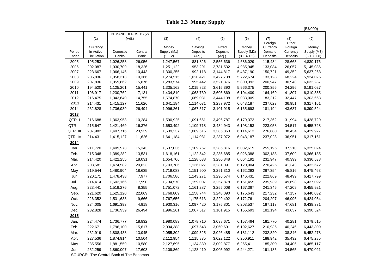## **Table 2.3 Money Supply**

|          |             |                                                      |         |             |           |           |               |                     |                  | (B\$'000)     |
|----------|-------------|------------------------------------------------------|---------|-------------|-----------|-----------|---------------|---------------------|------------------|---------------|
|          |             | <b>DEMAND DEPOSITS (2)</b>                           |         |             |           |           |               |                     |                  |               |
|          | (1)         | (Adj.)                                               |         | (3)         | (4)       | (5)       | (6)           | (7)                 | (8)              | (9)           |
|          | Currency    |                                                      |         | Money       | Savings   | Fixed     | Money         | Foreign<br>Currency | Other<br>Foreign | Money         |
| Period   | In Active   | Domestic                                             | Central | Supply (M1) | Deposits  | Deposits  | Supply (M2)   | Demand              | Currency         | Supply (M3)   |
| Ended    | Circulation | <b>Banks</b>                                         | Bank    | $(1 + 2)$   | (Adj.)    | (Adj.)    | $(3 + 4 + 5)$ | Deposits            | Deposits         | $(6 + 7 + 8)$ |
| 2005     | 195,253     | 1,026,258                                            | 26,056  | 1,247,567   | 881,826   | 2,556,636 | 4,686,029     | 115,484             | 28,663           | 4,830,176     |
| 2006     | 202,087     | 1,030,709                                            | 18,326  | 1,251,122   | 953,291   | 2,781,532 | 4,985,945     | 133,084             | 26,057           | 5,145,086     |
| 2007     | 223,667     | 1,066,145                                            | 10,443  | 1,300,255   | 992,118   | 3,144,817 | 5,437,190     | 150,721             | 49,352           | 5,637,263     |
| 2008     | 205,836     | 1,058,313                                            | 10,366  | 1,274,515   | 1,020,421 | 3,427,738 | 5,722,674     | 133,128             | 68,224           | 5,924,026     |
| 2009     | 207,836     | 1,059,862                                            | 15,876  | 1,283,574   | 995,442   | 3,521,376 | 5,800,392     | 200,947             | 30,948           | 6,032,287     |
| 2010     | 194,520     | 1,125,201                                            | 15,441  | 1,335,162   | 1,015,823 | 3,615,390 | 5,966,375     | 200,356             | 24,296           | 6,191,027     |
| 2011     | 196,917     | 1,230,762                                            | 7,131   | 1,434,810   | 1,063,730 | 3,605,869 | 6,104,409     | 164,169             | 41,807           | 6,310,385     |
| 2012     | 216,475     | 1,343,640                                            | 14,755  | 1,574,870   | 1,069,031 | 3,444,108 | 6,088,009     | 183,212             | 32,447           | 6,303,668     |
| 2013     | 214,431     | 1,415,127                                            | 11,626  | 1,641,184   | 1,114,031 | 3,287,972 | 6,043,187     | 237,023             | 36,951           | 6,317,161     |
| 2014     | 232,828     | 1,736,939                                            | 26,494  | 1,996,261   | 1,067,517 | 3,101,915 | 6,165,693     | 181,194             | 43,637           | 6,390,524     |
| 2013     |             |                                                      |         |             |           |           |               |                     |                  |               |
| QTR.I    | 216,688     | 1,363,953                                            | 10,284  | 1,590,925   | 1,091,661 | 3,496,787 | 6,179,373     | 217,362             | 31,994           | 6,428,729     |
| QTR. II  | 215,647     | 1,421,469                                            | 16,376  | 1,653,492   | 1,109,718 | 3,434,943 | 6,198,153     | 223,058             | 34,517           | 6,455,728     |
| QTR. III | 207,982     | 1,407,716                                            | 23,539  | 1,639,237   | 1,089,516 | 3,385,860 | 6,114,613     | 276,880             | 38,434           | 6,429,927     |
| QTR. IV  | 214,431     | 1,415,127                                            | 11,626  | 1,641,184   | 1,114,031 | 3,287,972 | 6,043,187     | 237,023             | 36,951           | 6,317,161     |
| 2014     |             |                                                      |         |             |           |           |               |                     |                  |               |
| Jan.     | 211,720     | 1,409,973                                            | 15,343  | 1,637,036   | 1,109,767 | 3,285,816 | 6,032,619     | 255,195             | 37,210           | 6,325,024     |
| Feb.     | 215,348     | 1,389,282                                            | 13,531  | 1,618,161   | 1,122,542 | 3,285,685 | 6,026,388     | 302,188             | 37,609           | 6,366,185     |
| Mar.     | 214,420     | 1,422,255                                            | 18,031  | 1,654,706   | 1,128,638 | 3,280,848 | 6,064,192     | 231,947             | 40,399           | 6,336,538     |
| Apr.     | 208,581     | 1,474,582                                            | 20,623  | 1,703,786   | 1,136,027 | 3,281,091 | 6,120,904     | 270,425             | 41,343           | 6,432,672     |
| May      | 219,544     | 1,480,904                                            | 18,635  | 1,719,083   | 1,151,900 | 3,291,310 | 6,162,293     | 267,354             | 45,816           | 6,475,463     |
| Jun.     | 220,171     | 1,478,438                                            | 7,977   | 1,706,586   | 1,143,271 | 3,296,574 | 6,146,431     | 222,869             | 48,499           | 6,417,799     |
| Jul.     | 214,414     | 1,502,166                                            | 17,990  | 1,734,570   | 1,159,007 | 3,257,878 | 6,151,455     | 235,939             | 49,698           | 6,437,092     |
| Aug.     | 223,441     | 1,519,276                                            | 8,355   | 1,751,072   | 1,161,287 | 3,255,008 | 6,167,367     | 241,345             | 47,209           | 6,455,921     |
| Sep.     | 221,620     | 1,525,120                                            | 22,069  | 1,768,809   | 1,158,744 | 3,248,090 | 6,175,643     | 217,232             | 47,157           | 6,440,032     |
| Oct.     | 226,352     | 1,531,638                                            | 9,666   | 1,767,656   | 1,175,613 | 3,229,492 | 6,172,761     | 204,297             | 46,996           | 6,424,054     |
| Nov.     | 234,005     | 1,691,393                                            | 4,918   | 1,930,316   | 1,097,420 | 3,175,801 | 6,203,537     | 187,113             | 47,681           | 6,438,331     |
| Dec.     | 232,828     | 1,736,939                                            | 26,494  | 1,996,261   | 1,067,517 | 3,101,915 | 6,165,693     | 181,194             | 43,637           | 6,390,524     |
| 2015     |             |                                                      |         |             |           |           |               |                     |                  |               |
| Jan.     | 224,474     | 1,736,777                                            | 18,832  | 1,980,083   | 1,078,710 | 3,098,671 | 6,157,464     | 181,770             | 40,281           | 6,379,515     |
| Feb.     | 222,671     | 1,796,100                                            | 15,617  | 2,034,388   | 1,097,548 | 3,060,691 | 6,192,627     | 210,936             | 40,246           | 6,443,809     |
| Mar.     | 232,919     | 1,808,438                                            | 13,945  | 2,055,302   | 1,099,325 | 3,026,485 | 6,181,112     | 232,820             | 38,346           | 6,452,278     |
|          | 227,536     | 1,874,914                                            | 10,504  |             | 1,115,835 | 3,022,122 | 6,250,911     | 188,942             | 35,432           | 6,475,285     |
| Apr.     |             |                                                      |         | 2,112,954   |           |           |               |                     |                  |               |
| May      | 235,556     | 1,881,559                                            | 10,580  | 2,127,695   | 1,134,839 | 3,002,877 | 6,265,411     | 185,300             | 34,406           | 6,485,117     |
| Jun.     | 232,259     | 1,860,007<br>SOURCE: The Central Bank of The Bahamas | 17,603  | 2,109,869   | 1,128,410 | 3,005,992 | 6,244,271     | 191,185             | 34,565           | 6,470,021     |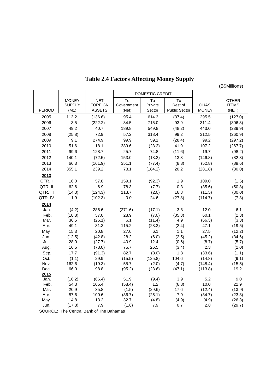# **Table 2.4 Factors Affecting Money Supply**

(B\$Millions)

|               |                       |                              |                     | DOMESTIC CREDIT  |                      |                   |                       |  |
|---------------|-----------------------|------------------------------|---------------------|------------------|----------------------|-------------------|-----------------------|--|
|               | <b>MONEY</b>          | <b>NET</b><br><b>FOREIGN</b> | To                  | To<br>Private    | To<br>Rest of        | QUASI             | <b>OTHER</b>          |  |
| <b>PERIOD</b> | <b>SUPPLY</b><br>(M1) | <b>ASSETS</b>                | Government<br>(Net) | Sector           | <b>Public Sector</b> | <b>MONEY</b>      | <b>ITEMS</b><br>(NET) |  |
| 2005          | 113.2                 | (136.6)                      | 95.4                | 614.3            | (37.4)               | 295.5             | (127.0)               |  |
| 2006          | 3.5                   | (222.2)                      | 34.5                | 715.0            | 93.9                 | 311.4             | (306.3)               |  |
| 2007          | 49.2                  | 40.7                         | 189.8               | 549.8            | (48.2)               | 443.0             | (239.9)               |  |
| 2008          | (25.8)                | 72.9                         | 57.2                | 318.4            | 99.2                 | 312.5             | (260.9)               |  |
| 2009          | 9.1                   | 274.9                        | 99.9                | 59.1             | (28.4)               | 99.2              | (297.2)               |  |
| 2010          | 51.6                  | 18.1                         | 389.6               | (23.2)           | 41.9                 | 107.2             | (267.7)               |  |
| 2011          | 99.6                  | 128.7                        | 25.7                | 74.8             | (11.6)               | 19.7              | (98.2)                |  |
| 2012          | 140.1                 | (72.5)                       | 153.0               | (18.2)           | 13.3                 | (146.8)           | (82.3)                |  |
| 2013          | 66.3                  | (161.9)                      | 351.1               | (77.4)           | (8.8)                | (52.8)            | (89.6)                |  |
| 2014          | 355.1                 | 239.2                        | 78.1                | (184.2)          | 20.2                 | (281.8)           | (80.0)                |  |
| 2013          |                       |                              |                     |                  |                      |                   |                       |  |
| QTR.I         | 16.0                  | 57.8                         | 159.1               | (92.3)           | 1.9                  | 109.0             | (1.5)                 |  |
| QTR. II       | 62.6                  | 6.9                          | 78.3                | (7.7)            | 0.3                  | (35.6)            | (50.8)                |  |
| QTR. III      | (14.3)                | (124.3)                      | 113.7               | (2.0)            | 16.8                 | (11.5)            | (30.0)                |  |
| QTR. IV       | 1.9                   | (102.3)                      | 0.0                 | 24.6             | (27.8)               | (114.7)           | (7.3)                 |  |
| 2014          |                       |                              |                     |                  |                      |                   |                       |  |
| Jan.          | (4.2)                 | 286.6                        | (271.6)             | (17.1)           | 3.8                  | 12.0              | 6.1                   |  |
| Feb.          | (18.8)                | 57.0                         | 28.9                | (7.0)            | (35.3)               | 60.1              | (2.3)                 |  |
| Mar.          | 36.5                  | (26.1)                       | 6.1                 | (11.4)           | 4.9                  | (66.3)            | (3.3)                 |  |
| Apr.          | 49.1                  | 31.3                         | 115.2               | (28.3)           | (2.4)                | 47.1              | (19.5)                |  |
| May           | 15.3                  | 20.8                         | 27.0                | 6.1              | 1.1                  | 27.5              | (12.2)                |  |
| Jun.          | (12.5)                | (42.8)                       | 28.2                | (6.0)            | (2.5)                | (45.2)            | (34.6)                |  |
| Jul.          | 28.0                  | (27.7)                       | 40.9                | 12.4             | (0.6)                | (8.7)             | (5.7)                 |  |
| Aug.          | 16.5                  | (78.0)                       | 75.7                | 26.5             | (3.4)                | 2.3               | (2.0)                 |  |
| Sep.          | 17.7                  | (91.3)                       | 82.7                | (8.0)            | 1.8                  | (33.6)            | (1.1)                 |  |
| Oct.<br>Nov.  | (1.1)<br>162.6        | 29.9<br>(19.3)               | (15.5)<br>55.7      | (125.8)<br>(2.0) | 104.6<br>(4.7)       | (14.8)<br>(148.4) | (9.1)<br>(15.5)       |  |
| Dec.          | 66.0                  | 98.8                         | (95.2)              | (23.6)           | (47.1)               | (113.8)           | 19.2                  |  |
| 2015          |                       |                              |                     |                  |                      |                   |                       |  |
| Jan.          | (16.2)                | (66.4)                       | 51.9                | (9.4)            | 3.9                  | 5.2               | 9.0                   |  |
| Feb.          | 54.3                  | 105.4                        | (58.4)              | 1.2              | (6.8)                | 10.0              | 22.9                  |  |
| Mar.          | 20.9                  | 35.8                         | (1.5)               | (29.6)           | 17.6                 | (12.4)            | (13.9)                |  |
| Apr.          | 57.6                  | 100.6                        | (36.7)              | (25.1)           | 7.9                  | (34.7)            | (23.8)                |  |
| May           | 14.8                  | 13.2                         | 32.7                | (4.8)            | (4.9)                | (4.9)             | (26.3)                |  |
| Jun.          | (17.8)                | 7.9                          | (1.8)               | 7.9              | 0.7                  | 2.8               | (29.7)                |  |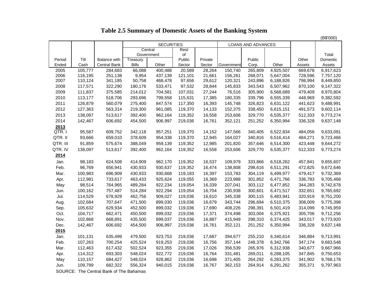|                |         |                      |               |                   |         |         |            |                    |           |         | (B\$'000) |
|----------------|---------|----------------------|---------------|-------------------|---------|---------|------------|--------------------|-----------|---------|-----------|
|                |         |                      |               | <b>SECURITIES</b> |         |         |            | LOANS AND ADVANCES |           |         |           |
|                |         |                      | Central       |                   | Rest    |         |            |                    |           |         |           |
|                |         |                      | Government    |                   | of      |         |            |                    |           |         | Total     |
| Period         | Till    | <b>Balance with</b>  | Treasury      |                   | Public  | Private |            | Public             |           | Other   | Domestic  |
| Ended          | Cash    | <b>Central Bank</b>  | <b>Bills</b>  | Other             | Sector  | Sector  | Government | Corp.              | Other     | Assets  | Assets    |
| 2005           | 105,777 | 284,683              | 66,088        | 400,488           | 20,589  | 28,264  | 150,740    | 265,809            | 4,925,507 | 669,678 | 6,917,623 |
| 2006           | 116,195 | 251,138              | 9,954         | 437,139           | 121,101 | 21,661  | 156,261    | 268,071            | 5,647,004 | 728,596 | 7,757,120 |
| 2007           | 110,124 | 341,185              | 50,758        | 468,478           | 97,656  | 29,612  | 120,321    | 243,896            | 6,188,826 | 798,994 | 8,449,850 |
| 2008           | 117,571 | 322,290              | 180,176       | 533,471           | 97,532  | 28,844  | 145,833    | 343,543            | 6,507,962 | 870,100 | 9,147,322 |
| 2009           | 111,837 | 375,585              | 214,012       | 704,581           | 107,031 | 27,244  | 76,516     | 305,900            | 6,568,689 | 479,409 | 8,970,804 |
| 2010           | 113,177 | 518,706              | 293,696       | 799,558           | 115,631 | 17,385  | 180,335    | 339,796            | 6,555,339 | 448,969 | 9,382,592 |
| 2011           | 126,879 | 560,079              | 275,400       | 847,574           | 117,350 | 16,393  | 145,748    | 326,823            | 6,631,122 | 441,623 | 9,488,991 |
| 2012           | 127,363 | 563,314              | 219,300       | 961,085           | 119,370 | 14,133  | 152,375    | 338,450            | 6,615,151 | 491,573 | 9,602,114 |
| 2013           | 138,097 | 513,617              | 392,400       | 962,164           | 119,352 | 16,558  | 253,606    | 329,770            | 6,535,377 | 512,333 | 9,773,274 |
| 2014           | 142,467 | 606,692              | 454,500       | 906,997           | 219,036 | 16,761  | 352,121    | 251,252            | 6,350,994 | 336,328 | 9,637,148 |
| 2013           |         |                      |               |                   |         |         |            |                    |           |         |           |
| QTR.           | 95,587  | 609,752              | 342,118       | 957,251           | 119,370 | 14,152  | 147,566    | 340,405            | 6,522,834 | 484,056 | 9,633,091 |
| QTR. II        | 93,666  | 659,010              | 378,609       | 954,338           | 119,370 | 12,945  | 164,027    | 340,816            | 6,516,414 | 484,271 | 9,723,466 |
| QTR. III       | 91,859  | 575,674              | 388,049       | 959,139           | 119,352 | 12,985  | 201,820    | 357,646            | 6,514,300 | 423,448 | 9,644,272 |
| QTR. IV        | 138,097 | 513,617              | 392,400       | 962,164           | 119,352 | 16,558  | 253,606    | 329,770            | 6,535,377 | 512,333 | 9,773,274 |
| 2014           |         |                      |               |                   |         |         |            |                    |           |         |           |
| Jan.           | 98,183  | 624,508              | 414,909       | 962,170           | 119,352 | 16,537  | 109,979    | 333,866            | 6,518,262 | 457,841 | 9,655,607 |
| Feb.           | 96,769  | 656,941              | 430,933       | 930,637           | 119,352 | 16,474  | 138,808    | 298,616            | 6,511,291 | 472,825 | 9,672,646 |
| Mar.           | 100,983 | 696,909              | 430,933       | 930,668           | 119,183 | 16,397  | 153,783    | 304,119            | 6,499,977 | 479,417 | 9,732,369 |
| Apr.           | 112,981 | 733,617              | 463,433       | 925,624           | 119,055 | 16,369  | 223,988    | 301,852            | 6,471,766 | 336,783 | 9,705,468 |
| May            | 98,514  | 764,965              | 489,284       | 922,234           | 119,054 | 16,339  | 207,041    | 303,112            | 6,477,852 | 344,283 | 9,742,678 |
| Jun.           | 100,162 | 757,487              | 514,284       | 922,294           | 119,054 | 16,704  | 230,938    | 300,601            | 6,471,517 | 332,651 | 9,765,692 |
| Jul.           | 114,529 | 678,929              | 462,756       | 909,027           | 119,036 | 16,610  | 345,338    | 300,115            | 6,483,941 | 320,919 | 9,751,200 |
| Aug.           | 102,684 | 707,647              | 471,500       | 899,030           | 119,036 | 16,679  | 343,744    | 296,694            | 6,510,375 | 308,009 | 9,775,398 |
| Sep.           | 105,632 | 629,934              | 452,500       | 899,032           | 119,036 | 17,690  | 408,226    | 298,391            | 6,501,419 | 314,099 | 9,745,959 |
| Oct.           | 104,717 | 662,471              | 450,500       | 899,032           | 219,036 | 17,371  | 374,498    | 303,004            | 6,375,921 | 305,706 | 9,712,256 |
| Nov.           | 102,868 | 668,891              | 435,500       | 899,037           | 219,036 | 16,887  | 415,949    | 298,310            | 6,374,425 | 343,017 | 9,773,920 |
| Dec.           | 142,467 | 606,692              | 454,500       | 906,997           | 219,036 | 16,761  | 352,121    | 251,252            | 6,350,994 | 336,328 | 9,637,148 |
| 2015           |         |                      |               |                   |         |         |            |                    |           |         |           |
| Jan.           | 101,131 | 635,499              | 479,500       | 923,753           | 219,036 | 17,687  | 394,677    | 255,210            | 6,340,614 | 346,884 | 9,713,991 |
| Feb.           | 107,263 | 700,254              | 425,524       | 919,253           | 219,036 | 16,756  | 357,144    | 248,378            | 6,342,766 | 347,174 | 9,683,548 |
| Mar.           | 112,463 | 617,432              | 502,524       | 923,355           | 219,036 | 17,026  | 356,539    | 265,976            | 6,312,938 | 340,677 | 9,667,966 |
| Apr.           | 114,312 | 693,303              | 548,024       | 922,772           | 219,036 | 16,764  | 331,481    | 269,011            | 6,288,105 | 347,845 | 9,750,653 |
| May            | 110,157 | 684,427              | 548,024       | 928,862           | 219,036 | 16,698  | 371,405    | 264,292            | 6,283,375 | 341,902 | 9,768,178 |
|                | 109,799 | 682,322              | 556,324       | 940,015           | 219,036 | 16,767  | 362,153    | 264,914            | 6,291,262 | 355,371 | 9,797,963 |
| Jun.<br>$\sim$ |         | $\sim$ $\sim$ $\sim$ | $\sim$ $\sim$ |                   |         |         |            |                    |           |         |           |

## **Table 2.5 Summary of Domestic Assets of the Banking System**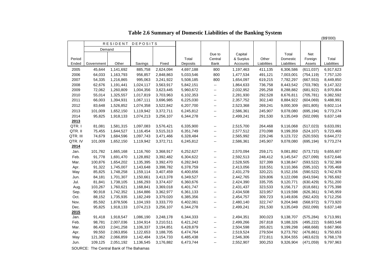|          |                                                                      |           |                 |           |           |                          |           |             |             |            | (B\$'000)   |
|----------|----------------------------------------------------------------------|-----------|-----------------|-----------|-----------|--------------------------|-----------|-------------|-------------|------------|-------------|
|          |                                                                      | RESIDENT  | <b>DEPOSITS</b> |           |           |                          |           |             |             |            |             |
|          | Demand                                                               |           |                 |           |           |                          |           |             |             |            |             |
|          |                                                                      |           |                 |           |           | Due to                   | Capital   |             | Total       | Net        |             |
| Period   |                                                                      |           |                 |           | Total     | Central                  | & Surplus | Other       | Domestic    | Foreign    | Total       |
| Ended    | Government                                                           | Other     | Savings         | Fixed     | Deposits  | Bank                     | Accounts  | Liabilities | Liabilities | Assets     | Liabilities |
| 2005     | 45,644                                                               | 1,141,692 | 885,758         | 2,624,094 | 4,697,188 | 800                      | 1,197,463 | 411,135     | 6,306,586   | (611, 037) | 6,917,623   |
| 2006     | 64,033                                                               | 1,163,793 | 956,857         | 2,848,863 | 5,033,546 | 800                      | 1,477,534 | 491,121     | 7,003,001   | (754, 119) | 7,757,120   |
| 2007     | 54,335                                                               | 1,216,865 | 995,063         | 3,241,922 | 5,508,185 | 800                      | 1,654,097 | 619,215     | 7,782,297   | (667, 553) | 8,449,850   |
| 2008     | 62,676                                                               | 1,191,441 | 1,024,117       | 3,563,917 | 5,842,151 | $\sim$                   | 1,864,633 | 736,758     | 8,443,542   | (703, 780) | 9,147,322   |
| 2009     | 72,062                                                               | 1,260,809 | 1,004,356       | 3,623,445 | 5,960,672 | $\overline{\phantom{a}}$ | 2,032,952 | 295,258     | 8,288,882   | (681, 922) | 8,970,804   |
| 2010     | 55,014                                                               | 1,325,557 | 1,017,819       | 3,703,963 | 6,102,353 | $\sim$                   | 2,281,930 | 292,528     | 8,676,811   | (705, 781) | 9,382,592   |
| 2011     | 66,003                                                               | 1,394,931 | 1,067,111       | 3,696,985 | 6,225,030 | $\sim$                   | 2,357,752 | 302,140     | 8,884,922   | (604,069)  | 9,488,991   |
| 2012     | 83,648                                                               | 1,526,852 | 1,074,358       | 3,522,842 | 6,207,700 | $\mathbf{u}$             | 2,523,368 | 269,241     | 9,000,309   | (601, 805) | 9,602,114   |
| 2013     | 101,009                                                              | 1,652,150 | 1,119,942       | 3,372,711 | 6,245,812 | $\sim$                   | 2,586,361 | 245,907     | 9,078,080   | (695, 194) | 9,773,274   |
| 2014     | 95,825                                                               | 1,918,133 | 1,074,213       | 3,256,107 | 6,344,278 | $\sim$                   | 2,499,241 | 291,530     | 9,135,049   | (502,099)  | 9,637,148   |
| 2013     |                                                                      |           |                 |           |           |                          |           |             |             |            |             |
| QTR.I    | 81,081                                                               | 1,581,315 | 1,097,083       | 3,576,421 | 6,335,900 | $\sim$                   | 2,515,700 | 264,468     | 9,116,068   | (517, 023) | 9,633,091   |
| QTR. II  | 75,455                                                               | 1,644,527 | 1,116,454       | 3,515,313 | 6,351,749 | 44                       | 2,577,512 | 270,098     | 9,199,359   | (524, 107) | 9,723,466   |
| QTR. III | 74,679                                                               | 1,684,596 | 1,097,743       | 3,471,466 | 6,328,484 | $\sim$                   | 2,565,992 | 229,246     | 9,123,722   | (520, 550) | 9,644,272   |
| QTR. IV  | 101,009                                                              | 1,652,150 | 1,119,942       | 3,372,711 | 6,245,812 | $\sim$                   | 2,586,361 | 245,907     | 9,078,080   | (695, 194) | 9,773,274   |
| 2014     |                                                                      |           |                 |           |           |                          |           |             |             |            |             |
| Jan.     | 101,782                                                              | 1,665,168 | 1,116,760       | 3,368,917 | 6,252,627 | щ.                       | 2,570,094 | 259,171     | 9,081,892   | (573, 715) | 9,655,607   |
| Feb.     | 91,778                                                               | 1,691,470 | 1,128,892       | 3,392,482 | 6,304,622 | $\overline{\phantom{a}}$ | 2,592,513 | 248,412     | 9,145,547   | (527,099)  | 9,672,646   |
| Mar.     | 100,876                                                              | 1,654,202 | 1,135,395       | 3,392,470 | 6,282,943 | $\mathbf{u}$             | 2,528,505 | 327,399     | 9,138,847   | (593, 522) | 9,732,369   |
| Apr.     | 91,322                                                               | 1,745,007 | 1,143,648       | 3,398,782 | 6,378,759 | $\sim$                   | 2,413,056 | 318,551     | 9,110,366   | (595, 102) | 9,705,468   |
| May      | 85,825                                                               | 1,748,258 | 1,159,114       | 3,407,459 | 6,400,656 | $\overline{\phantom{a}}$ | 2,431,279 | 320,221     | 9,152,156   | (590, 522) | 9,742,678   |
| Jun.     | 84,181                                                               | 1,701,307 | 1,150,661       | 3,413,378 | 6,349,527 | $\sim$                   | 2,442,765 | 329,806     | 9,122,098   | (643, 594) | 9,765,692   |
| Jul.     | 81,841                                                               | 1,738,105 | 1,166,293       | 3,374,437 | 6,360,676 | $\overline{\phantom{a}}$ | 2,424,390 | 335,705     | 9,120,771   | (630, 429) | 9,751,200   |
| Aug.     | 103,267                                                              | 1,760,621 | 1,168,841       | 3,369,018 | 6,401,747 | $\overline{\phantom{a}}$ | 2,431,437 | 323,533     | 9,156,717   | (618, 681) | 9,775,398   |
| Sep.     | 90,918                                                               | 1,742,352 | 1,164,886       | 3,362,977 | 6,361,133 | $\overline{\phantom{a}}$ | 2,434,508 | 323,957     | 9,119,598   | (626, 361) | 9,745,959   |
| Oct.     | 88,152                                                               | 1,735,935 | 1,182,249       | 3,379,020 | 6,385,356 | $\sim$                   | 2,454,757 | 309,723     | 9,149,836   | (562, 420) | 9,712,256   |
| Nov.     | 85,592                                                               | 1,878,506 | 1,104,193       | 3,333,770 | 6,402,061 | $\overline{\phantom{a}}$ | 2,480,140 | 322,747     | 9,204,948   | (568, 972) | 9,773,920   |
| Dec.     | 95,825                                                               | 1,918,133 | 1,074,213       | 3,256,107 | 6,344,278 | $\sim$                   | 2,499,241 | 291,530     | 9,135,049   | (502,099)  | 9,637,148   |
| 2015     |                                                                      |           |                 |           |           |                          |           |             |             |            |             |
| Jan.     | 91,418                                                               | 1,918,547 | 1,086,190       | 3,248,178 | 6,344,333 | щ.                       | 2,494,351 | 300,023     | 9,138,707   | (575, 284) | 9,713,991   |
| Feb.     | 98,781                                                               | 2,007,036 | 1,104,914       | 3,210,511 | 6,421,242 | $\overline{\phantom{a}}$ | 2,499,266 | 267,818     | 9,188,326   | (495, 222) | 9,683,548   |
| Mar.     | 86,433                                                               | 2,041,258 | 1,106,337       | 3,194,851 | 6,428,879 | $\sim$                   | 2,504,598 | 265,821     | 9,199,298   | (468, 668) | 9,667,966   |
| Apr.     | 99,550                                                               | 2,063,856 | 1,122,653       | 3,188,705 | 6,474,764 | -−                       | 2,519,524 | 279,504     | 9,273,792   | (476, 861) | 9,750,653   |
| May      | 121,362                                                              | 2,066,859 | 1,142,484       | 3,154,733 | 6,485,438 | н.                       | 2,546,306 | 272,811     | 9,304,555   | (463, 623) | 9,768,178   |
| Jun.     | 109,125                                                              | 2,051,192 | 1,136,545       | 3,176,882 | 6,473,744 | $\sim$                   | 2,552,907 | 300,253     | 9,326,904   | (471, 059) | 9,797,963   |
|          | $0.011005$ , $T_{\text{max}}$ , $0.0111$ , $0.011$ , $0.01$ , $0.01$ |           |                 |           |           |                          |           |             |             |            |             |

## **Table 2.6 Summary of Domestic Liabilities of the Banking System**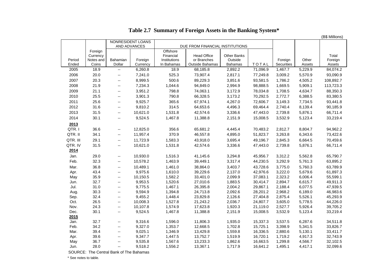|             |              |                                                      |                                   |                    |                                 |                    |                      |                    |                    | (B\$ Millions)       |
|-------------|--------------|------------------------------------------------------|-----------------------------------|--------------------|---------------------------------|--------------------|----------------------|--------------------|--------------------|----------------------|
|             |              |                                                      | NONRESIDENT LOANS<br>AND ADVANCES |                    | DUE FROM FINANCIAL INSTITUTIONS |                    |                      |                    |                    |                      |
|             | Foreign      |                                                      |                                   | Offshore           |                                 |                    |                      |                    |                    |                      |
|             | Currency     |                                                      |                                   | Financial          | <b>Head Office</b>              | Other Banks        |                      |                    |                    | Total                |
| Period      | Notes and    | Bahamian                                             | Foreign                           | Institutions       | or Branches                     | Outside            |                      | Foreign            | Other              | Foreign              |
| Ended       | Coins        | Dollar                                               | Currency                          | In Bahamas         | Outside Bahamas                 | <b>Bahamas</b>     | <b>TOTAL</b>         | <b>Securities</b>  | Assets             | Assets               |
| 2005        | 18.9         | $\mathbb{H}^{\mathbb{H}}$                            | 6,260.8                           | 18.9               | 68,185.8                        | 2,892.2            | 71,096.9             | 1,467.7            | 5,229.9            | 84,074.2             |
| 2006        | 20.0         | $\overline{\phantom{a}}$                             | 7,241.0                           | 525.3              | 73,907.4                        | 2,817.1            | 77,249.8             | 3,009.2            | 5,570.9            | 93,090.9             |
| 2007        | 20.3         | $\mathcal{L}_{\mathcal{F}}$                          | 8,999.5                           | 500.6              | 89,229.3                        | 3,851.6            | 93,581.5             | 1,786.2            | 4,505.2            | 108,892.7            |
| 2008        | 21.9         | $\overline{\phantom{a}}$                             | 7,234.3                           | 1,044.6            | 94,849.0                        | 2,994.9            | 98,888.5             | 1,669.5            | 5,909.1            | 113,723.3            |
| 2009        | 21.1         | $\overline{\phantom{a}}$                             | 3,951.2                           | 798.8              | 74,063.1                        | 3,172.9            | 78,034.8             | 1,708.5            | 4,634.7            | 88,350.3             |
| 2010        | 25.5         | $\mathcal{L}_{\mathcal{F}}$                          | 3,901.3                           | 790.8              | 66,328.5                        | 3,173.2            | 70,292.5             | 2,772.7            | 6,388.5            | 83,380.5             |
| 2011        | 25.6         | $\overline{\phantom{a}}$                             | 9,925.7                           | 365.6              | 67,974.1                        | 4,267.0            | 72,606.7             | 3,149.3            | 7,734.5            | 93,441.8             |
| 2012        | 31.6         | $\overline{\phantom{a}}$                             | 9,810.2                           | 314.5              | 64,653.6                        | 4,496.3            | 69,464.4             | 2,740.4            | 8,139.4            | 90,185.9             |
| 2013        | 31.5         | $\overline{\phantom{a}}$                             | 10,621.0                          | 1,531.8            | 42,574.6                        | 3,336.6            | 47,443.0             | 2,739.8            | 5,876.1            | 66,711.4             |
| 2014        | 30.1         | $\overline{\phantom{a}}$                             | 9,524.5                           | 1,467.8            | 11,388.8                        | 2,151.9            | 15,008.5             | 3,532.9            | 5,123.4            | 33,219.4             |
| 2013        |              |                                                      |                                   |                    |                                 |                    |                      |                    |                    |                      |
| QTR. I      | 36.6         | $\overline{\phantom{a}}$                             | 12,825.0                          | 356.6              | 65,681.2                        | 4,445.4            | 70,483.2             | 2,812.7            | 8,804.7            | 94,962.2             |
| QTR. II     | 34.1         | $\mathcal{L}_{\mathcal{F}}$                          | 11,957.4                          | 370.9              | 46,557.8                        | 4,895.0            | 51,823.7             | 3,263.8            | 6,343.6            | 73,422.6             |
| QTR. III    | 29.1         | $\overline{\phantom{a}}$                             | 11,723.9                          | 1,583.3            | 43,918.0                        | 3,695.4            | 49,196.7             | 2,845.3            | 6,664.5            | 70,459.6             |
| QTR. IV     | 31.5         | $\overline{\phantom{a}}$                             | 10,621.0                          | 1,531.8            | 42,574.6                        | 3,336.6            | 47,443.0             | 2,739.8            | 5,876.1            | 66,711.4             |
| 2014        |              |                                                      |                                   |                    |                                 |                    |                      |                    |                    |                      |
| Jan.        | 29.0         | $\mathord{\hspace{1pt}\text{--}\hspace{1pt}}$        | 10,930.0                          | 1,516.3            | 41,145.6                        | 3,294.8            | 45,956.7             | 3,312.2            | 5,562.8            | 65,790.7             |
| Feb.        | 32.3         |                                                      | 10,578.2                          | 1,463.9            | 39,449.1                        | 3,317.4            | 44,230.5             | 3,292.9            | 5,761.3            | 63,895.2             |
|             |              | --                                                   |                                   |                    |                                 |                    |                      |                    |                    |                      |
| Mar.        | 36.8<br>43.4 | $\mathord{\hspace{1pt}\text{--}\hspace{1pt}}$        | 10,489.1<br>9,975.6               | 1,461.0<br>1,610.0 | 38,864.0<br>39,229.6            | 3,403.7<br>2,137.0 | 43,728.6<br>42,976.6 | 3,775.0<br>3,222.0 | 5,760.3<br>5,679.6 | 63,789.9<br>61,897.3 |
| Apr.        | 35.9         | $\overline{\phantom{a}}$<br>$\overline{\phantom{a}}$ | 10,150.5                          | 1,582.2            | 33,401.0                        | 2,099.9            | 37,083.1             | 2,323.2            | 6,006.4            | 55,599.1             |
| May<br>Jun. | 32.7         | $\overline{\phantom{a}}$                             | 9,953.5                           | 1,520.6            | 27,010.6                        | 1,883.5            | 30,414.7             | 2,894.7            | 6,615.7            | 49,911.3             |
| Jul.        | 31.0         | $\mathcal{L}_{\mathcal{F}}$                          | 9,775.5                           | 1,467.1            | 26,395.8                        | 2,004.2            | 29,867.1             | 2,188.4            | 6,077.5            | 47,939.5             |
| Aug.        | 30.3         | $\mathord{\hspace{1pt}\text{--}\hspace{1pt}}$        | 9,594.9                           | 1,394.8            | 24,713.8                        | 2,092.6            | 28,201.2             | 2,968.2            | 6,189.0            | 46,983.6             |
| Sep.        | 32.4         | $\overline{\phantom{a}}$                             | 9,455.2                           | 1,448.4            | 23,829.8                        | 2,126.6            | 27,404.8             | 2,875.4            | 5,526.1            | 45,293.9             |
| Oct.        | 26.5         | $\overline{\phantom{a}}$                             | 10,008.3                          | 1,527.8            | 21,243.2                        | 2,036.7            | 24,807.7             | 3,605.0            | 5,778.5            | 44,226.0             |
| Nov.        | 24.3         | $\overline{\phantom{a}}$                             | 10,107.8                          | 1,574.9            | 17,623.8                        | 1,920.3            | 21,119.0             | 2,527.7            | 5,926.4            | 39,705.2             |
| Dec.        | 30.1         | $\mathord{\hspace{1pt}\text{--}\hspace{1pt}}$        | 9,524.5                           | 1,467.8            | 11,388.8                        | 2,151.9            | 15,008.5             | 3,532.9            | 5,123.4            | 33,219.4             |
| 2015        |              |                                                      |                                   |                    |                                 |                    |                      |                    |                    |                      |
| Jan.        | 32.7         | $\overline{\phantom{a}}$                             | 9,316.6                           | 1,596.0            | 11,806.3                        | 1,935.0            | 15,337.3             | 3,537.5            | 6,287.6            | 34,511.8             |
| Feb.        | 34.2         | $\overline{\phantom{a}}$                             | 9,327.0                           | 1,353.7            | 12,668.5                        | 1,702.8            | 15,725.1             | 3,398.9            | 5,341.5            | 33,826.7             |
| Mar.        | 39.4         | $\overline{\phantom{a}}$                             | 9,025.1                           | 1,346.9            | 13,429.8                        | 1,559.8            | 16,336.5             | 2,880.6            | 5,130.1            | 33,411.7             |
| Apr.        | 39.6         | $\overline{\phantom{a}}$                             | 9,347.7                           | 1,447.5            | 13,752.7                        | 1,519.9            | 16,720.1             | 1,719.2            | 4,917.3            | 32,743.9             |
| May         | 36.7         | $-$                                                  | 9,535.8                           | 1,567.6            | 13,233.3                        | 1,862.6            | 16,663.5             | 1,299.8            | 4,566.7            | 32,102.5             |
| Jun.        | 28.0         | $\overline{\phantom{a}}$                             | 9,518.2                           | 1,556.2            | 13,367.1                        | 1,717.9            | 16,641.2             | 1,495.1            | 4,417.1            | 32,099.6             |
|             |              |                                                      |                                   |                    |                                 |                    |                      |                    |                    |                      |

## **Table 2.7 Summary of Foreign Assets in the Banking System\***

SOURCE: The Central Bank of The Bahamas

\* See notes to table.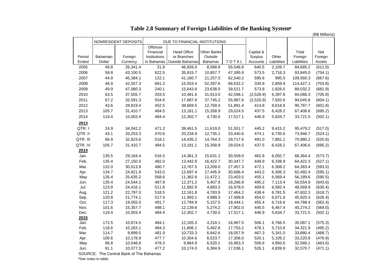|              |                |                                         |                |                               |                    |                      |                |                    |                      | (B\$ Millions)     |
|--------------|----------------|-----------------------------------------|----------------|-------------------------------|--------------------|----------------------|----------------|--------------------|----------------------|--------------------|
|              |                | NONRESIDENT DEPOSITS                    |                | DUE TO FINANCIAL INSTITUTIONS |                    |                      |                |                    |                      |                    |
|              |                |                                         | Offshore       |                               |                    |                      |                |                    |                      |                    |
|              |                |                                         | Financial      | <b>Head Office</b>            | Other Banks        |                      | Capital &      |                    | Total                | Net                |
| Period       | Bahamian       | Foreign                                 | Institutions   | or Branches                   | Outside            |                      | Surplus        | Other              | Foreign              | Foreign            |
| Ended        | Dollar         | Currency                                |                | In Bahamas   Outside Bahamas  | <b>Bahamas</b>     | TOTAL                | Accounts       | Liabilities        | Liabilities          | Assets             |
| 2005         | 46.8           | 26,341.4                                | 31.9           | 46,926.0                      | 8,588.9            | 55,546.8             | 640.5          | 2,109.7            | 84,685.2             | (611.0)            |
| 2006         | 58.8           | 43,100.5                                | 622.5          | 35,915.7                      | 10,857.7           | 47,395.9             | 573.5          | 2,716.3            | 93,845.0             | (754.1)            |
| 2007         | 44.9           | 45,384.1                                | 122.1          | 41,160.7                      | 21,257.5           | 62,540.2             | 595.6          | 995.5              | 109,560.3            | (667.6)            |
| 2008         | 46.9           | 42,557.3                                | 681.2          | 15,553.4                      | 52,397.6           | 68,632.2             | 330.8          | 2,859.9            | 114,427.1            | (703.8)            |
| 2009         | 49.9           | 47,060.3                                | 240.1          | 15,643.6                      | 23,638.0           | 39,521.7             | 573.8          | 1,826.5            | 89,032.2             | (681.9)            |
| 2010         | 63.5           | 37,555.7                                | 203.5          | 10,481.6                      | 31,913.0           | 42,598.1             | (2,528.9)      | 6,397.8            | 84,086.3             | (705.8)            |
| 2011         | 67.2           | 32,591.3                                | 554.6          | 17,687.8                      | 37,745.2           | 55,987.6             | (2,520.9)      | 7,920.6            | 94,045.8             | (604.1)            |
| 2012         | 43.6           | 29,819.4                                | 452.5          | 38,669.5                      | 12,769.4           | 51,891.4             | 414.8          | 8,618.6            | 90,787.7             | (601.8)            |
| 2013         | 105.7          | 31,410.7                                | 484.5          | 13,181.1                      | 15,358.9           | 29,024.5             | 437.5          | 6,428.2            | 67,406.6             | (695.2)            |
| 2014         | 119.4          | 10,003.4                                | 484.4          | 12,302.7                      | 4,730.0            | 17,517.1             | 446.9          | 5,634.7            | 33,721.5             | (502.1)            |
| 2013         |                |                                         |                |                               |                    |                      |                |                    |                      |                    |
| QTR.I        | 24.9           | 34,042.2                                | 471.2          | 39,461.5                      | 11,619.0           | 51,551.7             | 445.2          | 9,415.2            | 95,479.2             | (517.0)            |
| QTR. II      | 43.1           | 33,253.3                                | 470.6          | 20,234.9                      | 12,735.1           | 33,440.6             | 474.1          | 6,735.6            | 73,946.7             | (524.1)            |
| QTR. III     | 66.9           | 32,823.6                                | 518.1          | 14,435.2                      | 14,764.3           | 29,717.6             | 491.0          | 7,881.1            | 70,980.2             | (520.6)            |
|              |                |                                         |                |                               |                    |                      |                |                    |                      |                    |
| QTR. IV      | 105.7          | 31,410.7                                | 484.5          | 13,181.1                      | 15,358.9           | 29,024.5             | 437.5          | 6,428.2            | 67,406.6             | (695.2)            |
| 2014         |                |                                         |                |                               |                    |                      |                |                    |                      |                    |
| Jan.         | 135.5          | 29,164.4                                | 516.5          | 14,361.3                      | 15,631.2           | 30,509.0             | 462.8          | 6,092.7            | 66,364.4             | (573.7)            |
| Feb.         | 135.4          | 27,150.5                                | 482.0          | 13,442.9                      | 16,422.7           | 30,347.7             | 449.9          | 6,338.9            | 64,422.3             | (527.1)            |
| Mar.         | 132.0          | 30,013.9                                | 480.7          | 13,767.5                      | 13,209.0           | 27,457.3             | 472.1          | 6,308.2            | 64,383.4             | (593.5)            |
| Apr.         | 134.7          | 24,921.9                                | 543.0          | 12,697.4                      | 17,445.9           | 30,686.4             | 443.2          | 6,306.3            | 62,492.4             | (595.1)            |
| May          | 126.4          | 25,635.2                                | 568.6          | 11,362.8                      | 11,472.1           | 23,403.5             | 455.1          | 6,569.4            | 56,189.6             | (590.5)            |
| Jun.         | 135.4          | 24,544.1                                | 487.8          | 12,371.2                      | 5,407.9            | 18,266.9             | 495.2          | 7,113.4            | 50,554.9             | (643.6)            |
| Jul.         | 123.8<br>121.2 | 24,416.1<br>22,797.0                    | 511.8<br>518.5 | 11,582.9<br>12,161.8          | 4,883.3            | 16,978.0<br>17,464.2 | 469.6<br>438.4 | 6,582.4<br>6,781.5 | 48,569.9<br>47,602.3 | (630.4)            |
| Aug.<br>Sep. | 120.8          | 21,774.1                                | 517.4          | 11,993.1                      | 4,783.9<br>4,989.3 | 17,499.8             | 454.0          | 6,071.6            | 45,920.3             | (618.7)<br>(626.4) |
| Oct.         | 117.3          | 19,055.0                                | 491.7          | 12,794.9                      | 5,157.5            | 18,444.1             | 455.4          | 6,716.6            | 44,788.4             | (562.4)            |
| Nov.         | 101.6          | 15,357.7                                | 488.1          | 12,139.6                      | 5,274.2            | 17,902.0             | 445.5          | 6,467.4            | 40,274.2             | (569.0)            |
| Dec.         | 119.4          | 10,003.4                                | 484.4          | 12,302.7                      | 4,730.0            | 17,517.1             | 446.9          | 5,634.7            | 33,721.5             | (502.1)            |
| 2015         |                |                                         |                |                               |                    |                      |                |                    |                      |                    |
| Jan.         | 172.5          | 10,674.5                                | 484.1          | 12,165.3                      | 4,318.1            | 16,967.5             | 506.1          | 6,766.5            | 35,087.1             | (575.3)            |
| Feb.         | 118.6          | 10,263.1                                | 484.3          | 11,806.1                      | 5,462.8            | 17,753.2             | 476.1          | 5,710.8            | 34,321.9             | (495.2)            |
| Mar.         | 114.7          | 9,899.5                                 | 481.9          | 10,733.3                      | 6,842.6            | 18,057.9             | 467.3          | 5,341.0            | 33,880.4             | (468.7)            |
| Apr.         | 106.6          | 10,178.9                                | 477.7          | 10,304.6                      | 6,523.7            | 17,306.0             | 520.1          | 5,109.2            | 33,220.8             | (476.9)            |
| May          | 96.8           | 10,048.8                                | 478.3          | 9,964.9                       | 6,520.1            | 16,963.3             | 506.6          | 4,950.6            | 32,566.1             | (463.6)            |
| Jun.         | 91.1           | 10,077.5                                | 477.2          | 10,174.0                      | 6,384.9            | 17,036.1             | 526.1          | 4,839.9            | 32,570.7             | (471.1)            |
|              |                | SOURCE: The Central Bank of The Bahamas |                |                               |                    |                      |                |                    |                      |                    |

**Table 2.8 Summary of Foreign Liabilities of the Banking System\***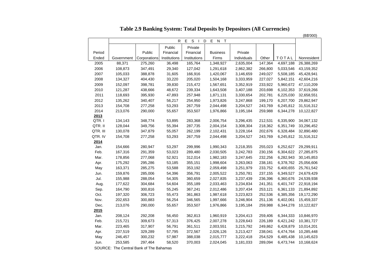**Table 2.9 Banking System: Total Deposits by Depositors (All Currencies)**

 $(56'000)$ 

|            |                                                                                                                                                                                                                                                                      |                                                                                                                                                                                                                                                                      |                                                                                                                                                                                                                                              |                                                                                                                                                                                                                                                                                       |                                                                                                                                                                                                                                                                                                                           |                                                                                                                                                                                                                                                                                                                      |                                                                                                                                                                                                                                                                      | (B\$UUU)                                                                                                                                                                                                                                                                                                             |
|------------|----------------------------------------------------------------------------------------------------------------------------------------------------------------------------------------------------------------------------------------------------------------------|----------------------------------------------------------------------------------------------------------------------------------------------------------------------------------------------------------------------------------------------------------------------|----------------------------------------------------------------------------------------------------------------------------------------------------------------------------------------------------------------------------------------------|---------------------------------------------------------------------------------------------------------------------------------------------------------------------------------------------------------------------------------------------------------------------------------------|---------------------------------------------------------------------------------------------------------------------------------------------------------------------------------------------------------------------------------------------------------------------------------------------------------------------------|----------------------------------------------------------------------------------------------------------------------------------------------------------------------------------------------------------------------------------------------------------------------------------------------------------------------|----------------------------------------------------------------------------------------------------------------------------------------------------------------------------------------------------------------------------------------------------------------------|----------------------------------------------------------------------------------------------------------------------------------------------------------------------------------------------------------------------------------------------------------------------------------------------------------------------|
|            |                                                                                                                                                                                                                                                                      | R                                                                                                                                                                                                                                                                    | Е<br>$\Box$                                                                                                                                                                                                                                  | E<br>$\top$<br>N                                                                                                                                                                                                                                                                      |                                                                                                                                                                                                                                                                                                                           |                                                                                                                                                                                                                                                                                                                      |                                                                                                                                                                                                                                                                      |                                                                                                                                                                                                                                                                                                                      |
|            |                                                                                                                                                                                                                                                                      | Public                                                                                                                                                                                                                                                               | Private                                                                                                                                                                                                                                      |                                                                                                                                                                                                                                                                                       |                                                                                                                                                                                                                                                                                                                           |                                                                                                                                                                                                                                                                                                                      |                                                                                                                                                                                                                                                                      |                                                                                                                                                                                                                                                                                                                      |
|            | Public                                                                                                                                                                                                                                                               | Financial                                                                                                                                                                                                                                                            | Financial                                                                                                                                                                                                                                    | <b>Business</b>                                                                                                                                                                                                                                                                       | Private                                                                                                                                                                                                                                                                                                                   |                                                                                                                                                                                                                                                                                                                      |                                                                                                                                                                                                                                                                      |                                                                                                                                                                                                                                                                                                                      |
| Government | Corporations                                                                                                                                                                                                                                                         | Institutions                                                                                                                                                                                                                                                         | Institutions                                                                                                                                                                                                                                 | Firms                                                                                                                                                                                                                                                                                 | Individuals                                                                                                                                                                                                                                                                                                               | Other                                                                                                                                                                                                                                                                                                                | TOTAL                                                                                                                                                                                                                                                                | Nonresident                                                                                                                                                                                                                                                                                                          |
| 88,371     | 275,260                                                                                                                                                                                                                                                              | 36,498                                                                                                                                                                                                                                                               | 165,764                                                                                                                                                                                                                                      | 1,348,927                                                                                                                                                                                                                                                                             | 2,635,004                                                                                                                                                                                                                                                                                                                 | 147,364                                                                                                                                                                                                                                                                                                              | 4,697,188                                                                                                                                                                                                                                                            | 26,388,269                                                                                                                                                                                                                                                                                                           |
| 108,873    | 347,491                                                                                                                                                                                                                                                              | 29,340                                                                                                                                                                                                                                                               | 127,042                                                                                                                                                                                                                                      | 1,291,618                                                                                                                                                                                                                                                                             | 2,862,382                                                                                                                                                                                                                                                                                                                 | 266,800                                                                                                                                                                                                                                                                                                              | 5,033,546                                                                                                                                                                                                                                                            | 43, 159, 352                                                                                                                                                                                                                                                                                                         |
| 105,033    | 388,878                                                                                                                                                                                                                                                              | 31,605                                                                                                                                                                                                                                                               | 166,916                                                                                                                                                                                                                                      | 1,420,067                                                                                                                                                                                                                                                                             | 3,146,659                                                                                                                                                                                                                                                                                                                 | 249,027                                                                                                                                                                                                                                                                                                              | 5,508,185                                                                                                                                                                                                                                                            | 45,428,941                                                                                                                                                                                                                                                                                                           |
| 134,327    | 404,430                                                                                                                                                                                                                                                              | 33,220                                                                                                                                                                                                                                                               | 205,020                                                                                                                                                                                                                                      | 1,504,168                                                                                                                                                                                                                                                                             | 3,333,959                                                                                                                                                                                                                                                                                                                 | 227,027                                                                                                                                                                                                                                                                                                              | 5,842,151                                                                                                                                                                                                                                                            | 42,604,216                                                                                                                                                                                                                                                                                                           |
| 152,097    | 398,781                                                                                                                                                                                                                                                              | 39,830                                                                                                                                                                                                                                                               | 215,472                                                                                                                                                                                                                                      | 1,567,651                                                                                                                                                                                                                                                                             | 3,352,919                                                                                                                                                                                                                                                                                                                 | 233,922                                                                                                                                                                                                                                                                                                              | 5,960,672                                                                                                                                                                                                                                                            | 47,110,209                                                                                                                                                                                                                                                                                                           |
|            |                                                                                                                                                                                                                                                                      |                                                                                                                                                                                                                                                                      |                                                                                                                                                                                                                                              |                                                                                                                                                                                                                                                                                       |                                                                                                                                                                                                                                                                                                                           |                                                                                                                                                                                                                                                                                                                      |                                                                                                                                                                                                                                                                      | 37,619,266                                                                                                                                                                                                                                                                                                           |
| 118,693    | 395,930                                                                                                                                                                                                                                                              | 47,893                                                                                                                                                                                                                                                               | 257,948                                                                                                                                                                                                                                      | 1,871,131                                                                                                                                                                                                                                                                             | 3,330,654                                                                                                                                                                                                                                                                                                                 | 202,781                                                                                                                                                                                                                                                                                                              | 6,225,030                                                                                                                                                                                                                                                            | 32,658,551                                                                                                                                                                                                                                                                                                           |
| 135,262    | 340,407                                                                                                                                                                                                                                                              | 56,217                                                                                                                                                                                                                                                               | 254,950                                                                                                                                                                                                                                      | 1,973,826                                                                                                                                                                                                                                                                             | 3,247,868                                                                                                                                                                                                                                                                                                                 | 199,170                                                                                                                                                                                                                                                                                                              | 6,207,700                                                                                                                                                                                                                                                            | 29,862,947                                                                                                                                                                                                                                                                                                           |
|            |                                                                                                                                                                                                                                                                      |                                                                                                                                                                                                                                                                      |                                                                                                                                                                                                                                              |                                                                                                                                                                                                                                                                                       |                                                                                                                                                                                                                                                                                                                           |                                                                                                                                                                                                                                                                                                                      |                                                                                                                                                                                                                                                                      | 31,516,312                                                                                                                                                                                                                                                                                                           |
| 213,076    | 290,000                                                                                                                                                                                                                                                              | 55,657                                                                                                                                                                                                                                                               | 353,507                                                                                                                                                                                                                                      | 1,976,866                                                                                                                                                                                                                                                                             | 3,195,184                                                                                                                                                                                                                                                                                                                 | 259,988                                                                                                                                                                                                                                                                                                              | 6,344,278                                                                                                                                                                                                                                                            | 10,122,827                                                                                                                                                                                                                                                                                                           |
|            |                                                                                                                                                                                                                                                                      |                                                                                                                                                                                                                                                                      |                                                                                                                                                                                                                                              |                                                                                                                                                                                                                                                                                       |                                                                                                                                                                                                                                                                                                                           |                                                                                                                                                                                                                                                                                                                      |                                                                                                                                                                                                                                                                      |                                                                                                                                                                                                                                                                                                                      |
|            |                                                                                                                                                                                                                                                                      |                                                                                                                                                                                                                                                                      |                                                                                                                                                                                                                                              |                                                                                                                                                                                                                                                                                       |                                                                                                                                                                                                                                                                                                                           |                                                                                                                                                                                                                                                                                                                      |                                                                                                                                                                                                                                                                      | 34,067,132                                                                                                                                                                                                                                                                                                           |
|            |                                                                                                                                                                                                                                                                      |                                                                                                                                                                                                                                                                      |                                                                                                                                                                                                                                              |                                                                                                                                                                                                                                                                                       |                                                                                                                                                                                                                                                                                                                           |                                                                                                                                                                                                                                                                                                                      |                                                                                                                                                                                                                                                                      | 33,296,452                                                                                                                                                                                                                                                                                                           |
|            |                                                                                                                                                                                                                                                                      |                                                                                                                                                                                                                                                                      |                                                                                                                                                                                                                                              |                                                                                                                                                                                                                                                                                       |                                                                                                                                                                                                                                                                                                                           |                                                                                                                                                                                                                                                                                                                      |                                                                                                                                                                                                                                                                      | 32,890,480                                                                                                                                                                                                                                                                                                           |
|            |                                                                                                                                                                                                                                                                      |                                                                                                                                                                                                                                                                      |                                                                                                                                                                                                                                              |                                                                                                                                                                                                                                                                                       |                                                                                                                                                                                                                                                                                                                           |                                                                                                                                                                                                                                                                                                                      |                                                                                                                                                                                                                                                                      | 31,516,312                                                                                                                                                                                                                                                                                                           |
|            |                                                                                                                                                                                                                                                                      |                                                                                                                                                                                                                                                                      |                                                                                                                                                                                                                                              |                                                                                                                                                                                                                                                                                       |                                                                                                                                                                                                                                                                                                                           |                                                                                                                                                                                                                                                                                                                      |                                                                                                                                                                                                                                                                      |                                                                                                                                                                                                                                                                                                                      |
|            |                                                                                                                                                                                                                                                                      |                                                                                                                                                                                                                                                                      |                                                                                                                                                                                                                                              |                                                                                                                                                                                                                                                                                       |                                                                                                                                                                                                                                                                                                                           |                                                                                                                                                                                                                                                                                                                      |                                                                                                                                                                                                                                                                      | 29,299,911                                                                                                                                                                                                                                                                                                           |
|            |                                                                                                                                                                                                                                                                      |                                                                                                                                                                                                                                                                      |                                                                                                                                                                                                                                              |                                                                                                                                                                                                                                                                                       |                                                                                                                                                                                                                                                                                                                           |                                                                                                                                                                                                                                                                                                                      |                                                                                                                                                                                                                                                                      | 27,285,875                                                                                                                                                                                                                                                                                                           |
|            |                                                                                                                                                                                                                                                                      |                                                                                                                                                                                                                                                                      |                                                                                                                                                                                                                                              |                                                                                                                                                                                                                                                                                       |                                                                                                                                                                                                                                                                                                                           |                                                                                                                                                                                                                                                                                                                      |                                                                                                                                                                                                                                                                      | 30,145,853                                                                                                                                                                                                                                                                                                           |
|            |                                                                                                                                                                                                                                                                      |                                                                                                                                                                                                                                                                      |                                                                                                                                                                                                                                              |                                                                                                                                                                                                                                                                                       |                                                                                                                                                                                                                                                                                                                           |                                                                                                                                                                                                                                                                                                                      |                                                                                                                                                                                                                                                                      | 25,056,606                                                                                                                                                                                                                                                                                                           |
|            |                                                                                                                                                                                                                                                                      |                                                                                                                                                                                                                                                                      |                                                                                                                                                                                                                                              |                                                                                                                                                                                                                                                                                       |                                                                                                                                                                                                                                                                                                                           |                                                                                                                                                                                                                                                                                                                      |                                                                                                                                                                                                                                                                      | 25,761,542                                                                                                                                                                                                                                                                                                           |
|            |                                                                                                                                                                                                                                                                      |                                                                                                                                                                                                                                                                      |                                                                                                                                                                                                                                              |                                                                                                                                                                                                                                                                                       |                                                                                                                                                                                                                                                                                                                           |                                                                                                                                                                                                                                                                                                                      |                                                                                                                                                                                                                                                                      | 24,679,429                                                                                                                                                                                                                                                                                                           |
|            |                                                                                                                                                                                                                                                                      |                                                                                                                                                                                                                                                                      |                                                                                                                                                                                                                                              |                                                                                                                                                                                                                                                                                       |                                                                                                                                                                                                                                                                                                                           |                                                                                                                                                                                                                                                                                                                      |                                                                                                                                                                                                                                                                      | 24,539,938                                                                                                                                                                                                                                                                                                           |
|            |                                                                                                                                                                                                                                                                      |                                                                                                                                                                                                                                                                      |                                                                                                                                                                                                                                              |                                                                                                                                                                                                                                                                                       |                                                                                                                                                                                                                                                                                                                           |                                                                                                                                                                                                                                                                                                                      |                                                                                                                                                                                                                                                                      | 22,918,194                                                                                                                                                                                                                                                                                                           |
|            |                                                                                                                                                                                                                                                                      |                                                                                                                                                                                                                                                                      |                                                                                                                                                                                                                                              |                                                                                                                                                                                                                                                                                       |                                                                                                                                                                                                                                                                                                                           |                                                                                                                                                                                                                                                                                                                      |                                                                                                                                                                                                                                                                      | 21,894,892                                                                                                                                                                                                                                                                                                           |
|            |                                                                                                                                                                                                                                                                      |                                                                                                                                                                                                                                                                      |                                                                                                                                                                                                                                              |                                                                                                                                                                                                                                                                                       |                                                                                                                                                                                                                                                                                                                           |                                                                                                                                                                                                                                                                                                                      |                                                                                                                                                                                                                                                                      | 19,172,290                                                                                                                                                                                                                                                                                                           |
|            |                                                                                                                                                                                                                                                                      |                                                                                                                                                                                                                                                                      |                                                                                                                                                                                                                                              |                                                                                                                                                                                                                                                                                       |                                                                                                                                                                                                                                                                                                                           |                                                                                                                                                                                                                                                                                                                      |                                                                                                                                                                                                                                                                      | 15,459,337                                                                                                                                                                                                                                                                                                           |
|            |                                                                                                                                                                                                                                                                      |                                                                                                                                                                                                                                                                      |                                                                                                                                                                                                                                              |                                                                                                                                                                                                                                                                                       |                                                                                                                                                                                                                                                                                                                           |                                                                                                                                                                                                                                                                                                                      |                                                                                                                                                                                                                                                                      | 10,122,827                                                                                                                                                                                                                                                                                                           |
|            |                                                                                                                                                                                                                                                                      |                                                                                                                                                                                                                                                                      |                                                                                                                                                                                                                                              |                                                                                                                                                                                                                                                                                       |                                                                                                                                                                                                                                                                                                                           |                                                                                                                                                                                                                                                                                                                      |                                                                                                                                                                                                                                                                      |                                                                                                                                                                                                                                                                                                                      |
|            |                                                                                                                                                                                                                                                                      |                                                                                                                                                                                                                                                                      |                                                                                                                                                                                                                                              |                                                                                                                                                                                                                                                                                       |                                                                                                                                                                                                                                                                                                                           |                                                                                                                                                                                                                                                                                                                      |                                                                                                                                                                                                                                                                      | 10,846,970                                                                                                                                                                                                                                                                                                           |
|            |                                                                                                                                                                                                                                                                      |                                                                                                                                                                                                                                                                      |                                                                                                                                                                                                                                              |                                                                                                                                                                                                                                                                                       |                                                                                                                                                                                                                                                                                                                           |                                                                                                                                                                                                                                                                                                                      |                                                                                                                                                                                                                                                                      | 10,381,727                                                                                                                                                                                                                                                                                                           |
|            |                                                                                                                                                                                                                                                                      |                                                                                                                                                                                                                                                                      |                                                                                                                                                                                                                                              |                                                                                                                                                                                                                                                                                       |                                                                                                                                                                                                                                                                                                                           |                                                                                                                                                                                                                                                                                                                      |                                                                                                                                                                                                                                                                      | 10,014,201                                                                                                                                                                                                                                                                                                           |
|            |                                                                                                                                                                                                                                                                      |                                                                                                                                                                                                                                                                      |                                                                                                                                                                                                                                              |                                                                                                                                                                                                                                                                                       |                                                                                                                                                                                                                                                                                                                           |                                                                                                                                                                                                                                                                                                                      |                                                                                                                                                                                                                                                                      | 10,285,448                                                                                                                                                                                                                                                                                                           |
|            |                                                                                                                                                                                                                                                                      |                                                                                                                                                                                                                                                                      |                                                                                                                                                                                                                                              |                                                                                                                                                                                                                                                                                       |                                                                                                                                                                                                                                                                                                                           |                                                                                                                                                                                                                                                                                                                      |                                                                                                                                                                                                                                                                      | 10,145,623                                                                                                                                                                                                                                                                                                           |
|            |                                                                                                                                                                                                                                                                      |                                                                                                                                                                                                                                                                      |                                                                                                                                                                                                                                              |                                                                                                                                                                                                                                                                                       |                                                                                                                                                                                                                                                                                                                           |                                                                                                                                                                                                                                                                                                                      |                                                                                                                                                                                                                                                                      | 10,168,624                                                                                                                                                                                                                                                                                                           |
|            | 121,287<br>154,708<br>134,143<br>128,044<br>130,078<br>154,708<br>154,666<br>167,316<br>178,856<br>175,292<br>163,371<br>159,876<br>155,988<br>177,622<br>164,790<br>197,320<br>202,653<br>213,076<br>208,124<br>215,721<br>223,465<br>237,519<br>246,457<br>253,585 | 438,666<br>277,258<br>348,774<br>349,756<br>347,879<br>277,258<br>280,947<br>291,359<br>277,068<br>295,286<br>285,275<br>285,006<br>288,054<br>304,684<br>300,816<br>306,723<br>300,883<br>290,000<br>292,208<br>309,673<br>317,907<br>329,289<br>300,232<br>297,464 | 48,672<br>53,293<br>53,895<br>55,394<br>55,057<br>53,293<br>53,297<br>53,023<br>52,921<br>53,185<br>53,588<br>54,396<br>54,305<br>54,604<br>55,245<br>55,473<br>56,254<br>55,657<br>56,450<br>57,313<br>56,791<br>57,795<br>57,987<br>58,520 | ${\mathbb S}$<br>239,334<br>267,759<br>283,368<br>287,735<br>262,199<br>267,759<br>299,996<br>289,480<br>312,014<br>355,151<br>353,192<br>356,791<br>360,659<br>355,189<br>367,241<br>361,863<br>346,565<br>353,507<br>362,813<br>376,425<br>361,511<br>372,567<br>388,038<br>370,003 | D<br>1,643,508<br>2,044,498<br>2,006,754<br>2,004,154<br>2,102,431<br>2,044,498<br>1,990,343<br>2,030,505<br>1,982,183<br>1,998,604<br>2,059,498<br>2,005,522<br>2,027,835<br>2,033,463<br>2,012,486<br>1,987,618<br>1,997,666<br>1,976,866<br>1,960,919<br>2,007,278<br>2,003,551<br>2,026,126<br>2,015,777<br>2,024,045 | 3,407,188<br>3,204,527<br>3,296,435<br>3,308,304<br>3,228,164<br>3,204,527<br>3,218,355<br>3,242,783<br>3,247,645<br>3,263,063<br>3,251,979<br>3,250,781<br>3,237,439<br>3,234,834<br>3,207,434<br>3,223,823<br>3,246,904<br>3,195,184<br>3,204,413<br>3,228,643<br>3,215,792<br>3,213,427<br>3,222,418<br>3,181,033 | 203,698<br>243,769<br>212,531<br>218,362<br>202,676<br>243,769<br>255,023<br>230,156<br>232,256<br>238,181<br>233,752<br>237,155<br>236,396<br>241,351<br>253,121<br>252,536<br>251,136<br>259,988<br>259,406<br>226,189<br>249,862<br>238,041<br>254,529<br>289,094 | 6,102,353<br>6,245,812<br>6,335,900<br>6,351,749<br>6,328,484<br>6,245,812<br>6,252,627<br>6,304,622<br>6,282,943<br>6,378,762<br>6,400,655<br>6,349,527<br>6,360,676<br>6,401,747<br>6,361,133<br>6,385,356<br>6,402,061<br>6,344,278<br>6,344,333<br>6,421,242<br>6,428,879<br>6,474,764<br>6,485,438<br>6,473,744 |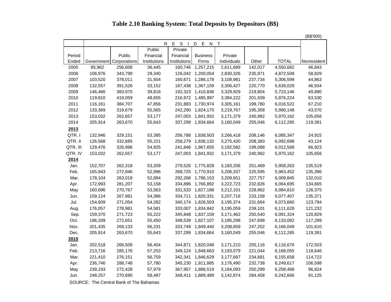## **Table 2.10 Banking System: Total Deposits by Depositors (B\$)**

(B\$'000)

|          |         |                         | $\mathsf{R}$ | $\mathbb S$<br>E.<br>$\blacksquare$ | E<br>D<br>N       | T           |         |              |             |
|----------|---------|-------------------------|--------------|-------------------------------------|-------------------|-------------|---------|--------------|-------------|
|          |         |                         | Public       | $P$ rivate                          |                   |             |         |              |             |
| Period   |         | Public                  | Financial    | Financial                           | <b>Business</b>   | Private     |         |              |             |
| Ended    |         | Government Corporations | Institutions | Institutions                        | Firms             | Individuals | Other   | <b>TOTAL</b> | Nonresident |
| 2005     | 85,962  | 256,608                 | 36,445       | 160,746                             | 1,257,215         | 2,611,689   | 142,017 | 4,550,682    | 46,843      |
| 2006     | 106,976 | 343,799                 | 29,340       |                                     | 126,042 1,200,054 | 2,830,326   | 235,971 | 4,872,508    | 58,829      |
| 2007     | 103,520 | 378,011                 | 31,504       | 160,671                             | 1,286,178         | 3,108,981   | 237,734 | 5,306,599    | 44,863      |
| 2008     | 132,557 | 391,526                 | 33,152       | 187,438                             | 1,367,159         | 3,306,427   | 220,770 | 5,639,029    | 46,934      |
| 2009     | 146,466 | 383,970                 | 39,818       | 192,323                             | 1,410,836         | 3,329,929   | 219,804 | 5,723,146    | 49,890      |
| 2010     | 119,810 | 419,059                 | 48,655       |                                     | 216,972 1,485,997 | 3,384,222   | 201,509 | 5,876,224    | 63,530      |
| 2011     | 116,161 | 384,707                 | 47,856       | 231,883                             | 1,730,974         | 3,305,161   | 199,780 | 6,016,522    | 67,210      |
| 2012     | 133,369 | 319,679                 | 55,565       | 242,290                             | 1,824,170         | 3,219,767   | 195,308 | 5,990,148    | 43,570      |
| 2013     | 153,032 | 262,657                 | 53,177       | 247,003                             | 1,841,932         | 3,171,379   | 240,982 | 5,970,162    | 105,656     |
| 2014     | 205,914 | 263,670                 | 55,643       | 337,299                             | 1,834,664         | 3,160,049   | 255,046 | 6,112,285    | 119,391     |
| 2013     |         |                         |              |                                     |                   |             |         |              |             |
| QTR.I    | 132,946 | 329,151                 | 53,395       |                                     | 256,788 1,838,503 | 3,266,418   | 208,146 | 6,085,347    | 24,915      |
| QTR. II  | 126,568 | 332,685                 | 55,221       | 258,279                             | 1,836,132         | 3,275,430   | 208,383 | 6,092,698    | 43,124      |
| QTR. III | 129,476 | 326,996                 | 54,925       | 241,846                             | 1,867,655         | 3,192,582   | 199,088 | 6,012,568    | 66,923      |
| QTR. IV  | 153,032 | 262,657                 | 53,177       | 247,003                             | 1,841,932         | 3,171,379   | 240,982 | 5,970,162    | 105,656     |
| 2014     |         |                         |              |                                     |                   |             |         |              |             |
| Jan.     | 152,707 | 262,318                 | 53,209       | 279,526                             | 1,775,828         | 3,183,206   | 251,469 | 5,958,263    | 135,519     |
| Feb.     | 165,943 | 272,946                 | 52,996       | 268,725                             | 1,770,910         | 3,206,337   | 225,595 | 5,963,452    | 135,396     |
| Mar.     | 178,104 | 263,018                 | 52,894       | 292,268                             | 1,786,153         | 3,209,651   | 227,757 | 6,009,845    | 132,010     |
| Apr.     | 172,993 | 281,207                 | 53,158       | 334,896                             | 1,766,892         | 3,222,723   | 232,826 | 6,064,695    | 134,665     |
| May      | 160,696 | 270,767                 | 53,563       | 331,533                             | 1,827,188         | 3,212,101   | 228,962 | 6,084,810    | 126,375     |
| Jun.     | 159,124 | 267,981                 | 54,386       | 334,711                             | 1,820,331         | 3,207,716   | 233,158 | 6,077,407    | 135,371     |
| Jul.     | 154,609 | 271,054                 | 54,282       | 340,174                             | 1,826,503         | 3,195,374   | 231,664 | 6,073,660    | 123,794     |
| Aug.     | 176,057 | 278,981                 | 54,581       | 333,007                             | 1,834,842         | 3,195,059   | 239,101 | 6,111,628    | 121,232     |
| Sep.     | 159,370 | 271,723                 | 55,222       | 345,848                             | 1,837,159         | 3,171,462   | 250,540 | 6,091,324    | 120,829     |
| Oct.     | 196,339 | 272,651                 | 55,450       | 348,539                             | 1,827,107         | 3,185,298   | 247,698 | 6,133,082    | 117,289     |
| Nov.     | 201,435 | 269,133                 | 56,231       | 333,749                             | 1,849,440         | 3,208,859   | 247,202 | 6,166,049    | 101,610     |
| Dec.     | 205,914 | 263,670                 | 55,643       | 337,299                             | 1,834,664         | 3,160,049   | 255,046 | 6,112,285    | 119,391     |
| 2015     |         |                         |              |                                     |                   |             |         |              |             |
| Jan.     | 202,518 | 266,509                 | 56,404       | 344,871                             | 1,820,048         | 3,171,210   | 255,116 | 6,116,676    | 172,503     |
| Feb.     | 213,716 | 285,176                 | 57,253       | 349,124                             | 1,848,663         | 3,193,079   | 221,044 | 6,168,055    | 118,646     |
| Mar.     | 221,410 | 276,151                 | 56,759       | 342,341                             | 1,846,629         | 3,177,687   | 234,681 | 6,155,658    | 114,722     |
| Apr.     | 236,746 | 288,748                 | 57,780       | 345,230                             | 1,911,885         | 3,176,490   | 232,738 | 6,249,617    | 106,598     |
| May      | 239,193 | 272,428                 | 57,979       | 367,957                             | 1,886,519         | 3,184,093   | 250,299 | 6,258,468    | 96,824      |
| Jun.     | 248,257 | 270,690                 | 58,487       | 348,411                             | 1,889,489         | 3,142,874   | 284,458 | 6,242,666    | 91,125      |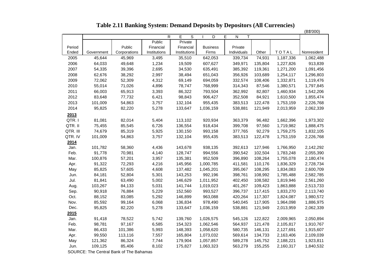| Table 2.11 Banking System: Demand Deposits by Depositors (All Currencies) |  |  |  |  |
|---------------------------------------------------------------------------|--|--|--|--|
|---------------------------------------------------------------------------|--|--|--|--|

|          |            |              |                |                     |                 |                                        |         |           | (B\$'000)   |
|----------|------------|--------------|----------------|---------------------|-----------------|----------------------------------------|---------|-----------|-------------|
|          |            |              | $\overline{R}$ | E<br>$\overline{s}$ | $\overline{D}$  | Ε<br>$\overline{\mathsf{N}}$<br>$\top$ |         |           |             |
|          |            |              | Public         | Private             |                 |                                        |         |           |             |
| Period   |            | Public       | Financial      | Financial           | <b>Business</b> | Private                                |         |           |             |
| Ended    | Government | Corporations | Institutions   | Institutions        | Firms           | Individuals                            | Other   | TOTAL     | Nonresident |
| 2005     | 45,644     | 45,969       | 3,495          | 35,510              | 642,053         | 339,734                                | 74,931  | 1,187,336 | 1,062,488   |
| 2006     | 64,033     | 49,648       | 1,234          | 19,509              | 607,627         | 349,971                                | 135,804 | 1,227,826 | 913,839     |
| 2007     | 54,335     | 39,396       | 2,695          | 34,530              | 635,491         | 385,392                                | 119,361 | 1,271,200 | 1,091,456   |
| 2008     | 62,676     | 38,292       | 2,997          | 38,494              | 651,043         | 356,926                                | 103,689 | 1,254,117 | 1,296,803   |
| 2009     | 72,062     | 52,309       | 4,312          | 69,149              | 694,059         | 332,574                                | 108,406 | 1,332,871 | 1,119,476   |
| 2010     | 55,014     | 71,026       | 4,896          | 78,747              | 768,999         | 314,343                                | 87,546  | 1,380,571 | 1,797,845   |
| 2011     | 66,003     | 65,913       | 3,393          | 86,322              | 793,504         | 362,992                                | 82,807  | 1,460,934 | 1,542,206   |
| 2012     | 83,648     | 77,732       | 6,421          | 98,843              | 906,427         | 352,508                                | 84,921  | 1,610,500 | 1,855,474   |
| 2013     | 101,009    | 54,863       | 3,757          | 132,104             | 955,435         | 383,513                                | 122,478 | 1,753,159 | 2,226,768   |
| 2014     | 95,825     | 82,220       | 5,278          | 133,647             | 1,036,159       | 538,881                                | 121,949 | 2,013,959 | 2,062,339   |
| 2013     |            |              |                |                     |                 |                                        |         |           |             |
| QTR. I   | 81,081     | 82,014       | 5,404          | 113,102             | 920,934         | 363,379                                | 96,482  | 1,662,396 | 1,973,302   |
| QTR. II  | 75,455     | 85,545       | 6,726          | 136,554             | 918,434         | 399,708                                | 97,560  | 1,719,982 | 1,888,475   |
| QTR. III | 74,679     | 85,319       | 5,925          | 130,150             | 993,158         | 377,765                                | 92,279  | 1,759,275 | 1,832,105   |
| QTR. IV  | 101,009    | 54,863       | 3,757          | 132,104             | 955,435         | 383,513                                | 122,478 | 1,753,159 | 2,226,768   |
| 2014     |            |              |                |                     |                 |                                        |         |           |             |
| Jan.     | 101,782    | 58,360       | 4,436          | 143,678             | 938,135         | 392,613                                | 127,946 | 1,766,950 | 2,142,292   |
| Feb.     | 91,778     | 70,981       | 4,140          | 128,747             | 994,556         | 390,542                                | 102,504 | 1,783,248 | 2,055,390   |
| Mar.     | 100,876    | 57,201       | 3,957          | 135,381             | 952,509         | 396,890                                | 108,264 | 1,755,078 | 2,180,474   |
| Apr.     | 91,322     | 72,293       | 4,216          | 145,956             | 1,000,785       | 411,581                                | 110,176 | 1,836,329 | 2,728,734   |
| May      | 85,825     | 57,605       | 4,608          | 137,482             | 1,045,201       | 395,067                                | 108,295 | 1,834,083 | 2,600,709   |
| Jun.     | 84,181     | 52,804       | 5,301          | 143,253             | 992,196         | 398,761                                | 108,992 | 1,785,488 | 2,582,785   |
| Jul.     | 81,841     | 63,490       | 5,002          | 146,629             | 1,011,952       | 402,450                                | 108,582 | 1,819,946 | 2,561,260   |
| Aug.     | 103,267    | 84,133       | 5,031          | 141,744             | 1,019,023       | 401,267                                | 109,423 | 1,863,888 | 2,513,733   |
| Sep.     | 90,918     | 76,884       | 5,229          | 152,560             | 993,527         | 396,737                                | 117,415 | 1,833,270 | 2,113,740   |
| Oct.     | 88,152     | 83,085       | 5,292          | 146,899             | 963,088         | 420,264                                | 117,307 | 1,824,087 | 1,980,572   |
| Nov.     | 85,592     | 99,164       | 6,068          | 136,834             | 978,490         | 540,045                                | 117,905 | 1,964,098 | 1,886,975   |
| Dec.     | 95,825     | 82,220       | 5,278          | 133,647             | 1,036,159       | 538,881                                | 121,949 | 2,013,959 | 2,062,339   |
| 2015     |            |              |                |                     |                 |                                        |         |           |             |
| Jan.     | 91,418     | 78,522       | 5,742          | 139,760             | 1,026,575       | 545,126                                | 122,822 | 2,009,965 | 2,050,894   |
| Feb.     | 98,781     | 97,167       | 6,585          | 154,323             | 1,062,546       | 564,937                                | 121,478 | 2,105,817 | 1,910,767   |
| Mar.     | 86,433     | 101,386      | 5,993          | 148,393             | 1,058,620       | 580,735                                | 146,131 | 2,127,691 | 1,915,607   |
| Apr.     | 99,550     | 113,116      | 7,557          | 165,804             | 1,073,032       | 569,614                                | 134,733 | 2,163,406 | 2,109,039   |
| May      | 121,362    | 86,324       | 7,744          | 179,904             | 1,057,857       | 589,278                                | 145,752 | 2,188,221 | 1,923,811   |
| Jun.     | 109,125    | 85,406       | 8,102          | 175,827             | 1,063,323       | 563,279                                | 155,255 | 2,160,317 | 1,840,532   |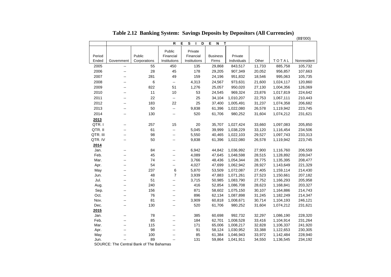|              |                          |              |                                               |                   |                  |                        |                  |                        | (B\$'000)          |
|--------------|--------------------------|--------------|-----------------------------------------------|-------------------|------------------|------------------------|------------------|------------------------|--------------------|
|              |                          |              | $\mathbf R$                                   | Е<br>S<br>D<br>I. | E<br>N<br>Т      |                        |                  |                        |                    |
|              |                          |              | Public                                        | Private           |                  |                        |                  |                        |                    |
| Period       |                          | Public       | Financial                                     | Financial         | <b>Business</b>  | Private                |                  |                        |                    |
| Ended        | Government               | Corporations | Institutions                                  | Institutions      | Firms            | Individuals            | Other            | TOTAL                  | Nonresident        |
| 2005         | $\overline{a}$           | 55           | 450                                           | 135               | 29,868           | 843,517                | 11,733           | 885,758                | 105,732            |
| 2006         | $\overline{\phantom{a}}$ | 28           | 45                                            | 178               | 29,205           | 907,349                | 20,052           | 956,857                | 107,663            |
| 2007         |                          | 281          | 49                                            | 159               | 24,196           | 951,832                | 18,546           | 995,063                | 105,735            |
| 2008         |                          | 6            | ۰.                                            | 4,313             | 24,567           | 973,631                | 21,600           | 1,024,117              | 120,860            |
| 2009         | $-$                      | 822          | 51                                            | 1,276             | 25,057           | 950,020                | 27,130           | 1,004,356              | 126,069            |
| 2010         | $\overline{\phantom{a}}$ | 11           | 10                                            | 53                | 24,545           | 969,324                | 23,876           | 1,017,819              | 224,642            |
| 2011         | $\overline{a}$           | 22           | $\mathcal{L}_{\mathcal{P}}$                   | 25                | 34,104           | 1,010,207              | 22,753           | 1,067,111              | 210,443            |
| 2012         | $\overline{a}$           | 183          | 22                                            | 25                | 37,400           | 1,005,491              | 31,237           | 1,074,358              | 206,682            |
| 2013         |                          | 50           | щ.                                            | 9,838             | 61,396           | 1,022,080              | 26,578           | 1,119,942              | 223,745            |
| 2014         | $\overline{a}$           | 130          | щ.                                            | 520               | 61,706           | 980,252                | 31,604           | 1,074,212              | 231,621            |
| 2013         |                          |              |                                               |                   |                  |                        |                  |                        |                    |
| QTR.I        |                          | 257          | 15                                            | 20                | 35,707           | 1,027,424              | 33,660           | 1,097,083              | 205,850            |
| QTR. II      | $\overline{a}$           | 61           | 44                                            | 5,045             | 39,999           | 1,038,229              | 33,120           | 1,116,454              | 234,506            |
| QTR. III     | --                       | 98           | $\mathord{\hspace{1pt}\text{--}\hspace{1pt}}$ | 5,550             | 40,465           | 1,022,103              | 29,527           | 1,097,743              | 233,313            |
| QTR. IV      |                          | 50           | $\sim$                                        | 9,838             | 61,396           | 1,022,080              | 26,578           | 1,119,942              | 223,745            |
| 2014         |                          |              |                                               |                   |                  |                        |                  |                        |                    |
| Jan.         |                          | 84           | $\sim$                                        | 6,942             | 44,842           | 1,036,992              | 27,900           | 1,116,760              | 206,559            |
| Feb.         |                          | 45           | $\sim$                                        | 4,089             | 47,645           | 1,048,598              | 28,515           | 1,128,892              | 209,047            |
| Mar.         | $\overline{a}$           | 74           | $\overline{\phantom{a}}$                      | 3,766             | 48,436           | 1,054,344              | 28,775           | 1,135,395              | 208,477            |
| Apr.         | $\overline{a}$           | 54           | щ.                                            | 4,027             | 47,699           | 1,062,942              | 28,927           | 1,143,649              | 221,329            |
| May          |                          | 237          | 6                                             | 5,870             | 53,509           | 1,072,087              | 27,405           | 1,159,114              | 214,430            |
| Jun.         |                          | 48           | $\overline{7}$                                | 3,939             | 47,883           | 1,071,261              | 27,523           | 1,150,661              | 207,182            |
| Jul.         | $-$                      | 51           | $\overline{\phantom{a}}$                      | 3,715             | 50,985           | 1,083,790              | 27,752           | 1,166,293              | 205,958            |
| Aug.         |                          | 240          | $\sim$                                        | 416               | 52,854           | 1,086,708              | 28,623           | 1,168,841              | 203,327            |
| Sep.         | $\overline{a}$           | 156          | $\sim$                                        | 871               | 58,602           | 1,075,150              | 30,107           | 1,164,886              | 214,743            |
| Oct.         |                          | 76           | --                                            | 896               | 62,134           | 1,087,898              | 31,245           | 1,182,249              | 214,347            |
| Nov.         |                          | 81           | --                                            | 3,909             | 60,818           | 1,008,671              | 30,714           | 1,104,193              | 246,121            |
| Dec.         |                          | 130          | $\sim$                                        | 520               | 61,706           | 980,252                | 31,604           | 1,074,212              | 231,621            |
| 2015         |                          |              |                                               |                   |                  |                        |                  |                        |                    |
| Jan.         |                          | 78           | $\overline{\phantom{a}}$                      | 385               | 60,698           | 992,732                | 32,297           | 1,086,190              | 228,320            |
| Feb.         |                          | 85           | $\overline{\phantom{a}}$                      | 184               | 62,701           | 1,008,528              | 33,416           | 1,104,914              | 231,264            |
| Mar.<br>Apr. |                          | 115<br>98    | --<br>$\overline{a}$                          | 171<br>91         | 65,006<br>58,124 | 1,008,217<br>1,030,952 | 32,828<br>33,388 | 1,106,337<br>1,122,653 | 241,920<br>230,305 |
| May          |                          | 100          |                                               | 85                | 61,384           | 1,046,943              | 33,972           | 1,142,484              | 228,940            |
| Jun.         |                          | 89           | $\sim$                                        | 131               | 59,864           | 1,041,911              | 34,550           | 1,136,545              | 234,192            |
|              |                          |              |                                               |                   |                  |                        |                  |                        |                    |

**Table 2.12 Banking System: Savings Deposits by Depositors (All Currencies)**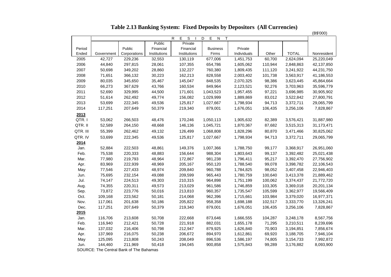|          |                                         |              |              |              |                               |             |         |              | (B\$'000)   |
|----------|-----------------------------------------|--------------|--------------|--------------|-------------------------------|-------------|---------|--------------|-------------|
|          |                                         |              |              | R.<br>S<br>Е | Е<br>D<br>${\sf N}$<br>$\top$ |             |         |              |             |
|          |                                         |              | Public       | Private      |                               |             |         |              |             |
| Period   |                                         | Public       | Financial    | Financial    | <b>Business</b>               | Private     |         |              |             |
| Ended    | Government                              | Corporations | Institutions | Institutions | Firms                         | Individuals | Other   | <b>TOTAL</b> | Nonresident |
| 2005     | 42,727                                  | 229,236      | 32,553       | 130,119      | 677,006                       | 1,451,753   | 60,700  | 2,624,094    | 25,220,049  |
| 2006     | 44,840                                  | 297,815      | 28,061       | 107,355      | 654,786                       | 1,605,062   | 110,944 | 2,848,863    | 42,137,850  |
| 2007     | 50,698                                  | 349,202      | 28,860       | 132,227      | 760,380                       | 1,809,435   | 111,120 | 3,241,922    | 44,231,750  |
| 2008     | 71,651                                  | 366,132      | 30,223       | 162,213      | 828,558                       | 2,003,402   | 101,738 | 3,563,917    | 41,186,553  |
| 2009     | 80,035                                  | 345,650      | 35,467       | 145,047      | 848,535                       | 2,070,325   | 98,386  | 3,623,445    | 45,864,664  |
| 2010     | 66,273                                  | 367,629      | 43,766       | 160,534      | 849,964                       | 2,123,521   | 92,276  | 3,703,963    | 35,596,779  |
| 2011     | 52,690                                  | 329,995      | 44,500       | 171,601      | 1,043,523                     | 1,957,455   | 97,221  | 3,696,985    | 30,905,902  |
| 2012     | 51,614                                  | 262,492      | 49,774       | 156,082      | 1,029,999                     | 1,889,869   | 83,012  | 3,522,842    | 27,800,791  |
| 2013     | 53,699                                  | 222,345      | 49,536       | 125,817      | 1,027,667                     | 1,798,934   | 94,713  | 3,372,711    | 29,065,799  |
| 2014     | 117,251                                 | 207,649      | 50,379       | 219,340      | 879,001                       | 1,676,051   | 106,435 | 3,256,106    | 7,828,867   |
| 2013     |                                         |              |              |              |                               |             |         |              |             |
| QTR.I    | 53,062                                  | 266,503      | 48,476       | 170,246      | 1,050,113                     | 1,905,632   | 82,389  | 3,576,421    | 31,887,980  |
| QTR. II  | 52,589                                  | 264,150      | 48,668       | 146,136      | 1,045,721                     | 1,870,367   | 87,682  | 3,515,313    | 31,173,471  |
| QTR. III | 55,399                                  | 262,462      | 49,132       | 126,499      | 1,068,808                     | 1,828,296   | 80,870  | 3,471,466    | 30,825,062  |
| QTR. IV  | 53,699                                  | 222,345      | 49,536       | 125,817      | 1,027,667                     | 1,798,934   | 94,713  | 3,372,711    | 29,065,799  |
| 2014     |                                         |              |              |              |                               |             |         |              |             |
| Jan.     | 52,884                                  | 222,503      | 48,861       | 149,376      | 1,007,366                     | 1,788,750   | 99,177  | 3,368,917    | 26,951,060  |
| Feb.     | 75,538                                  | 220,333      | 48,883       | 156,644      | 988,304                       | 1,803,643   | 99,137  | 3,392,482    | 25,021,438  |
| Mar.     | 77,980                                  | 219,793      | 48,964       | 172,867      | 981,238                       | 1,796,411   | 95,217  | 3,392,470    | 27,756,902  |
| Apr.     | 83,969                                  | 222,939      | 48,969       | 205,167      | 950,120                       | 1,788,540   | 99,078  | 3,398,782    | 22,106,543  |
| May      | 77,546                                  | 227,433      | 48,974       | 209,840      | 960,788                       | 1,784,825   | 98,052  | 3,407,458    | 22,946,403  |
| Jun.     | 75,695                                  | 232,154      | 49,088       | 209,599      | 965,443                       | 1,780,759   | 100,640 | 3,413,378    | 21,889,462  |
| Jul.     | 74,147                                  | 224,513      | 49,303       | 210,315      | 964,898                       | 1,751,199   | 100,062 | 3,374,437    | 21,772,720  |
| Aug.     | 74,355                                  | 220,311      | 49,573       | 213,029      | 961,586                       | 1,746,859   | 103,305 | 3,369,018    | 20,201,134  |
| Sep.     | 73,872                                  | 223,776      | 50,016       | 213,810      | 960,357                       | 1,735,547   | 105,599 | 3,362,977    | 19,566,409  |
| Oct.     | 109,168                                 | 223,562      | 50,181       | 214,068      | 962,396                       | 1,715,661   | 103,984 | 3,379,020    | 16,977,371  |
| Nov.     | 117,061                                 | 201,638      | 50,186       | 205,822      | 958,358                       | 1,698,188   | 102,517 | 3,333,770    | 13,326,241  |
| Dec.     | 117,251                                 | 207,649      | 50,379       | 219,340      | 879,001                       | 1,676,051   | 106,435 | 3,256,106    | 7,828,867   |
| 2015     |                                         |              |              |              |                               |             |         |              |             |
| Jan.     | 116,706                                 | 213,608      | 50,708       | 222,668      | 873,646                       | 1,666,555   | 104,287 | 3,248,178    | 8,567,756   |
| Feb.     | 116,940                                 | 212,421      | 50,728       | 221,918      | 882,031                       | 1,655,178   | 71,295  | 3,210,511    | 8,239,696   |
| Mar.     | 137,032                                 | 216,406      | 50,798       | 212,947      | 879,925                       | 1,626,840   | 70,903  | 3,194,851    | 7,856,674   |
| Apr.     | 137,969                                 | 216,075      | 50,238       | 206,672      | 894,970                       | 1,612,861   | 69,920  | 3,188,705    | 7,946,104   |
| May      | 125,095                                 | 213,808      | 50,243       | 208,049      | 896,536                       | 1,586,197   | 74,805  | 3,154,733    | 7,992,872   |
| Jun.     | 144,460                                 | 211,969      | 50,418       | 194,045      | 900,858                       | 1,575,843   | 99,289  | 3,176,882    | 8,093,900   |
|          | COUDCE: The Central Bank of The Behames |              |              |              |                               |             |         |              |             |

**Table 2.13 Banking System: Fixed Deposits by Depositors (All Currencies)**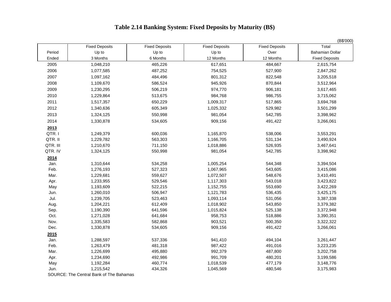# **Table 2.14 Banking System: Fixed Deposits by Maturity (B\$)**

|          |                       |                       |                       |                       | (B\$'000)             |
|----------|-----------------------|-----------------------|-----------------------|-----------------------|-----------------------|
|          | <b>Fixed Deposits</b> | <b>Fixed Deposits</b> | <b>Fixed Deposits</b> | <b>Fixed Deposits</b> | Total                 |
| Period   | Up to                 | Up to                 | Up to                 | Over                  | Bahamian Dollar       |
| Ended    | 3 Months              | 6 Months              | 12 Months             | 12 Months             | <b>Fixed Deposits</b> |
| 2005     | 1,048,210             | 465,226               | 617,651               | 484,667               | 2,615,754             |
| 2006     | 1,077,585             | 487,252               | 754,525               | 527,900               | 2,847,262             |
| 2007     | 1,097,162             | 484,496               | 801,312               | 822,548               | 3,205,518             |
| 2008     | 1,109,670             | 586,524               | 945,926               | 870,844               | 3,512,964             |
| 2009     | 1,230,295             | 506,219               | 974,770               | 906,181               | 3,617,465             |
| 2010     | 1,229,864             | 513,675               | 984,768               | 986,755               | 3,715,062             |
| 2011     | 1,517,357             | 650,229               | 1,009,317             | 517,865               | 3,694,768             |
| 2012     | 1,340,636             | 605,349               | 1,025,332             | 529,982               | 3,501,299             |
| 2013     | 1,324,125             | 550,998               | 981,054               | 542,785               | 3,398,962             |
| 2014     | 1,330,878             | 534,605               | 909,156               | 491,422               | 3,266,061             |
| 2013     |                       |                       |                       |                       |                       |
| QTR.I    | 1,249,379             | 600,036               | 1,165,870             | 538,006               | 3,553,291             |
| QTR. II  | 1,229,782             | 563,303               | 1,166,705             | 531,134               | 3,490,924             |
| QTR. III | 1,210,670             | 711,150               | 1,018,886             | 526,935               | 3,467,641             |
| QTR. IV  | 1,324,125             | 550,998               | 981,054               | 542,785               | 3,398,962             |
| 2014     |                       |                       |                       |                       |                       |
| Jan.     | 1,310,644             | 534,258               | 1,005,254             | 544,348               | 3,394,504             |
| Feb.     | 1,276,193             | 527,323               | 1,067,965             | 543,605               | 3,415,086             |
| Mar.     | 1,229,681             | 559,627               | 1,072,507             | 548,676               | 3,410,491             |
| Apr.     | 1,233,955             | 529,546               | 1,117,303             | 543,018               | 3,423,822             |
| May      | 1,193,609             | 522,215               | 1,152,755             | 553,690               | 3,422,269             |
| Jun.     | 1,260,010             | 506,947               | 1,121,783             | 536,435               | 3,425,175             |
| Jul.     | 1,239,705             | 523,463               | 1,093,114             | 531,056               | 3,387,338             |
| Aug.     | 1,204,221             | 612,409               | 1,018,902             | 543,850               | 3,379,382             |
| Sep.     | 1,190,390             | 641,596               | 1,015,824             | 525,138               | 3,372,948             |
| Oct.     | 1,271,028             | 641,684               | 958,753               | 518,886               | 3,390,351             |
| Nov.     | 1,335,583             | 582,868               | 903,521               | 500,350               | 3,322,322             |
| Dec.     | 1,330,878             | 534,605               | 909,156               | 491,422               | 3,266,061             |
| 2015     |                       |                       |                       |                       |                       |
| Jan.     | 1,288,597             | 537,336               | 941,410               | 494,104               | 3,261,447             |
| Feb.     | 1,263,479             | 481,318               | 987,422               | 491,016               | 3,223,235             |
| Mar.     | 1,226,699             | 495,880               | 992,379               | 487,800               | 3,202,758             |
| Apr.     | 1,234,690             | 492,986               | 991,709               | 480,201               | 3,199,586             |
| May      | 1,192,284             | 460,774               | 1,018,539             | 477,179               | 3,148,776             |
| Jun.     | 1,215,542             | 434,326               | 1,045,569             | 480,546               | 3,175,983             |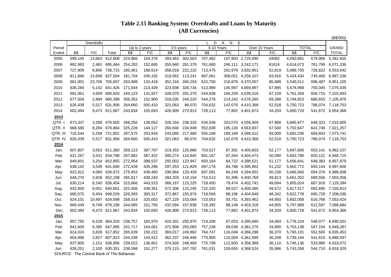## **Table 2.15 Banking System: Overdrafts and Loans by Maturity (All Currencies)**

| $\circ$<br>S<br>Overdrafts<br>Α<br>N<br><b>TOTAL</b><br>6-10 Years<br>Over 10 Years<br><b>GRAND</b><br>Up to 2 years<br>3-5 years<br>B\$<br>F/C<br><b>B\$</b><br>F/C<br><b>B\$</b><br>F/C<br><b>B\$</b><br>F/C<br><b>B\$</b><br>F/C<br><b>B\$</b><br>F/C<br><b>TOTAL</b><br>Ended<br>Total<br>154,378<br>707,362<br>599,145<br>13,663 612,808<br>224,966<br>393,463<br>302,603<br>197,903 2,725,090<br>24082<br>4,050,881<br>678,966<br>5,342,655<br>2005<br>2006<br>695,464<br>254,282<br>152,695<br>281,379<br>761,680<br>266,111 3,242,171<br>6,071,336<br>692,983<br>2,481<br>355,940<br>61614<br>4,614,073<br>761,799<br>727,909<br>8,806 736,715<br>185,361<br>188,614<br>358,018 222,210<br>713,475<br>262,979 3,832,851<br>726,622 6,553,042<br>52,819<br>5,089,705<br>319,562 113,241<br>667,061<br>308,051 4,256,107<br>6,997,338<br>2008<br>811,846<br>15,658<br>827,504<br>181,704<br>240,192<br>83,916<br>5,424,434<br>745,400<br>2009<br>681,901<br>23,706 705,607<br>203,988<br>133,418<br>352,316<br>260,203<br>622,700<br>216,878 4,370,007<br>85,988<br>5,549,011<br>696,487<br>6,951,105<br>2010<br>636,284<br>5,142 641,426<br>171,044<br>214,429<br>323,938<br>326,734<br>513,989<br>145,997 4,669,997<br>67,885<br>5,678,968<br>755,045<br>7,075,439<br>3,659<br>685,620<br>249,123<br>131,927<br>328,079<br>291,370<br>544,838<br>166,259 4,639,318<br>656,715<br>7,103,693<br>2011<br>681,961<br>67,159<br>5,761,358<br>2,894 680,398<br>306,352<br>152,905<br>244,220<br>214,242 4,576,260<br>680,655 7,105,976<br>2012<br>677,504<br>318,035<br>544,276<br>69,288<br>5,744,923<br>5,517 631,956<br>264,660<br>505,410<br>142,076 4,410,368<br>626,439<br>321,063<br>86,070<br>704,632<br>52,518<br>5,700,723<br>786,074 7,118,753<br>155,693<br>273,913<br>5,800,729<br>602,494<br>9,473 611,967<br>243,834<br>426,909<br>728,113<br>77,862 4,401,873<br>34,204<br>541,672 6,954,368<br>2013<br>139,052<br>5,685,877<br>673,337<br>3,268 676,605<br>268,256<br>238,333<br>534,548<br>203,070 4,556,909<br>67,868<br>648,323 7,010,805<br>326,164<br>668,580<br>8,284 676,864<br>325,226<br>144,127<br>260,646<br>234,949<br>552,838<br>195,130 4,563,937<br>67,540<br>5,702,647<br>641,746<br>7,021,257<br>716,544<br>5,258 721,802<br>287,575<br>203,934<br>243,080<br>217,480<br>555,169<br>189,189 4,596,512<br>59,000<br>5,682,336<br>669,603 7,073,741<br>5,517 631,956<br>626,439<br>264,660<br>505,410<br>321,063<br>86,070<br>704,632<br>142,076 4,410,368<br>52,518<br>5,700,723<br>786,074 7,118,753<br>2014<br>387,707<br>5,697,606<br>607,807<br>3,553 611,360<br>269,123<br>319,353 125,866<br>703,527<br>87,391 4,405,603<br>52,177<br>653,141<br>6,962,107<br>Jan.<br>631,267<br>634,798<br>267,882<br>387,422<br>300,274 124,845<br>691,167<br>87,264 4,404,473<br>50,590<br>5,663,796<br>650,121<br>6,948,715<br>Feb.<br>3,531<br>3,254 652,855<br>388,537<br>649,601<br>272,954<br>292,002 123,947<br>693,164<br>84,722 4,398,521<br>51,177<br>5,656,641<br>648,383<br>6,957,879<br>Mar.<br>435,296<br>638,142<br>3,548 641,690<br>272,439<br>297,253<br>121,828<br>697,178<br>84,788 4,395,902<br>51,232<br>5,662,772<br>693,144<br>6,997,606<br>Apr.<br>622,912<br>4,060 626,972<br>275,453<br>439,460<br>298,964 120,429<br>697,591<br>84,249 4,394,652<br>50,238<br>5,666,660<br>694,376 6,988,008<br>May<br>648,270<br>3,928 652,198<br>265,817<br>439,243<br>284,203 119,104<br>710,513<br>81,396 4,400,769<br>49,813<br>5,661,302<br>689,556<br>Jun.<br>7,003,056<br>443,523<br>630,214<br>6,240 636,454<br>315,666<br>368,167 115,225<br>718,450<br>79,474 4,402,741<br>49,694<br>5,805,024<br>687,916<br>7,129,394<br>Jul.<br>632,600<br>8,001 640,601<br>322,406<br>438,351<br>372,306 115,245<br>722,320<br>89,527 4,400,485<br>5,817,517<br>692,695<br>7,150,813<br>49,572<br>Aug.<br>9,454 699,529<br>690,075<br>326,393<br>393,317<br>372,867 155,874<br>718,569<br>88,196 4,404,949<br>48,342<br>5,822,778<br>685,729<br>7,208,036<br>Sep.<br>10,497 634,598<br>258,314<br>325,003<br>153,064<br>616,768<br>624,101<br>427,229<br>723,053<br>93,751 4,393,462<br>44,950<br>5,802,058<br>7,053,424<br>Oct.<br>669,449<br>8,749 678,198<br>244,085<br>321,756<br>432,094 157,838<br>718,392<br>88,148 4,403,318<br>5,797,889<br>612,597 7,088,684<br>44,855<br>Nov.<br>602,494<br>9,473 611,967<br>155,693<br>426,909 273,913<br>728,113<br>5,800,729<br>Dec.<br>243,834<br>77,862 4,401,873<br>34,204<br>541,672 6,954,368<br>2015<br>657,792<br>6,528 664,320<br>238,757<br>165,970<br>424,301<br>250,970<br>724,206<br>97,053 4,390,840<br>34,084<br>5,778,104<br>548,077<br>6,990,501<br>Jan.<br>757,238<br>99,038 4,381,275<br>6,395 647,995<br>241,717<br>164,061<br>372,908<br>250,065<br>33,990<br>5,753,138<br>547,154 6,948,287<br>Feb.<br>641,600<br>3,828 617,852<br>265,039<br>150,222<br>249,862<br>764,747<br>116,046 4,366,298<br>Mar.<br>614,024<br>369,017<br>36,370<br>5,765,101<br>552,500<br>6,935,453<br>607,823<br>143,912<br>770,900<br>604,996<br>2,827<br>244,338<br>362,337<br>246,446<br>115,004 4,361,589<br>36,248<br>5,739,164<br>541,610<br>6,888,597<br>Apr.<br>136,801<br>775,799<br>637,805<br>1,151<br>638,956<br>239,022<br>374,926<br>248,469<br>112,600 4,356,389<br>36,110<br>5,746,136<br>533,980<br>6,919,072<br>May<br>628,251<br>2,100 630,351<br>238,598<br>151,277<br>761,031<br>544,710 6,918,329<br>375,115 247,792<br>109,655 4,368,524<br>35,986<br>5,743,268<br>Jun. |          |  |  |  |  |  |  |  |  |  |  | (B\$'000) |
|----------------------------------------------------------------------------------------------------------------------------------------------------------------------------------------------------------------------------------------------------------------------------------------------------------------------------------------------------------------------------------------------------------------------------------------------------------------------------------------------------------------------------------------------------------------------------------------------------------------------------------------------------------------------------------------------------------------------------------------------------------------------------------------------------------------------------------------------------------------------------------------------------------------------------------------------------------------------------------------------------------------------------------------------------------------------------------------------------------------------------------------------------------------------------------------------------------------------------------------------------------------------------------------------------------------------------------------------------------------------------------------------------------------------------------------------------------------------------------------------------------------------------------------------------------------------------------------------------------------------------------------------------------------------------------------------------------------------------------------------------------------------------------------------------------------------------------------------------------------------------------------------------------------------------------------------------------------------------------------------------------------------------------------------------------------------------------------------------------------------------------------------------------------------------------------------------------------------------------------------------------------------------------------------------------------------------------------------------------------------------------------------------------------------------------------------------------------------------------------------------------------------------------------------------------------------------------------------------------------------------------------------------------------------------------------------------------------------------------------------------------------------------------------------------------------------------------------------------------------------------------------------------------------------------------------------------------------------------------------------------------------------------------------------------------------------------------------------------------------------------------------------------------------------------------------------------------------------------------------------------------------------------------------------------------------------------------------------------------------------------------------------------------------------------------------------------------------------------------------------------------------------------------------------------------------------------------------------------------------------------------------------------------------------------------------------------------------------------------------------------------------------------------------------------------------------------------------------------------------------------------------------------------------------------------------------------------------------------------------------------------------------------------------------------------------------------------------------------------------------------------------------------------------------------------------------------------------------------------------------------------------------------------------------------------------------------------------------------------------------------------------------------------------------------------------------------------------------------------------------------------------------------------------------------------------------------------------------------------------------------------------------------------------------------------------------------------------------------------------------------------------------------------------------------------------------------------------------------------------------------------------------------------------------------------------------------------------------------------------------------------------------------------------------------------------------------------------------------------------------------------------------------------------------------------------------------------------------------------------------------------------------------------------------------------------------------------------------------------------------------------------------------------------------------------------------------------------------------------|----------|--|--|--|--|--|--|--|--|--|--|-----------|
|                                                                                                                                                                                                                                                                                                                                                                                                                                                                                                                                                                                                                                                                                                                                                                                                                                                                                                                                                                                                                                                                                                                                                                                                                                                                                                                                                                                                                                                                                                                                                                                                                                                                                                                                                                                                                                                                                                                                                                                                                                                                                                                                                                                                                                                                                                                                                                                                                                                                                                                                                                                                                                                                                                                                                                                                                                                                                                                                                                                                                                                                                                                                                                                                                                                                                                                                                                                                                                                                                                                                                                                                                                                                                                                                                                                                                                                                                                                                                                                                                                                                                                                                                                                                                                                                                                                                                                                                                                                                                                                                                                                                                                                                                                                                                                                                                                                                                                                                                                                                                                                                                                                                                                                                                                                                                                                                                                                                                                                                                  |          |  |  |  |  |  |  |  |  |  |  |           |
|                                                                                                                                                                                                                                                                                                                                                                                                                                                                                                                                                                                                                                                                                                                                                                                                                                                                                                                                                                                                                                                                                                                                                                                                                                                                                                                                                                                                                                                                                                                                                                                                                                                                                                                                                                                                                                                                                                                                                                                                                                                                                                                                                                                                                                                                                                                                                                                                                                                                                                                                                                                                                                                                                                                                                                                                                                                                                                                                                                                                                                                                                                                                                                                                                                                                                                                                                                                                                                                                                                                                                                                                                                                                                                                                                                                                                                                                                                                                                                                                                                                                                                                                                                                                                                                                                                                                                                                                                                                                                                                                                                                                                                                                                                                                                                                                                                                                                                                                                                                                                                                                                                                                                                                                                                                                                                                                                                                                                                                                                  | Period   |  |  |  |  |  |  |  |  |  |  |           |
|                                                                                                                                                                                                                                                                                                                                                                                                                                                                                                                                                                                                                                                                                                                                                                                                                                                                                                                                                                                                                                                                                                                                                                                                                                                                                                                                                                                                                                                                                                                                                                                                                                                                                                                                                                                                                                                                                                                                                                                                                                                                                                                                                                                                                                                                                                                                                                                                                                                                                                                                                                                                                                                                                                                                                                                                                                                                                                                                                                                                                                                                                                                                                                                                                                                                                                                                                                                                                                                                                                                                                                                                                                                                                                                                                                                                                                                                                                                                                                                                                                                                                                                                                                                                                                                                                                                                                                                                                                                                                                                                                                                                                                                                                                                                                                                                                                                                                                                                                                                                                                                                                                                                                                                                                                                                                                                                                                                                                                                                                  |          |  |  |  |  |  |  |  |  |  |  |           |
|                                                                                                                                                                                                                                                                                                                                                                                                                                                                                                                                                                                                                                                                                                                                                                                                                                                                                                                                                                                                                                                                                                                                                                                                                                                                                                                                                                                                                                                                                                                                                                                                                                                                                                                                                                                                                                                                                                                                                                                                                                                                                                                                                                                                                                                                                                                                                                                                                                                                                                                                                                                                                                                                                                                                                                                                                                                                                                                                                                                                                                                                                                                                                                                                                                                                                                                                                                                                                                                                                                                                                                                                                                                                                                                                                                                                                                                                                                                                                                                                                                                                                                                                                                                                                                                                                                                                                                                                                                                                                                                                                                                                                                                                                                                                                                                                                                                                                                                                                                                                                                                                                                                                                                                                                                                                                                                                                                                                                                                                                  |          |  |  |  |  |  |  |  |  |  |  |           |
|                                                                                                                                                                                                                                                                                                                                                                                                                                                                                                                                                                                                                                                                                                                                                                                                                                                                                                                                                                                                                                                                                                                                                                                                                                                                                                                                                                                                                                                                                                                                                                                                                                                                                                                                                                                                                                                                                                                                                                                                                                                                                                                                                                                                                                                                                                                                                                                                                                                                                                                                                                                                                                                                                                                                                                                                                                                                                                                                                                                                                                                                                                                                                                                                                                                                                                                                                                                                                                                                                                                                                                                                                                                                                                                                                                                                                                                                                                                                                                                                                                                                                                                                                                                                                                                                                                                                                                                                                                                                                                                                                                                                                                                                                                                                                                                                                                                                                                                                                                                                                                                                                                                                                                                                                                                                                                                                                                                                                                                                                  |          |  |  |  |  |  |  |  |  |  |  |           |
|                                                                                                                                                                                                                                                                                                                                                                                                                                                                                                                                                                                                                                                                                                                                                                                                                                                                                                                                                                                                                                                                                                                                                                                                                                                                                                                                                                                                                                                                                                                                                                                                                                                                                                                                                                                                                                                                                                                                                                                                                                                                                                                                                                                                                                                                                                                                                                                                                                                                                                                                                                                                                                                                                                                                                                                                                                                                                                                                                                                                                                                                                                                                                                                                                                                                                                                                                                                                                                                                                                                                                                                                                                                                                                                                                                                                                                                                                                                                                                                                                                                                                                                                                                                                                                                                                                                                                                                                                                                                                                                                                                                                                                                                                                                                                                                                                                                                                                                                                                                                                                                                                                                                                                                                                                                                                                                                                                                                                                                                                  | 2007     |  |  |  |  |  |  |  |  |  |  |           |
|                                                                                                                                                                                                                                                                                                                                                                                                                                                                                                                                                                                                                                                                                                                                                                                                                                                                                                                                                                                                                                                                                                                                                                                                                                                                                                                                                                                                                                                                                                                                                                                                                                                                                                                                                                                                                                                                                                                                                                                                                                                                                                                                                                                                                                                                                                                                                                                                                                                                                                                                                                                                                                                                                                                                                                                                                                                                                                                                                                                                                                                                                                                                                                                                                                                                                                                                                                                                                                                                                                                                                                                                                                                                                                                                                                                                                                                                                                                                                                                                                                                                                                                                                                                                                                                                                                                                                                                                                                                                                                                                                                                                                                                                                                                                                                                                                                                                                                                                                                                                                                                                                                                                                                                                                                                                                                                                                                                                                                                                                  |          |  |  |  |  |  |  |  |  |  |  |           |
|                                                                                                                                                                                                                                                                                                                                                                                                                                                                                                                                                                                                                                                                                                                                                                                                                                                                                                                                                                                                                                                                                                                                                                                                                                                                                                                                                                                                                                                                                                                                                                                                                                                                                                                                                                                                                                                                                                                                                                                                                                                                                                                                                                                                                                                                                                                                                                                                                                                                                                                                                                                                                                                                                                                                                                                                                                                                                                                                                                                                                                                                                                                                                                                                                                                                                                                                                                                                                                                                                                                                                                                                                                                                                                                                                                                                                                                                                                                                                                                                                                                                                                                                                                                                                                                                                                                                                                                                                                                                                                                                                                                                                                                                                                                                                                                                                                                                                                                                                                                                                                                                                                                                                                                                                                                                                                                                                                                                                                                                                  |          |  |  |  |  |  |  |  |  |  |  |           |
|                                                                                                                                                                                                                                                                                                                                                                                                                                                                                                                                                                                                                                                                                                                                                                                                                                                                                                                                                                                                                                                                                                                                                                                                                                                                                                                                                                                                                                                                                                                                                                                                                                                                                                                                                                                                                                                                                                                                                                                                                                                                                                                                                                                                                                                                                                                                                                                                                                                                                                                                                                                                                                                                                                                                                                                                                                                                                                                                                                                                                                                                                                                                                                                                                                                                                                                                                                                                                                                                                                                                                                                                                                                                                                                                                                                                                                                                                                                                                                                                                                                                                                                                                                                                                                                                                                                                                                                                                                                                                                                                                                                                                                                                                                                                                                                                                                                                                                                                                                                                                                                                                                                                                                                                                                                                                                                                                                                                                                                                                  |          |  |  |  |  |  |  |  |  |  |  |           |
|                                                                                                                                                                                                                                                                                                                                                                                                                                                                                                                                                                                                                                                                                                                                                                                                                                                                                                                                                                                                                                                                                                                                                                                                                                                                                                                                                                                                                                                                                                                                                                                                                                                                                                                                                                                                                                                                                                                                                                                                                                                                                                                                                                                                                                                                                                                                                                                                                                                                                                                                                                                                                                                                                                                                                                                                                                                                                                                                                                                                                                                                                                                                                                                                                                                                                                                                                                                                                                                                                                                                                                                                                                                                                                                                                                                                                                                                                                                                                                                                                                                                                                                                                                                                                                                                                                                                                                                                                                                                                                                                                                                                                                                                                                                                                                                                                                                                                                                                                                                                                                                                                                                                                                                                                                                                                                                                                                                                                                                                                  |          |  |  |  |  |  |  |  |  |  |  |           |
|                                                                                                                                                                                                                                                                                                                                                                                                                                                                                                                                                                                                                                                                                                                                                                                                                                                                                                                                                                                                                                                                                                                                                                                                                                                                                                                                                                                                                                                                                                                                                                                                                                                                                                                                                                                                                                                                                                                                                                                                                                                                                                                                                                                                                                                                                                                                                                                                                                                                                                                                                                                                                                                                                                                                                                                                                                                                                                                                                                                                                                                                                                                                                                                                                                                                                                                                                                                                                                                                                                                                                                                                                                                                                                                                                                                                                                                                                                                                                                                                                                                                                                                                                                                                                                                                                                                                                                                                                                                                                                                                                                                                                                                                                                                                                                                                                                                                                                                                                                                                                                                                                                                                                                                                                                                                                                                                                                                                                                                                                  |          |  |  |  |  |  |  |  |  |  |  |           |
|                                                                                                                                                                                                                                                                                                                                                                                                                                                                                                                                                                                                                                                                                                                                                                                                                                                                                                                                                                                                                                                                                                                                                                                                                                                                                                                                                                                                                                                                                                                                                                                                                                                                                                                                                                                                                                                                                                                                                                                                                                                                                                                                                                                                                                                                                                                                                                                                                                                                                                                                                                                                                                                                                                                                                                                                                                                                                                                                                                                                                                                                                                                                                                                                                                                                                                                                                                                                                                                                                                                                                                                                                                                                                                                                                                                                                                                                                                                                                                                                                                                                                                                                                                                                                                                                                                                                                                                                                                                                                                                                                                                                                                                                                                                                                                                                                                                                                                                                                                                                                                                                                                                                                                                                                                                                                                                                                                                                                                                                                  | 2013     |  |  |  |  |  |  |  |  |  |  |           |
|                                                                                                                                                                                                                                                                                                                                                                                                                                                                                                                                                                                                                                                                                                                                                                                                                                                                                                                                                                                                                                                                                                                                                                                                                                                                                                                                                                                                                                                                                                                                                                                                                                                                                                                                                                                                                                                                                                                                                                                                                                                                                                                                                                                                                                                                                                                                                                                                                                                                                                                                                                                                                                                                                                                                                                                                                                                                                                                                                                                                                                                                                                                                                                                                                                                                                                                                                                                                                                                                                                                                                                                                                                                                                                                                                                                                                                                                                                                                                                                                                                                                                                                                                                                                                                                                                                                                                                                                                                                                                                                                                                                                                                                                                                                                                                                                                                                                                                                                                                                                                                                                                                                                                                                                                                                                                                                                                                                                                                                                                  | 2014     |  |  |  |  |  |  |  |  |  |  |           |
|                                                                                                                                                                                                                                                                                                                                                                                                                                                                                                                                                                                                                                                                                                                                                                                                                                                                                                                                                                                                                                                                                                                                                                                                                                                                                                                                                                                                                                                                                                                                                                                                                                                                                                                                                                                                                                                                                                                                                                                                                                                                                                                                                                                                                                                                                                                                                                                                                                                                                                                                                                                                                                                                                                                                                                                                                                                                                                                                                                                                                                                                                                                                                                                                                                                                                                                                                                                                                                                                                                                                                                                                                                                                                                                                                                                                                                                                                                                                                                                                                                                                                                                                                                                                                                                                                                                                                                                                                                                                                                                                                                                                                                                                                                                                                                                                                                                                                                                                                                                                                                                                                                                                                                                                                                                                                                                                                                                                                                                                                  |          |  |  |  |  |  |  |  |  |  |  |           |
|                                                                                                                                                                                                                                                                                                                                                                                                                                                                                                                                                                                                                                                                                                                                                                                                                                                                                                                                                                                                                                                                                                                                                                                                                                                                                                                                                                                                                                                                                                                                                                                                                                                                                                                                                                                                                                                                                                                                                                                                                                                                                                                                                                                                                                                                                                                                                                                                                                                                                                                                                                                                                                                                                                                                                                                                                                                                                                                                                                                                                                                                                                                                                                                                                                                                                                                                                                                                                                                                                                                                                                                                                                                                                                                                                                                                                                                                                                                                                                                                                                                                                                                                                                                                                                                                                                                                                                                                                                                                                                                                                                                                                                                                                                                                                                                                                                                                                                                                                                                                                                                                                                                                                                                                                                                                                                                                                                                                                                                                                  | QTR.I    |  |  |  |  |  |  |  |  |  |  |           |
|                                                                                                                                                                                                                                                                                                                                                                                                                                                                                                                                                                                                                                                                                                                                                                                                                                                                                                                                                                                                                                                                                                                                                                                                                                                                                                                                                                                                                                                                                                                                                                                                                                                                                                                                                                                                                                                                                                                                                                                                                                                                                                                                                                                                                                                                                                                                                                                                                                                                                                                                                                                                                                                                                                                                                                                                                                                                                                                                                                                                                                                                                                                                                                                                                                                                                                                                                                                                                                                                                                                                                                                                                                                                                                                                                                                                                                                                                                                                                                                                                                                                                                                                                                                                                                                                                                                                                                                                                                                                                                                                                                                                                                                                                                                                                                                                                                                                                                                                                                                                                                                                                                                                                                                                                                                                                                                                                                                                                                                                                  | QTR. II  |  |  |  |  |  |  |  |  |  |  |           |
|                                                                                                                                                                                                                                                                                                                                                                                                                                                                                                                                                                                                                                                                                                                                                                                                                                                                                                                                                                                                                                                                                                                                                                                                                                                                                                                                                                                                                                                                                                                                                                                                                                                                                                                                                                                                                                                                                                                                                                                                                                                                                                                                                                                                                                                                                                                                                                                                                                                                                                                                                                                                                                                                                                                                                                                                                                                                                                                                                                                                                                                                                                                                                                                                                                                                                                                                                                                                                                                                                                                                                                                                                                                                                                                                                                                                                                                                                                                                                                                                                                                                                                                                                                                                                                                                                                                                                                                                                                                                                                                                                                                                                                                                                                                                                                                                                                                                                                                                                                                                                                                                                                                                                                                                                                                                                                                                                                                                                                                                                  | QTR. III |  |  |  |  |  |  |  |  |  |  |           |
|                                                                                                                                                                                                                                                                                                                                                                                                                                                                                                                                                                                                                                                                                                                                                                                                                                                                                                                                                                                                                                                                                                                                                                                                                                                                                                                                                                                                                                                                                                                                                                                                                                                                                                                                                                                                                                                                                                                                                                                                                                                                                                                                                                                                                                                                                                                                                                                                                                                                                                                                                                                                                                                                                                                                                                                                                                                                                                                                                                                                                                                                                                                                                                                                                                                                                                                                                                                                                                                                                                                                                                                                                                                                                                                                                                                                                                                                                                                                                                                                                                                                                                                                                                                                                                                                                                                                                                                                                                                                                                                                                                                                                                                                                                                                                                                                                                                                                                                                                                                                                                                                                                                                                                                                                                                                                                                                                                                                                                                                                  | QTR. IV  |  |  |  |  |  |  |  |  |  |  |           |
|                                                                                                                                                                                                                                                                                                                                                                                                                                                                                                                                                                                                                                                                                                                                                                                                                                                                                                                                                                                                                                                                                                                                                                                                                                                                                                                                                                                                                                                                                                                                                                                                                                                                                                                                                                                                                                                                                                                                                                                                                                                                                                                                                                                                                                                                                                                                                                                                                                                                                                                                                                                                                                                                                                                                                                                                                                                                                                                                                                                                                                                                                                                                                                                                                                                                                                                                                                                                                                                                                                                                                                                                                                                                                                                                                                                                                                                                                                                                                                                                                                                                                                                                                                                                                                                                                                                                                                                                                                                                                                                                                                                                                                                                                                                                                                                                                                                                                                                                                                                                                                                                                                                                                                                                                                                                                                                                                                                                                                                                                  |          |  |  |  |  |  |  |  |  |  |  |           |
|                                                                                                                                                                                                                                                                                                                                                                                                                                                                                                                                                                                                                                                                                                                                                                                                                                                                                                                                                                                                                                                                                                                                                                                                                                                                                                                                                                                                                                                                                                                                                                                                                                                                                                                                                                                                                                                                                                                                                                                                                                                                                                                                                                                                                                                                                                                                                                                                                                                                                                                                                                                                                                                                                                                                                                                                                                                                                                                                                                                                                                                                                                                                                                                                                                                                                                                                                                                                                                                                                                                                                                                                                                                                                                                                                                                                                                                                                                                                                                                                                                                                                                                                                                                                                                                                                                                                                                                                                                                                                                                                                                                                                                                                                                                                                                                                                                                                                                                                                                                                                                                                                                                                                                                                                                                                                                                                                                                                                                                                                  |          |  |  |  |  |  |  |  |  |  |  |           |
|                                                                                                                                                                                                                                                                                                                                                                                                                                                                                                                                                                                                                                                                                                                                                                                                                                                                                                                                                                                                                                                                                                                                                                                                                                                                                                                                                                                                                                                                                                                                                                                                                                                                                                                                                                                                                                                                                                                                                                                                                                                                                                                                                                                                                                                                                                                                                                                                                                                                                                                                                                                                                                                                                                                                                                                                                                                                                                                                                                                                                                                                                                                                                                                                                                                                                                                                                                                                                                                                                                                                                                                                                                                                                                                                                                                                                                                                                                                                                                                                                                                                                                                                                                                                                                                                                                                                                                                                                                                                                                                                                                                                                                                                                                                                                                                                                                                                                                                                                                                                                                                                                                                                                                                                                                                                                                                                                                                                                                                                                  |          |  |  |  |  |  |  |  |  |  |  |           |
|                                                                                                                                                                                                                                                                                                                                                                                                                                                                                                                                                                                                                                                                                                                                                                                                                                                                                                                                                                                                                                                                                                                                                                                                                                                                                                                                                                                                                                                                                                                                                                                                                                                                                                                                                                                                                                                                                                                                                                                                                                                                                                                                                                                                                                                                                                                                                                                                                                                                                                                                                                                                                                                                                                                                                                                                                                                                                                                                                                                                                                                                                                                                                                                                                                                                                                                                                                                                                                                                                                                                                                                                                                                                                                                                                                                                                                                                                                                                                                                                                                                                                                                                                                                                                                                                                                                                                                                                                                                                                                                                                                                                                                                                                                                                                                                                                                                                                                                                                                                                                                                                                                                                                                                                                                                                                                                                                                                                                                                                                  |          |  |  |  |  |  |  |  |  |  |  |           |
|                                                                                                                                                                                                                                                                                                                                                                                                                                                                                                                                                                                                                                                                                                                                                                                                                                                                                                                                                                                                                                                                                                                                                                                                                                                                                                                                                                                                                                                                                                                                                                                                                                                                                                                                                                                                                                                                                                                                                                                                                                                                                                                                                                                                                                                                                                                                                                                                                                                                                                                                                                                                                                                                                                                                                                                                                                                                                                                                                                                                                                                                                                                                                                                                                                                                                                                                                                                                                                                                                                                                                                                                                                                                                                                                                                                                                                                                                                                                                                                                                                                                                                                                                                                                                                                                                                                                                                                                                                                                                                                                                                                                                                                                                                                                                                                                                                                                                                                                                                                                                                                                                                                                                                                                                                                                                                                                                                                                                                                                                  |          |  |  |  |  |  |  |  |  |  |  |           |
|                                                                                                                                                                                                                                                                                                                                                                                                                                                                                                                                                                                                                                                                                                                                                                                                                                                                                                                                                                                                                                                                                                                                                                                                                                                                                                                                                                                                                                                                                                                                                                                                                                                                                                                                                                                                                                                                                                                                                                                                                                                                                                                                                                                                                                                                                                                                                                                                                                                                                                                                                                                                                                                                                                                                                                                                                                                                                                                                                                                                                                                                                                                                                                                                                                                                                                                                                                                                                                                                                                                                                                                                                                                                                                                                                                                                                                                                                                                                                                                                                                                                                                                                                                                                                                                                                                                                                                                                                                                                                                                                                                                                                                                                                                                                                                                                                                                                                                                                                                                                                                                                                                                                                                                                                                                                                                                                                                                                                                                                                  |          |  |  |  |  |  |  |  |  |  |  |           |
|                                                                                                                                                                                                                                                                                                                                                                                                                                                                                                                                                                                                                                                                                                                                                                                                                                                                                                                                                                                                                                                                                                                                                                                                                                                                                                                                                                                                                                                                                                                                                                                                                                                                                                                                                                                                                                                                                                                                                                                                                                                                                                                                                                                                                                                                                                                                                                                                                                                                                                                                                                                                                                                                                                                                                                                                                                                                                                                                                                                                                                                                                                                                                                                                                                                                                                                                                                                                                                                                                                                                                                                                                                                                                                                                                                                                                                                                                                                                                                                                                                                                                                                                                                                                                                                                                                                                                                                                                                                                                                                                                                                                                                                                                                                                                                                                                                                                                                                                                                                                                                                                                                                                                                                                                                                                                                                                                                                                                                                                                  |          |  |  |  |  |  |  |  |  |  |  |           |
|                                                                                                                                                                                                                                                                                                                                                                                                                                                                                                                                                                                                                                                                                                                                                                                                                                                                                                                                                                                                                                                                                                                                                                                                                                                                                                                                                                                                                                                                                                                                                                                                                                                                                                                                                                                                                                                                                                                                                                                                                                                                                                                                                                                                                                                                                                                                                                                                                                                                                                                                                                                                                                                                                                                                                                                                                                                                                                                                                                                                                                                                                                                                                                                                                                                                                                                                                                                                                                                                                                                                                                                                                                                                                                                                                                                                                                                                                                                                                                                                                                                                                                                                                                                                                                                                                                                                                                                                                                                                                                                                                                                                                                                                                                                                                                                                                                                                                                                                                                                                                                                                                                                                                                                                                                                                                                                                                                                                                                                                                  |          |  |  |  |  |  |  |  |  |  |  |           |
|                                                                                                                                                                                                                                                                                                                                                                                                                                                                                                                                                                                                                                                                                                                                                                                                                                                                                                                                                                                                                                                                                                                                                                                                                                                                                                                                                                                                                                                                                                                                                                                                                                                                                                                                                                                                                                                                                                                                                                                                                                                                                                                                                                                                                                                                                                                                                                                                                                                                                                                                                                                                                                                                                                                                                                                                                                                                                                                                                                                                                                                                                                                                                                                                                                                                                                                                                                                                                                                                                                                                                                                                                                                                                                                                                                                                                                                                                                                                                                                                                                                                                                                                                                                                                                                                                                                                                                                                                                                                                                                                                                                                                                                                                                                                                                                                                                                                                                                                                                                                                                                                                                                                                                                                                                                                                                                                                                                                                                                                                  |          |  |  |  |  |  |  |  |  |  |  |           |
|                                                                                                                                                                                                                                                                                                                                                                                                                                                                                                                                                                                                                                                                                                                                                                                                                                                                                                                                                                                                                                                                                                                                                                                                                                                                                                                                                                                                                                                                                                                                                                                                                                                                                                                                                                                                                                                                                                                                                                                                                                                                                                                                                                                                                                                                                                                                                                                                                                                                                                                                                                                                                                                                                                                                                                                                                                                                                                                                                                                                                                                                                                                                                                                                                                                                                                                                                                                                                                                                                                                                                                                                                                                                                                                                                                                                                                                                                                                                                                                                                                                                                                                                                                                                                                                                                                                                                                                                                                                                                                                                                                                                                                                                                                                                                                                                                                                                                                                                                                                                                                                                                                                                                                                                                                                                                                                                                                                                                                                                                  |          |  |  |  |  |  |  |  |  |  |  |           |
|                                                                                                                                                                                                                                                                                                                                                                                                                                                                                                                                                                                                                                                                                                                                                                                                                                                                                                                                                                                                                                                                                                                                                                                                                                                                                                                                                                                                                                                                                                                                                                                                                                                                                                                                                                                                                                                                                                                                                                                                                                                                                                                                                                                                                                                                                                                                                                                                                                                                                                                                                                                                                                                                                                                                                                                                                                                                                                                                                                                                                                                                                                                                                                                                                                                                                                                                                                                                                                                                                                                                                                                                                                                                                                                                                                                                                                                                                                                                                                                                                                                                                                                                                                                                                                                                                                                                                                                                                                                                                                                                                                                                                                                                                                                                                                                                                                                                                                                                                                                                                                                                                                                                                                                                                                                                                                                                                                                                                                                                                  |          |  |  |  |  |  |  |  |  |  |  |           |
|                                                                                                                                                                                                                                                                                                                                                                                                                                                                                                                                                                                                                                                                                                                                                                                                                                                                                                                                                                                                                                                                                                                                                                                                                                                                                                                                                                                                                                                                                                                                                                                                                                                                                                                                                                                                                                                                                                                                                                                                                                                                                                                                                                                                                                                                                                                                                                                                                                                                                                                                                                                                                                                                                                                                                                                                                                                                                                                                                                                                                                                                                                                                                                                                                                                                                                                                                                                                                                                                                                                                                                                                                                                                                                                                                                                                                                                                                                                                                                                                                                                                                                                                                                                                                                                                                                                                                                                                                                                                                                                                                                                                                                                                                                                                                                                                                                                                                                                                                                                                                                                                                                                                                                                                                                                                                                                                                                                                                                                                                  |          |  |  |  |  |  |  |  |  |  |  |           |
|                                                                                                                                                                                                                                                                                                                                                                                                                                                                                                                                                                                                                                                                                                                                                                                                                                                                                                                                                                                                                                                                                                                                                                                                                                                                                                                                                                                                                                                                                                                                                                                                                                                                                                                                                                                                                                                                                                                                                                                                                                                                                                                                                                                                                                                                                                                                                                                                                                                                                                                                                                                                                                                                                                                                                                                                                                                                                                                                                                                                                                                                                                                                                                                                                                                                                                                                                                                                                                                                                                                                                                                                                                                                                                                                                                                                                                                                                                                                                                                                                                                                                                                                                                                                                                                                                                                                                                                                                                                                                                                                                                                                                                                                                                                                                                                                                                                                                                                                                                                                                                                                                                                                                                                                                                                                                                                                                                                                                                                                                  |          |  |  |  |  |  |  |  |  |  |  |           |
|                                                                                                                                                                                                                                                                                                                                                                                                                                                                                                                                                                                                                                                                                                                                                                                                                                                                                                                                                                                                                                                                                                                                                                                                                                                                                                                                                                                                                                                                                                                                                                                                                                                                                                                                                                                                                                                                                                                                                                                                                                                                                                                                                                                                                                                                                                                                                                                                                                                                                                                                                                                                                                                                                                                                                                                                                                                                                                                                                                                                                                                                                                                                                                                                                                                                                                                                                                                                                                                                                                                                                                                                                                                                                                                                                                                                                                                                                                                                                                                                                                                                                                                                                                                                                                                                                                                                                                                                                                                                                                                                                                                                                                                                                                                                                                                                                                                                                                                                                                                                                                                                                                                                                                                                                                                                                                                                                                                                                                                                                  |          |  |  |  |  |  |  |  |  |  |  |           |
|                                                                                                                                                                                                                                                                                                                                                                                                                                                                                                                                                                                                                                                                                                                                                                                                                                                                                                                                                                                                                                                                                                                                                                                                                                                                                                                                                                                                                                                                                                                                                                                                                                                                                                                                                                                                                                                                                                                                                                                                                                                                                                                                                                                                                                                                                                                                                                                                                                                                                                                                                                                                                                                                                                                                                                                                                                                                                                                                                                                                                                                                                                                                                                                                                                                                                                                                                                                                                                                                                                                                                                                                                                                                                                                                                                                                                                                                                                                                                                                                                                                                                                                                                                                                                                                                                                                                                                                                                                                                                                                                                                                                                                                                                                                                                                                                                                                                                                                                                                                                                                                                                                                                                                                                                                                                                                                                                                                                                                                                                  |          |  |  |  |  |  |  |  |  |  |  |           |
|                                                                                                                                                                                                                                                                                                                                                                                                                                                                                                                                                                                                                                                                                                                                                                                                                                                                                                                                                                                                                                                                                                                                                                                                                                                                                                                                                                                                                                                                                                                                                                                                                                                                                                                                                                                                                                                                                                                                                                                                                                                                                                                                                                                                                                                                                                                                                                                                                                                                                                                                                                                                                                                                                                                                                                                                                                                                                                                                                                                                                                                                                                                                                                                                                                                                                                                                                                                                                                                                                                                                                                                                                                                                                                                                                                                                                                                                                                                                                                                                                                                                                                                                                                                                                                                                                                                                                                                                                                                                                                                                                                                                                                                                                                                                                                                                                                                                                                                                                                                                                                                                                                                                                                                                                                                                                                                                                                                                                                                                                  |          |  |  |  |  |  |  |  |  |  |  |           |
|                                                                                                                                                                                                                                                                                                                                                                                                                                                                                                                                                                                                                                                                                                                                                                                                                                                                                                                                                                                                                                                                                                                                                                                                                                                                                                                                                                                                                                                                                                                                                                                                                                                                                                                                                                                                                                                                                                                                                                                                                                                                                                                                                                                                                                                                                                                                                                                                                                                                                                                                                                                                                                                                                                                                                                                                                                                                                                                                                                                                                                                                                                                                                                                                                                                                                                                                                                                                                                                                                                                                                                                                                                                                                                                                                                                                                                                                                                                                                                                                                                                                                                                                                                                                                                                                                                                                                                                                                                                                                                                                                                                                                                                                                                                                                                                                                                                                                                                                                                                                                                                                                                                                                                                                                                                                                                                                                                                                                                                                                  |          |  |  |  |  |  |  |  |  |  |  |           |
|                                                                                                                                                                                                                                                                                                                                                                                                                                                                                                                                                                                                                                                                                                                                                                                                                                                                                                                                                                                                                                                                                                                                                                                                                                                                                                                                                                                                                                                                                                                                                                                                                                                                                                                                                                                                                                                                                                                                                                                                                                                                                                                                                                                                                                                                                                                                                                                                                                                                                                                                                                                                                                                                                                                                                                                                                                                                                                                                                                                                                                                                                                                                                                                                                                                                                                                                                                                                                                                                                                                                                                                                                                                                                                                                                                                                                                                                                                                                                                                                                                                                                                                                                                                                                                                                                                                                                                                                                                                                                                                                                                                                                                                                                                                                                                                                                                                                                                                                                                                                                                                                                                                                                                                                                                                                                                                                                                                                                                                                                  |          |  |  |  |  |  |  |  |  |  |  |           |
|                                                                                                                                                                                                                                                                                                                                                                                                                                                                                                                                                                                                                                                                                                                                                                                                                                                                                                                                                                                                                                                                                                                                                                                                                                                                                                                                                                                                                                                                                                                                                                                                                                                                                                                                                                                                                                                                                                                                                                                                                                                                                                                                                                                                                                                                                                                                                                                                                                                                                                                                                                                                                                                                                                                                                                                                                                                                                                                                                                                                                                                                                                                                                                                                                                                                                                                                                                                                                                                                                                                                                                                                                                                                                                                                                                                                                                                                                                                                                                                                                                                                                                                                                                                                                                                                                                                                                                                                                                                                                                                                                                                                                                                                                                                                                                                                                                                                                                                                                                                                                                                                                                                                                                                                                                                                                                                                                                                                                                                                                  |          |  |  |  |  |  |  |  |  |  |  |           |
| SOURCE: The Central Bank of The Bahamas                                                                                                                                                                                                                                                                                                                                                                                                                                                                                                                                                                                                                                                                                                                                                                                                                                                                                                                                                                                                                                                                                                                                                                                                                                                                                                                                                                                                                                                                                                                                                                                                                                                                                                                                                                                                                                                                                                                                                                                                                                                                                                                                                                                                                                                                                                                                                                                                                                                                                                                                                                                                                                                                                                                                                                                                                                                                                                                                                                                                                                                                                                                                                                                                                                                                                                                                                                                                                                                                                                                                                                                                                                                                                                                                                                                                                                                                                                                                                                                                                                                                                                                                                                                                                                                                                                                                                                                                                                                                                                                                                                                                                                                                                                                                                                                                                                                                                                                                                                                                                                                                                                                                                                                                                                                                                                                                                                                                                                          |          |  |  |  |  |  |  |  |  |  |  |           |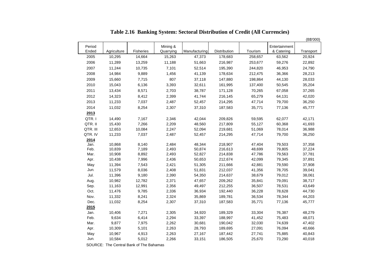|                 |             |           |                       |               |              |         |                             | (B\$'000) |
|-----------------|-------------|-----------|-----------------------|---------------|--------------|---------|-----------------------------|-----------|
| Period<br>Ended | Agriculture | Fisheries | Mining &<br>Quarrying | Manufacturing | Distribution | Tourism | Entertainment<br>& Catering | Transport |
| 2005            | 10,295      | 14,664    | 15,263                | 47,373        | 178,683      | 258,657 | 63,562                      | 20,924    |
| 2006            | 11,289      | 13,259    | 11,188                | 51,663        | 216,987      | 253,677 | 59,276                      | 22,892    |
|                 | 11,244      |           | 7,101                 |               |              |         |                             |           |
| 2007            |             | 10,735    |                       | 52,514        | 195,390      | 244,820 | 46,953                      | 24,790    |
| 2008            | 14,984      | 9,889     | 1,456                 | 41,139        | 178,634      | 212,475 | 36,366                      | 28,213    |
| 2009            | 15,660      | 7,715     | 807                   | 37,118        | 147,880      | 198,864 | 44,130                      | 28,033    |
| 2010            | 15,043      | 6,136     | 3,393                 | 32,611        | 161,995      | 137,400 | 50,545                      | 35,204    |
| 2011            | 13,434      | 8,571     | 2,703                 | 38,787        | 171,128      | 70,265  | 67,058                      | 37,265    |
| 2012            | 14,323      | 8,412     | 2,399                 | 41,744        | 216,145      | 65,279  | 64,131                      | 42,020    |
| 2013            | 11,233      | 7,037     | 2,487                 | 52,457        | 214,295      | 47,714  | 79,700                      | 36,250    |
| 2014            | 11,032      | 8,254     | 2,307                 | 37,310        | 187,583      | 35,771  | 77,136                      | 45,777    |
| 2013            |             |           |                       |               |              |         |                             |           |
| QTR.I           | 14,490      | 7,167     | 2,346                 | 42,044        | 209,826      | 59,595  | 62,077                      | 42,171    |
| QTR. II         | 15,430      | 7,266     | 2,209                 | 48,560        | 217,809      | 55,127  | 60,368                      | 41,693    |
| QTR. III        | 12,653      | 10,084    | 2,247                 | 52,094        | 219,681      | 51,069  | 78,014                      | 36,988    |
| QTR. IV         | 11,233      | 7,037     | 2,487                 | 52,457        | 214,295      | 47,714  | 79,700                      | 36,250    |
| 2014            |             |           |                       |               |              |         |                             |           |
| Jan.            | 10,868      | 8,140     | 2,484                 | 48,344        | 218,907      | 47,404  | 79,503                      | 37,358    |
| Feb.            | 10,839      | 7,189     | 2,493                 | 50,874        | 216,613      | 48,699  | 79,805                      | 37,224    |
| Mar.            | 10,908      | 8,892     | 2,493                 | 52,827        | 214,838      | 47,786  | 79,563                      | 37,781    |
| Apr.            | 10,438      | 7,996     | 2,436                 | 50,653        | 212,674      | 42,099  | 79,345                      | 37,891    |
| May             | 11,394      | 7,543     | 2,421                 | 51,305        | 211,666      | 42,881  | 79,590                      | 37,908    |
| Jun.            | 11,579      | 8,036     | 2,408                 | 51,831        | 212,037      | 41,356  | 78,705                      | 39,041    |
| Jul.            | 11,396      | 9,180     | 2,390                 | 54,350        | 214,637      | 38,679  | 79,012                      | 38,061    |
| Aug.            | 10,982      | 12,782    | 2,371                 | 47,657        | 209,262      | 35,841  | 79,091                      | 38,717    |
| Sep.            | 11,163      | 12,991    | 2,356                 | 49,497        | 212,255      | 36,507  | 78,531                      | 43,649    |
| Oct.            | 11,476      | 9,785     | 2,336                 | 36,934        | 192,440      | 36,228  | 78,628                      | 44,730    |
| Nov.            | 11,332      | 8,241     | 2,324                 | 35,869        | 189,781      | 36,534  | 78,344                      | 44,203    |
| Dec.            | 11,032      | 8,254     | 2,307                 | 37,310        | 187,583      | 35,771  | 77,136                      | 45,777    |
| 2015            |             |           |                       |               |              |         |                             |           |
| Jan.            | 10,406      | 7,271     | 2,305                 | 34,920        | 189,329      | 33,304  | 76,387                      | 48,279    |
| Feb.            | 9,634       | 6,414     | 2,294                 | 33,397        | 188,997      | 41,452  | 75,483                      | 48,071    |
| Mar.            | 9,877       | 7,975     | 2,262                 | 30,681        | 190,042      | 32,030  | 74,639                      | 47,402    |
| Apr.            | 10,309      | 5,101     | 2,263                 | 28,793        | 189,695      | 27,091  | 76,094                      | 40,666    |
| May             | 10,967      | 4,913     | 2,263                 | 27,167        | 187,442      | 27,741  | 75,885                      | 40,843    |
| Jun.            | 10,584      | 5,012     | 2,266                 | 33,151        | 186,505      | 25,670  | 73,290                      | 40,018    |

**Table 2.16 Banking System: Sectoral Distribution of Credit (All Currencies)**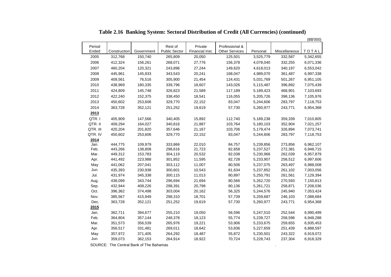|          |              |            |                      |                 |                       |           |               | (B\$'000) |
|----------|--------------|------------|----------------------|-----------------|-----------------------|-----------|---------------|-----------|
| Period   |              |            | Rest of              | Private         | Professional &        |           |               |           |
| Ended    | Construction | Government | <b>Public Sector</b> | Financial Inst. | <b>Other Services</b> | Personal  | Miscellaneous | TOTAL     |
| 2005     | 312,768      | 150,740    | 265,809              | 20,050          | 125,501               | 3,525,779 | 332,587       | 5,342,655 |
| 2006     | 412,324      | 156,261    | 268,071              | 27,776          | 156,378               | 4,078,040 | 332,255       | 6,071,336 |
| 2007     | 460,204      | 120,321    | 243,896              | 27,244          | 149,620               | 4,618,013 | 340,197       | 6,553,042 |
| 2008     | 445,961      | 145,833    | 343,543              | 20,241          | 168,047               | 4,989,070 | 361,487       | 6,997,338 |
| 2009     | 409,561      | 76,516     | 305,900              | 21,454          | 124,431               | 5,031,769 | 501,267       | 6,951,105 |
| 2010     | 438,969      | 180,335    | 339,796              | 18,607          | 143,026               | 5,115,487 | 396,892       | 7,075,439 |
| 2011     | 424,809      | 145,748    | 326,823              | 21,589          | 117,189               | 5,189,423 | 468,901       | 7,103,693 |
| 2012     | 422,240      | 152,375    | 338,450              | 18,541          | 116,055               | 5,205,726 | 398,136       | 7,105,976 |
| 2013     | 450,602      | 253,606    | 329,770              | 22,152          | 83,047                | 5,244,606 | 283,797       | 7,118,753 |
| 2014     | 363,728      | 352,121    | 251,252              | 19,619          | 57,730                | 5,260,977 | 243,771       | 6,954,368 |
| 2013     |              |            |                      |                 |                       |           |               |           |
| QTR.I    | 405,909      | 147,566    | 340,405              | 15,892          | 112,740               | 5,189,238 | 359,339       | 7,010,805 |
| QTR. II  | 409,294      | 164,027    | 340,816              | 21,887          | 103,764               | 5,180,103 | 352,904       | 7,021,257 |
| QTR. III | 420,204      | 201,820    | 357,646              | 21,167          | 103,706               | 5,179,474 | 326,894       | 7,073,741 |
| QTR. IV  | 450,602      | 253,606    | 329,770              | 22,152          | 83,047                | 5,244,606 | 283,797       | 7,118,753 |
| 2014     |              |            |                      |                 |                       |           |               |           |
| Jan.     | 444,775      | 109,979    | 333,866              | 22,010          | 84,757                | 5,239,856 | 273,856       | 6,962,107 |
| Feb.     | 443,266      | 138,808    | 298,616              | 21,723          | 82,658                | 5,237,527 | 272,381       | 6,948,715 |
| Mar.     | 449,312      | 153,783    | 304,119              | 20,532          | 82,038                | 5,230,968 | 262,039       | 6,957,879 |
| Apr.     | 441,492      | 223,988    | 301,852              | 11,595          | 82,728                | 5,233,907 | 258,512       | 6,997,606 |
| May      | 441,062      | 207,041    | 303,112              | 11,007          | 80,506                | 5,237,075 | 263,497       | 6,988,008 |
| Jun.     | 435,393      | 230,938    | 300,601              | 10,543          | 81,634                | 5,237,852 | 261,102       | 7,003,056 |
| Jul.     | 431,974      | 345,338    | 300,115              | 11,013          | 80,897                | 5,250,791 | 261,561       | 7,129,394 |
| Aug.     | 438,099      | 343,744    | 296,694              | 21,694          | 80,566                | 5,262,720 | 270,593       | 7,150,813 |
| Sep.     | 432,944      | 408,226    | 298,391              | 20,798          | 80,136                | 5,261,721 | 258,871       | 7,208,036 |
| Oct.     | 396,362      | 374,498    | 303,004              | 20,162          | 56,325                | 5,244,576 | 245,940       | 7,053,424 |
| Nov.     | 385,567      | 415,949    | 298,310              | 18,701          | 57,739                | 5,259,687 | 246,103       | 7,088,684 |
| Dec.     | 363,728      | 352,121    | 251,252              | 19,619          | 57,730                | 5,260,977 | 243,771       | 6,954,368 |
| 2015     |              |            |                      |                 |                       |           |               |           |
| Jan.     | 362,711      | 394,677    | 255,210              | 19,050          | 56,596                | 5,247,510 | 252,544       | 6,990,499 |
| Feb.     | 364,804      | 357,144    | 248,378              | 18,123          | 55,774                | 5,239,727 | 258,596       | 6,948,288 |
| Mar.     | 351,573      | 356,539    | 265,976              | 19,221          | 53,906                | 5,233,675 | 259,655       | 6,935,453 |
| Apr.     | 356,517      | 331,481    | 269,011              | 18,642          | 53,836                | 5,227,659 | 251,439       | 6,888,597 |
| May      | 357,972      | 371,405    | 264,292              | 18,487          | 55,872                | 5,230,501 | 243,322       | 6,919,072 |
| Jun.     | 359,073      | 362,153    | 264,914              | 18,922          | 70,724                | 5,228,743 | 237,304       | 6,918,329 |

**Table 2.16 Banking System: Sectoral Distribution of Credit (All Currencies) (continued)**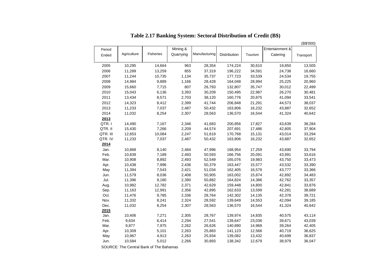|          |             |           |           |               |              |         |                 | (B\$'000) |
|----------|-------------|-----------|-----------|---------------|--------------|---------|-----------------|-----------|
| Period   |             |           | Mining &  |               |              |         | Entertainment & |           |
| Ended    | Agriculture | Fisheries | Quarrying | Manufacturing | Distribution | Tourism | Catering        | Transport |
|          |             |           |           |               |              |         |                 |           |
| 2005     | 10,295      | 14,664    | 963       | 28,354        | 174,224      | 30,610  | 19,850          | 13,505    |
| 2006     | 11,289      | 13,259    | 855       | 37,319        | 196,222      | 34,591  | 24,738          | 16,660    |
| 2007     | 11,244      | 10,735    | 1,134     | 35,737        | 177,723      | 33,539  | 24,534          | 19,755    |
| 2008     | 14,984      | 9,889     | 1,166     | 28,428        | 164,048      | 28,994  | 25,225          | 20,960    |
| 2009     | 15,660      | 7,715     | 807       | 26,793        | 132,807      | 35,747  | 30,012          | 22,499    |
| 2010     | 15,043      | 6,136     | 3,393     | 30,209        | 150,495      | 22,987  | 26,270          | 30,481    |
| 2011     | 13,434      | 8,571     | 2,703     | 38,120        | 160,776      | 20,875  | 41,094          | 33,541    |
| 2012     | 14,323      | 8,412     | 2,399     | 41,744        | 206,848      | 21,291  | 44,573          | 38,037    |
| 2013     | 11,233      | 7,037     | 2,487     | 50,432        | 163,806      | 16,232  | 43,887          | 32,652    |
| 2014     | 11,032      | 8,254     | 2,307     | 28,563        | 136,570      | 16,544  | 41,324          | 40,642    |
| 2013     |             |           |           |               |              |         |                 |           |
| QTR.I    | 14,490      | 7,167     | 2,346     | 41,683        | 200,856      | 17,827  | 43,639          | 38,284    |
| QTR. II  | 15,430      | 7,266     | 2,209     | 44,574        | 207,691      | 17,486  | 42,805          | 37,904    |
| QTR. III | 12,653      | 10,084    | 2,247     | 51,619        | 170,768      | 15,131  | 43,014          | 33,294    |
| QTR. IV  | 11,233      | 7,037     | 2,487     | 50,432        | 163,806      | 16,232  | 43,887          | 32,652    |
| 2014     |             |           |           |               |              |         |                 |           |
| Jan.     | 10,868      | 8,140     | 2,484     | 47,996        | 168,954      | 17,259  | 43,690          | 33,794    |
| Feb.     | 10,839      | 7,189     | 2,493     | 50,593        | 166,756      | 20,091  | 43,991          | 33,616    |
| Mar.     | 10,908      | 8,892     | 2,493     | 52,549        | 165,076      | 19,983  | 43,750          | 33,473    |
| Apr.     | 10,438      | 7,996     | 2,436     | 50,379        | 163,447      | 15,577  | 43,532          | 33,390    |
| May      | 11,394      | 7,543     | 2,421     | 51,034        | 162,405      | 16,579  | 43,777          | 33,366    |
| Jun.     | 11,579      | 8,036     | 2,408     | 50,905        | 163,002      | 15,874  | 42,892          | 34,483    |
| Jul.     | 11,396      | 9,180     | 2,390     | 50,882        | 164,824      | 14,386  | 42,762          | 33,357    |
| Aug.     | 10,982      | 12,782    | 2,371     | 42,629        | 159,448      | 14,800  | 42,841          | 33,876    |
| Sep.     | 11,163      | 12,991    | 2,356     | 42,895        | 162,633      | 13,599  | 42,281          | 38,689    |
| Oct.     | 11,476      | 9,785     | 2,336     | 28,764        | 142,302      | 14,135  | 42,378          | 39,721    |
| Nov.     | 11,332      | 8,241     | 2,324     | 28,592        | 139,649      | 14,553  | 42,094          | 39,185    |
| Dec.     | 11,032      | 8,254     | 2,307     | 28,563        | 136,570      | 16,544  | 41,324          | 40,642    |
| 2015     |             |           |           |               |              |         |                 |           |
| Jan.     | 10,406      | 7,271     | 2,305     | 28,767        | 139,974      | 14,835  | 40,575          | 43,114    |
| Feb.     | 9,634       | 6,414     | 2,294     | 27,541        | 139,647      | 23,036  | 39,671          | 43,039    |
| Mar.     | 9,877       | 7,975     | 2,262     | 26,626        | 140,890      | 14,968  | 39,264          | 42,405    |
| Apr.     | 10,309      | 5,101     | 2,263     | 25,883        | 141,123      | 12,566  | 40,719          | 36,625    |
| May      | 10,967      | 4,913     | 2,263     | 25,934        | 139,082      | 13,432  | 40,699          | 36,837    |
| Jun.     | 10,584      | 5,012     | 2,266     | 30,893        | 138,342      | 12,679  | 38,979          | 36,047    |

**Table 2.17 Banking System: Sectoral Distribution of Credit (B\$)**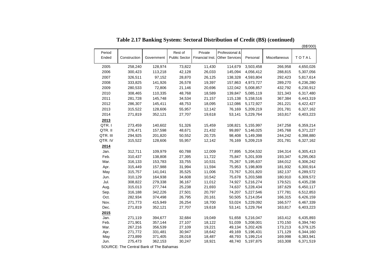**Table 2.17 Banking System: Sectoral Distribution of Credit (B\$) (continued)**

|             |                    |                    |                      |                  |                                |                        |                    | (B\$'000)              |
|-------------|--------------------|--------------------|----------------------|------------------|--------------------------------|------------------------|--------------------|------------------------|
| Period      |                    |                    | Rest of              | Private          | Professional &                 |                        |                    |                        |
| Ended       | Construction       | Government         | <b>Public Sector</b> |                  | Financial Inst. Other Services | Personal               | Miscellaneous      | TOTAL                  |
| 2005        | 258,240            | 128,974            | 73,822               | 11,430           | 114,679                        | 3,503,458              | 266,958            | 4,650,026              |
| 2006        | 300,423            | 113,218            | 42,128               | 26,033           | 145,094                        | 4,056,412              | 288,815            | 5,307,056              |
| 2007        | 326,511            | 97,152             | 28,870               | 26,125           | 138,328                        | 4,593,804              | 292,423            | 5,817,614              |
| 2008        | 333,825            | 141,926            | 26,578               | 19,397           | 157,863                        | 4,973,727              | 289,270            | 6,236,280              |
| 2009        | 280,533            | 72,806             | 21,146               | 20,696           | 122,042                        | 5,008,857              | 432,792            | 6,230,912              |
| 2010        | 308,465            | 110,335            | 48,768               | 18,589           | 139,847                        | 5,085,119              | 321,343            | 6,317,480              |
| 2011        | 281,728            | 145,748            | 34,534               | 21,157           | 115,138                        | 5,158,516              | 367,384            | 6,443,319              |
| 2012        | 286,307            | 145,411            | 48,753               | 18,095           | 112,086                        | 5,172,927              | 261,221            | 6,422,427              |
| 2013        | 315,522            | 128,606            | 55,957               | 12,142           | 76,169                         | 5,209,219              | 201,781            | 6,327,162              |
| 2014        | 271,819            | 352,121            | 27,707               | 19,618           | 53,141                         | 5,229,764              | 163,817            | 6,403,223              |
| 2013        |                    |                    |                      |                  |                                |                        |                    |                        |
| QTR.I       | 273,459            | 140,602            | 51,326               | 15,459           | 108,821                        | 5,155,997              | 247,258            | 6,359,214              |
| QTR. II     | 276,471            | 157,598            | 48,671               | 21,432           | 99,897                         | 5,146,025              | 245,768            | 6,371,227              |
| QTR. III    | 294,925            | 201,820            | 50,552               | 20,725           | 98,408                         | 5,149,398              | 244,242            | 6,398,880              |
| QTR. IV     | 315,522            | 128,606            | 55,957               | 12,142           | 76,169                         | 5,209,219              | 201,781            | 6,327,162              |
| 2014        |                    |                    |                      |                  |                                |                        |                    |                        |
| Jan.        | 312,711            | 109,979            | 60,788               | 12,009           | 77,895                         | 5,204,532              | 194,314            | 6,305,413              |
| Feb.        | 310,437            | 138,808            | 27,395               | 11,722           | 75,847                         | 5,201,939              | 193,347            | 6,295,063              |
| Mar.        | 316,133            | 153,783            | 33,755               | 10,531           | 75,267                         | 5,195,637              | 184,012            | 6,306,242              |
| Apr.        | 315,449            | 157,988            | 31,994               | 11,594           | 75,953                         | 5,198,809              | 181,932            | 6,300,914              |
| May         | 315,757            | 141,041            | 35,525               | 11,006           | 73,767                         | 5,201,820              | 182,137            | 6,289,572              |
| Jun.        | 310,129            | 164,938            | 34,608               | 10,542           | 75,678                         | 5,203,588              | 180,910            | 6,309,572              |
| Jul.        | 308,822            | 279,338            | 36,167               | 11,012           | 74,927                         | 5,216,274              | 179,521            | 6,435,238              |
| Aug.        | 315,013            | 277,744            | 25,238               | 21,693           | 74,637                         | 5,228,434              | 187,629            | 6,450,117              |
| Sep.        | 316,188            | 342,226            | 27,501               | 20,797           | 74,207                         | 5,227,546              | 177,781            | 6,512,853              |
| Oct.        | 282,934            | 374,498            | 26,795               | 20,161           | 50,505                         | 5,214,054              | 166,315            | 6,426,159              |
| Nov.        | 271,773            | 415,949            | 26,254               | 18,700           | 53,024                         | 5,229,092              | 166,577            | 6,467,339              |
| Dec.        | 271,819            | 352,121            | 27,707               | 19,618           | 53,141                         | 5,229,764              | 163,817            | 6,403,223              |
| 2015        |                    |                    |                      |                  |                                |                        |                    |                        |
| Jan.        | 271,119            | 394,677            | 32,684               | 19,049           | 51,658                         | 5,216,047              | 163,412            | 6,435,893              |
| Feb.        | 271,901            | 357,144            | 27,107               | 18,122           | 51,039                         | 5,208,001              | 170,150            | 6,394,740              |
| Mar.        | 267,216            | 356,539            | 27,109               | 19,221           | 49,134                         | 5,202,426              | 173,213            | 6,379,125              |
| Apr.<br>May | 271,772<br>273,899 | 331,481<br>371,405 | 30,947<br>28,018     | 18,642<br>18,487 | 49,169<br>48,793               | 5,196,431<br>5,199,214 | 171,129<br>169,998 | 6,344,160<br>6,383,941 |
| Jun.        | 275,473            | 362,153            | 30,247               | 18,921           | 48,740                         | 5,197,875              | 163,308            | 6,371,519              |
|             |                    |                    |                      |                  |                                |                        |                    |                        |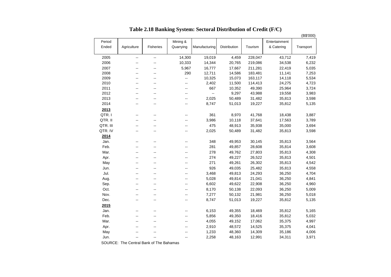**Table 2.18 Banking System: Sectoral Distribution of Credit (F/C)**

|          |                          |                          |                          |               |              |         |               | (B\$'000) |
|----------|--------------------------|--------------------------|--------------------------|---------------|--------------|---------|---------------|-----------|
| Period   |                          |                          | Mining &                 |               |              |         | Entertainment |           |
| Ended    | Agriculture              | Fisheries                | Quarrying                | Manufacturing | Distribution | Tourism | & Catering    | Transport |
| 2005     | --                       | $\sim$                   | 14,300                   | 19,019        | 4,459        | 228,047 | 43,712        | 7,419     |
| 2006     | --                       | $\overline{\phantom{a}}$ | 10,333                   | 14,344        | 20,765       | 219,086 | 34,538        | 6,232     |
| 2007     | --                       |                          | 5,967                    | 16,777        | 17,667       | 211,281 | 22,419        | 5,035     |
| 2008     | $\overline{a}$           | $\sim$                   | 290                      | 12,711        | 14,586       | 183,481 | 11,141        | 7,253     |
| 2009     | --                       | --                       | Ξ.                       | 10,325        | 15,073       | 163,117 | 14,118        | 5,534     |
| 2010     | --                       | $\sim$                   | $\overline{\phantom{a}}$ | 2,402         | 11,500       | 114,413 | 24,275        | 4,723     |
| 2011     | --                       | --                       | --                       | 667           | 10,352       | 49,390  | 25,964        | 3,724     |
| 2012     | --                       | --                       | --                       | $\sim$        | 9,297        | 43,988  | 19,558        | 3,983     |
| 2013     | --                       | --                       | --                       | 2,025         | 50,489       | 31,482  | 35,813        | 3,598     |
| 2014     | $-$                      | $\sim$                   | $\overline{\phantom{a}}$ | 8,747         | 51,013       | 19,227  | 35,812        | 5,135     |
| 2013     |                          |                          |                          |               |              |         |               |           |
| QTR.I    | --                       | $\overline{\phantom{a}}$ | --                       | 361           | 8,970        | 41,768  | 18,438        | 3,887     |
| QTR. II  |                          |                          |                          | 3,986         | 10,118       | 37,641  | 17,563        | 3,789     |
| QTR. III | $\overline{a}$           |                          | --                       | 475           | 48,913       | 35,938  | 35,000        | 3,694     |
| QTR. IV  | --                       |                          | --                       | 2,025         | 50,489       | 31,482  | 35,813        | 3,598     |
| 2014     |                          |                          |                          |               |              |         |               |           |
| Jan.     | --                       | $\overline{a}$           | --                       | 348           | 49,953       | 30,145  | 35,813        | 3,564     |
| Feb.     | $-$                      | $\overline{a}$           | --                       | 281           | 49,857       | 28,608  | 35,814        | 3,608     |
| Mar.     | --                       | --                       | --                       | 278           | 49,762       | 27,803  | 35,813        | 4,308     |
| Apr.     | --                       | $\sim$                   | --                       | 274           | 49,227       | 26,522  | 35,813        | 4,501     |
| May      | $-$                      | $\overline{\phantom{a}}$ | $\overline{a}$           | 271           | 49,261       | 26,302  | 35,813        | 4,542     |
| Jun.     | $-$                      |                          | --                       | 926           | 49,035       | 25,482  | 35,813        | 4,558     |
| Jul.     | --                       | --                       | --                       | 3,468         | 49,813       | 24,293  | 36,250        | 4,704     |
| Aug.     | ۰.                       | $\sim$                   | $\overline{\phantom{a}}$ | 5,028         | 49,814       | 21,041  | 36,250        | 4,841     |
| Sep.     | $\overline{\phantom{a}}$ | $\sim$                   | $\sim$                   | 6,602         | 49,622       | 22,908  | 36,250        | 4,960     |
| Oct.     | $-$                      | $\overline{a}$           | --                       | 8,170         | 50,138       | 22,093  | 36,250        | 5,009     |
| Nov.     | --                       | --                       | --                       | 7,277         | 50,132       | 21,981  | 36,250        | 5,018     |
| Dec.     | $\overline{a}$           | $\overline{a}$           | --                       | 8,747         | 51,013       | 19,227  | 35,812        | 5,135     |
| 2015     |                          |                          |                          |               |              |         |               |           |
| Jan.     | $-$                      | $-$                      | ۵.                       | 6,153         | 49,355       | 18,469  | 35,812        | 5,165     |
| Feb.     | $\overline{a}$           | $\overline{a}$           | --                       | 5,856         | 49,350       | 18,416  | 35,812        | 5,032     |
| Mar.     | $-$                      | $-$                      | --                       | 4,055         | 49,152       | 17,062  | 35,375        | 4,997     |
| Apr.     | --                       | $\sim$                   | $\sim$                   | 2,910         | 48,572       | 14,525  | 35,375        | 4,041     |
| May      | $-$                      | $\overline{a}$           | $\sim$                   | 1,233         | 48,360       | 14,309  | 35,186        | 4,006     |
| Jun.     | --                       | $\sim$                   | --                       | 2,258         | 48,163       | 12,991  | 34,311        | 3,971     |
|          |                          |                          |                          |               |              |         |               |           |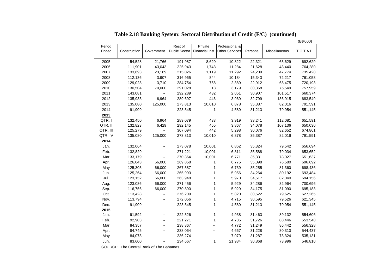|          |              |                          |               |              |                                |          |               | (B\$'000) |
|----------|--------------|--------------------------|---------------|--------------|--------------------------------|----------|---------------|-----------|
| Period   |              |                          | Rest of       | Private      | Professional &                 |          |               |           |
| Ended    | Construction | Government               | Public Sector |              | Financial Inst. Other Services | Personal | Miscellaneous | TOTAL     |
|          |              |                          |               |              |                                |          |               |           |
| 2005     | 54,528       | 21,766                   | 191,987       | 8,620        | 10,822                         | 22,321   | 65,629        | 692,629   |
| 2006     | 111,901      | 43,043                   | 225,943       | 1,743        | 11,284                         | 21,628   | 43,440        | 764,280   |
| 2007     | 133,693      | 23,169                   | 215,026       | 1,119        | 11,292                         | 24,209   | 47,774        | 735,428   |
| 2008     | 112,136      | 3,907                    | 316,965       | 844          | 10,184                         | 15,343   | 72,217        | 761,058   |
| 2009     | 129,028      | 3,710                    | 284,754       | 758          | 2,389                          | 22,912   | 68,475        | 720,193   |
| 2010     | 130,504      | 70,000                   | 291,028       | 18           | 3,179                          | 30,368   | 75,549        | 757,959   |
| 2011     | 143,081      | 44                       | 292,289       | 432          | 2,051                          | 30,907   | 101,517       | 660,374   |
| 2012     | 135,933      | 6,964                    | 289,697       | 446          | 3,969                          | 32,799   | 136,915       | 683,549   |
| 2013     | 135,080      | 125,000                  | 273,813       | 10,010       | 6,878                          | 35,387   | 82,016        | 791,591   |
| 2014     | 91,909       |                          | 223,545       | 1            | 4,589                          | 31,213   | 79,954        | 551,145   |
| 2013     |              |                          |               |              |                                |          |               |           |
| QTR.I    | 132,450      | 6,964                    | 289,079       | 433          | 3,919                          | 33,241   | 112,081       | 651,591   |
| QTR. II  | 132,823      | 6,429                    | 292,145       | 455          | 3,867                          | 34,078   | 107,136       | 650,030   |
| QTR. III | 125,279      |                          | 307,094       | 442          | 5,298                          | 30,076   | 82,652        | 674,861   |
| QTR. IV  | 135,080      | 125,000                  | 273,813       | 10,010       | 6,878                          | 35,387   | 82,016        | 791,591   |
| 2014     |              |                          |               |              |                                |          |               |           |
| Jan.     | 132,064      | $\overline{\phantom{a}}$ | 273,078       | 10,001       | 6,862                          | 35,324   | 79,542        | 656,694   |
| Feb.     | 132,829      |                          | 271,221       | 10,001       | 6,811                          | 35,588   | 79,034        | 653,652   |
| Mar.     | 133,179      | $\overline{\phantom{a}}$ | 270,364       | 10,001       | 6,771                          | 35,331   | 78,027        | 651,637   |
| Apr.     | 126,043      | 66,000                   | 269,858       | 1            | 6,775                          | 35,098   | 76,580        | 696,692   |
| May      | 125,305      | 66,000                   | 267,587       | 1            | 6,739                          | 35,255   | 81,360        | 698,436   |
| Jun.     | 125,264      | 66,000                   | 265,993       | 1            | 5,956                          | 34,264   | 80,192        | 693,484   |
| Jul.     | 123,152      | 66,000                   | 263,948       | 1            | 5,970                          | 34,517   | 82,040        | 694,156   |
| Aug.     | 123,086      | 66,000                   | 271,456       | $\mathbf 1$  | 5,929                          | 34,286   | 82,964        | 700,696   |
| Sep.     | 116,756      | 66,000                   | 270,890       | $\mathbf{1}$ | 5,929                          | 34,175   | 81,090        | 695,183   |
| Oct.     | 113,428      | 44                       | 276,209       | 1            | 5,820                          | 30,522   | 79,625        | 627,265   |
| Nov.     | 113,794      | $\overline{\phantom{a}}$ | 272,056       | 1            | 4,715                          | 30,595   | 79,526        | 621,345   |
| Dec.     | 91,909       | $\sim$                   | 223,545       | $\mathbf{1}$ | 4,589                          | 31,213   | 79,954        | 551,145   |
| 2015     |              |                          |               |              |                                |          |               |           |
| Jan.     | 91,592       | $\overline{\phantom{a}}$ | 222,526       | $\mathbf 1$  | 4,938                          | 31,463   | 89,132        | 554,606   |
| Feb.     | 92,903       | $\overline{\phantom{a}}$ | 221,271       | 1            | 4,735                          | 31,726   | 88,446        | 553,548   |
| Mar.     | 84,357       | $\overline{\phantom{a}}$ | 238,867       | --           | 4,772                          | 31,249   | 86,442        | 556,328   |
| Apr.     | 84,745       | $\overline{\phantom{a}}$ | 238,064       | --           | 4,667                          | 31,228   | 80,310        | 544,437   |
| May      | 84,073       | $\overline{\phantom{a}}$ | 236,274       | --           | 7,079                          | 31,287   | 73,324        | 535,131   |
| Jun.     | 83,600       | $\sim$ $-$               | 234,667       | $\mathbf{1}$ | 21,984                         | 30,868   | 73,996        | 546,810   |

**Table 2.18 Banking System: Sectoral Distribution of Credit (F/C) (continued)**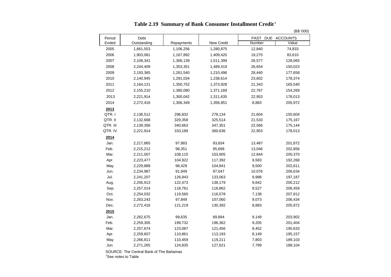## **Table 2.19 Summary of Bank Consumer Installment Credit <sup>1</sup>**

|          |             |            |            |                   | (B\$ '000) |  |  |  |
|----------|-------------|------------|------------|-------------------|------------|--|--|--|
| Period   | Debt        |            |            | PAST DUE ACCOUNTS |            |  |  |  |
| Ended    | Outstanding | Repayments | New Credit | Number            | Value      |  |  |  |
| 2005     | 1,661,553   | 1,106,256  | 1,280,875  | 12,840            | 74,833     |  |  |  |
| 2006     | 1,903,081   | 1,167,892  | 1,409,420  | 19,275            | 83,610     |  |  |  |
| 2007     | 2,108,341   | 1,306,139  | 1,511,399  | 26,577            | 128,065    |  |  |  |
| 2008     | 2,244,409   | 1,353,351  | 1,489,419  | 26,654            | 150,023    |  |  |  |
| 2009     | 2,193,365   | 1,261,540  | 1,210,496  | 28,440            | 177,658    |  |  |  |
| 2010     | 2,140,945   | 1,291,034  | 1,238,614  | 23,602            | 178,374    |  |  |  |
| 2011     | 2,164,121   | 1,350,752  | 1,373,928  | 21,343            | 165,540    |  |  |  |
| 2012     | 2,155,210   | 1,380,080  | 1,371,169  | 22,767            | 154,269    |  |  |  |
| 2013     | 2,221,914   | 1,300,042  | 1,311,635  | 22,953            | 178,013    |  |  |  |
| 2014     | 2,272,416   | 1,306,349  | 1,356,851  | 8,883             | 205,972    |  |  |  |
| 2013     |             |            |            |                   |            |  |  |  |
| QTR.I    | 2,136,512   | 296,832    | 278,134    | 21,604            | 155,604    |  |  |  |
| QTR. II  | 2,132,668   | 329,358    | 325,514    | 21,533            | 175,167    |  |  |  |
| QTR. III | 2,139,356   | 340,663    | 347,351    | 22,566            | 175,144    |  |  |  |
| QTR. IV  | 2,221,914   | 333,189    | 360,636    | 22,953            | 178,013    |  |  |  |
| 2014     |             |            |            |                   |            |  |  |  |
| Jan.     | 2,217,865   | 97,883     | 93,834     | 13,487            | 201,872    |  |  |  |
| Feb.     | 2,215,212   | 98,351     | 95,698     | 13,046            | 202,856    |  |  |  |
| Mar.     | 2,211,007   | 108,110    | 103,905    | 12,844            | 200,370    |  |  |  |
| Apr.     | 2,223,477   | 104,922    | 117,392    | 9,583             | 192,268    |  |  |  |
| May      | 2,229,889   | 98,429     | 104,841    | 9,500             | 202,611    |  |  |  |
| Jun.     | 2,234,987   | 91,949     | 97,047     | 10,076            | 206,634    |  |  |  |
| Jul.     | 2,241,207   | 126,843    | 133,063    | 9,988             | 197,187    |  |  |  |
| Aug.     | 2,256,913   | 122,473    | 138,179    | 9,642             | 200,212    |  |  |  |
| Sep.     | 2,257,014   | 118,761    | 118,862    | 8,527             | 206,459    |  |  |  |
| Oct.     | 2,254,032   | 119,560    | 116,578    | 7,138             | 207,812    |  |  |  |
| Nov.     | 2,263,243   | 97,849     | 107,060    | 9,073             | 206,434    |  |  |  |
| Dec.     | 2,272,416   | 121,219    | 130,392    | 8,883             | 205,972    |  |  |  |
| 2015     |             |            |            |                   |            |  |  |  |
| Jan.     | 2,262,675   | 99,635     | 89,894     | 9,149             | 203,902    |  |  |  |
| Feb.     | 2,259,305   | 199,732    | 196,362    | 9,205             | 201,404    |  |  |  |
| Mar.     | 2,257,674   | 123,087    | 121,456    | 8,452             | 195,633    |  |  |  |
| Apr.     | 2,259,607   | 110,861    | 113,193    | 8,149             | 195,157    |  |  |  |
| May      | 2,266,811   | 110,459    | 119,211    | 7,803             | 189,103    |  |  |  |
| Jun.     | 2,271,265   | 124,835    | 127,621    | 7,799             | 188,104    |  |  |  |

SOURCE: The Central Bank of The Bahamas

<sup>1</sup>See notes to Table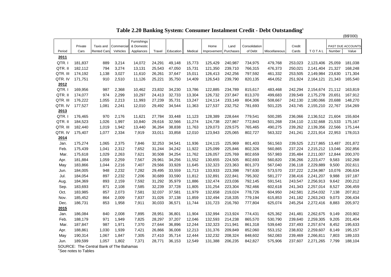#### (B\$'000) Furnishings Private | Taxis and | Commercial| & Domestic | | | | Home | Land | Consolidation | | Credit | | | PAST DUE ACCOUNTS| Period | Cars |Rented Cars| Vehicles | Appliances | Travel |Education | Medical |Improvement |Purchases | of Debt |Miscellaneous | Cards | TO<code>TAL | Number | Value |</code> **2011** QTR. I 181,837 889 3,214 14,072 24,291 49,148 15,773 125,429 240,987 734,975 479,768 253,023 2,123,406 25,059 181,038 QTR. II 182,112 794 3,274 13,131 25,543 47,050 15,731 121,350 239,710 766,315 476,373 250,021 2,141,404 21,327 168,248 QTR. III 174,192 1,138 3,027 11,610 26,261 37,647 15,011 126,413 242,256 797,592 461,332 253,505 2,149,984 23,630 171,304 QTR. IV 171,751 910 2,510 11,126 25,221 35,750 14,409 126,543 239,790 820,135 464,052 251,924 2,164,121 21,343 165,540 **2012** QTR. I169,956 987 2,368 10,462 23,832 34,230 13,786 122,885 234,789 815,617 483,468 242,294 2,154,674 21,112 163,819 QTR. II 174,077 974 2,299 10,297 24,413 32,733 13,304 126,732 237,847 813,370 499,683 239,549 2,175,278 20,651 167,912 QTR. III 176,222 1,055 2,213 11,993 27,239 35,731 13,247 124,114 233,149 804,306 508,667 242,130 2,180,066 20,688 148,270 QTR. IV 177,527 1,081 2,241 12,010 29,492 34,544 11,363 127,537 232,752 781,693 501,225 243,745 2,155,210 22,767 154,269 **2013** QTR. I176,465 970 2,176 11,621 27,784 33,448 11,123 128,389 228,644 779,541 500,285 236,066 2,136,512 21,604 155,604 QTR. II 184,523 1,026 1,997 10,840 29,616 32,566 11,274 124,738 227,867 772,843 501,268 234,110 2,132,668 21,533 175,167 QTR. III 182,440 1,019 1,942 13,440 36,264 38,838 11,763 129,073 229,575 765,465 490,275 239,262 2,139,356 22,566 175,144 QTR. IV 175,407 1,077 2,334 7,919 33,011 33,858 12,010 123,943 225,065 802,727 563,322 241,241 2,221,914 22,953 178,013 **2014** Jan. 175,274 1,065 2,375 7,846 32,253 34,541 11,936 124,115 225,969 801,403 561,563 239,525 2,217,865 13,487 201,872 Feb. 175,439 1,041 2,312 7,652 31,244 34,242 11,922 125,099 225,846 802,326 560,865 237,224 2,215,212 13,046 202,856 Mar. 175,618 1,029 2,263 7,621 30,508 34,254 11,762 126,057 225,769 802,659 557,983 235,484 2,211,007 12,844 200,370 Apr. 181,884 1,059 2,259 7,567 29,961 34,256 11,552 130,655 224,505 802,693 560,820 236,266 2,223,477 9,583 192,268 May 183,866 1,044 2,216 7,407 29,566 33,928 11,645 132,323 223,363 801,373 567,040 236,118 2,229,889 9,500 202,611 Jun. 184,005 948 2,232 7,282 29,495 33,559 11,713 133,933 223,398 797,630 573,570 237,222 2,234,987 10,076 206,634 Jul. 184,054 897 2,232 7,206 30,689 33,590 11,812 132,891 222,841 795,302 581,277 238,416 2,241,207 9,988 197,187 Aug. 184,369 893 2,159 7,592 31,292 35,979 11,886 132,474 223,036 792,145 591,541 243,547 2,256,913 9,642 200,212 Sep. 183,693 871 2,108 7,585 32,239 37,728 11,805 131,254 223,304 782,466 602,618 241,343 2,257,014 8,527 206,459 Oct. 183,985 857 2,073 7,581 32,037 37,581 11,979 132,658 219,024 778,726 604,950 242,581 2,254,032 7,138 207,812 Nov. 185,452 864 2,009 7,837 31,026 37,138 11,859 132,494 218,335 779,194 615,853 241,182 2,263,243 9,073 206,434 Dec. 186,731 853 1,958 7,911 30,033 36,571 11,744 131,723 216,760 777,804 625,074 245,254 2,272,416 8,883 205,972 **2015** Jan. 186,084 840 2,008 7,895 28,951 36,801 11,904 132,994 213,924 774,431 625,362 241,481 2,262,675 9,149 203,902 Feb. 188,179 971 1,949 7,825 28,297 37,207 12,046 132,593 214,238 865,570 530,790 239,640 2,259,305 9,205 201,404 Mar. 187,847 987 1,971 7,370 27,644 36,896 12,244 132,323 211,941 861,318 539,640 237,493 2,257,674 8,452 195,633 Apr. 188,861 1,030 1,939 7,421 26,866 36,008 12,213 131,376 209,849 852,060 553,152 238,832 2,259,607 8,149 195,157 May 190,314 1,067 1,847 7,305 27,410 35,714 12,444 132,232 208,324 848,602 562,083 239,469 2,266,811 7,803 189,103 Jun. 189,599 1,057 1,802 7,371 28,771 36,153 12,549 131,388 206,235 842,827 575,906 237,607 2,271,265 7,799 188,104

 **Table 2.20 Banking System: Consumer Instalment Credit - Debt Outstanding1**

SOURCE: The Central Bank of The Bahamas

<sup>'</sup>See notes to Tables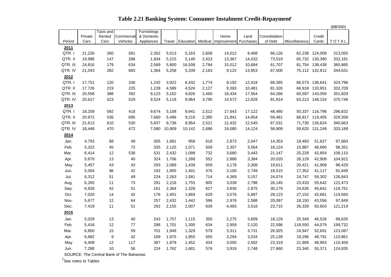|                  |                  |                |                        |                          |                |                 |                |                                       |                  |                          |               |                                  | (B\$'000)          |
|------------------|------------------|----------------|------------------------|--------------------------|----------------|-----------------|----------------|---------------------------------------|------------------|--------------------------|---------------|----------------------------------|--------------------|
|                  |                  | Taxis and      |                        | Furnishings              |                |                 |                |                                       |                  |                          |               |                                  |                    |
| Period           | Private<br>Cars  | Rented<br>Cars | Commercial<br>Vehicles | & Domestic<br>Appliances | Travel         | Education       |                | Home<br>Medical Improvement Purchases | Land             | Consolidation<br>of Debt | Miscellaneous | Credit<br>Cards                  | TOTAL              |
|                  |                  |                |                        |                          |                |                 |                |                                       |                  |                          |               |                                  |                    |
| 2011             |                  |                |                        |                          |                |                 |                |                                       |                  |                          |               |                                  |                    |
| QTR.I<br>QTR. II | 21,226<br>19,996 | 260<br>147     | 581<br>286             | 2,352<br>1,934           | 5,013<br>5,215 | 5,163           | 2,608<br>2,423 | 14,012                                | 9,468<br>14,032  | 66,126<br>73,519         | 62,238        | 124,008<br>65,732 130,390        | 313,055            |
| QTR. III         |                  |                |                        |                          |                | 5,140           |                | 13,367                                |                  |                          |               |                                  | 332,181            |
| QTR. IV          | 24,816<br>21,043 | 179<br>282     | 634<br>683             | 2,569<br>1,364           | 5,800<br>5,258 | 16,508<br>5,339 | 2,784<br>2,163 | 15,012<br>9,122                       | 10,684<br>13,953 | 61,707<br>67,500         |               | 81,754 138,438<br>75,112 142,812 | 360,885<br>344,631 |
|                  |                  |                |                        |                          |                |                 |                |                                       |                  |                          |               |                                  |                    |
| 2012<br>QTR.I    | 17,751           | 120            | 336                    | 1,242                    | 3,922          | 6,432           | 1,774          | 9,192                                 | 12,418           | 68,395                   | 66,573        | 136,641                          | 324,796            |
| QTR. II          | 17,726           | 219            | 225                    | 1,228                    | 4,589          | 4,526           | 2,127          | 9,393                                 | 10,481           | 81,326                   |               | 66,918 133,951                   | 332,709            |
| QTR. III         | 20,558           | 388            | 392                    | 9,123                    | 5,162          | 9,826           | 2,460          | 18,434                                | 17,564           | 64,266                   |               | 60,597 143,059                   | 351,829            |
| QTR. IV          | 20,617           | 523            | 529                    | 9,524                    | 5,118          | 9,964           | 3,790          | 14,572                                | 12,828           | 81,914                   |               | 63,213 148,154                   | 370,746            |
| 2013             |                  |                |                        |                          |                |                 |                |                                       |                  |                          |               |                                  |                    |
| QTR.I            | 18,209           | 592            | 418                    | 9,674                    | 5,108          | 9,941           | 2,512          | 17,643                                | 17,122           | 48,480                   |               | 50,337 116,796                   | 296,832            |
| QTR. II          | 20,972           | 536            | 695                    | 7,660                    | 5,496          | 9,216           | 2,385          | 21,841                                | 14,854           | 59,481                   |               | 66,817 119,405                   | 329,358            |
| QTR. III         | 21,613           | 610            | 530                    | 5,837                    | 9,736          | 8,954           | 2,521          | 12,432                                | 12,545           | 67,531                   |               | 71,730 126,624                   | 340,663            |
| QTR. IV          | 18,448           | 470            | 472                    | 7,080                    | 10,909         | 10,142          | 2,686          | 19,080                                | 14,124           | 58,909                   | 59,620        | 131,249                          | 333,189            |
| 2014             |                  |                |                        |                          |                |                 |                |                                       |                  |                          |               |                                  |                    |
| Jan.             | 4,793            | 88             | 49                     | 305                      | 1,681          | 956             | 618            | 2,873                                 | 2,047            | 14,353                   | 18,493        | 51,627                           | 97,883             |
| Feb.             | 5,322            | 45             | 72                     | 335                      | 2,125          | 1,071           | 509            | 2,307                                 | 3,564            | 18,124                   | 15,987        | 48,890                           | 98,351             |
| Mar.             | 6,414            | 12             | 538                    | 531                      | 2,432          | 1,099           | 732            | 3,680                                 | 3,443            | 21,147                   | 25,228        | 42,854                           | 108,110            |
| Apr.             | 5,670            | 13             | 40                     | 324                      | 1,706          | 1,288           | 552            | 2,888                                 | 3,384            | 20,020                   | 26,129        | 42,908                           | 104,922            |
| May              | 5,457            | 43             | 43                     | 293                      | 2,069          | 1,439           | 659            | 3,178                                 | 3,308            | 19,611                   | 20,421        | 41,908                           | 98,429             |
| Jun.             | 5,004            | 96             | 42                     | 192                      | 1,905          | 1,401           | 476            | 3,100                                 | 2,749            | 18,515                   | 17,352        | 41,117                           | 91,949             |
| Jul.             | 6,312            | 51             | 49                     | 224                      | 2,263          | 1,581           | 714            | 4,369                                 | 3,157            | 24,074                   | 24,747        | 59,302                           | 126,843            |
| Aug.             | 6,265            | 11             | 73                     | 291                      | 2,216          | 1,755           | 805            | 3,039                                 | 2,798            | 26,145                   | 23,433        | 55,642                           | 122,473            |
| Sep.             | 6,928            | 42             | 51                     | 161                      | 2,364          | 1,328           | 627            | 3,930                                 | 2,875            | 30,179                   | 24,635        | 45,641                           | 118,761            |
| Oct.             | 7,020            | 14             | 42                     | 176                      | 2,401          | 1,869           | 629            | 3,576                                 | 5,897            | 28,123                   | 27,152        | 42,661                           | 119,560            |
| Nov.             | 5,677            | 12             | 64                     | 257                      | 2,432          | 1,442           | 596            | 2,978                                 | 2,588            | 20,097                   | 18,150        | 43,556                           | 97,849             |
| Dec.             | 7,419            | 11             | 51                     | 292                      | 2,155          | 2,007           | 639            | 4,483                                 | 3,516            | 23,715                   | 26,328        | 50,603                           | 121,219            |
| 2015             |                  |                |                        |                          |                |                 |                |                                       |                  |                          |               |                                  |                    |
|                  |                  |                |                        |                          |                |                 |                |                                       |                  |                          |               |                                  |                    |
| Jan.             | 5,029            | 13             | 40                     | 243                      | 1,757          | 1,115           | 350            | 2,275                                 | 3,809            | 18,129                   | 20,349        | 46,526                           | 99,635             |
| Feb.             | 5,416            | 12             | 77                     | 288                      | 1,701          | 1,300           | 634            | 2,959                                 | 2,120            | 22,596                   | 118,550       | 44,079                           | 199,732            |
| Mar.             | 6,850            | 15             | 59                     | 701                      | 1,949          | 1,329           | 579            | 3,311                                 | 3,731            | 26,925                   | 24,947        | 52,691                           | 123,087            |
| Apr.             | 6,682            | 9              | 42                     | 189                      | 1,975          | 1,855           | 555            | 3,294                                 | 3,034            | 25,139                   | 19,296        | 48,791                           | 110,861            |
| May              | 6,408            | 12             | 117                    | 387                      | 1,879          | 1,452           | 434            | 3,000                                 | 2,582            | 23,319                   | 21,906        | 48,963                           | 110,459            |
| Jun.             | 7,288            | 10             | 56                     | 224                      | 1,762          | 1,681           | 576            | 3,919                                 | 2,748            | 27,860                   | 23,340        | 55,371                           | 124,835            |

 **Table 2.21 Banking System: Consumer Instalment Credit-Repayment<sup>1</sup>**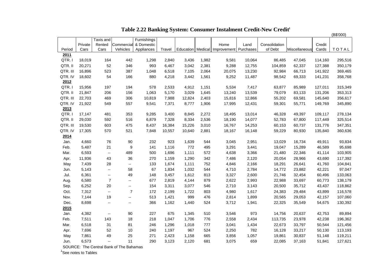|               |         |                           |                          |             |        |        |       |                                               |        |               |               |         | (B\$'000)    |
|---------------|---------|---------------------------|--------------------------|-------------|--------|--------|-------|-----------------------------------------------|--------|---------------|---------------|---------|--------------|
|               |         | Taxis and                 |                          | Furnishings |        |        |       |                                               |        |               |               |         |              |
|               | Private | Rented                    | Commercial               | & Domestic  |        |        |       | Home                                          | Land   | Consolidation |               | Credit  |              |
| Period        | Cars    | Cars                      | Vehicles                 | Appliances  | Travel |        |       | Education   Medical   Improvement   Purchases |        | of Debt       | Miscellaneous | Cards   | <b>TOTAL</b> |
| 2011          |         |                           |                          |             |        |        |       |                                               |        |               |               |         |              |
| QTR.I         | 18,019  | 164                       | 442                      | 1,298       | 2,840  | 3,436  | 1,982 | 9,581                                         | 10,064 | 86,485        | 47,045        | 114,160 | 295,516      |
| QTR. II       | 20,271  | 52                        | 346                      | 993         | 6,467  | 3,042  | 2,381 | 9,288                                         | 12,755 | 104,859       | 62,337        | 127,388 | 350,179      |
| QTR. III      | 16,896  | 523                       | 387                      | 1,048       | 6,518  | 7,105  | 2,064 | 20,075                                        | 13,230 | 92,984        | 66,713        | 141,922 | 369,465      |
| QTR. IV       | 18,602  | 54                        | 166                      | 880         | 4,218  | 3,442  | 1,561 | 9,252                                         | 11,487 | 98,542        | 69,333        | 141,231 | 358,768      |
| 2012          |         |                           |                          |             |        |        |       |                                               |        |               |               |         |              |
| QTR.I         | 15,956  | 197                       | 194                      | 578         | 2,533  | 4,912  | 1,151 | 5,534                                         | 7,417  | 63,877        | 85,989        | 127,011 | 315,349      |
| QTR. II       | 21,847  | 206                       | 156                      | 1,063       | 5,170  | 3,029  | 1,645 | 13,240                                        | 13,539 | 79,079        | 83,133        | 131,206 | 353,313      |
| QTR. III      | 22,703  | 469                       | 306                      | 10,819      | 7,988  | 12,824 | 2,403 | 15,816                                        | 12,866 | 55,202        | 69,581        | 145,640 | 356,617      |
| QTR. IV       | 21,922  | 549                       | 557                      | 9,541       | 7,371  | 8,777  | 1,906 | 17,995                                        | 12,431 | 59,301        | 55,771        | 149,769 | 345,890      |
| 2013<br>QTR.I |         |                           | 353                      |             |        | 8,845  |       |                                               |        |               |               | 109,117 |              |
|               | 17,147  | 481                       |                          | 9,285       | 3,400  |        | 2,272 | 18,495                                        | 13,014 | 46,328        | 49,397        |         | 278,134      |
| QTR. II       | 29,030  | 592                       | 516                      | 6,879       | 7,328  | 8,334  | 2,536 | 18,190                                        | 14,077 | 52,783        | 67,800        | 117,449 | 325,514      |
| QTR. III      | 19,530  | 603                       | 475                      | 8,437       | 16,384 | 15,226 | 3,010 | 16,767                                        | 14,253 | 60,153        | 60,737        | 131,776 | 347,351      |
| QTR. IV       | 17,305  | 570                       | 521                      | 7,848       | 10,557 | 10,640 | 2,881 | 18,167                                        | 16,148 | 59,229        | 80,930        | 135,840 | 360,636      |
| 2014          |         |                           |                          |             |        |        |       |                                               |        |               |               |         |              |
| Jan.          | 4,660   | 76                        | 90                       | 232         | 923    | 1,639  | 544   | 3,045                                         | 2,951  | 13,029        | 16,734        | 49,911  | 93,834       |
| Feb.          | 5,487   | 21                        | 9                        | 141         | 1,116  | 772    | 495   | 3,291                                         | 3,441  | 19,047        | 15,289        | 46,589  | 95,698       |
| Mar.          | 6,593   | $\mathbb{H}^{\mathbb{H}}$ | 489                      | 500         | 1,696  | 1,111  | 572   | 4,638                                         | 3,366  | 21,480        | 22,346        | 41,114  | 103,905      |
| Apr.          | 11,936  | 43                        | 36                       | 270         | 1,159  | 1,290  | 342   | 7,486                                         | 2,120  | 20,054        | 28,966        | 43,690  | 117,392      |
| May           | 7,439   | 28                        | $\overline{\phantom{a}}$ | 133         | 1,674  | 1,111  | 752   | 4,846                                         | 2,166  | 18,291        | 26,641        | 41,760  | 104,841      |
| Jun.          | 5,143   | $\sim$                    | 58                       | 67          | 1,834  | 1,032  | 544   | 4,710                                         | 2,784  | 14,772        | 23,882        | 42,221  | 97,047       |
| Jul.          | 6,361   | $\sim$                    | 49                       | 148         | 3,457  | 1,612  | 813   | 3,327                                         | 2,600  | 21,746        | 32,454        | 60,496  | 133,063      |
| Aug.          | 6,580   | $\overline{7}$            | $\overline{\phantom{a}}$ | 677         | 2,819  | 4,144  | 879   | 2,622                                         | 2,993  | 22,988        | 33,697        | 60,773  | 138,179      |
| Sep.          | 6,252   | 20                        | $\overline{\phantom{a}}$ | 154         | 3,311  | 3,077  | 546   | 2,710                                         | 3,143  | 20,500        | 35,712        | 43,437  | 118,862      |
| Oct.          | 7,312   | $\sim$                    | $\overline{7}$           | 172         | 2,199  | 1,722  | 803   | 4,980                                         | 1,617  | 24,383        | 29,484        | 43,899  | 116,578      |
| Nov.          | 7,144   | 19                        | $\mathbf{L}$             | 513         | 1,421  | 999    | 476   | 2,814                                         | 1,899  | 20,565        | 29,053        | 42,157  | 107,060      |
| Dec.          | 8,698   | $\sim$                    | $\overline{\phantom{a}}$ | 366         | 1,162  | 1,440  | 524   | 3,712                                         | 1,941  | 22,325        | 35,549        | 54,675  | 130,392      |
| 2015          |         |                           |                          |             |        |        |       |                                               |        |               |               |         |              |
| Jan.          | 4,382   | $\sim$                    | 90                       | 227         | 675    | 1,345  | 510   | 3,546                                         | 973    | 14,756        | 20,637        | 42,753  | 89,894       |
| Feb.          | 7,511   | 143                       | 18                       | 218         | 1,047  | 1,706  | 776   | 2,558                                         | 2,434  | 113,735       | 23,978        | 42,238  | 196,362      |
| Mar.          | 6,518   | 31                        | 81                       | 246         | 1,296  | 1,018  | 777   | 3,041                                         | 1,434  | 22,673        | 33,797        | 50,544  | 121,456      |
| Apr.          | 7,696   | 52                        | 10                       | 240         | 1,197  | 967    | 524   | 2,250                                         | 782    | 16,128        | 33,217        | 50,130  | 113,193      |
| May           | 7,861   | 49                        | 25                       | 271         | 2,423  | 1,158  | 665   | 3,856                                         | 1,057  | 19,861        | 30,837        | 51,148  | 119,211      |
| Jun.          | 6,573   | $\sim$                    | 11                       | 290         | 3,123  | 2,120  | 681   | 3,075                                         | 659    | 22,085        | 37,163        | 51,841  | 127,621      |

 **Table 2.22 Banking System: Consumer Instalment Credit-New Credit1**

<sup>1</sup>See notes to Tables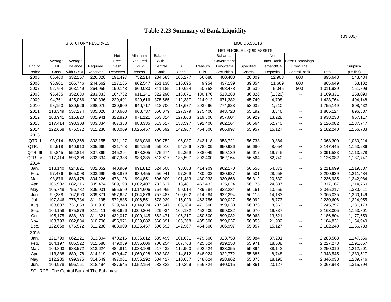## **Table 2.23 Summary of Bank Liquidity**

|          |         |                |                           |          |           |         |         |              |                |                            |             |                                               |           | (B\$'000) |
|----------|---------|----------------|---------------------------|----------|-----------|---------|---------|--------------|----------------|----------------------------|-------------|-----------------------------------------------|-----------|-----------|
|          |         |                | <b>STATUTORY RESERVES</b> |          |           |         |         |              |                | <b>LIQUID ASSETS</b>       |             |                                               |           |           |
|          |         |                |                           |          |           |         |         |              |                | NET ELIGIBLE LIQUID ASSETS |             |                                               |           |           |
|          |         |                |                           | Net      | Minimum   | Balance |         |              | <b>Bahamas</b> |                            | Net         |                                               |           |           |
|          | Average | Average        |                           | Free     | Required  | With    |         |              | Government     |                            | Inter-Bank  | Less: Borrowings                              |           |           |
| End of   | Till    | <b>Balance</b> | Required                  | Cash     | Liquid    | Central | Till    | Treasury     | Long-term      | Specified                  | Demand/Call | From The                                      |           | Surplus/  |
| Period   | Cash    | with CBOB      | Reserves                  | Reserves | Assets    | Bank    | Cash    | <b>Bills</b> | Securities     | Assets                     | Deposits    | <b>Central Bank</b>                           | Total     | (Deficit) |
| 2005     | 86,460  | 332,157        | 226,320                   | 191,497  | 752,214   | 284,683 | 106,277 | 66,088       | 400,488        | 26,009                     | 12,903      | 800                                           | 895,648   | 143,434   |
| 2006     | 96,901  | 265,746        | 244,662                   | 117,185  | 802,547   | 251,138 | 116,695 | 9,954        | 437,139        | 39,854                     | 11,669      | 800                                           | 865,649   | 63,102    |
| 2007     | 92,754  | 363,149        | 264,955                   | 190,148  | 860,030   | 341,185 | 110,624 | 50,758       | 468,478        | 36,639                     | 5,045       | 800                                           | 1,011,929 | 151,899   |
| 2008     | 95,435  | 352,680        | 283,333                   | 164,782  | 911,241   | 322,290 | 118,071 | 180,176      | 513,288        | 36,826                     | (1,320)     | $\overline{\phantom{a}}$                      | 1,169,331 | 258,090   |
| 2009     | 94,761  | 425,066        | 290,336                   | 229,491  | 929,616   | 375,585 | 112,337 | 214,012      | 671,382        | 45,740                     | 4,708       | $\overline{\phantom{a}}$                      | 1,423,764 | 494,148   |
| 2010     | 98,153  | 530,526        | 298,070                   | 330,609  | 946,717   | 518,706 | 113,677 | 293,696      | 774,828        | 53,032                     | 1,210       | $\overline{\phantom{a}}$                      | 1,755,149 | 808,432   |
| 2011     | 118,349 | 557,274        | 305,020                   | 370,603  | 968,737   | 560,079 | 127,379 | 275,400      | 843,728        | 55,192                     | 3,346       | $\overline{\phantom{a}}$                      | 1,865,124 | 896,387   |
| 2012     | 108,941 | 515,820        | 301,941                   | 322,820  | 971,121   | 563,314 | 127,863 | 219,300      | 957,604        | 56,929                     | 13,228      | $\overline{\phantom{a}}$                      | 1,938,238 | 967,117   |
| 2013     | 117,414 | 593,308        | 303,334                   | 407,388  | 988,335   | 513,617 | 138,597 | 392,400      | 962,164        | 56,564                     | 62,740      | $\overline{\phantom{a}}$                      | 2,126,082 | 1,137,747 |
| 2014     | 122,668 | 676,572        | 311,230                   | 488,009  | 1,025,457 | 606,692 | 142,967 | 454,500      | 906,997        | 55,957                     | 15,127      | $\overline{\phantom{a}}$                      | 2,182,240 | 1,156,783 |
| 2013     |         |                |                           |          |           |         |         |              |                |                            |             |                                               |           |           |
| QTR.I    | 93,914  | 539,368        | 302,155                   | 331,127  | 988,086   | 609,752 | 96,087  | 342,118      | 953,721        | 56,738                     | 9,884       | $\overline{\phantom{a}}$                      | 2,068,300 | 1,080,214 |
| QTR. II  | 96,518  | 640,910        | 305,660                   | 431,768  | 994,159   | 659,010 | 94,166  | 378,609      | 950,926        | 56,680                     | 8,054       | $\overline{\phantom{a}}$                      | 2,147,445 | 1,153,286 |
| QTR. III | 99.845  | 552,814        | 307,365                   | 345,294  | 978,305   | 575,674 | 92,359  | 388,049      | 959,139        | 56,617                     | 19,745      | $\overline{\phantom{a}}$                      | 2,091,583 | 1,113,278 |
| QTR. IV  | 117,414 | 593,308        | 303,334                   | 407,388  | 988,335   | 513,617 | 138,597 | 392,400      | 962,164        | 56,564                     | 62,740      | $\overline{\phantom{a}}$                      | 2,126,082 | 1,137,747 |
| 2014     |         |                |                           |          |           |         |         |              |                |                            |             |                                               |           |           |
| Jan.     | 118,140 | 624,821        | 302,052                   | 440,909  | 991,812   | 624,508 | 98,683  | 414,909      | 962,170        | 56,556                     | 54,873      | $\overline{\phantom{a}}$                      | 2,211,699 | 1,219,887 |
| Feb.     | 97,476  | 665,098        | 303,695                   | 458,879  | 989,455   | 656,941 | 97,269  | 430,933      | 930,637        | 56,501                     | 28,658      | $\overline{\phantom{a}}$                      | 2,200,939 | 1,211,484 |
| Mar.     | 98,876  | 683,478        | 304,226                   | 478,128  | 994,851   | 696,909 | 101,483 | 430,933      | 930,668        | 56,312                     | 20,630      | $\overline{\phantom{a}}$                      | 2,236,935 | 1,242,084 |
| Apr.     | 106,982 | 682,216        | 305,474                   | 569,198  | 1,002,407 | 733,617 | 113,481 | 463,433      | 925,624        | 56,175                     | 24,837      | $\overline{\phantom{a}}$                      | 2,317,167 | 1,314,760 |
| May      | 105,748 | 756,782        | 306,931                   | 555,599  | 1,014,606 | 764,965 | 99,014  | 489,284      | 922,234        | 56,161                     | 13,559      | $\overline{\phantom{a}}$                      | 2,345,217 | 1,330,611 |
| Jun.     | 99,338  | 767,690        | 309,371                   | 557,657  | 1,004,876 | 757,487 | 100,662 | 514,284      | 922,294        | 56,115                     | 14,183      | $\overline{\phantom{a}}$                      | 2,365,025 | 1,360,149 |
| Jul.     | 107,346 | 776,734        | 311,195                   | 572,885  | 1,006,551 | 678,929 | 115,029 | 462,756      | 909,027        | 56,092                     | 8,773       | $\overline{\phantom{a}}$                      | 2,230,606 | 1,224,055 |
| Aug.     | 108,607 | 731,658        | 310,916                   | 529,348  | 1,014,624 | 707,647 | 103,184 | 471,500      | 899,030        | 56,073                     | 8,363       | $\overline{\phantom{a}}$                      | 2,245,797 | 1,231,173 |
| Sep.     | 104,158 | 675,879        | 311,411                   | 468,626  | 1,009,204 | 629,934 | 106,132 | 452,500      | 899,032        | 56,070                     | 19,337      | $\overline{\phantom{a}}$                      | 2,163,005 | 1,153,801 |
| Oct.     | 105,175 | 638,163        | 311,321                   | 432,017  | 1,009,145 | 662,471 | 105,217 | 450,500      | 899.032        | 56,063                     | 13,521      | $\overline{\phantom{a}}$                      | 2,186,804 | 1,177,659 |
| Nov.     | 103,793 | 662,884        | 310,706                   | 455,971  | 1,029,882 | 668,891 | 103,368 | 435,500      | 899,037        | 56,053                     | 21,982      | $\overline{\phantom{a}}$                      | 2,184,831 | 1,154,949 |
| Dec.     | 122,668 | 676,572        | 311,230                   | 488,009  | 1,025,457 | 606,692 | 142,967 | 454,500      | 906,997        | 55,957                     | 15,127      | $\mathord{\hspace{1pt}\text{--}\hspace{1pt}}$ | 2,182,240 | 1,156,783 |
| 2015     |         |                |                           |          |           |         |         |              |                |                            |             |                                               |           |           |
| Jan.     | 121,799 | 662,221        | 313,804                   | 470,216  | 1,036,012 | 635,499 | 101,631 | 479,500      | 923,753        | 55,984                     | 87,201      | $\overline{\phantom{a}}$                      | 2,283,568 | 1,247,556 |
| Feb.     | 104,197 | 686,522        | 311,680                   | 479,039  | 1,035,606 | 700,254 | 107,763 | 425,524      | 919,253        | 55,971                     | 18,508      | $\overline{\phantom{a}}$                      | 2,227,273 | 1,191,667 |
| Mar.     | 109,863 | 688,572        | 313,624                   | 484,811  | 1,038,109 | 617,432 | 112,963 | 502,524      | 923,355        | 55,894                     | 38,142      | $\mathord{\hspace{1pt}\text{--}\hspace{1pt}}$ | 2,250,310 | 1,212,201 |
| Apr.     | 113,388 | 680,178        | 314,119                   | 479,447  | 1,060,028 | 693,303 | 114,812 | 548,024      | 922,772        | 55,886                     | 8,748       | $\overline{\phantom{a}}$                      | 2,343,545 | 1,283,517 |
| May      | 112,235 | 699,375        | 314,549                   | 497,061  | 1,056,292 | 684,427 | 110,657 | 548,024      | 928,862        | 55,878                     | 18,190      | $\overline{\phantom{a}}$                      | 2,346,038 | 1,289,746 |
| Jun.     | 109,978 | 696,161        | 318,494                   | 487,645  | 1,052,154 | 682,322 | 110,299 | 556,324      | 940,015        | 55,861                     | 23,127      | $\overline{\phantom{a}}$                      | 2,367,948 | 1,315,794 |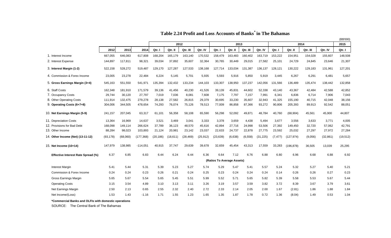|                                           |           |          |            |           |          |           |           |                            |         |          |           |          |            |          |           | (B\$'000) |
|-------------------------------------------|-----------|----------|------------|-----------|----------|-----------|-----------|----------------------------|---------|----------|-----------|----------|------------|----------|-----------|-----------|
|                                           |           |          |            | 2012      |          |           | 2013      |                            |         | 2014     |           |          |            | 2015     |           |           |
|                                           | 2012      | 2013     | 2014       | Qtr. I    | Qtr. II  | Qtr. III  | Qtr. IV   | Qtr. I                     | Qtr. II | Qtr. III | Qtr. IV   | Qtr. I   | Qtr. II    | Qtr. III | Qtr. IV   | Qtr. I    |
| 1. Interest Income                        | 667,055   | 646,083  | 617,808    | 168,204   | 165,179  | 163,140   | 170,532   | 158,479                    | 163,483 | 160,402  | 163,719   | 153,222  | 154,951    | 154,028  | 155,607   | 148,508   |
| 2. Interest Expense                       | 144,897   | 117,811  | 98,321     | 39,034    | 37,892   | 35,607    | 32,364    | 30,765                     | 30,449  | 29,015   | 27,582    | 25,101   | 24,729     | 24,845   | 23,646    | 21,307    |
| 3. Interest Margin (1-2)                  | 522,158   | 528,272  | 519,487    | 129,170   | 127,287  | 127,533   | 138,168   | 127,714                    | 133,034 | 131,387  | 136,137   | 128,121  | 130,222    | 129,183  | 131,961   | 127,201   |
| 4. Commission & Forex Income              | 23,005    | 23,278   | 22,484     | 6,224     | 5,145    | 5,701     | 5,935     | 5,593                      | 5,916   | 5,850    | 5,919     | 3,445    | 6,267      | 6,291    | 6,481     | 5,657     |
| 5. Gross Earnings Margin (3+4)            | 545,163   | 551,550  | 541,971    | 135,394   | 132,432  | 133,234   | 144,103   | 133,307                    | 138,950 | 137,237  | 142,056   | 131,566  | 136,489    | 135,474  | 138,442   | 132,858   |
| 6. Staff Costs                            | 162,348   | 181,910  | 171,579    | 39,136    | 41,456   | 40,230    | 41,526    | 39,139                     | 45,831  | 44,602   | 52,338    | 43,140   | 43,367     | 42,484   | 42,588    | 42,852    |
| 7. Occupancy Costs                        | 29,744    | 30,120   | 27,797     | 7,019     | 7,036    | 8,081     | 7,608     | 7,175                      | 7,797   | 7,157    | 7,991     | 6,341    | 6,836      | 6,714    | 7,906     | 7,043     |
| 8. Other Operating Costs                  | 111,914   | 132,475  | 279,278    | 28,138    | 27,582   | 26,815    | 29,379    | 30,695                     | 33,230  | 35,607   | 32,943    | 41,325   | 155,190    | 40,715   | 42,048    | 38,156    |
| 9. Operating Costs (6+7+8)                | 304,006   | 344,505  | 478,654    | 74,293    | 76,074   | 75,126    | 78,513    | 77,009                     | 86,858  | 87,366   | 93,272    | 90,806   | 205,393    | 89,913   | 92,542    | 88,051    |
| 10. Net Earnings Margin (5-9)             | 241,157   | 207,045  | 63,317     | 61,101    | 56,358   | 58,108    | 65,590    | 56,298                     | 52,092  | 49,871   | 48,784    | 40,760   | (68, 904)  | 45,561   | 45,900    | 44,807    |
| 11. Depreciation Costs                    | 13,364    | 16,969   | 14,637     | 3,521     | 3,469    | 3,041     | 3,333     | 3,378                      | 3,659   | 4,438    | 5,494     | 3,677    | 3,556      | 3,633    | 3,771     | 4,005     |
| 12. Provisions for Bad Debt               | 168,098   | 149,114  | 266,624    | 37,789    | 36,123   | 48,570    | 45,616    | 42.894                     | 27,716  | 24,998   | 53,506    | 27,392   | 149,450    | 32,720   | 57,062    | 42,791    |
| 13. Other Income                          | 88,284    | 98,023   | 103,893    | 21,124    | 20,981   | 23,142    | 23,037    | 22,633                     | 24,737  | 22,878   | 27,775    | 23,592   | 25,032     | 27,297   | 27,972    | 27,284    |
| 14. Other Income (Net) (13-11-12)         | (93, 178) | (68,060) | (177, 368) | (20, 186) | (18,611) | (28, 469) | (25, 912) | (23, 639)                  | (6,638) | (6, 558) | (31, 225) | (7, 477) | (127, 974) | (9,056)  | (32, 861) | (19, 512) |
| 15. Net Income (10+14)                    | 147,979   | 138,985  | $-114,051$ | 40,915    | 37,747   | 29,639    | 39,678    | 32,659                     | 45,454  | 43,313   | 17,559    | 33,283   | (196, 878) | 36,505   | 13,039    | 25,295    |
| <b>Effective Interest Rate Spread (%)</b> | 6.37      | 6.85     | 6.83       | 6.44      | 6.24     | 6.44      | 6.36      | 6.64                       | 7.12    | 6.76     | 6.88      | 6.80     | 6.96       | 6.68     | 6.88      | 6.92      |
|                                           |           |          |            |           |          |           |           | (Ratios To Average Assets) |         |          |           |          |            |          |           |           |
| <b>Interest Margin</b>                    | 5.41      | 5.44     | 5.31       | 5.39      | 5.23     | 5.27      | 5.74      | 5.29                       | 5.47    | 5.41     | 5.57      | 5.24     | 5.32       | 5.27     | 5.40      | 5.21      |
| Commission & Forex Income                 | 0.24      | 0.24     | 0.23       | 0.26      | 0.21     | 0.24      | 0.25      | 0.23                       | 0.24    | 0.24     | 0.24      | 0.14     | 0.26       | 0.26     | 0.27      | 0.23      |
| Gross Earnings Margin                     | 5.65      | 5.67     | 5.54       | 5.65      | 5.45     | 5.51      | 5.99      | 5.52                       | 5.71    | 5.65     | 5.82      | 5.39     | 5.58       | 5.53     | 5.67      | 5.44      |
| <b>Operating Costs</b>                    | 3.15      | 3.54     | 4.89       | 3.10      | 3.13     | 3.11      | 3.26      | 3.19                       | 3.57    | 3.59     | 3.82      | 3.72     | 8.39       | 3.67     | 3.79      | 3.61      |
| Net Earnings Margin                       | 2.50      | 2.13     | 0.65       | 2.55      | 2.32     | 2.40      | 2.72      | 2.33                       | 2.14    | 2.05     | 2.00      | 1.67     | (2.81)     | 1.86     | 1.88      | 1.84      |
| Net Income/(Loss)                         | 1.53      | 1.43     | $-1.16$    | 1.71      | 1.55     | 1.23      | 1.65      | 1.35                       | 1.87    | 1.78     | 0.72      | 1.36     | (8.04)     | 1.49     | 0.53      | 1.04      |
|                                           |           |          |            |           |          |           |           |                            |         |          |           |          |            |          |           |           |

## **Table 2.24 Profit and Loss Accounts of Banks\* in The Bahamas**

**\*Commercial Banks and OLFIs with domestic operations**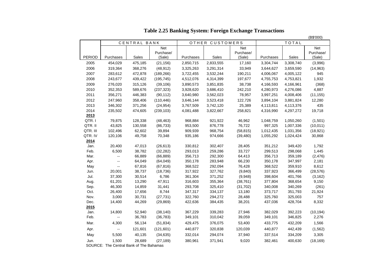|              |           |                  |                         |                    |                 |                  |                    |                    | (B\$'000)        |
|--------------|-----------|------------------|-------------------------|--------------------|-----------------|------------------|--------------------|--------------------|------------------|
|              |           | CENTRAL BANK     |                         |                    | OTHER CUSTOMERS |                  | TOTAL              |                    |                  |
|              |           |                  | <b>Net</b><br>Purchase/ |                    |                 | Net<br>Purchase/ |                    |                    | Net<br>Purchase/ |
| PERIOD       | Purchases | Sales            | (Sale)                  | Purchases          | Sales           | (Sale)           | Purchases          | Sales              | (Sale)           |
| 2005         | 454,029   | 475,185          | (21, 156)               | 2,850,715          | 2,833,555       | 17,160           | 3,304,744          | 3,308,740          | (3,996)          |
| 2006         | 319,364   | 368,276          | (48, 912)               | 3,325,263          | 3,291,314       | 33,949           | 3,644,627          | 3,659,590          | (14, 963)        |
| 2007         | 283,612   | 472,878          | (189, 266)              | 3,722,455          | 3,532,244       | 190,211          | 4,006,067          | 4,005,122          | 945              |
| 2008         | 243,677   | 439,422          | (195, 745)              | 4,512,076          | 4,314,399       | 197,677          | 4,755,753          | 4,753,821          | 1,932            |
| 2009         | 276,020   | 315,126          | (39, 106)               | 3,890,573          | 3,851,835       | 38,738           | 4,166,593          | 4,166,961          | (368)            |
| 2010         | 352,353   | 589,676          | (237, 323)              | 3,928,620          | 3,686,410       | 242,210          | 4,280,973          | 4,276,086          | 4,887            |
| 2011         | 356,271   | 446,383          | (90, 112)               | 3,640,980          | 3,562,023       | 78,957           | 3,997,251          | 4,008,406          | (11, 155)        |
| 2012         | 247,960   | 358,406          | (110, 446)              | 3,646,144          | 3,523,418       | 122,726          | 3,894,104          | 3,881,824          | 12,280           |
| 2013         | 346,302   | 371,256          | (24, 954)               | 3,767,509          | 3,742,120       | 25,389           | 4,113,811          | 4,113,376          | 435              |
| 2014         | 235,502   | 474,605          | (239, 103)              | 4,081,488          | 3,822,667       | 258,821          | 4,316,990          | 4,297,272          | 19,718           |
| 2013         |           |                  |                         |                    |                 |                  |                    |                    |                  |
| QTR.I        | 79,875    | 128,338          | (48, 463)               | 968,884            | 921,922         | 46,962           | 1,048,759          | 1,050,260          | (1,501)          |
| QTR. II      | 43,825    | 130,558          | (86, 733)               | 953,500            | 876,778         | 76,722           | 997,325            | 1,007,336          | (10, 011)        |
| QTR. III     | 102,496   | 62,602           | 39,894                  | 909,939            | 968,754         | (58, 815)        | 1,012,435          | 1,031,356          | (18, 921)        |
| QTR. IV      | 120,106   | 49,758           | 70,348                  | 935,186            | 974,666         | (39, 480)        | 1,055,292          | 1,024,424          | 30,868           |
| 2014         |           |                  |                         |                    |                 |                  |                    |                    |                  |
| Jan.         | 20,400    | 47,013           | (26, 613)               | 330,812            | 302,407         | 28,405           | 351,212            | 349,420            | 1,792            |
| Feb.         | 6,500     | 38,782           | (32, 282)               | 293,013            | 259,286         | 33,727           | 299,513            | 298,068            | 1,445            |
| Mar.         | Ξ.        | 66,889           | (66, 889)               | 356,713            | 292,300         | 64,413           | 356,713            | 359,189            | (2, 476)         |
| Apr.         | --        | 64,049           | (64, 049)               | 350,178            | 283,948         | 66,230           | 350,178            | 347,997            | 2,181            |
| May          | ш.        | 67,816           | (67, 816)               | 368,522            | 292,094         | 76,428           | 368,522            | 359,910            | 8,612            |
| Jun.         | 20,001    | 38,737           | (18, 736)               | 317,922            | 327,762         | (9,840)          | 337,923            | 366,499            | (28, 576)        |
| Jul.         | 37,300    | 30,514           | 6,786                   | 361,304            | 371,252         | (9,948)          | 398,604            | 401,766            | (3, 162)         |
| Aug.         | 61,201    | 13,290           | 47,911                  | 316,603            | 355,364         | (38, 761)        | 377,804            | 368,654            | 9,150            |
| Sep.         | 46,300    | 14,859           | 31,441                  | 293,708            | 325,410         | (31, 702)        | 340,008            | 340,269            | (261)            |
| Oct.         | 26,400    | 17,656           | 8,744                   | 347,317            | 334,137         | 13,180           | 373,717            | 351,793            | 21,924<br>757    |
| Nov.         | 3,000     | 30,731<br>44,269 | (27, 731)<br>(29, 869)  | 322,760<br>422,636 | 294,272         | 28,488<br>38,201 | 325,760<br>437,036 | 325,003<br>428,704 | 8,332            |
| Dec.<br>2015 | 14,400    |                  |                         |                    | 384,435         |                  |                    |                    |                  |
| Jan.         | 14,800    | 52,940           | (38, 140)               | 367,229            | 339,283         | 27,946           | 382,029            | 392,223            | (10, 194)        |
| Feb.         | --        | 36,783           | (36, 783)               | 349,101            | 310,042         | 39,059           | 349,101            | 346,825            | 2,276            |
|              |           |                  |                         |                    |                 |                  |                    |                    |                  |
| Mar.         | 4,300     | 56,134           | (51, 834)               | 429,475            | 376,075         | 53,400           | 433,775            | 432,209            | 1,566            |
| Apr.         | $\sim$    | 121,601          | (121, 601)              | 440,877            | 320,838         | 120,039          | 440,877            | 442,439            | (1, 562)         |
| May          | 5,500     | 40,135           | (34, 635)               | 332,014            | 294,074         | 37,940           | 337,514            | 334,209            | 3,305            |
| Jun.         | 1,500     | 28,689           | (27, 189)               | 380,961            | 371,941         | 9,020            | 382,461            | 400,630            | (18, 169)        |

**Table 2.25 Banking System: Foreign Exchange Transactions**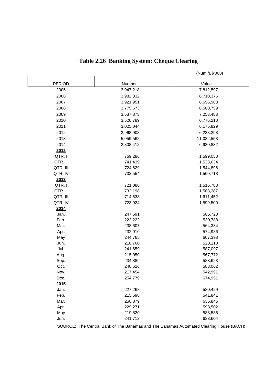|               |           | (Num./B\$'000) |
|---------------|-----------|----------------|
| <b>PERIOD</b> | Number    | Value          |
| 2005          | 3,947,218 | 7,812,597      |
| 2006          | 3,982,332 | 8,710,376      |
| 2007          | 3,921,951 | 8,696,968      |
| 2008          | 3,775,673 | 8,580,759      |
| 2009          | 3,537,873 | 7,253,483      |
| 2010          | 3,526,789 | 6,776,210      |
| 2011          | 3,025,044 | 6,175,829      |
| 2012          | 2,968,908 | 6,238,298      |
| 2013          | 5,059,562 | 11,032,553     |
| 2014          | 2,808,412 | 6,930,832      |
| 2012          |           |                |
| QTR.I         | 769,286   | 1,599,050      |
| QTR. II       | 741,439   | 1,533,634      |
| QTR. III      | 724,629   | 1,544,896      |
| QTR. IV       | 733,554   | 1,560,718      |
| 2013          |           |                |
| QTR.I         | 721,088   | 1,516,783      |
| QTR. II       | 732,198   | 1,588,287      |
| QTR. III      | 714,533   | 1,611,452      |
| QTR. IV       | 723,924   | 1,599,509      |
| 2014          |           |                |
| Jan.          | 247,691   | 585,720        |
| Feb.          | 222,222   | 530,788        |
| Mar.          | 238,607   | 564,334        |
| Apr.          | 232,010   | 574,986        |
| May           | 244,765   | 607,398        |
| Jun.          | 218,760   | 528,110        |
| Jul.          | 241,659   | 587,097        |
| Aug.          | 215,050   | 567,772        |
| Sep.          | 234,889   | 583,623        |
| Oct.          | 240,526   | 583,062        |
| Nov.          | 217,454   | 542,991        |
| Dec.          | 254,779   | 674,951        |
| 2015          | 227,268   | 580,429        |
| Jan.<br>Feb.  | 215,698   | 541,841        |
| Mar.          | 250,879   | 636,845        |
| Apr.          | 229,271   | 593,502        |
| May           | 219,820   | 588,536        |
| Jun.          | 241,712   | 633,604        |
|               |           |                |

# **Table 2.26 Banking System: Cheque Clearing**

SOURCE: The Central Bank of The Bahamas and The Bahamas Automated Clearing House (BACH)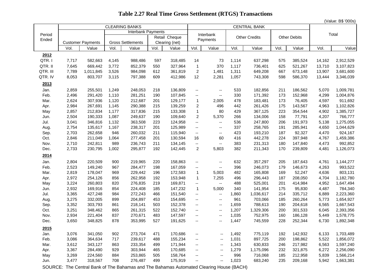|                 |       |                          |       | <b>CLEARING BANKS</b>     |      |                |                             |                          |       | <b>CENTRAL BANK</b>  |      |                     |        | ι ν αιu <del>c</del> . Dψ συσο, |
|-----------------|-------|--------------------------|-------|---------------------------|------|----------------|-----------------------------|--------------------------|-------|----------------------|------|---------------------|--------|---------------------------------|
|                 |       |                          |       | <b>Interbank Payments</b> |      |                |                             |                          |       |                      |      |                     |        | Total                           |
| Period<br>Ended |       |                          |       |                           |      | Retail Cheque  |                             | Interbank<br>Payments    |       | <b>Other Credits</b> |      | <b>Other Debits</b> |        |                                 |
|                 |       | <b>Customer Payments</b> |       | <b>Gross Settlements</b>  |      | Clearing (net) |                             |                          |       |                      |      |                     |        |                                 |
|                 | Vol.  | Value                    | Vol.  | Value                     | Vol. | Value          | Vol.                        | Value                    | Vol.  | Value                | Vol. | Value               | Vol.   | Value                           |
| 2012            |       |                          |       |                           |      |                |                             |                          |       |                      |      |                     |        |                                 |
| QTR.I           | 7,717 | 582,663                  | 4,145 | 988,486                   | 597  | 318,485        | 14                          | 73                       | 1,114 | 637,298              | 575  | 385,524             | 14,162 | 2,912,529                       |
| QTR. II         | 7,645 | 669,442                  | 3,772 | 852,379                   | 550  | 327,964        | $\overline{1}$              | 370                      | 1,117 | 736,401              | 625  | 521,267             | 13,710 | 3,107,823                       |
| QTR. III        | 7,789 | 1,011,845                | 3,526 | 984,098                   | 612  | 361,819        | $\boldsymbol{2}$            | 1,481                    | 1,311 | 649,208              | 667  | 673,148             | 13,907 | 3,681,600                       |
| QTR. IV         | 8,053 | 803,707                  | 3,115 | 797,388                   | 609  | 412,986        | 12                          | 2,281                    | 1,057 | 743,308              | 598  | 586,370             | 13,444 | 3,346,039                       |
| 2013            |       |                          |       |                           |      |                |                             |                          |       |                      |      |                     |        |                                 |
| Jan.            | 2,859 | 255,501                  | 1,249 | 248,053                   | 218  | 136,809        | $\sim$                      | $\sim$                   | 533   | 182,856              | 211  | 186,562             | 5,070  | 1,009,781                       |
| Feb.            | 2,496 | 291,420                  | 1,110 | 281,251                   | 190  | 107,845        | Ξ.                          | $\overline{\phantom{a}}$ | 330   | 171,392              | 173  | 152,968             | 4,299  | 1,004,876                       |
| Mar.            | 2,624 | 307,936                  | 1,120 | 212,687                   | 201  | 129,177        | $\mathbf{1}$                | 2,005                    | 478   | 183,481              | 173  | 76,405              | 4,597  | 911,692                         |
| Apr.            | 2,984 | 267,691                  | 1,145 | 290,388                   | 215  | 139,259        | 2                           | 496                      | 442   | 261,426              | 175  | 143,567             | 4,963  | 1,102,826                       |
| May             | 2,857 | 212,834                  | 1,177 | 317,836                   | 215  | 133,308        | $\mathbf{1}$                | 80                       | 429   | 367,125              | 223  | 354,544             | 4,902  | 1,385,727                       |
| Jun.            | 2,504 | 190,333                  | 1,087 | 249,637                   | 190  | 109,640        | $\overline{\mathbf{c}}$     | 5,370                    | 266   | 134,006              | 158  | 77,791              | 4,207  | 766,777                         |
| Jul.            | 3,041 | 346,816                  | 1,132 | 363,508                   | 223  | 124,958        | Ξ.                          | $\overline{\phantom{a}}$ | 536   | 247,800              | 206  | 191,973             | 5,138  | 1,275,055                       |
| Aug.            | 2,754 | 135,617                  | 1,167 | 238,317                   | 201  | 125,989        | Ξ.                          | $\overline{\phantom{a}}$ | 337   | 258,765              | 191  | 285,941             | 4,650  | 1,044,629                       |
| Sep.            | 2,703 | 262,658                  | 946   | 260,032                   | 211  | 115,940        | $\sim$                      | $\overline{\phantom{a}}$ | 423   | 193,210              | 187  | 92,327              | 4,470  | 924,167                         |
| Oct.            | 2,846 | 211,049                  | 1,064 | 277,458                   | 201  | 130,594        | 16                          | 60                       | 416   | 442,278              | 224  | 397,948             | 4,767  | 1,459,386                       |
| Nov.            | 2,710 | 242,811                  | 989   | 236,743                   | 211  | 134,145        | $\overline{\phantom{a}}$    | $\overline{\phantom{a}}$ | 383   | 231,313              | 180  | 147,840             | 4,473  | 992,852                         |
| Dec.            | 2,733 | 230,795                  | 1,002 | 295,877                   | 192  | 142,445        | $\overline{2}$              | 5,803                    | 382   | 211,343              | 170  | 239,809             | 4,481  | 1,126,073                       |
| 2014            |       |                          |       |                           |      |                |                             |                          |       |                      |      |                     |        |                                 |
| Jan.            | 2,804 | 220,509                  | 900   | 219,965                   | 220  | 158,863        | $\mathcal{L}_{\mathcal{F}}$ | $\overline{\phantom{a}}$ | 632   | 357,297              | 205  | 187,643             | 4,761  | 1,144,277                       |
| Feb.            | 2,523 | 149,240                  | 967   | 284,477                   | 198  | 167,059        | н.                          | $\overline{\phantom{a}}$ | 396   | 246,073              | 179  | 146,673             | 4,263  | 993,522                         |
| Mar.            | 2,819 | 178,047                  | 969   | 229,442                   | 196  | 172,583        | $\mathbf{1}$                | 5,003                    | 482   | 165,808              | 169  | 52,247              | 4,636  | 803,131                         |
| Apr.            | 2,972 | 254,126                  | 856   | 262,958                   | 192  | 153,948        | $\mathbf{1}$                | 7,255                    | 496   | 296,443              | 187  | 208,050             | 4,704  | 1,182,780                       |
| May             | 3,224 | 260,803                  | 820   | 276,835                   | 219  | 169,871        | $\overline{\phantom{a}}$    | $\overline{\phantom{a}}$ | 488   | 525,001              | 201  | 414,984             | 4,952  | 1,647,494                       |
| Jun.            | 2,932 | 169,916                  | 854   | 224,408                   | 185  | 147,232        | $\mathbf{1}$                | 5,000                    | 340   | 141,954              | 175  | 95,830              | 4,487  | 784,340                         |
| Jul.            | 3,365 | 427,248                  | 984   | 272,243                   | 466  | 151,540        | щ.                          | $\overline{\phantom{a}}$ | 1,860 | 1,036,617            | 214  | 335,712             | 6,889  | 2,223,360                       |
| Aug.            | 3,275 | 332,005                  | 899   | 204,897                   | 453  | 154,695        | Ξ.                          | $\mathbf{L}$             | 961   | 703,066              | 185  | 260,264             | 5,773  | 1,654,927                       |
| Sep.            | 3,352 | 303,793                  | 861   | 218,141                   | 503  | 152,378        | --                          | $\overline{\phantom{a}}$ | 1,659 | 788,613              | 190  | 204,618             | 6,565  | 1,667,543                       |
| Oct.            | 3,251 | 348,462                  | 865   | 261,315                   | 522  | 152,740        | --                          | --                       | 1,207 | 1,329,306            | 200  | 301,533             | 6,045  | 2,393,356                       |
| Nov.            | 2,934 | 221,404                  | 837   | 270,671                   | 483  | 147,597        | $\mathbb{H}^{\mathbb{H}}$   | $\overline{\phantom{a}}$ | 1,035 | 752,975              | 160  | 186,128             | 5,449  | 1,578,775                       |
| Dec.            | 3,650 | 348,825                  | 878   | 353,995                   | 527  | 191,625        | --                          | $\overline{\phantom{a}}$ | 1,447 | 745,559              | 228  | 252,344             | 6,730  | 1,892,348                       |
| 2015            |       |                          |       |                           |      |                |                             |                          |       |                      |      |                     |        |                                 |
| Jan.            | 3,076 | 341,050                  | 902   | 273,704                   | 471  | 170,686        | ۰.                          | $-$                      | 1,492 | 775,119              | 192  | 142,932             | 6,133  | 1,703,489                       |
| Feb.            | 3,086 | 364,634                  | 717   | 239,617                   | 488  | 155,234        | --                          | $-$                      | 1,031 | 897,725              | 200  | 198,862             | 5,522  | 1,856,072                       |
| Mar.            | 3,612 | 343,127                  | 863   | 233,354                   | 499  | 171,944        | $\mathbb{H}^{\mathbb{H}}$   | $\overline{\phantom{a}}$ | 1,343 | 630,833              | 246  | 217,982             | 6,563  | 1,597,240                       |
| Apr.            | 3,367 | 284,490                  | 929   | 303,944                   | 465  | 170,685        | ۰.                          | ۰.                       | 1,279 | 1,175,096            | 232  | 321,875             | 6,272  | 2,256,090                       |
| May             | 3,269 | 224,560                  | 884   | 253,865                   | 505  | 158,764        | --                          | $-$                      | 996   | 716,068              | 185  | 212,958             | 5,839  | 1,566,214                       |
| Jun.            | 3,477 | 318,567                  | 708   | 276,487                   | 499  | 175,919        | $\overline{\phantom{a}}$    | $\overline{\phantom{a}}$ | 1,023 | 683,240              | 235  | 209,168             | 5,942  | 1,663,381                       |

### **Table 2.27 Real Time Gross Settlement (RTGS) Transactions**

(Value: B\$ '000s)

SOURCE: The Central Bank of The Bahamas and The Bahamas Automated Clearing House (BACH)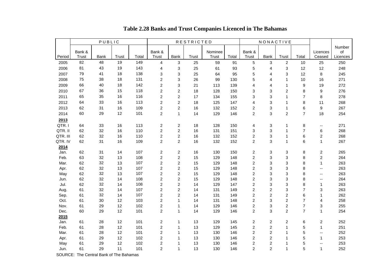|          |        | PUBLIC | <b>RESTRICTED</b> |       |                         | NONACTIVE               |       |              |       |                         |                           |                  |                  |                             |          |
|----------|--------|--------|-------------------|-------|-------------------------|-------------------------|-------|--------------|-------|-------------------------|---------------------------|------------------|------------------|-----------------------------|----------|
|          |        |        |                   |       |                         |                         |       |              |       |                         |                           |                  |                  |                             | Number   |
|          | Bank & |        |                   |       | Bank &                  |                         |       | Nominee      |       | Bank &                  |                           |                  |                  | Licences                    | of       |
| Period   | Trust  | Bank   | Trust             | Total | Trust                   | Bank                    | Trust | <b>Trust</b> | Total | Trust                   | Bank                      | Trust            | Total            | Ceased                      | Licences |
| 2005     | 82     | 48     | 19                | 149   | $\overline{4}$          | 3                       | 25    | 59           | 91    | 5                       | 3                         | $\overline{2}$   | 10               | 25                          | 250      |
| 2006     | 81     | 43     | 19                | 143   | 4                       | 3                       | 25    | 61           | 93    | 5                       | $\overline{4}$            | 3                | 12               | 12                          | 248      |
| 2007     | 79     | 41     | 18                | 138   | 3                       | 3                       | 25    | 64           | 95    | 5                       | 4                         | 3                | 12               | 8                           | 245      |
| 2008     | 75     | 38     | 18                | 131   | $\overline{c}$          | 3                       | 26    | 99           | 130   | 5                       | 4                         | $\mathbf{1}$     | 10               | 16                          | 271      |
| 2009     | 66     | 40     | 18                | 142   | $\overline{c}$          | 3                       | 21    | 113          | 139   | $\overline{4}$          | $\overline{4}$            | $\mathbf{1}$     | $\boldsymbol{9}$ | 19                          | 272      |
| 2010     | 67     | 36     | 15                | 118   | $\overline{c}$          | $\overline{\mathbf{c}}$ | 18    | 128          | 150   | 3                       | 3                         | $\boldsymbol{2}$ | 8                | 9                           | 276      |
| 2011     | 65     | 35     | 16                | 116   | $\overline{c}$          | $\overline{c}$          | 17    | 134          | 155   | 3                       | 3                         | $\mathbf{1}$     | $\overline{7}$   | 8                           | 278      |
| 2012     | 64     | 33     | 16                | 113   | $\overline{c}$          | $\boldsymbol{2}$        | 18    | 125          | 147   | 4                       | 3                         | $\mathbf{1}$     | 8                | 11                          | 268      |
| 2013     | 62     | 31     | 16                | 109   | $\overline{c}$          | $\boldsymbol{2}$        | 16    | 132          | 152   | $\overline{c}$          | 3                         | $\mathbf{1}$     | 6                | $\boldsymbol{9}$            | 267      |
| 2014     | 60     | 29     | 12                | 101   | $\overline{2}$          | $\mathbf{1}$            | 14    | 129          | 146   | $\overline{c}$          | 3                         | $\overline{c}$   | $\overline{7}$   | 18                          | 254      |
| 2013     |        |        |                   |       |                         |                         |       |              |       |                         |                           |                  |                  |                             |          |
| QTR.I    | 64     | 33     | 16                | 113   | $\boldsymbol{2}$        | $\boldsymbol{2}$        | 18    | 128          | 150   | 4                       | 3                         | 1                | 8                | $\mathcal{L}_{\mathcal{F}}$ | 271      |
| QTR. II  | 62     | 32     | 16                | 110   | $\overline{c}$          | $\boldsymbol{2}$        | 16    | 131          | 151   | 3                       | 3                         | $\mathbf{1}$     | $\overline{7}$   | 6                           | 268      |
| QTR. III | 62     | 32     | 16                | 110   | $\overline{c}$          | $\boldsymbol{2}$        | 16    | 132          | 152   | $\overline{c}$          | 3                         | 1                | 6                | $\overline{\mathbf{c}}$     | 268      |
| QTR. IV  | 62     | 31     | 16                | 109   | $\overline{c}$          | $\overline{\mathbf{c}}$ | 16    | 132          | 152   | $\boldsymbol{2}$        | 3                         | $\mathbf{1}$     | 6                | $\mathbf{1}$                | 267      |
| 2014     |        |        |                   |       |                         |                         |       |              |       |                         |                           |                  |                  |                             |          |
| Jan.     | 62     | 31     | 14                | 107   | $\overline{c}$          | $\overline{2}$          | 16    | 130          | 150   | 2                       | 3                         | 3                | 8                | 2                           | 265      |
| Feb.     | 63     | 32     | 13                | 108   | $\overline{c}$          | $\overline{c}$          | 15    | 129          | 148   | $\overline{c}$          | 3                         | 3                | 8                | $\overline{\mathbf{c}}$     | 264      |
| Mar.     | 62     | 32     | 13                | 107   | $\overline{c}$          | $\boldsymbol{2}$        | 15    | 129          | 148   | $\overline{c}$          | 3                         | 3                | 8                | $\mathbf{1}$                | 263      |
| Apr.     | 62     | 32     | 13                | 107   | $\overline{c}$          | $\overline{c}$          | 15    | 129          | 148   | $\overline{2}$          | 3                         | 3                | 8                | --                          | 263      |
| May      | 62     | 32     | 13                | 107   | $\overline{c}$          | $\mathbf 2$             | 15    | 129          | 148   | $\overline{c}$          | $\ensuremath{\mathsf{3}}$ | 3                | 8                | $\overline{\phantom{a}}$    | 263      |
| Jun.     | 62     | 32     | 14                | 108   | $\overline{c}$          | $\overline{c}$          | 15    | 129          | 148   | $\boldsymbol{2}$        | 3                         | 3                | 8                | $\overline{\phantom{a}}$    | 264      |
| Jul.     | 62     | 32     | 14                | 108   | $\boldsymbol{2}$        | $\boldsymbol{2}$        | 14    | 129          | 147   | $\boldsymbol{2}$        | 3                         | 3                | 8                | 1                           | 263      |
| Aug.     | 61     | 32     | 14                | 107   | $\overline{\mathbf{c}}$ | $\overline{2}$          | 14    | 131          | 149   | $\boldsymbol{2}$        | $\overline{2}$            | 3                | $\overline{7}$   | 3                           | 263      |
| Sep.     | 61     | 32     | 14                | 107   | $\overline{c}$          | $\overline{\mathbf{c}}$ | 14    | 131          | 149   | $\overline{\mathbf{c}}$ | $\boldsymbol{2}$          | $\boldsymbol{2}$ | 6                | 1                           | 262      |
| Oct.     | 61     | 30     | 12                | 103   | $\overline{\mathbf{c}}$ | $\mathbf{1}$            | 14    | 131          | 148   | $\overline{\mathbf{c}}$ | 3                         | $\boldsymbol{2}$ | $\overline{7}$   | 4                           | 258      |
| Nov.     | 61     | 29     | 12                | 102   | $\overline{c}$          | $\mathbf{1}$            | 14    | 129          | 146   | $\boldsymbol{2}$        | 3                         | $\mathbf 2$      | $\overline{7}$   | 3                           | 255      |
| Dec.     | 60     | 29     | 12                | 101   | $\overline{2}$          | $\mathbf{1}$            | 14    | 129          | 146   | $\boldsymbol{2}$        | 3                         | $\overline{c}$   | $\overline{7}$   | $\mathbf{1}$                | 254      |
| 2015     |        |        |                   |       |                         |                         |       |              |       |                         |                           |                  |                  |                             |          |
| Jan.     | 61     | 28     | 12                | 101   | 2                       | $\mathbf{1}$            | 13    | 129          | 145   | $\boldsymbol{2}$        | 2                         | $\overline{2}$   | 6                | 2                           | 252      |
| Feb.     | 61     | 28     | 12                | 101   | $\overline{c}$          | $\mathbf{1}$            | 13    | 129          | 145   | $\overline{c}$          | $\overline{2}$            | $\mathbf{1}$     | 5                | $\mathbf{1}$                | 251      |
| Mar.     | 61     | 28     | 12                | 101   | $\overline{c}$          | $\mathbf{1}$            | 13    | 130          | 146   | $\mathbf{2}$            | 2                         | $\mathbf 1$      | 5                | $\overline{\phantom{a}}$    | 252      |
| Apr.     | 61     | 29     | 12                | 102   | $\overline{c}$          | $\mathbf{1}$            | 13    | 130          | 146   | $\overline{c}$          | 2                         | 1                | 5                | 1                           | 253      |
| May      | 61     | 29     | 12                | 102   | $\overline{c}$          | $\mathbf{1}$            | 13    | 130          | 146   | $\boldsymbol{2}$        | $\boldsymbol{2}$          | $\mathbf{1}$     | 5                | --                          | 253      |
| Jun.     | 61     | 29     | 11                | 101   | $\overline{2}$          | $\mathbf{1}$            | 13    | 130          | 146   | $\overline{2}$          | $\overline{c}$            | $\mathbf{1}$     | 5                | $\mathbf{1}$                | 252      |

 **Table 2.28 Banks and Trust Companies Licenced in The Bahamas**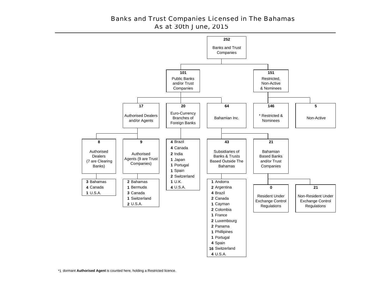### Banks and Trust Companies Licensed in The Bahamas As at 30th June, 2015



\*1 dormant **Authorised Agent** is counted here, holding a Restricted licence.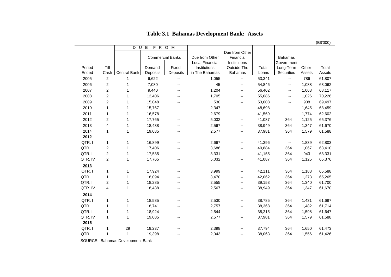|          |                         |              |          |                          |                                          |                                             |        |                              |        | (B\$'000) |
|----------|-------------------------|--------------|----------|--------------------------|------------------------------------------|---------------------------------------------|--------|------------------------------|--------|-----------|
|          |                         | D<br>U       | E        | F R O M                  |                                          |                                             |        |                              |        |           |
|          |                         |              |          | <b>Commercial Banks</b>  | Due from Other<br><b>Local Financial</b> | Due from Other<br>Financial<br>Institutions |        | <b>Bahamas</b><br>Government |        |           |
| Period   | Till                    |              | Demand   | Fixed                    | Institutions                             | Outside The                                 | Total  | Long-Term                    | Other  | Total     |
| Ended    | Cash                    | Central Bank | Deposits | Deposits                 | in The Bahamas                           | <b>Bahamas</b>                              | Loans  | Securities                   | Assets | Assets    |
| 2005     | 2                       | $\mathbf{1}$ | 6,622    | $\overline{\phantom{a}}$ | 1,055                                    |                                             | 53,341 | --                           | 786    | 61,807    |
| 2006     | $\boldsymbol{2}$        | 1            | 7,080    | $- -$                    | 45                                       | $\overline{\phantom{a}}$                    | 54,846 | $\overline{\phantom{a}}$     | 1,088  | 63,062    |
| 2007     | $\overline{\mathbf{c}}$ | 1            | 9,440    |                          | 1,204                                    | $\overline{\phantom{a}}$                    | 56,402 | $\overline{\phantom{m}}$     | 1,068  | 68,117    |
| 2008     | $\overline{\mathbf{c}}$ | 1            | 12,406   | --                       | 1,705                                    | $\overline{\phantom{a}}$                    | 55,086 | $\overline{\phantom{a}}$     | 1,026  | 70,226    |
| 2009     | $\boldsymbol{2}$        | 1            | 15,048   | --                       | 530                                      | $\overline{\phantom{a}}$                    | 53,008 | --                           | 908    | 69,497    |
| 2010     | $\mathbf{1}$            | 1            | 15,767   | --                       | 2,347                                    | $\overline{\phantom{a}}$                    | 48,698 | $\overline{\phantom{a}}$     | 1,645  | 68,459    |
| 2011     | 1                       | 1            | 16,578   | --                       | 2,679                                    | $\overline{\phantom{a}}$                    | 41,569 | --                           | 1,774  | 62,602    |
| 2012     | $\overline{2}$          | 1            | 17,765   | $-$                      | 5,032                                    | $\overline{\phantom{a}}$                    | 41,087 | 364                          | 1,125  | 65,376    |
| 2013     | 4                       | 1            | 18,438   | --                       | 2,567                                    | $\overline{\phantom{a}}$                    | 38,949 | 364                          | 1,347  | 61,670    |
| 2014     | $\mathbf{1}$            | $\mathbf 1$  | 19,085   | $\overline{\phantom{a}}$ | 2,577                                    | $\overline{\phantom{a}}$                    | 37,981 | 364                          | 1,579  | 61,588    |
| 2012     |                         |              |          |                          |                                          |                                             |        |                              |        |           |
| QTR.I    | $\mathbf{1}$            | 1            | 16,899   | $-$                      | 2,667                                    | $\overline{\phantom{a}}$                    | 41,396 | $\mathcal{L}_{\mathcal{F}}$  | 1,839  | 62,803    |
| QTR. II  | $\boldsymbol{2}$        | 1            | 17,406   |                          | 3,686                                    | $\overline{\phantom{a}}$                    | 40,884 | 364                          | 1,067  | 63,410    |
| QTR. III | $\overline{\mathbf{c}}$ | 1            | 17,535   |                          | 3,331                                    | $\overline{\phantom{a}}$                    | 41,155 | 364                          | 943    | 63,331    |
| QTR. IV  | $\overline{c}$          | 1            | 17,765   |                          | 5,032                                    | $\overline{\phantom{a}}$                    | 41,087 | 364                          | 1,125  | 65,376    |
| 2013     |                         |              |          |                          |                                          |                                             |        |                              |        |           |
| QTR.I    | $\mathbf 1$             | 1            | 17,924   | --                       | 3,999                                    | $\overline{\phantom{a}}$                    | 42,111 | 364                          | 1,188  | 65,588    |
| QTR. II  | $\mathbf{1}$            | 1            | 18,094   | $-$                      | 3,470                                    | $\overline{\phantom{a}}$                    | 42,062 | 364                          | 1,273  | 65,265    |
| QTR. III | $\overline{\mathbf{c}}$ | 1            | 18,285   | --                       | 2,555                                    | $\overline{\phantom{a}}$                    | 39,153 | 364                          | 1,340  | 61,700    |
| QTR. IV  | $\overline{\mathbf{4}}$ | 1            | 18,438   | --                       | 2,567                                    | $\overline{\phantom{a}}$                    | 38,949 | 364                          | 1,347  | 61,670    |
| 2014     |                         |              |          |                          |                                          |                                             |        |                              |        |           |
| QTR.I    | 1                       | 1            | 18,585   | $- -$                    | 2,530                                    | $\overline{\phantom{m}}$                    | 38,785 | 364                          | 1,431  | 61,697    |
| QTR. II  | $\mathbf{1}$            | 1            | 18,741   |                          | 2,757                                    | $\overline{\phantom{m}}$                    | 38,368 | 364                          | 1,482  | 61,714    |
| QTR. III | $\mathbf{1}$            | 1            | 18,924   |                          | 2,544                                    | $\overline{\phantom{a}}$                    | 38,215 | 364                          | 1,598  | 61,647    |
| QTR. IV  | $\mathbf{1}$            | 1            | 19,085   | --                       | 2,577                                    | $\overline{\phantom{a}}$                    | 37,981 | 364                          | 1,579  | 61,588    |
| 2015     |                         |              |          |                          |                                          |                                             |        |                              |        |           |
| QTR.I    | $\mathbf 1$             | 29           | 19,237   |                          | 2,398                                    | $\overline{\phantom{m}}$                    | 37,794 | 364                          | 1,650  | 61,473    |
| QTR. II  | $\mathbf 1$             | $\mathbf 1$  | 19,398   | $-$                      | 2,043                                    | $\overline{\phantom{a}}$                    | 38,063 | 364                          | 1,556  | 61,426    |
|          |                         |              |          |                          |                                          |                                             |        |                              |        |           |

## **Table 3.1 Bahamas Development Bank: Assets**

SOURCE: Bahamas Development Bank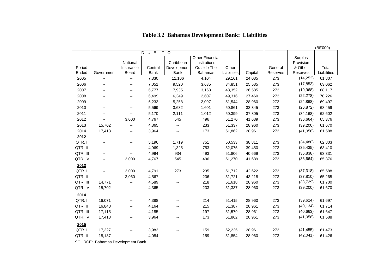|          |                          |                          |                |                          |                        |             |         |          |           | (B\$'000)   |
|----------|--------------------------|--------------------------|----------------|--------------------------|------------------------|-------------|---------|----------|-----------|-------------|
|          |                          |                          | D<br>U E<br>T. | $\circ$                  |                        |             |         |          |           |             |
|          |                          |                          |                |                          | <b>Other Financial</b> |             |         |          | Surplus   |             |
|          |                          | National                 |                | Caribbean                | Institutions           |             |         |          | Provision |             |
| Period   |                          | Insurance                | Central        | Development              | Outside The            | Other       |         | General  | & Other   | Total       |
| Ended    | Government               | Board                    | <b>Bank</b>    | <b>Bank</b>              | <b>Bahamas</b>         | Liabilities | Capital | Reserves | Reserves  | Liabilities |
| 2005     | $\overline{\phantom{a}}$ | $\overline{\phantom{a}}$ | 7,330          | 11,106                   | 4,104                  | 29,161      | 24,085  | 273      | (14, 252) | 61,807      |
| 2006     | $\overline{\phantom{a}}$ | $\overline{\phantom{a}}$ | 7,051          | 9,520                    | 3,635                  | 34,851      | 25,585  | 273      | (17, 853) | 63,062      |
| 2007     | $ -$                     | $\overline{\phantom{a}}$ | 6,777          | 7,935                    | 3,163                  | 43,352      | 26,585  | 273      | (19,968)  | 68,117      |
| 2008     | $\overline{\phantom{a}}$ | $\overline{\phantom{a}}$ | 6,499          | 6,349                    | 2,607                  | 49,316      | 27,460  | 273      | (22, 278) | 70,226      |
| 2009     | --                       | $\overline{\phantom{a}}$ | 6,233          | 5,258                    | 2,097                  | 51,544      | 28,960  | 273      | (24, 868) | 69,497      |
| 2010     | $ -$                     | $\overline{\phantom{a}}$ | 5,569          | 3,682                    | 1,601                  | 50,861      | 33,345  | 273      | (26, 872) | 68,459      |
| 2011     | $\overline{\phantom{a}}$ | $\overline{\phantom{a}}$ | 5,170          | 2,111                    | 1,012                  | 50,399      | 37,805  | 273      | (34, 168) | 62,602      |
| 2012     | $\overline{\phantom{a}}$ | 3,000                    | 4,767          | 545                      | 496                    | 51,270      | 41,689  | 273      | (36, 664) | 65,376      |
| 2013     | 15,702                   | $\overline{\phantom{a}}$ | 4,365          | $\overline{\phantom{a}}$ | 233                    | 51,337      | 28,960  | 273      | (39,200)  | 61,670      |
| 2014     | 17,413                   | $\overline{\phantom{a}}$ | 3,964          | $\overline{\phantom{a}}$ | 173                    | 51,862      | 28,961  | 273      | (41, 058) | 61,588      |
| 2012     |                          |                          |                |                          |                        |             |         |          |           |             |
| QTR.I    | $\overline{\phantom{a}}$ | $\overline{\phantom{a}}$ | 5,196          | 1,719                    | 751                    | 50,533      | 38,811  | 273      | (34, 480) | 62,803      |
| QTR. II  | $\overline{\phantom{a}}$ | $\overline{\phantom{a}}$ | 4,969          | 1,325                    | 753                    | 52,075      | 39,450  | 273      | (35, 435) | 63,410      |
| QTR. III | $\overline{\phantom{a}}$ | $\overline{a}$           | 4,994          | 934                      | 493                    | 51,806      | 40,669  | 273      | (35, 838) | 63,331      |
| QTR. IV  | $\overline{\phantom{a}}$ | 3,000                    | 4,767          | 545                      | 496                    | 51,270      | 41,689  | 273      | (36,664)  | 65,376      |
| 2013     |                          |                          |                |                          |                        |             |         |          |           |             |
| QTR.I    | $\overline{\phantom{a}}$ | 3,000                    | 4,791          | 273                      | 235                    | 51,712      | 42,622  | 273      | (37, 318) | 65,588      |
| QTR. II  | $\overline{\phantom{a}}$ | 3,060                    | 4,567          | $\overline{\phantom{a}}$ | 236                    | 51,721      | 43,218  | 273      | (37, 810) | 65,265      |
| QTR. III | 14,771                   | --                       | 4,589          | $\overline{\phantom{a}}$ | 218                    | 51,618      | 28,960  | 273      | (38, 729) | 61,700      |
| QTR. IV  | 15,702                   | --                       | 4,365          | $\overline{\phantom{m}}$ | 233                    | 51,337      | 28,960  | 273      | (39, 200) | 61,670      |
| 2014     |                          |                          |                |                          |                        |             |         |          |           |             |
| QTR.I    | 16,071                   | $\overline{\phantom{a}}$ | 4,388          | $\overline{\phantom{a}}$ | 214                    | 51,415      | 28,960  | 273      | (39, 624) | 61,697      |
| QTR. II  | 16,848                   | $\overline{\phantom{a}}$ | 4,164          | $\overline{\phantom{a}}$ | 215                    | 51,387      | 28,961  | 273      | (40, 134) | 61,714      |
| QTR. III | 17,115                   | $\overline{\phantom{a}}$ | 4,185          | $\overline{\phantom{a}}$ | 197                    | 51,579      | 28,961  | 273      | (40, 663) | 61,647      |
| QTR. IV  | 17,413                   | $\overline{\phantom{a}}$ | 3,964          | $\overline{\phantom{a}}$ | 173                    | 51,862      | 28,961  | 273      | (41, 058) | 61,588      |
|          |                          |                          |                |                          |                        |             |         |          |           |             |
| 2015     |                          |                          |                |                          |                        |             |         |          |           |             |
| QTR.I    | 17,327                   | $\overline{\phantom{a}}$ | 3,983          |                          | 159                    | 52,225      | 28,961  | 273      | (41, 455) | 61,473      |
| QTR. II  | 18,137                   | $\overline{a}$           | 4,084          |                          | 159                    | 51,854      | 28,960  | 273      | (42, 041) | 61,426      |
|          |                          |                          |                |                          |                        |             |         |          |           |             |

## **Table 3.2 Bahamas Development Bank: Liabilities**

SOURCE: Bahamas Development Bank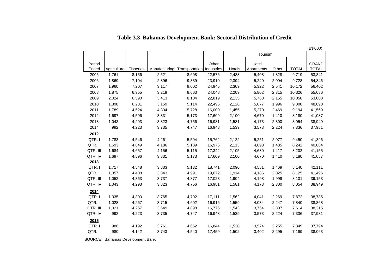| Tourism<br>Other<br><b>GRAND</b><br>Period<br>Hotel<br><b>TOTAL</b><br><b>TOTAL</b><br>Ended<br>Agriculture<br>Fisheries<br>Manufacturing<br>Transportation<br>Industries<br>Hotels<br>Apartments<br>Other<br>8,156<br>2,521<br>2,483<br>2005<br>1,761<br>8,608<br>22,576<br>5,408<br>1,828<br>9,719<br>53,341<br>2006<br>1,869<br>7,104<br>2,896<br>9,339<br>23,910<br>2,394<br>5,240<br>2,094<br>9,728<br>54,846<br>3,117<br>2007<br>1,960<br>7,207<br>9,002<br>24,945<br>2,309<br>5,322<br>2,541<br>10,172<br>56,402<br>2008<br>1,875<br>6,955<br>3,219<br>24,048<br>2,209<br>5,802<br>2,315<br>55,086<br>8,663<br>10,326<br>2,024<br>2009<br>6,590<br>3,413<br>8,104<br>22,819<br>2,135<br>5,768<br>2,155<br>10,058<br>53,008<br>2010<br>1,898<br>6,231<br>3,159<br>5,114<br>2,126<br>5,677<br>1,996<br>9,800<br>48,698<br>22,496<br>2011<br>1,789<br>4,524<br>16,000<br>4,334<br>5,728<br>1,455<br>5,270<br>2,469<br>9,194<br>41,569<br>2012<br>1,697<br>4,596<br>3,831<br>17,609<br>2,100<br>4,670<br>1,410<br>8,180<br>41,087<br>5,173<br>3,823<br>2,300<br>2013<br>1,043<br>4,293<br>4,756<br>16,981<br>1,581<br>4,173<br>8,054<br>38,949<br>2014<br>992<br>4,223<br>3,735<br>16,948<br>1,539<br>3,573<br>2,224<br>7,336<br>37,981<br>4,747<br>2012<br>QTR.I<br>1,783<br>4,546<br>4,261<br>5,594<br>15,762<br>2,122<br>5,251<br>2,077<br>9,450<br>41,396<br>QTR. II<br>1,693<br>4,186<br>5,139<br>16,976<br>2,113<br>4,649<br>4,693<br>1,435<br>8,242<br>40,884<br>QTR. III<br>1,684<br>4,657<br>4,156<br>5,115<br>17,342<br>2,105<br>4,680<br>1,417<br>8,202<br>41,155<br>QTR. IV<br>3,831<br>4,670<br>1,410<br>8,180<br>41,087<br>1,697<br>4,596<br>5,173<br>17,609<br>2,100<br>2013<br>1,717<br>3,833<br>QTR.I<br>4,548<br>5,132<br>18,741<br>2,090<br>4,581<br>1,469<br>8,140<br>42,111<br>QTR. II<br>3,843<br>1,057<br>4,408<br>19,072<br>1,914<br>4,186<br>2,025<br>8,125<br>41,496<br>4,991<br>QTR. III<br>1,052<br>3,737<br>17,023<br>1,999<br>8,101<br>39,153<br>4,363<br>4,877<br>1,904<br>4,198<br>QTR. IV<br>3,823<br>1,043<br>4,293<br>4,756<br>16,981<br>1,581<br>4,173<br>2,300<br>8,054<br>38,949<br>2014<br>1,562<br>QTR.I<br>1,035<br>4,300<br>3,765<br>4,702<br>17,111<br>2,269<br>7,872<br>38,785<br>4,041<br>QTR. II<br>1,028<br>3,715<br>1,559<br>4,034<br>2,247<br>4,267<br>4,602<br>16,916<br>7,840<br>38,368<br>QTR. III<br>1,021<br>3,649<br>4,898<br>16,776<br>1,543<br>3,764<br>2,307<br>7,614<br>38,215<br>4,257<br>QTR. IV<br>992<br>3,735<br>1,539<br>3,573<br>2,224<br>37,981<br>4,223<br>4,747<br>16,948<br>7,336<br>2015<br>QTR.I<br>986<br>3,761<br>1,520<br>37,794<br>4,192<br>4,662<br>16,844<br>3,574<br>2,255<br>7,349 |  |  |  |       |  |       |  | (B\$'000) |
|-----------------------------------------------------------------------------------------------------------------------------------------------------------------------------------------------------------------------------------------------------------------------------------------------------------------------------------------------------------------------------------------------------------------------------------------------------------------------------------------------------------------------------------------------------------------------------------------------------------------------------------------------------------------------------------------------------------------------------------------------------------------------------------------------------------------------------------------------------------------------------------------------------------------------------------------------------------------------------------------------------------------------------------------------------------------------------------------------------------------------------------------------------------------------------------------------------------------------------------------------------------------------------------------------------------------------------------------------------------------------------------------------------------------------------------------------------------------------------------------------------------------------------------------------------------------------------------------------------------------------------------------------------------------------------------------------------------------------------------------------------------------------------------------------------------------------------------------------------------------------------------------------------------------------------------------------------------------------------------------------------------------------------------------------------------------------------------------------------------------------------------------------------------------------------------------------------------------------------------------------------------------------------------------------------------------------------------------------------------------------------------------------------------------------------------------------------------------------------------------------------------------------------------------------------------------------------------------------------------------------------------------------------------------------|--|--|--|-------|--|-------|--|-----------|
|                                                                                                                                                                                                                                                                                                                                                                                                                                                                                                                                                                                                                                                                                                                                                                                                                                                                                                                                                                                                                                                                                                                                                                                                                                                                                                                                                                                                                                                                                                                                                                                                                                                                                                                                                                                                                                                                                                                                                                                                                                                                                                                                                                                                                                                                                                                                                                                                                                                                                                                                                                                                                                                                       |  |  |  |       |  |       |  |           |
|                                                                                                                                                                                                                                                                                                                                                                                                                                                                                                                                                                                                                                                                                                                                                                                                                                                                                                                                                                                                                                                                                                                                                                                                                                                                                                                                                                                                                                                                                                                                                                                                                                                                                                                                                                                                                                                                                                                                                                                                                                                                                                                                                                                                                                                                                                                                                                                                                                                                                                                                                                                                                                                                       |  |  |  |       |  |       |  |           |
|                                                                                                                                                                                                                                                                                                                                                                                                                                                                                                                                                                                                                                                                                                                                                                                                                                                                                                                                                                                                                                                                                                                                                                                                                                                                                                                                                                                                                                                                                                                                                                                                                                                                                                                                                                                                                                                                                                                                                                                                                                                                                                                                                                                                                                                                                                                                                                                                                                                                                                                                                                                                                                                                       |  |  |  |       |  |       |  |           |
|                                                                                                                                                                                                                                                                                                                                                                                                                                                                                                                                                                                                                                                                                                                                                                                                                                                                                                                                                                                                                                                                                                                                                                                                                                                                                                                                                                                                                                                                                                                                                                                                                                                                                                                                                                                                                                                                                                                                                                                                                                                                                                                                                                                                                                                                                                                                                                                                                                                                                                                                                                                                                                                                       |  |  |  |       |  |       |  |           |
|                                                                                                                                                                                                                                                                                                                                                                                                                                                                                                                                                                                                                                                                                                                                                                                                                                                                                                                                                                                                                                                                                                                                                                                                                                                                                                                                                                                                                                                                                                                                                                                                                                                                                                                                                                                                                                                                                                                                                                                                                                                                                                                                                                                                                                                                                                                                                                                                                                                                                                                                                                                                                                                                       |  |  |  |       |  |       |  |           |
|                                                                                                                                                                                                                                                                                                                                                                                                                                                                                                                                                                                                                                                                                                                                                                                                                                                                                                                                                                                                                                                                                                                                                                                                                                                                                                                                                                                                                                                                                                                                                                                                                                                                                                                                                                                                                                                                                                                                                                                                                                                                                                                                                                                                                                                                                                                                                                                                                                                                                                                                                                                                                                                                       |  |  |  |       |  |       |  |           |
|                                                                                                                                                                                                                                                                                                                                                                                                                                                                                                                                                                                                                                                                                                                                                                                                                                                                                                                                                                                                                                                                                                                                                                                                                                                                                                                                                                                                                                                                                                                                                                                                                                                                                                                                                                                                                                                                                                                                                                                                                                                                                                                                                                                                                                                                                                                                                                                                                                                                                                                                                                                                                                                                       |  |  |  |       |  |       |  |           |
|                                                                                                                                                                                                                                                                                                                                                                                                                                                                                                                                                                                                                                                                                                                                                                                                                                                                                                                                                                                                                                                                                                                                                                                                                                                                                                                                                                                                                                                                                                                                                                                                                                                                                                                                                                                                                                                                                                                                                                                                                                                                                                                                                                                                                                                                                                                                                                                                                                                                                                                                                                                                                                                                       |  |  |  |       |  |       |  |           |
|                                                                                                                                                                                                                                                                                                                                                                                                                                                                                                                                                                                                                                                                                                                                                                                                                                                                                                                                                                                                                                                                                                                                                                                                                                                                                                                                                                                                                                                                                                                                                                                                                                                                                                                                                                                                                                                                                                                                                                                                                                                                                                                                                                                                                                                                                                                                                                                                                                                                                                                                                                                                                                                                       |  |  |  |       |  |       |  |           |
|                                                                                                                                                                                                                                                                                                                                                                                                                                                                                                                                                                                                                                                                                                                                                                                                                                                                                                                                                                                                                                                                                                                                                                                                                                                                                                                                                                                                                                                                                                                                                                                                                                                                                                                                                                                                                                                                                                                                                                                                                                                                                                                                                                                                                                                                                                                                                                                                                                                                                                                                                                                                                                                                       |  |  |  |       |  |       |  |           |
|                                                                                                                                                                                                                                                                                                                                                                                                                                                                                                                                                                                                                                                                                                                                                                                                                                                                                                                                                                                                                                                                                                                                                                                                                                                                                                                                                                                                                                                                                                                                                                                                                                                                                                                                                                                                                                                                                                                                                                                                                                                                                                                                                                                                                                                                                                                                                                                                                                                                                                                                                                                                                                                                       |  |  |  |       |  |       |  |           |
|                                                                                                                                                                                                                                                                                                                                                                                                                                                                                                                                                                                                                                                                                                                                                                                                                                                                                                                                                                                                                                                                                                                                                                                                                                                                                                                                                                                                                                                                                                                                                                                                                                                                                                                                                                                                                                                                                                                                                                                                                                                                                                                                                                                                                                                                                                                                                                                                                                                                                                                                                                                                                                                                       |  |  |  |       |  |       |  |           |
|                                                                                                                                                                                                                                                                                                                                                                                                                                                                                                                                                                                                                                                                                                                                                                                                                                                                                                                                                                                                                                                                                                                                                                                                                                                                                                                                                                                                                                                                                                                                                                                                                                                                                                                                                                                                                                                                                                                                                                                                                                                                                                                                                                                                                                                                                                                                                                                                                                                                                                                                                                                                                                                                       |  |  |  |       |  |       |  |           |
|                                                                                                                                                                                                                                                                                                                                                                                                                                                                                                                                                                                                                                                                                                                                                                                                                                                                                                                                                                                                                                                                                                                                                                                                                                                                                                                                                                                                                                                                                                                                                                                                                                                                                                                                                                                                                                                                                                                                                                                                                                                                                                                                                                                                                                                                                                                                                                                                                                                                                                                                                                                                                                                                       |  |  |  |       |  |       |  |           |
|                                                                                                                                                                                                                                                                                                                                                                                                                                                                                                                                                                                                                                                                                                                                                                                                                                                                                                                                                                                                                                                                                                                                                                                                                                                                                                                                                                                                                                                                                                                                                                                                                                                                                                                                                                                                                                                                                                                                                                                                                                                                                                                                                                                                                                                                                                                                                                                                                                                                                                                                                                                                                                                                       |  |  |  |       |  |       |  |           |
|                                                                                                                                                                                                                                                                                                                                                                                                                                                                                                                                                                                                                                                                                                                                                                                                                                                                                                                                                                                                                                                                                                                                                                                                                                                                                                                                                                                                                                                                                                                                                                                                                                                                                                                                                                                                                                                                                                                                                                                                                                                                                                                                                                                                                                                                                                                                                                                                                                                                                                                                                                                                                                                                       |  |  |  |       |  |       |  |           |
|                                                                                                                                                                                                                                                                                                                                                                                                                                                                                                                                                                                                                                                                                                                                                                                                                                                                                                                                                                                                                                                                                                                                                                                                                                                                                                                                                                                                                                                                                                                                                                                                                                                                                                                                                                                                                                                                                                                                                                                                                                                                                                                                                                                                                                                                                                                                                                                                                                                                                                                                                                                                                                                                       |  |  |  |       |  |       |  |           |
|                                                                                                                                                                                                                                                                                                                                                                                                                                                                                                                                                                                                                                                                                                                                                                                                                                                                                                                                                                                                                                                                                                                                                                                                                                                                                                                                                                                                                                                                                                                                                                                                                                                                                                                                                                                                                                                                                                                                                                                                                                                                                                                                                                                                                                                                                                                                                                                                                                                                                                                                                                                                                                                                       |  |  |  |       |  |       |  |           |
|                                                                                                                                                                                                                                                                                                                                                                                                                                                                                                                                                                                                                                                                                                                                                                                                                                                                                                                                                                                                                                                                                                                                                                                                                                                                                                                                                                                                                                                                                                                                                                                                                                                                                                                                                                                                                                                                                                                                                                                                                                                                                                                                                                                                                                                                                                                                                                                                                                                                                                                                                                                                                                                                       |  |  |  |       |  |       |  |           |
|                                                                                                                                                                                                                                                                                                                                                                                                                                                                                                                                                                                                                                                                                                                                                                                                                                                                                                                                                                                                                                                                                                                                                                                                                                                                                                                                                                                                                                                                                                                                                                                                                                                                                                                                                                                                                                                                                                                                                                                                                                                                                                                                                                                                                                                                                                                                                                                                                                                                                                                                                                                                                                                                       |  |  |  |       |  |       |  |           |
|                                                                                                                                                                                                                                                                                                                                                                                                                                                                                                                                                                                                                                                                                                                                                                                                                                                                                                                                                                                                                                                                                                                                                                                                                                                                                                                                                                                                                                                                                                                                                                                                                                                                                                                                                                                                                                                                                                                                                                                                                                                                                                                                                                                                                                                                                                                                                                                                                                                                                                                                                                                                                                                                       |  |  |  |       |  |       |  |           |
|                                                                                                                                                                                                                                                                                                                                                                                                                                                                                                                                                                                                                                                                                                                                                                                                                                                                                                                                                                                                                                                                                                                                                                                                                                                                                                                                                                                                                                                                                                                                                                                                                                                                                                                                                                                                                                                                                                                                                                                                                                                                                                                                                                                                                                                                                                                                                                                                                                                                                                                                                                                                                                                                       |  |  |  |       |  |       |  |           |
|                                                                                                                                                                                                                                                                                                                                                                                                                                                                                                                                                                                                                                                                                                                                                                                                                                                                                                                                                                                                                                                                                                                                                                                                                                                                                                                                                                                                                                                                                                                                                                                                                                                                                                                                                                                                                                                                                                                                                                                                                                                                                                                                                                                                                                                                                                                                                                                                                                                                                                                                                                                                                                                                       |  |  |  |       |  |       |  |           |
|                                                                                                                                                                                                                                                                                                                                                                                                                                                                                                                                                                                                                                                                                                                                                                                                                                                                                                                                                                                                                                                                                                                                                                                                                                                                                                                                                                                                                                                                                                                                                                                                                                                                                                                                                                                                                                                                                                                                                                                                                                                                                                                                                                                                                                                                                                                                                                                                                                                                                                                                                                                                                                                                       |  |  |  |       |  |       |  |           |
|                                                                                                                                                                                                                                                                                                                                                                                                                                                                                                                                                                                                                                                                                                                                                                                                                                                                                                                                                                                                                                                                                                                                                                                                                                                                                                                                                                                                                                                                                                                                                                                                                                                                                                                                                                                                                                                                                                                                                                                                                                                                                                                                                                                                                                                                                                                                                                                                                                                                                                                                                                                                                                                                       |  |  |  |       |  |       |  |           |
|                                                                                                                                                                                                                                                                                                                                                                                                                                                                                                                                                                                                                                                                                                                                                                                                                                                                                                                                                                                                                                                                                                                                                                                                                                                                                                                                                                                                                                                                                                                                                                                                                                                                                                                                                                                                                                                                                                                                                                                                                                                                                                                                                                                                                                                                                                                                                                                                                                                                                                                                                                                                                                                                       |  |  |  |       |  |       |  |           |
|                                                                                                                                                                                                                                                                                                                                                                                                                                                                                                                                                                                                                                                                                                                                                                                                                                                                                                                                                                                                                                                                                                                                                                                                                                                                                                                                                                                                                                                                                                                                                                                                                                                                                                                                                                                                                                                                                                                                                                                                                                                                                                                                                                                                                                                                                                                                                                                                                                                                                                                                                                                                                                                                       |  |  |  |       |  |       |  |           |
|                                                                                                                                                                                                                                                                                                                                                                                                                                                                                                                                                                                                                                                                                                                                                                                                                                                                                                                                                                                                                                                                                                                                                                                                                                                                                                                                                                                                                                                                                                                                                                                                                                                                                                                                                                                                                                                                                                                                                                                                                                                                                                                                                                                                                                                                                                                                                                                                                                                                                                                                                                                                                                                                       |  |  |  |       |  |       |  |           |
|                                                                                                                                                                                                                                                                                                                                                                                                                                                                                                                                                                                                                                                                                                                                                                                                                                                                                                                                                                                                                                                                                                                                                                                                                                                                                                                                                                                                                                                                                                                                                                                                                                                                                                                                                                                                                                                                                                                                                                                                                                                                                                                                                                                                                                                                                                                                                                                                                                                                                                                                                                                                                                                                       |  |  |  |       |  |       |  |           |
|                                                                                                                                                                                                                                                                                                                                                                                                                                                                                                                                                                                                                                                                                                                                                                                                                                                                                                                                                                                                                                                                                                                                                                                                                                                                                                                                                                                                                                                                                                                                                                                                                                                                                                                                                                                                                                                                                                                                                                                                                                                                                                                                                                                                                                                                                                                                                                                                                                                                                                                                                                                                                                                                       |  |  |  |       |  |       |  |           |
|                                                                                                                                                                                                                                                                                                                                                                                                                                                                                                                                                                                                                                                                                                                                                                                                                                                                                                                                                                                                                                                                                                                                                                                                                                                                                                                                                                                                                                                                                                                                                                                                                                                                                                                                                                                                                                                                                                                                                                                                                                                                                                                                                                                                                                                                                                                                                                                                                                                                                                                                                                                                                                                                       |  |  |  |       |  |       |  |           |
| QTR. II<br>980<br>3,743<br>4,142<br>4,540<br>17,459<br>3,402<br>7,199<br>38,063                                                                                                                                                                                                                                                                                                                                                                                                                                                                                                                                                                                                                                                                                                                                                                                                                                                                                                                                                                                                                                                                                                                                                                                                                                                                                                                                                                                                                                                                                                                                                                                                                                                                                                                                                                                                                                                                                                                                                                                                                                                                                                                                                                                                                                                                                                                                                                                                                                                                                                                                                                                       |  |  |  | 1,502 |  | 2,295 |  |           |

## **Table 3.3 Bahamas Development Bank: Sectoral Distribution of Credit**

SOURCE: Bahamas Development Bank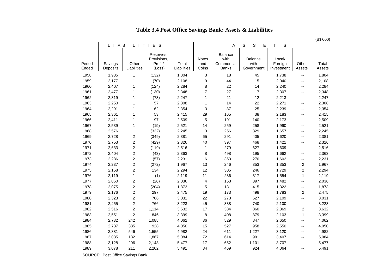### **Table 3.4 Post Office Savings Bank: Assets & Liabilities**

|                 |                     |                         |                                               |                      |                              |                                               |                               |                                 |                          | (B\$'000)       |
|-----------------|---------------------|-------------------------|-----------------------------------------------|----------------------|------------------------------|-----------------------------------------------|-------------------------------|---------------------------------|--------------------------|-----------------|
|                 |                     | L I A B I L I T         | E S<br>$\perp$                                |                      |                              | A                                             | S<br>S<br>E                   | T.<br>S                         |                          |                 |
| Period<br>Ended | Savings<br>Deposits | Other<br>Liabilities    | Reserves,<br>Provisions,<br>Profit/<br>(Loss) | Total<br>Liabilities | <b>Notes</b><br>and<br>Coins | Balance<br>with<br>Commercial<br><b>Banks</b> | Balance<br>with<br>Government | Local/<br>Foreign<br>Investment | Other<br>Assets          | Total<br>Assets |
| 1958            | 1,935               | $\mathbf{1}$            | (132)                                         | 1,804                | 3                            | 18                                            | 45                            | 1,738                           | $\overline{\phantom{a}}$ | 1,804           |
| 1959            | 2,177               | 1                       | (70)                                          | 2,108                | 9                            | 44                                            | 15                            | 2,040                           | --                       | 2,108           |
| 1960            | 2,407               | $\mathbf{1}$            | (124)                                         | 2,284                | 8                            | 22                                            | 14                            | 2,240                           | $-$                      | 2,284           |
| 1961            | 2,477               | $\mathbf{1}$            | (130)                                         | 2,348                | 7                            | 27                                            | $\overline{7}$                | 2,307                           | $-$                      | 2,348           |
| 1962            | 2,319               | $\mathbf{1}$            | (73)                                          | 2,247                | 1                            | 21                                            | 12                            | 2,213                           | $-$                      | 2,247           |
| 1963            | 2,250               | 1                       | 57                                            | 2,308                | $\mathbf{1}$                 | 14                                            | 22                            | 2,271                           | $\overline{\phantom{a}}$ | 2,308           |
| 1964            | 2,291               | $\mathbf{1}$            | 62                                            | 2,354                | 3                            | 87                                            | 25                            | 2,239                           | $\overline{a}$           | 2,354           |
| 1965            | 2,361               | $\mathbf{1}$            | 53                                            | 2,415                | 29                           | 165                                           | 38                            | 2,183                           | --                       | 2,415           |
| 1966            | 2,411               | $\mathbf{1}$            | 97                                            | 2,509                | 5                            | 191                                           | 140                           | 2,173                           | --                       | 2,509           |
| 1967            | 2,539               | $\mathbf{1}$            | (19)                                          | 2,521                | 14                           | 259                                           | 258                           | 1,990                           | $-$                      | 2,521           |
| 1968            | 2,576               | $\mathbf{1}$            | (332)                                         | 2,245                | 3                            | 256                                           | 329                           | 1,657                           | $\overline{a}$           | 2,245           |
| 1969            | 2,728               | $\overline{\mathbf{c}}$ | (349)                                         | 2,381                | 65                           | 291                                           | 405                           | 1,620                           | $-$                      | 2,381           |
| 1970            | 2,753               | $\overline{\mathbf{c}}$ | (429)                                         | 2,326                | 40                           | 397                                           | 468                           | 1,421                           | --                       | 2,326           |
| 1971            | 2,633               | $\overline{c}$          | (119)                                         | 2,516                | 1                            | 279                                           | 627                           | 1,609                           | --                       | 2,516           |
| 1972            | 2,404               | $\overline{c}$          | (43)                                          | 2,363                | 8                            | 498                                           | 195                           | 1,662                           | $\overline{\phantom{a}}$ | 2,363           |
| 1973            | 2,286               | $\overline{c}$          | (57)                                          | 2,231                | 6                            | 353                                           | 270                           | 1,602                           | $\overline{a}$           | 2,231           |
| 1974            | 2,237               | $\overline{c}$          | (272)                                         | 1,967                | 13                           | 246                                           | 353                           | 1,353                           | $\sqrt{2}$               | 1,967           |
| 1975            | 2,158               | $\overline{c}$          | 134                                           | 2,294                | 12                           | 305                                           | 246                           | 1,729                           | $\overline{2}$           | 2,294           |
| 1976            | 2,119               | $\mathbf{1}$            | (1)                                           | 2,119                | 11                           | 236                                           | 317                           | 1,554                           | $\mathbf 1$              | 2,119           |
| 1977            | 2,060               | $\overline{\mathbf{c}}$ | (26)                                          | 2,036                | 4                            | 153                                           | 397                           | 1,482                           | --                       | 2,036           |
| 1978            | 2,075               | $\overline{c}$          | (204)                                         | 1,873                | 5                            | 131                                           | 415                           | 1,322                           | --                       | 1,873           |
| 1979            | 2,176               | $\overline{c}$          | 297                                           | 2,475                | 19                           | 173                                           | 498                           | 1,783                           | $\overline{2}$           | 2,475           |
| 1980            | 2,323               | $\overline{c}$          | 706                                           | 3,031                | 22                           | 273                                           | 627                           | 2,109                           | $\overline{a}$           | 3,031           |
| 1981            | 2,455               | $\overline{c}$          | 766                                           | 3,223                | 45                           | 338                                           | 740                           | 2,100                           | $\overline{a}$           | 3,223           |
| 1982            | 2,516               | $\overline{\mathbf{c}}$ | 1,114                                         | 3,632                | 17                           | 384                                           | 860                           | 2,369                           | $\overline{2}$           | 3,632           |
| 1983            | 2,551               | $\overline{c}$          | 846                                           | 3,399                | 8                            | 408                                           | 879                           | 2,103                           | $\mathbf{1}$             | 3,399           |
| 1984            | 2,732               | 242                     | 1,088                                         | 4,062                | 36                           | 529                                           | 847                           | 2,650                           | --                       | 4,062           |
| 1985            | 2,737               | 385                     | 928                                           | 4,050                | 15                           | 527                                           | 958                           | 2,550                           | --                       | 4,050           |
| 1986            | 2,881               | 546                     | 1,555                                         | 4,982                | 24                           | 611                                           | 1,227                         | 3,120                           | --                       | 4,982           |
| 1987            | 3,035               | 182                     | 1,867                                         | 5,084                | 72                           | 614                                           | 991                           | 3,407                           | $-$                      | 5,084           |
| 1988            | 3,128               | 206                     | 2,143                                         | 5,477                | 17                           | 652                                           | 1,101                         | 3,707                           | $-$                      | 5,477           |
| 1989            | 3,078               | 211                     | 2,202                                         | 5,491                | 34                           | 469                                           | 924                           | 4,064                           | --                       | 5,491           |
|                 |                     |                         |                                               |                      |                              |                                               |                               |                                 |                          |                 |

SOURCE: Post Office Savings Bank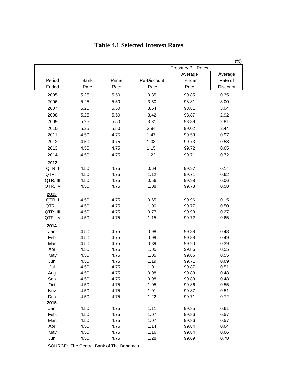|                                                                                                                                                                                                    |                                                                                                                                                              |                                                                                                                                                              |                                                                                                                                                              |                                                                                                                                                                                  | (%)                                                                                                                                                          |
|----------------------------------------------------------------------------------------------------------------------------------------------------------------------------------------------------|--------------------------------------------------------------------------------------------------------------------------------------------------------------|--------------------------------------------------------------------------------------------------------------------------------------------------------------|--------------------------------------------------------------------------------------------------------------------------------------------------------------|----------------------------------------------------------------------------------------------------------------------------------------------------------------------------------|--------------------------------------------------------------------------------------------------------------------------------------------------------------|
|                                                                                                                                                                                                    |                                                                                                                                                              |                                                                                                                                                              |                                                                                                                                                              | <b>Treasury Bill Rates</b>                                                                                                                                                       |                                                                                                                                                              |
|                                                                                                                                                                                                    |                                                                                                                                                              |                                                                                                                                                              |                                                                                                                                                              | Average                                                                                                                                                                          | Average                                                                                                                                                      |
| Period                                                                                                                                                                                             | Bank                                                                                                                                                         | Prime                                                                                                                                                        | Re-Discount                                                                                                                                                  | Tender                                                                                                                                                                           | Rate of                                                                                                                                                      |
| Ended                                                                                                                                                                                              | Rate                                                                                                                                                         | Rate                                                                                                                                                         | Rate                                                                                                                                                         | Rate                                                                                                                                                                             | Discount                                                                                                                                                     |
| 2005                                                                                                                                                                                               | 5.25                                                                                                                                                         | 5.50                                                                                                                                                         | 0.85                                                                                                                                                         | 99.85                                                                                                                                                                            | 0.35                                                                                                                                                         |
| 2006                                                                                                                                                                                               | 5.25                                                                                                                                                         | 5.50                                                                                                                                                         | 3.50                                                                                                                                                         | 98.81                                                                                                                                                                            | 3.00                                                                                                                                                         |
| 2007                                                                                                                                                                                               | 5.25                                                                                                                                                         | 5.50                                                                                                                                                         | 3.54                                                                                                                                                         | 98.81                                                                                                                                                                            | 3.04                                                                                                                                                         |
| 2008                                                                                                                                                                                               | 5.25                                                                                                                                                         | 5.50                                                                                                                                                         | 3.42                                                                                                                                                         | 98.87                                                                                                                                                                            | 2.92                                                                                                                                                         |
| 2009                                                                                                                                                                                               | 5.25                                                                                                                                                         | 5.50                                                                                                                                                         | 3.31                                                                                                                                                         | 98.89                                                                                                                                                                            | 2.81                                                                                                                                                         |
| 2010                                                                                                                                                                                               | 5.25                                                                                                                                                         | 5.50                                                                                                                                                         | 2.94                                                                                                                                                         | 99.02                                                                                                                                                                            | 2.44                                                                                                                                                         |
| 2011                                                                                                                                                                                               | 4.50                                                                                                                                                         | 4.75                                                                                                                                                         | 1.47                                                                                                                                                         | 99.59                                                                                                                                                                            | 0.97                                                                                                                                                         |
| 2012                                                                                                                                                                                               | 4.50                                                                                                                                                         | 4.75                                                                                                                                                         | 1.08                                                                                                                                                         | 99.73                                                                                                                                                                            | 0.58                                                                                                                                                         |
| 2013                                                                                                                                                                                               | 4.50                                                                                                                                                         | 4.75                                                                                                                                                         | 1.15                                                                                                                                                         | 99.72                                                                                                                                                                            | 0.65                                                                                                                                                         |
| 2014                                                                                                                                                                                               | 4.50                                                                                                                                                         | 4.75                                                                                                                                                         | 1.22                                                                                                                                                         | 99.71                                                                                                                                                                            | 0.72                                                                                                                                                         |
|                                                                                                                                                                                                    |                                                                                                                                                              |                                                                                                                                                              |                                                                                                                                                              |                                                                                                                                                                                  |                                                                                                                                                              |
|                                                                                                                                                                                                    |                                                                                                                                                              |                                                                                                                                                              |                                                                                                                                                              |                                                                                                                                                                                  |                                                                                                                                                              |
|                                                                                                                                                                                                    |                                                                                                                                                              |                                                                                                                                                              |                                                                                                                                                              |                                                                                                                                                                                  |                                                                                                                                                              |
|                                                                                                                                                                                                    |                                                                                                                                                              |                                                                                                                                                              |                                                                                                                                                              |                                                                                                                                                                                  |                                                                                                                                                              |
|                                                                                                                                                                                                    |                                                                                                                                                              |                                                                                                                                                              |                                                                                                                                                              |                                                                                                                                                                                  |                                                                                                                                                              |
|                                                                                                                                                                                                    |                                                                                                                                                              |                                                                                                                                                              |                                                                                                                                                              |                                                                                                                                                                                  |                                                                                                                                                              |
|                                                                                                                                                                                                    |                                                                                                                                                              |                                                                                                                                                              |                                                                                                                                                              |                                                                                                                                                                                  |                                                                                                                                                              |
|                                                                                                                                                                                                    |                                                                                                                                                              |                                                                                                                                                              |                                                                                                                                                              |                                                                                                                                                                                  |                                                                                                                                                              |
| QTR. III                                                                                                                                                                                           | 4.50                                                                                                                                                         | 4.75                                                                                                                                                         | 0.77                                                                                                                                                         | 99.93                                                                                                                                                                            | 0.27                                                                                                                                                         |
| QTR. IV                                                                                                                                                                                            | 4.50                                                                                                                                                         | 4.75                                                                                                                                                         | 1.15                                                                                                                                                         | 99.72                                                                                                                                                                            | 0.65                                                                                                                                                         |
|                                                                                                                                                                                                    |                                                                                                                                                              |                                                                                                                                                              |                                                                                                                                                              |                                                                                                                                                                                  |                                                                                                                                                              |
|                                                                                                                                                                                                    |                                                                                                                                                              |                                                                                                                                                              |                                                                                                                                                              |                                                                                                                                                                                  |                                                                                                                                                              |
| Feb.                                                                                                                                                                                               | 4.50                                                                                                                                                         | 4.75                                                                                                                                                         | 0.99                                                                                                                                                         | 99.88                                                                                                                                                                            | 0.49                                                                                                                                                         |
| Mar.                                                                                                                                                                                               | 4.50                                                                                                                                                         | 4.75                                                                                                                                                         | 0.89                                                                                                                                                         | 99.90                                                                                                                                                                            | 0.39                                                                                                                                                         |
| Apr.                                                                                                                                                                                               | 4.50                                                                                                                                                         | 4.75                                                                                                                                                         | 1.05                                                                                                                                                         | 99.86                                                                                                                                                                            | 0.55                                                                                                                                                         |
| May                                                                                                                                                                                                | 4.50                                                                                                                                                         | 4.75                                                                                                                                                         | 1.05                                                                                                                                                         | 99.86                                                                                                                                                                            | 0.55                                                                                                                                                         |
| Jun.                                                                                                                                                                                               |                                                                                                                                                              |                                                                                                                                                              |                                                                                                                                                              |                                                                                                                                                                                  |                                                                                                                                                              |
|                                                                                                                                                                                                    |                                                                                                                                                              |                                                                                                                                                              |                                                                                                                                                              |                                                                                                                                                                                  |                                                                                                                                                              |
|                                                                                                                                                                                                    |                                                                                                                                                              |                                                                                                                                                              |                                                                                                                                                              |                                                                                                                                                                                  |                                                                                                                                                              |
|                                                                                                                                                                                                    |                                                                                                                                                              |                                                                                                                                                              |                                                                                                                                                              |                                                                                                                                                                                  |                                                                                                                                                              |
|                                                                                                                                                                                                    |                                                                                                                                                              |                                                                                                                                                              |                                                                                                                                                              |                                                                                                                                                                                  |                                                                                                                                                              |
|                                                                                                                                                                                                    |                                                                                                                                                              |                                                                                                                                                              |                                                                                                                                                              |                                                                                                                                                                                  |                                                                                                                                                              |
|                                                                                                                                                                                                    |                                                                                                                                                              |                                                                                                                                                              |                                                                                                                                                              |                                                                                                                                                                                  |                                                                                                                                                              |
|                                                                                                                                                                                                    |                                                                                                                                                              |                                                                                                                                                              |                                                                                                                                                              |                                                                                                                                                                                  |                                                                                                                                                              |
|                                                                                                                                                                                                    |                                                                                                                                                              |                                                                                                                                                              |                                                                                                                                                              |                                                                                                                                                                                  |                                                                                                                                                              |
|                                                                                                                                                                                                    |                                                                                                                                                              |                                                                                                                                                              |                                                                                                                                                              |                                                                                                                                                                                  |                                                                                                                                                              |
|                                                                                                                                                                                                    |                                                                                                                                                              |                                                                                                                                                              |                                                                                                                                                              |                                                                                                                                                                                  |                                                                                                                                                              |
|                                                                                                                                                                                                    |                                                                                                                                                              |                                                                                                                                                              |                                                                                                                                                              |                                                                                                                                                                                  |                                                                                                                                                              |
|                                                                                                                                                                                                    |                                                                                                                                                              |                                                                                                                                                              |                                                                                                                                                              |                                                                                                                                                                                  |                                                                                                                                                              |
| 2012<br>QTR.I<br>QTR. II<br>QTR. III<br>QTR. IV<br>2013<br>QTR.I<br>QTR. II<br>2014<br>Jan.<br>Jul.<br>Aug.<br>Sep.<br>Oct.<br>Nov.<br>Dec.<br>2015<br>Jan.<br>Feb.<br>Mar.<br>Apr.<br>May<br>Jun. | 4.50<br>4.50<br>4.50<br>4.50<br>4.50<br>4.50<br>4.50<br>4.50<br>4.50<br>4.50<br>4.50<br>4.50<br>4.50<br>4.50<br>4.50<br>4.50<br>4.50<br>4.50<br>4.50<br>4.50 | 4.75<br>4.75<br>4.75<br>4.75<br>4.75<br>4.75<br>4.75<br>4.75<br>4.75<br>4.75<br>4.75<br>4.75<br>4.75<br>4.75<br>4.75<br>4.75<br>4.75<br>4.75<br>4.75<br>4.75 | 0.64<br>1.12<br>0.56<br>1.08<br>0.65<br>1.00<br>0.98<br>1.19<br>1.01<br>0.98<br>0.98<br>1.05<br>1.01<br>1.22<br>1.11<br>1.07<br>1.07<br>1.14<br>1.16<br>1.28 | 99.97<br>99.71<br>99.98<br>99.73<br>99.96<br>99.77<br>99.88<br>99.71<br>99.87<br>99.88<br>99.88<br>99.86<br>99.87<br>99.71<br>99.85<br>99.86<br>99.86<br>99.84<br>99.84<br>99.69 | 0.14<br>0.62<br>0.06<br>0.58<br>0.15<br>0.50<br>0.48<br>0.69<br>0.51<br>0.48<br>0.48<br>0.55<br>0.51<br>0.72<br>0.61<br>0.57<br>0.57<br>0.64<br>0.66<br>0.78 |

### **Table 4.1 Selected Interest Rates**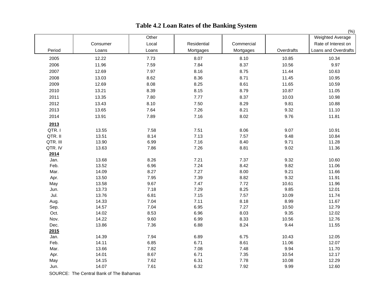|          |          |                |             |            |            | $(\% )$                                                         |
|----------|----------|----------------|-------------|------------|------------|-----------------------------------------------------------------|
| Period   | Consumer | Other<br>Local | Residential | Commercial |            | Weighted Average<br>Rate of Interest on<br>Loans and Overdrafts |
|          | Loans    | Loans          | Mortgages   | Mortgages  | Overdrafts |                                                                 |
| 2005     | 12.22    | 7.73           | 8.07        | 8.10       | 10.85      | 10.34                                                           |
| 2006     | 11.96    | 7.59           | 7.84        | 8.37       | 10.56      | 9.97                                                            |
| 2007     | 12.69    | 7.97           | 8.16        | 8.75       | 11.44      | 10.63                                                           |
| 2008     | 13.03    | 8.62           | 8.36        | 8.71       | 11.45      | 10.95                                                           |
| 2009     | 12.69    | 8.08           | 8.25        | 8.61       | 11.65      | 10.59                                                           |
| 2010     | 13.21    | 8.39           | 8.15        | 8.79       | 10.87      | 11.05                                                           |
| 2011     | 13.35    | 7.80           | 7.77        | 8.37       | 10.03      | 10.98                                                           |
| 2012     | 13.43    | 8.10           | 7.50        | 8.29       | 9.81       | 10.88                                                           |
| 2013     | 13.65    | 7.64           | 7.26        | 8.21       | 9.32       | 11.10                                                           |
| 2014     | 13.91    | 7.89           | 7.16        | 8.02       | 9.76       | 11.81                                                           |
| 2013     |          |                |             |            |            |                                                                 |
| QTR.I    | 13.55    | 7.58           | 7.51        | 8.06       | 9.07       | 10.91                                                           |
| QTR. II  | 13.51    | 8.14           | 7.13        | 7.57       | 9.48       | 10.84                                                           |
| QTR. III | 13.90    | 6.99           | 7.16        | 8.40       | 9.71       | 11.28                                                           |
| QTR. IV  | 13.63    | 7.86           | 7.26        | 8.81       | 9.02       | 11.36                                                           |
| 2014     |          |                |             |            |            |                                                                 |
| Jan.     | 13.68    | 8.26           | 7.21        | 7.37       | 9.32       | 10.60                                                           |
| Feb.     | 13.52    | 6.96           | 7.24        | 8.42       | 9.82       | 11.06                                                           |
| Mar.     | 14.09    | 8.27           | 7.27        | 8.00       | 9.21       | 11.66                                                           |
| Apr.     | 13.50    | 7.95           | 7.39        | 8.82       | 9.32       | 11.91                                                           |
| May      | 13.58    | 9.67           | 7.47        | 7.72       | 10.61      | 11.96                                                           |
| Jun.     | 13.73    | 7.18           | 7.29        | 8.25       | 9.85       | 12.01                                                           |
| Jul.     | 13.76    | 6.81           | 7.15        | 7.57       | 10.09      | 11.74                                                           |
| Aug.     | 14.33    | 7.04           | 7.11        | 8.18       | 8.99       | 11.67                                                           |
| Sep.     | 14.57    | 7.04           | 6.95        | 7.27       | 10.50      | 12.79                                                           |
| Oct.     | 14.02    | 8.53           | 6.96        | 8.03       | 9.35       | 12.02                                                           |
| Nov.     | 14.22    | 9.60           | 6.99        | 8.33       | 10.56      | 12.76                                                           |
| Dec.     | 13.86    | 7.36           | 6.88        | 8.24       | 9.44       | 11.55                                                           |
| 2015     |          |                |             |            |            |                                                                 |
| Jan.     | 14.39    | 7.94           | 6.89        | 6.75       | 10.43      | 12.05                                                           |
| Feb.     | 14.11    | 6.85           | 6.71        | 8.61       | 11.06      | 12.07                                                           |
| Mar.     | 13.66    | 7.82           | 7.08        | 7.48       | 9.94       | 11.70                                                           |
| Apr.     | 14.01    | 8.67           | 6.71        | 7.35       | 10.54      | 12.17                                                           |
| May      | 14.15    | 7.62           | 6.31        | 7.78       | 10.08      | 12.29                                                           |
| Jun.     | 14.07    | 7.61           | 6.32        | 7.92       | 9.99       | 12.60                                                           |

## **Table 4.2 Loan Rates of the Banking System**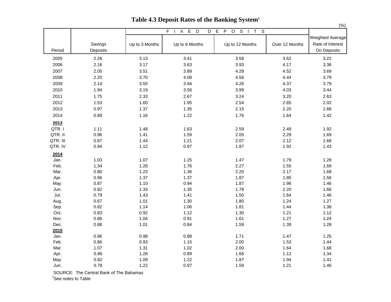|                   |                     |                |                                                                                                        | o                                                                                                                                 |                | (% )                                                       |
|-------------------|---------------------|----------------|--------------------------------------------------------------------------------------------------------|-----------------------------------------------------------------------------------------------------------------------------------|----------------|------------------------------------------------------------|
|                   |                     |                | $\overline{E}$<br>$\overline{F}$<br>$\overline{X}$<br>$\overline{D}$<br>$\overline{D}$<br>$\mathbf{I}$ | $\overline{s}$<br>$\overline{E}$<br>$\overline{P}$<br>$\overline{O}$<br>$\overline{s}$<br>$\overline{\mathsf{T}}$<br>$\mathbf{I}$ |                |                                                            |
| Period            | Savings<br>Deposits | Up to 3 Months | Up to 6 Months                                                                                         | Up to 12 Months                                                                                                                   | Over 12 Months | <b>Weighted Average</b><br>Rate of Interest<br>On Deposits |
| 2005              | 2.26                | 3.13           | 3.41                                                                                                   | 3.58                                                                                                                              | 3.62           | 3.22                                                       |
| 2006              | 2.16                | 3.17           | 3.63                                                                                                   | 3.93                                                                                                                              | 4.17           | 3.36                                                       |
| 2007              | 2.05                | 3.51           | 3.89                                                                                                   | 4.28                                                                                                                              | 4.52           | 3.69                                                       |
| 2008              | 2.20                | 3.70           | 4.08                                                                                                   | 4.56                                                                                                                              | 4.44           | 3.79                                                       |
| 2009              | 2.14                | 3.55           | 3.94                                                                                                   | 4.26                                                                                                                              | 4.37           | 3.79                                                       |
| 2010              | 1.94                | 3.19           | 3.56                                                                                                   | 3.99                                                                                                                              | 4.03           | 3.44                                                       |
| 2011              | 1.75                | 2.33           | 2.67                                                                                                   | 3.24                                                                                                                              | 3.20           | 2.63                                                       |
| 2012              | 1.53                | 1.60           | 1.95                                                                                                   | 2.54                                                                                                                              | 2.65           | 2.02                                                       |
| 2013              | 0.97                | 1.37           | 1.35                                                                                                   | 2.15                                                                                                                              | 2.20           | 1.68                                                       |
| 2014              | 0.89                | 1.16           | 1.22                                                                                                   | 1.76                                                                                                                              | 1.64           | 1.42                                                       |
|                   |                     |                |                                                                                                        |                                                                                                                                   |                |                                                            |
| 2013              |                     |                |                                                                                                        |                                                                                                                                   |                |                                                            |
| QTR. I<br>QTR. II | 1.11<br>0.96        | 1.48<br>1.41   | 1.63<br>1.59                                                                                           | 2.59<br>2.05                                                                                                                      | 2.49<br>2.29   | 1.92<br>1.69                                               |
| QTR. III          | 0.87                | 1.44           | 1.21                                                                                                   | 2.07                                                                                                                              | 2.12           | 1.68                                                       |
| QTR. IV           | 0.94                | 1.12           | 0.97                                                                                                   | 1.87                                                                                                                              | 1.92           | 1.43                                                       |
|                   |                     |                |                                                                                                        |                                                                                                                                   |                |                                                            |
| 2014              |                     |                |                                                                                                        |                                                                                                                                   |                |                                                            |
| Jan.              | 1.03                | 1.07           | 1.25                                                                                                   | 1.47                                                                                                                              | 1.79           | 1.28                                                       |
| Feb.              | 1.34                | 1.28           | 1.76                                                                                                   | 2.27                                                                                                                              | 1.55           | 1.69                                                       |
| Mar.              | 0.80                | 1.23           | 1.36                                                                                                   | 2.20                                                                                                                              | 2.17           | 1.68                                                       |
| Apr.              | 0.96                | 1.37           | 1.37                                                                                                   | 1.87                                                                                                                              | 1.85           | 1.56                                                       |
| May               | 0.87                | 1.10           | 0.94                                                                                                   | 1.87                                                                                                                              | 1.96           | 1.46                                                       |
| Jun.              | 0.82                | 1.33           | 1.35                                                                                                   | 1.78                                                                                                                              | 2.20           | 1.66                                                       |
| Jul.<br>Aug.      | 0.79<br>0.67        | 1.43<br>1.01   | 1.41<br>1.30                                                                                           | 1.50<br>1.80                                                                                                                      | 1.64<br>1.24   | 1.46<br>1.27                                               |
| Sep.              | 0.82                | 1.14           | 1.06                                                                                                   | 1.81                                                                                                                              | 1.44           | 1.38                                                       |
| Oct.              | 0.83                | 0.92           | 1.12                                                                                                   | 1.30                                                                                                                              | 1.21           | 1.12                                                       |
| Nov.              | 0.86                | 1.04           | 0.91                                                                                                   | 1.61                                                                                                                              | 1.27           | 1.24                                                       |
| Dec.              | 0.88                | 1.01           | 0.84                                                                                                   | 1.59                                                                                                                              | 1.39           | 1.28                                                       |
| 2015              |                     |                |                                                                                                        |                                                                                                                                   |                |                                                            |
| Jan.              | 0.96                | 0.98           | 0.88                                                                                                   | 1.71                                                                                                                              | 1.47           | 1.25                                                       |
| Feb.              | 0.86                | 0.93           | 1.15                                                                                                   | 2.00                                                                                                                              | 1.53           | 1.44                                                       |
| Mar.              | 1.07                | 1.31           | 1.02                                                                                                   | 2.00                                                                                                                              | 1.64           | 1.68                                                       |
| Apr.              | 0.86                | 1.28           | 0.89                                                                                                   | 1.66                                                                                                                              | 1.12           | 1.34                                                       |
| May               | 0.82                | 1.09           | 1.22                                                                                                   | 1.87                                                                                                                              | 1.94           | 1.41                                                       |
| Jun.              | 0.78                | 1.22           | 0.97                                                                                                   | 1.59                                                                                                                              | 1.21           | 1.46                                                       |

**Table 4.3 Deposit Rates of the Banking System<sup>1</sup>**

SOURCE: The Central Bank of The Bahamas

<sup>1</sup>See notes to Table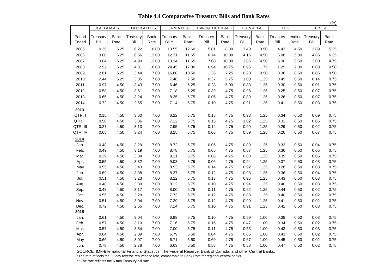**Table 4.4 Comparative Treasury Bills and Bank Rates**

|              |              |              |                 |              |                |              |                              |              |              |              |              |              |              | (% )         |
|--------------|--------------|--------------|-----------------|--------------|----------------|--------------|------------------------------|--------------|--------------|--------------|--------------|--------------|--------------|--------------|
|              | BAHAMAS      |              | <b>BARBADOS</b> |              | <b>JAMAICA</b> |              | <b>TRINIDAD &amp; TOBAGO</b> |              | CANADA       |              |              | <b>U.K.</b>  | U. S. A.     |              |
| Period       | Treasury     | <b>Bank</b>  | Treasury        | Bank         | Treasury       | Bank         | Treasury                     | <b>Bank</b>  | Treasury     | <b>Bank</b>  | Treasury     | Lending      | Treasury     | <b>Bank</b>  |
| Ended        | Bill         | Rate         | Bill            | Rate         | Bill**         | Rate*        | Bill                         | Rate         | Bill         | Rate         | Bill         | Rate         | Bill         | Rate         |
| 2005         | 0.35         | 5.25         | 6.22            | 10.00        | 13.55          | 12.60        | 5.01                         | 8.00         | 3.40         | 3.50         | 4.43         | 4.50         | 3.89         | 5.25         |
| 2006         | 3.00         | 5.25         | 6.56            | 12.00        | 12.31          | 11.65        | 6.74                         | 10.00        | 4.16         | 4.50         | 5.08         | 5.00         | 4.85         | 6.25         |
| 2007         | 3.04         | 5.25         | 4.90            | 12.00        | 13.34          | 11.65        | 7.00                         | 10.00        | 3.86         | 4.50         | 5.30         | 5.50         | 3.00         | 4.75         |
| 2008         | 2.92         | 5.25         | 4.81            | 10.00        | 24.45          | 17.00        | 6.94                         | 10.75        | 0.95         | 1.75         | 1.29         | 2.00         | 0.03         | 0.50         |
| 2009         | 2.81         | 5.25         | 3.44            | 7.00         | 16.80          | 10.50        | 1.36                         | 7.25         | 0.20         | 0.50         | 0.36         | 0.50         | 0.05         | 0.50         |
| 2010         | 2.44         | 5.25         | 3.35            | 7.00         | 7.48           | 7.50         | 0.37                         | 5.75         | 1.00         | 1.25         | 0.49         | 0.50         | 0.14         | 0.75         |
| 2011         | 0.97         | 4.50         | 3.43            | 7.00         | 6.46           | 6.25         | 0.28                         | 5.00         | 0.83         | 1.25         | 0.30         | 0.50         | 0.01         | 0.75         |
| 2012         | 0.58         | 4.50         | 3.61            | 7.00         | 7.18           | 6.25         | 0.39                         | 4.75         | 0.98         | 1.25         | 0.25         | 0.50         | 0.07         | 0.75         |
| 2013         | 0.65         | 4.50         | 3.24            | 7.00         | 8.25           | 5.75         | 0.06                         | 4.75         | 0.89         | 1.25         | 0.26         | 0.50         | 0.07         | 0.75         |
| 2014         | 0.72         | 4.50         | 2.55            | 7.00         | 7.14           | 5.75         | 0.10                         | 4.75         | 0.91         | 1.25         | 0.41         | 0.50         | 0.03         | 0.75         |
| 2013         |              |              |                 |              |                |              |                              |              |              |              |              |              |              |              |
| QTR.I        | 0.15         | 4.50         | 3.60            | 7.00         | 6.22           | 5.75         | 0.18                         | 4.75         | 0.98         | 1.25         | 0.34         | 0.50         | 0.09         | 0.75         |
| QTR. II      | 0.50         | 4.50         | 3.36            | 7.00         | 7.12           | 5.75         | 0.15                         | 4.75         | 1.02         | 1.25         | 0.31         | 0.50         | 0.05         | 0.75         |
| QTR. III     | 0.27         | 4.50         | 3.13            | 7.00         | 7.95           | 5.75         | 0.14                         | 4.75         | 0.99         | 1.25         | 0.29         | 0.50         | 0.02         | 0.75         |
| QTR. IV      | 0.65         | 4.50         | 3.24            | 7.00         | 8.25           | 5.75         | 0.06                         | 4.75         | 0.89         | 1.25         | 0.26         | 0.50         | 0.07         | 0.75         |
| 2014         |              |              |                 |              |                |              |                              |              |              |              |              |              |              |              |
| Jan.         | 0.48         | 4.50         | 3.29            | 7.00         | 8.72           | 5.75         | 0.05                         | 4.75         | 0.89         | 1.25         | 0.32         | 0.50         | 0.04         | 0.75         |
| Feb.         | 0.49         | 4.50         | 3.19            | 7.00         | 8.78           | 5.75         | 0.05                         | 4.75         | 0.87         | 1.25         | 0.36         | 0.50         | 0.05         | 0.75         |
| Mar.         | 0.39         | 4.50         | 3.34            | 7.00         | 9.11           | 5.75         | 0.06                         | 4.75         | 0.88         | 1.25         | 0.39         | 0.50         | 0.05         | 0.75         |
| Apr.         | 0.55         | 4.50         | 3.32            | 7.00         | 9.03           | 5.75         | 0.06                         | 4.75         | 0.94         | 1.25         | 0.37         | 0.50         | 0.03         | 0.75         |
| May          | 0.55         | 4.50         | 3.43            | 7.00         | 8.93           | 5.75         | 0.14                         | 4.75         | 0.92         | 1.25         | 0.28         | 0.50         | 0.03         | 0.75         |
| Jun.         | 0.69         | 4.50         | 3.38            | 7.00         | 8.37           | 5.75         | 0.12                         | 4.75         | 0.93         | 1.25         | 0.36         | 0.50         | 0.04         | 0.75         |
| Jul.         | 0.51         | 4.50         | 3.23            | 7.00         | 8.22           | 5.75         | 0.13                         | 4.75         | 0.95         | 1.25         | 0.43         | 0.50         | 0.03         | 0.75         |
| Aug.         | 0.48         | 4.50         | 3.39            | 7.00         | 8.12           | 5.75         | 0.10                         | 4.75         | 0.94         | 1.25         | 0.40         | 0.50         | 0.03         | 0.75         |
| Sep.         | 0.48         | 4.50         | 3.17            | 7.00         | 8.00           | 5.75         | 0.11                         | 4.75         | 0.92         | 1.25         | 0.44         | 0.50         | 0.02         | 0.75         |
| Oct.         | 0.55         | 4.50         | 3.29            | 7.00         | 7.73           | 5.75         | 0.12                         | 4.75         | 0.88         | 1.25         | 0.40         | 0.50         | 0.02         | 0.75         |
| Nov.         | 0.51         | 4.50         | 3.04            | 7.00         | 7.39           | 5.75         | 0.12                         | 4.75         | 0.90         | 1.25         | 0.41         | 0.50         | 0.02         | 0.75         |
| Dec.         | 0.72         | 4.50         | 2.55            | 7.00         | 7.14           | 5.75         | 0.10                         | 4.75         | 0.91         | 1.25         | 0.41         | 0.50         | 0.03         | 0.75         |
| 2015         |              |              |                 |              |                |              |                              |              |              |              |              |              |              |              |
| Jan.<br>Feb. | 0.61<br>0.57 | 4.50         | 3.04<br>3.10    | 7.00<br>7.00 | 6.99<br>7.16   | 5.75<br>5.75 | 0.10<br>0.16                 | 4.75<br>4.75 | 0.59         | 1.00<br>1.00 | 0.38         | 0.50<br>0.50 | 0.03<br>0.02 | 0.75<br>0.75 |
| Mar.         | 0.57         | 4.50<br>4.50 | 3.34            | 7.00         | 7.00           | 5.75         | 0.11                         | 4.75         | 0.47<br>0.53 | 1.00         | 0.34<br>0.43 | 0.50         | 0.03         | 0.75         |
| Apr.         | 0.64         | 4.50         | 2.89            | 7.00         | 6.79           | 5.50         | 0.04                         | 4.75         | 0.65         | 1.00         | 0.43         | 0.50         | 0.02         | 0.75         |
| May          | 0.66         | 4.50         | 3.07            | 7.00         | 6.71           | 5.50         | 0.60                         | 4.75         | 0.67         | 1.00         | 0.45         | 0.50         | 0.02         | 0.75         |
| Jun.         | 0.78         | 4.50         | 2.78            | 7.00         | 6.63           | 5.50         | 0.58                         | 4.75         | 0.58         | 1.00         | 0.47         | 0.50         | 0.02         | 0.75         |
|              |              |              |                 |              |                |              |                              |              |              |              |              |              |              |              |

SOURCE: IMF-International Financial Statistics, The Federal Reserve, Bank of Canada, and other Central Banks.

\*The rate reflects the 30 day reverse repurchase rate, comparable to Bank Rate for regional central banks.

\*\* The rate reflects the 6-mth Treasury bill rate.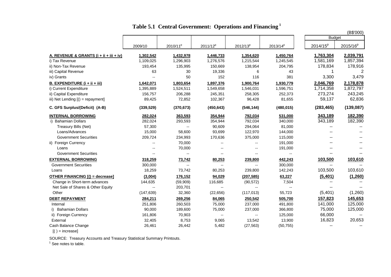|                                           |                          |                      |                      |                          |                          |                          | (B\$'000)                |
|-------------------------------------------|--------------------------|----------------------|----------------------|--------------------------|--------------------------|--------------------------|--------------------------|
|                                           |                          |                      |                      |                          |                          | <b>Budget</b>            |                          |
|                                           | 2009/10                  | 2010/11 <sup>p</sup> | 2011/12 <sup>p</sup> | $2012/13^{p}$            | $2013/14^{p}$            | 2014/15 <sup>p</sup>     | 2015/16 <sup>p</sup>     |
| A. REVENUE & GRANTS $(i + ii + iii + iv)$ | 1,302,542                | 1,432,978            | 1,446,733            | 1,354,620                | 1,450,764                | 1,763,304                | 2,039,791                |
| i) Tax Revenue                            | 1,109,025                | 1,296,903            | 1,276,576            | 1,215,544                | 1,245,545                | 1,581,169                | 1,857,394                |
| ii) Non-Tax Revenue                       | 193,454                  | 135,995              | 150,669              | 138,954                  | 204,795                  | 178,834                  | 178,916                  |
| iii) Capital Revenue                      | 63                       | 30                   | 19,336               | 6                        | 43                       |                          | 2                        |
| iv) Grants                                |                          | 50                   | 152                  | 116                      | 381                      | 3,300                    | 3,479                    |
| <b>B. EXPENDITURE (i + ii + iii)</b>      | 1,642,071                | 1,803,654            | 1,897,376            | 1,900,764                | 1,930,779                | 2,046,769                | 2,178,878                |
| i) Current Expenditure                    | 1,395,889                | 1,524,511            | 1,549,658            | 1,546,031                | 1,596,751                | 1,714,358                | 1,872,797                |
| ii) Capital Expenditure                   | 156,757                  | 206,288              | 245,351              | 258,305                  | 252,373                  | 273,274                  | 243,245                  |
| iii) Net Lending $[( ) =$ repayment]      | 89,425                   | 72,852               | 102,367              | 96,428                   | 81,655                   | 59,137                   | 62,836                   |
| C. GFS Surplus/(Deficit) (A-B)            | (339, 529)               | (370, 673)           | (450, 643)           | (546, 144)               | (480, 015)               | (283, 465)               | (139,087)                |
| <b>INTERNAL BORROWING</b>                 | 282,024                  | 363,593              | 354,944              | 792,034                  | 531,000                  | 343,189                  | 182,390                  |
| i) Bahamian Dollars                       | 282,024                  | 293,593              | 354,944              | 792,034                  | 340,000                  | 343,189                  | 182,390                  |
| Treasury Bills (Net)                      | 57,300                   | $\overline{a}$       | 90,609               | 294,064                  | 81,000                   | $\overline{\phantom{a}}$ | $-$                      |
| Loans/Advances                            | 15,000                   | 58,600               | 93,699               | 122,970                  | 144,000                  | $- -$                    | $-$                      |
| <b>Government Securities</b>              | 209,724                  | 234,993              | 170,636              | 375,000                  | 115,000                  | $-$                      |                          |
| ii) Foreign Currency                      | $\overline{\phantom{a}}$ | 70,000               | $\overline{a}$       | $-$                      | 191,000                  | $\overline{\phantom{a}}$ | $\overline{\phantom{m}}$ |
| Loans                                     | $\overline{\phantom{a}}$ | 70,000               | $-$                  | $\overline{\phantom{a}}$ | 191,000                  | $-$                      |                          |
| <b>Government Securities</b>              |                          | $\overline{a}$       | $-$                  | $-$                      | $\overline{a}$           |                          |                          |
| <b>EXTERNAL BORROWING</b>                 | 318,259                  | 73,742               | 80,253               | 239,800                  | 442,243                  | 103,500                  | 103,610                  |
| <b>Government Securities</b>              | 300,000                  | $\overline{a}$       | $\overline{a}$       | $\overline{a}$           | 300,000                  |                          | $\overline{a}$           |
| Loans                                     | 18,259                   | 73,742               | 80,253               | 239,800                  | 142,243                  | 103,500                  | 103,610                  |
| <b>OTHER FINANCING [() = decrease]</b>    | (3,004)                  | 176,152              | 94,029               | (207, 585)               | 63,227                   | (5,401)                  | (1, 260)                 |
| Change in Short-term advances             | 144,635                  | (59,909)             | 116,685              | (90, 572)                | 7,504                    | $- -$                    | $-$                      |
| Net Sale of Shares & Other Equity         | $\overline{\phantom{a}}$ | 203,701              | $-$                  | $\overline{\phantom{a}}$ | $\overline{\phantom{a}}$ |                          |                          |
| Other                                     | (147, 639)               | 32,360               | (22, 656)            | (117, 013)               | 55,723                   | (5,401)                  | (1,260)                  |
| <b>DEBT REPAYMENT</b>                     | 284,211                  | 269,256              | 84,065               | 250,542                  | 505,700                  | 157,823                  | 145,653                  |
| Internal                                  | 251,806                  | 260,503              | 75,000               | 237,000                  | 491,800                  | 141,000                  | 125,000                  |
| i) Bahamian Dollars                       | 90,000                   | 189,600              | 75,000               | 237,000                  | 366,800                  | 75,000                   | 125,000                  |
| ii) Foreign Currency                      | 161,806                  | 70,903               | --                   | $ -$                     | 125,000                  | 66,000                   | $\overline{\phantom{a}}$ |
| External                                  | 32,405                   | 8,753                | 9,065                | 13,542                   | 13,900                   | 16,823                   | 20,653                   |
| Cash Balance Change                       | 26,461                   | 26,442               | 5,482                | (27, 563)                | (50, 755)                |                          |                          |
| $[() = increase]$                         |                          |                      |                      |                          |                          |                          |                          |

## **Table 5.1 Central Government: Operations and Financing<sup>1</sup>**

SOURCE: Treasury Accounts and Treasury Statistical Summary Printouts.<br><sup>1</sup> See notes to table.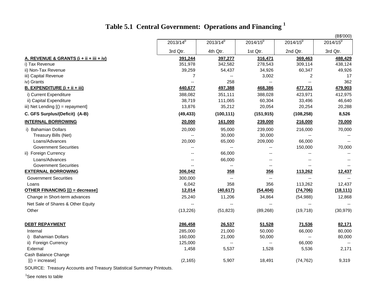# **Table 5.1 Central Government: Operations and Financing <sup>1</sup>**

|                                         |                          |                          |                          |                | (B\$'000)                |
|-----------------------------------------|--------------------------|--------------------------|--------------------------|----------------|--------------------------|
|                                         | $2013/14^{p}$            | 2013/14 <sup>p</sup>     | $2014/15^{p}$            | $2014/15^{p}$  | $2014/15^{p}$            |
|                                         | 3rd Qtr.                 | 4th Qtr.                 | 1st Qtr.                 | 2nd Qtr.       | 3rd Qtr.                 |
| A. REVENUE & GRANTS (i + ii + iii + iv) | 391,244                  | 397,277                  | 316,471                  | 369,463        | 488,429                  |
| i) Tax Revenue                          | 351,978                  | 342,582                  | 278,543                  | 309,114        | 438,124                  |
| ii) Non-Tax Revenue                     | 39,259                   | 54,437                   | 34,926                   | 60,347         | 49,926                   |
| iii) Capital Revenue                    | $\overline{7}$           | $\overline{\phantom{a}}$ | 3,002                    | 2              | 17                       |
| iv) Grants                              | $\overline{\phantom{a}}$ | 258                      | $\overline{\phantom{a}}$ | $\overline{a}$ | 362                      |
| <b>B. EXPENDITURE (i + ii + iii)</b>    | 440,677                  | 497,388                  | 468,386                  | 477,721        | 479,903                  |
| i) Current Expenditure                  | 388,082                  | 351,111                  | 388,028                  | 423,971        | 412,975                  |
| ii) Capital Expenditure                 | 38,719                   | 111,065                  | 60,304                   | 33,496         | 46,640                   |
| iii) Net Lending [() = repayment]       | 13,876                   | 35,212                   | 20,054                   | 20,254         | 20,288                   |
| C. GFS Surplus/(Deficit) (A-B)          | (49, 433)                | (100, 111)               | (151, 915)               | (108, 258)     | 8,526                    |
| <b>INTERNAL BORROWING</b>               | 20,000                   | 161,000                  | 239,000                  | 216,000        | 70,000                   |
| i) Bahamian Dollars                     | 20,000                   | 95,000                   | 239,000                  | 216,000        | 70,000                   |
| Treasury Bills (Net)                    |                          | 30,000                   | 30,000                   |                |                          |
| Loans/Advances                          | 20,000                   | 65,000                   | 209,000                  | 66,000         | $\sim$ $\sim$            |
| <b>Government Securities</b>            |                          | $\overline{\phantom{a}}$ |                          | 150,000        | 70,000                   |
| ii) Foreign Currency                    |                          | 66,000                   | $\overline{a}$           |                |                          |
| Loans/Advances                          |                          | 66,000                   | --                       |                |                          |
| <b>Government Securities</b>            |                          | $- -$                    | $\overline{a}$           |                |                          |
| <b>EXTERNAL BORROWING</b>               | 306,042                  | 358                      | 356                      | 113,262        | 12,437                   |
| <b>Government Securities</b>            | 300,000                  | $\overline{\phantom{a}}$ | $\overline{\phantom{a}}$ | $\overline{a}$ | $\overline{\phantom{a}}$ |
| Loans                                   | 6,042                    | 358                      | 356                      | 113,262        | 12,437                   |
| <b>OTHER FINANCING [() = decrease]</b>  | 12,014                   | (40, 617)                | (54, 404)                | (74, 706)      | (18, 111)                |
| Change in Short-term advances           | 25,240                   | 11,206                   | 34,864                   | (54, 988)      | 12,868                   |
| Net Sale of Shares & Other Equity       |                          |                          |                          |                |                          |
| Other                                   | (13, 226)                | (51, 823)                | (89, 268)                | (19, 718)      | (30, 979)                |
| <b>DEBT REPAYMENT</b>                   | 286,458                  | 26,537                   | 51,528                   | 71,536         | 82,171                   |
| Internal                                | 285,000                  | 21,000                   | 50,000                   | 66,000         | 80,000                   |
| <b>Bahamian Dollars</b>                 | 160,000                  | 21,000                   | 50,000                   |                | 80,000                   |
| ii) Foreign Currency                    | 125,000                  | --                       | $\overline{\phantom{a}}$ | 66,000         | $\overline{\phantom{a}}$ |
| External                                | 1,458                    | 5,537                    | 1,528                    | 5,536          | 2,171                    |
| Cash Balance Change                     |                          |                          |                          |                |                          |
| $[() = increase]$                       | (2, 165)                 | 5,907                    | 18,491                   | (74, 762)      | 9,319                    |
|                                         |                          |                          |                          |                |                          |

SOURCE: Treasury Accounts and Treasury Statistical Summary Printouts.

<sup>1</sup>See notes to table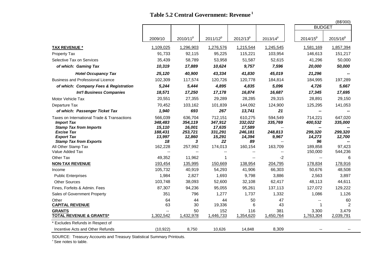### **Table 5.2 Central Government: Revenue<sup>1</sup>**

|                                                                                                   |                              |                              |                              |                              |                    |                         | (B\$'000)<br><b>BUDGET</b> |
|---------------------------------------------------------------------------------------------------|------------------------------|------------------------------|------------------------------|------------------------------|--------------------|-------------------------|----------------------------|
|                                                                                                   |                              |                              |                              |                              |                    |                         |                            |
|                                                                                                   | 2009/10                      | 2010/11 <sup>p</sup>         | $2011/12^{p}$                | $2012/13^{p}$                | $2013/14^{p}$      | 2014/15 <sup>p</sup>    | $2015/16^{p}$              |
| <b>TAX REVENUE *</b>                                                                              | 1,109,025                    | 1,296,903                    | 1,276,576                    | 1,215,544                    | 1,245,545          | 1,581,169               | 1,857,394                  |
| Property Tax                                                                                      | 91,733                       | 92,115                       | 95,225                       | 115,221                      | 103,954            | 146,613                 | 151,217                    |
| Selective Tax on Services                                                                         | 35,439                       | 58,789                       | 53,958                       | 51,587                       | 52,615             | 41,296                  | 50,000                     |
| of which: Gaming Tax                                                                              | 10,319                       | 17,889                       | 10,624                       | 9,757                        | 7,596              | 20,000                  | 50,000                     |
| <b>Hotel Occupancy Tax</b>                                                                        | 25,120                       | 40,900                       | 43,334                       | 41,830                       | 45,019             | 21,296                  |                            |
| <b>Business and Professional Licence</b>                                                          | 102,309                      | 117,574                      | 120,726                      | 120,778                      | 184,814            | 184,995                 | 197,289                    |
| of which: Company Fees & Registration                                                             | 5,244                        | 5,444                        | 4,895                        | 4,835                        | 5,096              | 4,726                   | 5,667                      |
| <b>Int'l Business Companies</b>                                                                   | 18,571                       | 17,250                       | 17,178                       | 16,874                       | 16,687             | 17,345                  | 17,695                     |
| Motor Vehicle Tax                                                                                 | 20,551                       | 27,355                       | 29,289                       | 28,285                       | 29,315             | 28,891                  | 29,150                     |
| Departure Tax                                                                                     | 70,452                       | 103,162                      | 101,839                      | 144,092                      | 124,900            | 125,295                 | 141,053                    |
| of which: Passenger Ticket Tax                                                                    | 1,940                        | 693                          | 267                          | 13,741                       | 21                 | --                      |                            |
| Taxes on International Trade & Transactions<br><b>Import Tax</b><br><b>Stamp Tax from Imports</b> | 566.039<br>348,483<br>15,110 | 636.704<br>354,119<br>16,001 | 712.151<br>347,912<br>17,635 | 610.275<br>332,022<br>17,589 | 594.549<br>335,769 | 714,221<br>400,532      | 647.020<br>335,000         |
| <b>Excise Tax</b><br><b>Export Tax</b><br><b>Stamp Tax from Exports</b>                           | 188,431<br>13,997<br>18      | 253,721<br>12,860<br>3       | 331,291<br>15,291<br>22      | 246,181<br>14,394<br>89      | 248,813<br>9,967   | 299,320<br>14,273<br>96 | 299,320<br>12,700          |
| All Other Stamp Tax                                                                               | 162,228                      | 257,992                      | 174,013                      | 160,154                      | 163,709            | 189,858                 | 97,423                     |
| Value Added Tax                                                                                   | $\overline{\phantom{a}}$     | $\overline{a}$               | $\overline{\phantom{a}}$     | --                           |                    | 150,000                 | 544,236                    |
| Other Tax                                                                                         | 49,352                       | 11,962                       | 1                            |                              | $-2$               | $\mathbf{u}$            | 6                          |
| <b>NON-TAX REVENUE</b>                                                                            | 193,454                      | 135,995                      | 150,669                      | 138,954                      | 204,795            | 178,834                 | 178,916                    |
| Income                                                                                            | 105,732                      | 40,919                       | 54,293                       | 41,906                       | 66,303             | 50,676                  | 48,508                     |
| <b>Public Enterprises</b>                                                                         | 1,984                        | 2,827                        | 1,693                        | 9,798                        | 3,886              | 2,563                   | 3,897                      |
| <b>Other Sources</b>                                                                              | 103,748                      | 38,093                       | 52,600                       | 32,108                       | 62,417             | 48,113                  | 44,611                     |
| Fines, Forfeits & Admin. Fees                                                                     | 87,307                       | 94,236                       | 95,055                       | 95,261                       | 137,113            | 127,072                 | 129,222                    |
| Sales of Government Property                                                                      | 351                          | 796                          | 1,277                        | 1.737                        | 1,332              | 1,086                   | 1,126                      |
| Other                                                                                             | 64                           | 44                           | 44                           | 50                           | 47                 | $-$                     | 60                         |
| <b>CAPITAL REVENUE</b>                                                                            | 63                           | 30                           | 19,336                       | 6                            | 43                 | 1                       | $\overline{2}$             |
| <b>GRANTS</b><br><b>TOTAL REVENUE &amp; GRANTS*</b>                                               | $-$<br>1,302,542             | 50<br>1,432,978              | 152<br>1,446,733             | 116<br>1,354,620             | 381<br>1,450,764   | 3,300<br>1,763,304      | 3,479<br>2,039,791         |
| * Excludes Refunds in Respect of                                                                  |                              |                              |                              |                              |                    |                         |                            |
| Incentive Acts and Other Refunds                                                                  | (10, 922)                    | 8.750                        | 10.626                       | 14,848                       | 8,309              |                         |                            |

SOURCE: Treasury Accounts and Treasury Statistical Summary Printouts.<br>'See notes to table.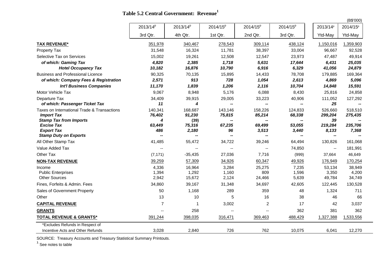|  |  | Table 5.2 Central Government: Revenue <sup>1</sup> |
|--|--|----------------------------------------------------|
|--|--|----------------------------------------------------|

|                                                    |                      |                          |                      |                          |                      |                          | (B\$'000)                |
|----------------------------------------------------|----------------------|--------------------------|----------------------|--------------------------|----------------------|--------------------------|--------------------------|
|                                                    | 2013/14 <sup>p</sup> | 2013/14 <sup>p</sup>     | 2014/15 <sup>p</sup> | 2014/15 <sup>p</sup>     | 2014/15 <sup>p</sup> | 2013/14 <sup>p</sup>     | 2014/15 <sup>p</sup>     |
|                                                    | 3rd Qtr.             | 4th Qtr.                 | 1st Qtr.             | 2nd Qtr.                 | 3rd Qtr.             | Ytd-May                  | Ytd-May                  |
| <b>TAX REVENUE*</b>                                | 351,978              | 340,467                  | 278,543              | 309,114                  | 438,124              | 1,150,016                | 1,359,903                |
| Property Tax                                       | 31,548               | 16,324                   | 11,781               | 38,397                   | 33,004               | 96,667                   | 92,528                   |
| Selective Tax on Services                          | 15,002               | 19,261                   | 12,508               | 12,547                   | 23,973               | 47,487                   | 49,914                   |
| of which: Gaming Tax                               | 4,820                | 2,385                    | 1,718                | 5,631                    | 17,644               | 6.431                    | 25,035                   |
| <b>Hotel Occupancy Tax</b>                         | 10,182               | 16,876                   | 10,790               | 6,916                    | 6,329                | 41,056                   | 24,879                   |
| <b>Business and Professional Licence</b>           | 90,325               | 70,135                   | 15,895               | 14,433                   | 78,708               | 179,885                  | 169,364                  |
| of which: Company Fees & Registration              | 2,571                | 913                      | 728                  | 1,054                    | 2,613                | 4,869                    | 5,096                    |
| <b>Int'l Business Companies</b>                    | 11,170               | 1,839                    | 1,206                | 2,116                    | 10,704               | 14,848                   | 15,591                   |
| Motor Vehicle Tax                                  | 9,067                | 8,948                    | 5.176                | 6,088                    | 8,430                | 25,816                   | 24,858                   |
| Departure Tax                                      | 34,409               | 39,915                   | 29,005               | 33,223                   | 40,906               | 111,052                  | 127,292                  |
| of which: Passenger Ticket Tax                     | 11                   | 4                        | --                   | $\overline{\phantom{a}}$ | --                   | 25                       | $\overline{\phantom{a}}$ |
| Taxes on International Trade & Transactions        | 140,341              | 168,687                  | 143,146              | 158,226                  | 124,833              | 526,660                  | 518,510                  |
| <b>Import Tax</b>                                  | 76,402               | 91,230                   | 75,815               | 85,214                   | 68,338               | 299,204                  | 275,435                  |
| <b>Stamp Tax from Imports</b><br><b>Excise Tax</b> | 4<br>63,449          | (39)<br>75,316           | 67,235               | 69,499                   | 53,055               | 39<br>219,284            | 235,706                  |
| <b>Export Tax</b>                                  | 486                  | 2,180                    | 96                   | 3,513                    | 3,440                | 8,133                    | 7,368                    |
| <b>Stamp Duty on Exports</b>                       | --                   | $\overline{\phantom{a}}$ | --                   | --                       | --                   | $\overline{\phantom{m}}$ |                          |
| All Other Stamp Tax                                | 41,485               | 55,472                   | 34,722               | 39,246                   | 64,494               | 130,826                  | 161,068                  |
| Value Added Tax                                    | $-$                  | $\overline{\phantom{a}}$ | $-$                  | $\overline{\phantom{a}}$ | 74,850               | $\overline{\phantom{a}}$ | 181,991                  |
| Other Tax                                          | (7, 171)             | $-35,435$                | 27,036               | 7,716                    | (999)                | 37,664                   | 46,649                   |
| <b>NON-TAX REVENUE</b>                             | 39,259               | 57,309                   | 34,926               | 60,347                   | 49,926               | 176,949                  | 170,254                  |
| Income                                             | 4,336                | 16,964                   | 3,284                | 25,275                   | 7,235                | 53,134                   | 38,949                   |
| <b>Public Enterprises</b>                          | 1,394                | 1,292                    | 1,160                | 809                      | 1,596                | 3,350                    | 4,200                    |
| <b>Other Sources</b>                               | 2,942                | 15,672                   | 2,124                | 24,466                   | 5,639                | 49,784                   | 34,749                   |
| Fines, Forfeits & Admin. Fees                      | 34,860               | 39,167                   | 31,348               | 34,697                   | 42,605               | 122,445                  | 130,528                  |
| Sales of Government Property                       | 50                   | 1.168                    | 289                  | 359                      | 48                   | 1.324                    | 711                      |
| Other                                              | 13                   | 10                       | 5                    | 16                       | 38                   | 46                       | 66                       |
| <b>CAPITAL REVENUE</b>                             | $\overline{7}$       | 1                        | 3,002                | $\overline{c}$           | 17                   | 42                       | 3,037                    |
| <b>GRANTS</b>                                      |                      | 258                      | $-$                  | $\overline{a}$           | 362                  | 381                      | 362                      |
| <b>TOTAL REVENUE &amp; GRANTS*</b>                 | 391,244              | 398,035                  | 316,471              | 369,463                  | 488,429              | 1,327,388                | 1,533,556                |
| *Excludes Refunds in Respect of                    |                      |                          |                      |                          |                      |                          |                          |
| Incentive Acts and Other Refunds                   | 3,028                | 2,840                    | 726                  | 762                      | 10,075               | 6,041                    | 12,270                   |

SOURCE: Treasury Accounts and Treasury Statistical Summary Printouts.

 $1$  See notes to table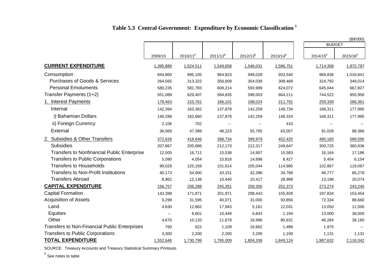|                                                      |                          |                      |                          |                      |                      | <b>BUDGET</b> | (B\$'000)            |
|------------------------------------------------------|--------------------------|----------------------|--------------------------|----------------------|----------------------|---------------|----------------------|
|                                                      |                          |                      |                          |                      |                      |               |                      |
|                                                      | 2009/10                  | 2010/11 <sup>p</sup> | 2011/12 <sup>p</sup>     | 2012/13 <sup>p</sup> | 2013/14 <sup>p</sup> | $2014/15^{p}$ | 2015/16 <sup>p</sup> |
| <b>CURRENT EXPENDITURE</b>                           | 1,395,889                | 1,524,511            | 1,549,658                | 1,546,031            | 1,596,751            | 1,714,358     | 1,872,797            |
| Consumption                                          | 844,800                  | 895,105              | 964,823                  | 948,028              | 932,540              | 969,836       | 1,016,841            |
| <b>Purchases of Goods &amp; Services</b>             | 264,565                  | 313,322              | 356,609                  | 354,039              | 308,468              | 324,792       | 349,014              |
| <b>Personal Emoluments</b>                           | 580,235                  | 581,783              | 608,214                  | 593,989              | 624,072              | 645,044       | 667,827              |
| Transfer Payments (1+2)                              | 551,089                  | 629,407              | 584,835                  | 598,003              | 664,211              | 744,522       | 855,956              |
| 1. Interest Payments                                 | 178,463                  | 210,761              | 186,101                  | 198,024              | 211,791              | 259,339       | 266,361              |
| Internal                                             | 142,394                  | 163,362              | 137,878                  | 142,259              | 148,734              | 168,311       | 177,995              |
| i) Bahamian Dollars                                  | 140,288                  | 162,660              | 137,878                  | 142,259              | 148,324              | 168,311       | 177,995              |
| ii) Foreign Currency                                 | 2,106                    | 702                  | $\overline{\phantom{a}}$ |                      | 410                  |               |                      |
| External                                             | 36,069                   | 47,399               | 48,223                   | 55,765               | 63,057               | 91,028        | 88,366               |
| 2. Subsidies & Other Transfers                       | 372,626                  | 418,646              | 398,734                  | 399,979              | 452,420              | 485,183       | 589,595              |
| <b>Subsidies</b>                                     | 207,867                  | 205,686              | 212,173                  | 212,317              | 249,647              | 300,725       | 360,836              |
| <b>Transfers to Nonfinancial Public Enterprise</b>   | 12,505                   | 16,711               | 15,538                   | 14,907               | 15,583               | 16,164        | 17,186               |
| <b>Transfers to Public Corporations</b>              | 5,090                    | 4,054                | 15,818                   | 14,898               | 8,427                | 5,454         | 6,154                |
| <b>Transfers to Households</b>                       | 98,029                   | 125,159              | 101,614                  | 105,044              | 114,985              | 102,867       | 119,067              |
| <b>Transfers to Non-Profit Institutions</b>          | 40,173                   | 54,900               | 43,151                   | 42,396               | 34,789               | 46,777        | 66,278               |
| <b>Transfers Abroad</b>                              | 8,962                    | 12,136               | 10,440                   | 10,417               | 28,989               | 13,196        | 20,074               |
| <b>CAPITAL EXPENDITURE</b>                           | 156,757                  | 206,288              | 245,351                  | 258,305              | 252,373              | 273,274       | 243,245              |
| <b>Capital Formation</b>                             | 143,398                  | 171,871              | 201,971                  | 208,443              | 155,928              | 197,834       | 153,454              |
| <b>Acquisition of Assets</b>                         | 9,299                    | 31,595               | 40,071                   | 31,000               | 93,856               | 72,334        | 88,660               |
| Land                                                 | 4,630                    | 12,862               | 17,943                   | 5,161                | 12,031               | 13,050        | 11,500               |
| Equities                                             | $\overline{\phantom{a}}$ | 8,601                | 10,449                   | 6,843                | 1,194                | 13,000        | 38,000               |
| Other                                                | 4,670                    | 10,133               | 11,679                   | 18,996               | 80,631               | 46,284        | 39,160               |
| <b>Transfers to Non-Financial Public Enterprises</b> | 760                      | 622                  | 1,109                    | 16,662               | 1,489                | 1,975         |                      |
| <b>Transfers to Public Corporations</b>              | 3,300                    | 2,200                | 2,200                    | 2,200                | 1,100                | 1,131         | 1,131                |
| <b>TOTAL EXPENDITURE</b>                             | 1,552,646                | 1,730,799            | 1,795,009                | 1,804,336            | 1,849,124            | 1,987,632     | 2,116,042            |

## **Table 5.3 Central Government: Expenditure by Economic Classification <sup>1</sup>**

SOURCE: Treasury Accounts and Treasury Statistical Summary Printouts.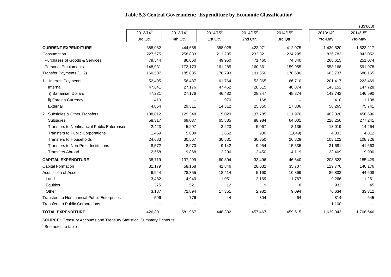| Table 5.3 Central Government: Expenditure by Economic Classification <sup>1</sup> |  |  |  |
|-----------------------------------------------------------------------------------|--|--|--|
|-----------------------------------------------------------------------------------|--|--|--|

|                                              |                          |                          |                          |               |               |                      | (B\$'000)                |
|----------------------------------------------|--------------------------|--------------------------|--------------------------|---------------|---------------|----------------------|--------------------------|
|                                              | $2013/14^{p}$            | $2013/14^{p}$            | $2014/15^{p}$            | $2014/15^{p}$ | $2014/15^{p}$ | 2013/14 <sup>p</sup> | 2014/15 <sup>p</sup>     |
|                                              | 3rd Qtr.                 | 4th Qtr.                 | 1st Qtr.                 | 2nd Qtr.      | 3rd Qtr.      | Ytd-May              | Ytd-May                  |
| <b>CURRENT EXPENDITURE</b>                   | 388,082                  | 444,668                  | 388,028                  | 423,971       | 412,975       | 1,430,520            | 1,523,217                |
| Consumption                                  | 227,575                  | 258,833                  | 211,235                  | 232,321       | 234,295       | 826,783              | 843,052                  |
| Purchases of Goods & Services                | 79,544                   | 86,660                   | 49,950                   | 71,460        | 74,340        | 268,615              | 251,074                  |
| <b>Personal Emoluments</b>                   | 148,031                  | 172,173                  | 161,285                  | 160,861       | 159,955       | 558,168              | 591,978                  |
| Transfer Payments (1+2)                      | 160,507                  | 185,835                  | 176,793                  | 191,650       | 178,680       | 603,737              | 680,165                  |
| <b>Interest Payments</b>                     | 52,495                   | 56,487                   | 61,764                   | 53,865        | 66,710        | 201,417              | 223,469                  |
| Internal                                     | 47,641                   | 27,176                   | 47,452                   | 28,515        | 48,874        | 143,152              | 147,728                  |
| i) Bahamian Dollars                          | 47,231                   | 27,176                   | 46,482                   | 28,347        | 48,874        | 142,742              | 146,590                  |
| ii) Foreign Currency                         | 410                      | $\overline{\phantom{a}}$ | 970                      | 168           | $\sim$        | 410                  | 1,138                    |
| External                                     | 4,854                    | 29,311                   | 14,312                   | 25,350        | 17,836        | 58,265               | 75,741                   |
| 2. Subsidies & Other Transfers               | 108,012                  | 129,348                  | 115,029                  | 137,785       | 111,970       | 402,320              | 456,696                  |
| <b>Subsidies</b>                             | 58,317                   | 69,037                   | 65,885                   | 88,984        | 64,001        | 226,256              | 277,241                  |
| Transfers to Nonfinancial Public Enterprises | 2,423                    | 5,297                    | 3,223                    | 5,067         | 3,135         | 13,019               | 14,264                   |
| Transfers to Public Corporations             | 1,459                    | 5,609                    | 3,652                    | 980           | (1,649)       | 4,833                | 4,812                    |
| <b>Transfers to Households</b>               | 24,683                   | 30,567                   | 30,831                   | 30,350        | 26,829        | 103,122              | 108,726                  |
| <b>Transfers to Non-Profit Institutions</b>  | 8,572                    | 8,970                    | 9,142                    | 9,954         | 15,535        | 31,681               | 41,663                   |
| <b>Transfers Abroad</b>                      | 12,558                   | 9,868                    | 2,296                    | 2,450         | 4,119         | 23,409               | 9,990                    |
| <b>CAPITAL EXPENDITURE</b>                   | 38,719                   | 137,299                  | 60,304                   | 33,496        | 46,640        | 208,523              | 185,429                  |
| <b>Capital Formation</b>                     | 31,179                   | 58,168                   | 41,846                   | 28,032        | 35,707        | 119,776              | 140,176                  |
| <b>Acquisition of Assets</b>                 | 6,944                    | 78,355                   | 18,414                   | 5,160         | 10,869        | 86,833               | 44,608                   |
| Land                                         | 3,482                    | 4,940                    | 1,051                    | 2,169         | 1,767         | 9,266                | 11,251                   |
| Equities                                     | 275                      | 521                      | 12                       | 9             | 8             | 933                  | 45                       |
| Other                                        | 3,187                    | 72,894                   | 17,351                   | 2,982         | 9,094         | 76,634               | 33,312                   |
| Transfers to Nonfinancial Public Enterprises | 596                      | 776                      | 44                       | 304           | 64            | 814                  | 645                      |
| <b>Transfers to Public Corporations</b>      | $\overline{\phantom{a}}$ | $\overline{\phantom{a}}$ | $\overline{\phantom{a}}$ |               | $\sim$        | 1,100                | $\overline{\phantom{a}}$ |
| <b>TOTAL EXPENDITURE</b>                     | 426,801                  | 581,967                  | 448,332                  | 457,467       | 459,615       | 1,639,043            | 1,708,646                |

SOURCE: Treasury Accounts and Treasury Statistical Summary Printouts.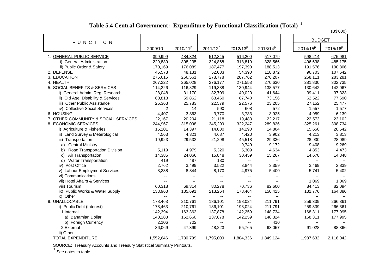| <b>BUDGET</b><br><b>FUNCTION</b><br>$2014/15^{p}$<br>2010/11 <sup>p</sup><br>$2011/12^{p}$<br>$2012/13^{p}$<br>$2013/14^{p}$<br>2009/10<br>1. GENERAL PUBLIC SERVICE<br>399,999<br>484,324<br>512,345<br>516,200<br>517,079<br>598,214 | $2015/16^{p}$<br>675,981<br>485,175<br>190,806<br>107,642<br>283,281 |
|----------------------------------------------------------------------------------------------------------------------------------------------------------------------------------------------------------------------------------------|----------------------------------------------------------------------|
|                                                                                                                                                                                                                                        |                                                                      |
|                                                                                                                                                                                                                                        |                                                                      |
|                                                                                                                                                                                                                                        |                                                                      |
| i) General Administration<br>308,235<br>324,868<br>328,566<br>229,830<br>318,810<br>406,638                                                                                                                                            |                                                                      |
| ii) Public Order & Safety<br>170,169<br>176,089<br>187,477<br>197,390<br>188,513<br>191,576                                                                                                                                            |                                                                      |
| 45,578<br>48,131<br>52,083<br>2. DEFENSE<br>54,390<br>118,872<br>96,703                                                                                                                                                                |                                                                      |
| 3. EDUCATION<br>266,561<br>278,778<br>276,207<br>275,616<br>287,762<br>268,111                                                                                                                                                         |                                                                      |
| 4. HEALTH<br>267,222<br>265,028<br>276,177<br>271,553<br>270,630<br>281,830                                                                                                                                                            | 302,735                                                              |
| 5. SOCIAL BENEFITS & SERVICES<br>114,226<br>116,829<br>119,338<br>130,944<br>138,577<br>130,642                                                                                                                                        | 142,067                                                              |
| 32,709<br>i) General Admin. Reg. Research<br>28,048<br>31,170<br>40,020<br>41,644<br>39,411                                                                                                                                            | 37,323                                                               |
| ii) Old Age, Disability & Services<br>60,813<br>59,862<br>63,460<br>67,740<br>73,156<br>62,522                                                                                                                                         | 77,690                                                               |
| iii) Other Public Assistance<br>23,205<br>25,363<br>25,783<br>22,579<br>22,576<br>27,152                                                                                                                                               | 25,477                                                               |
| iv) Collective Social Services<br>2<br>590<br>608<br>572<br>1,557<br>14                                                                                                                                                                | 1,577                                                                |
| 6. HOUSING<br>4,407<br>3,863<br>3,770<br>3,733<br>3,925<br>4,959                                                                                                                                                                       | 6,139                                                                |
| 22,217<br>7. OTHER COMMUNITY & SOCIAL SERVICES<br>22,167<br>20,204<br>21,118<br>19,483<br>22,573                                                                                                                                       | 23,102                                                               |
| 8. ECONOMIC SERVICES<br>322,247<br>244,967<br>315,098<br>345,299<br>289,826<br>325,261                                                                                                                                                 | 308,734                                                              |
| 15,101<br>14,290<br>i) Agriculture & Fisheries<br>14,397<br>14,080<br>14,804<br>15,650                                                                                                                                                 | 20,542                                                               |
| 4,563<br>4,420<br>ii) Land Survey & Meterological<br>4,321<br>4,687<br>3,902<br>4,213                                                                                                                                                  | 3,813                                                                |
| 19,923<br>29,532<br>21,298<br>45,518<br>29,336<br>28,930<br>iii) Transportation                                                                                                                                                        | 28,089                                                               |
| <b>Central Ministry</b><br>9,749<br>9,172<br>9,408<br>a)<br>$\overline{\phantom{a}}$<br>$\overline{\phantom{a}}$<br>$\overline{\phantom{a}}$                                                                                           | 9,269                                                                |
| Road Transportation Division<br>5,119<br>4,979<br>5,320<br>5,309<br>4,634<br>4,853<br>b)                                                                                                                                               | 4,473                                                                |
| Air Transportation<br>14,385<br>15,267<br>24,066<br>15,848<br>30,459<br>14,670<br>C)                                                                                                                                                   | 14,348                                                               |
| <b>Water Transportation</b><br>419<br>487<br>130<br>d)<br>$\overline{\phantom{a}}$<br>ш.<br>$\overline{\phantom{a}}$                                                                                                                   | $\overline{\phantom{a}}$                                             |
| iv) Post Office<br>2,762<br>3,522<br>3,844<br>3,499<br>3,359<br>3,469                                                                                                                                                                  | 2,839                                                                |
| v) Labour Employment Services<br>8,338<br>8,344<br>8,170<br>4,975<br>5,400<br>5,741                                                                                                                                                    | 5,402                                                                |
| vi) Communications<br>$\overline{a}$<br>--<br>--<br>$\overline{\phantom{a}}$<br>$\overline{a}$                                                                                                                                         | $\overline{\phantom{a}}$                                             |
| vii) Hotel Affairs & Services<br>1,069<br>ш.<br>Ξ.<br>$\overline{\phantom{a}}$<br>$\overline{\phantom{a}}$<br>$\overline{\phantom{a}}$                                                                                                 | 1,069                                                                |
| 69,314<br>viii) Tourism<br>60,318<br>80,278<br>70,736<br>82,600<br>84,413                                                                                                                                                              | 82,094                                                               |
| 133,963<br>213,264<br>181,776<br>ix) Public Works & Water Supply<br>185,691<br>178,464<br>150,425                                                                                                                                      | 164,886                                                              |
| x) Other                                                                                                                                                                                                                               |                                                                      |
| 9. UNALLOCABLE<br>210,761<br>186,101<br>198,024<br>211,791<br>259,339<br>178,463                                                                                                                                                       | 266,361                                                              |
| 210,761<br>186,101<br>198,024<br>211,791<br>i) Public Debt (Interest)<br>178,463<br>259,339                                                                                                                                            | 266,361                                                              |
| 148,734<br>142,394<br>163,362<br>137,878<br>142,259<br>168,311<br>1.Internal                                                                                                                                                           | 177,995                                                              |
| a) Bahamian Dollar<br>140,288<br>162,660<br>137,878<br>142,259<br>148,324<br>168,311                                                                                                                                                   | 177,995                                                              |
| 2,106<br>702<br>410<br>b) Foreign Currency<br>۰.<br>۰.<br>--                                                                                                                                                                           | $\overline{\phantom{a}}$                                             |
| 36,069<br>63,057<br>2.External<br>47,399<br>48,223<br>55,765<br>91,028                                                                                                                                                                 | 88,366                                                               |
| ii) Other<br>$\overline{\phantom{a}}$<br>--<br>--<br>--<br>$-$<br>--                                                                                                                                                                   |                                                                      |
| TOTAL EXPENDITURE<br>1,552,646<br>1,730,799<br>1,795,009<br>1,987,632<br>1,804,336<br>1,849,124                                                                                                                                        | 2,116,042                                                            |

SOURCE: Treasury Accounts and Treasury Statistical Summary Printouts. 1 See notes to table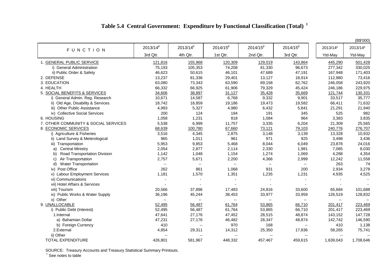# **Table 5.4 Central Government: Expenditure by Functional Classification (Total)<sup>1</sup>**

|                                      |                             |                          |                          |                          |                          |                          | (B\$'000)            |
|--------------------------------------|-----------------------------|--------------------------|--------------------------|--------------------------|--------------------------|--------------------------|----------------------|
| <b>FUNCTION</b>                      | $2013/14^{p}$               | $2013/14^{p}$            | 2014/15 <sup>p</sup>     | $2014/15^{p}$            | $2014/15^{p}$            | 2013/14 <sup>p</sup>     | 2013/14 <sup>p</sup> |
|                                      | 3rd Qtr.                    | 4th Qtr.                 | 1st Qtr.                 | 2nd Qtr.                 | 3rd Qtr.                 | Ytd-May                  | Ytd-May              |
| 1. GENERAL PUBLIC SERVICE            | 121,816                     | 155,968                  | 120,309                  | 129,019                  | 143,864                  | 445,290                  | 501,428              |
| i) General Administration            | 75,193                      | 105,353                  | 74,208                   | 81,330                   | 96,673                   | 277,342                  | 330,025              |
| ii) Public Order & Safety            | 46,623                      | 50,615                   | 46,101                   | 47,689                   | 47,191                   | 167,948                  | 171,403              |
| 2. DEFENSE                           | 13,237                      | 81,336                   | 29,401                   | 13,127                   | 18,914                   | 112,880                  | 73,416               |
| 3. EDUCATION                         | 63,080                      | 73,343                   | 63,590                   | 69,158                   | 62,762                   | 246,058                  | 243,920              |
| 4. HEALTH                            | 66,332                      | 66,925                   | 61,906                   | 79,329                   | 45,424                   | 246,186                  | 229,975              |
| 5. SOCIAL BENEFITS & SERVICES        | 34,606                      | 38,897                   | 31,127                   | 35,428                   | 35,669                   | 121,744                  | 130,331              |
| i) General Admin. Reg. Research      | 10,671                      | 14,587                   | 6,768                    | 9,332                    | 9,901                    | 33,517                   | 35,777               |
| ii) Old Age, Disability & Services   | 18,742                      | 18,859                   | 19,186                   | 19,473                   | 19,582                   | 66,411                   | 71,632               |
| iii) Other Public Assistance         | 4,993                       | 5,327                    | 4,980                    | 6,432                    | 5,841                    | 21,291                   | 21,940               |
| iv) Collective Social Services       | 200                         | 124                      | 194                      | 191                      | 345                      | 525                      | 982                  |
| 6. HOUSING                           | 1,058                       | 1,231                    | 818                      | 1,084                    | 964                      | 3,383                    | 3,835                |
| 7. OTHER COMMUNITY & SOCIAL SERVICES | 5,538                       | 6,999                    | 11,757                   | 3,335                    | 6,204                    | 21,309                   | 25,565               |
| 8. ECONOMIC SERVICES                 | 68,639                      | 100,780                  | 67,660                   | 73,121                   | 79,103                   | 240,776                  | 276,707              |
| i) Agriculture & Fisheries           | 3,516                       | 4,345                    | 2,875                    | 3,148                    | 3,139                    | 13,328                   | 10,932               |
| ii) Land Survey & Meterological      | 965                         | 1,011                    | 961                      | 971                      | 925                      | 3,498                    | 3,436                |
| iii) Transportation                  | 5,953                       | 9,853                    | 5,468                    | 8,044                    | 6,049                    | 23,878                   | 24,016               |
| <b>Central Ministry</b><br>a)        | 2,054                       | 2,877                    | 2,114                    | 2,330                    | 1,981                    | 7,085                    | 8,030                |
| Road Transportation Division<br>b)   | 1,142                       | 1,048                    | 1,154                    | 1,274                    | 1,069                    | 4,288                    | 4,354                |
| Air Transportation<br>C)             | 2,757                       | 5,671                    | 2,200                    | 4,366                    | 2,999                    | 12,242                   | 11,558               |
| <b>Water Transportation</b><br>d)    | $\mathcal{L}_{\mathcal{F}}$ | ۰.                       | $\overline{\phantom{a}}$ | $\overline{\phantom{a}}$ | $\overline{\phantom{a}}$ | 263                      | 74                   |
| iv) Post Office                      | 262                         | 861                      | 1,068                    | 931                      | 200                      | 2,934                    | 3,278                |
| v) Labour Employment Services        | 1,181                       | 1,570                    | 1,351                    | 1,235                    | 1,231                    | 4,935                    | 4,525                |
| vi) Communications                   |                             |                          |                          |                          |                          |                          |                      |
| vii) Hotel Affairs & Services        |                             |                          |                          |                          |                          |                          |                      |
| viii) Tourism                        | 20,566                      | 37,896                   | 17,483                   | 24,816                   | 33,600                   | 65,684                   | 101,688              |
| ix) Public Works & Water Supply      | 36,196                      | 45,244                   | 38,453                   | 33,977                   | 33,959                   | 126,519                  | 128,832              |
| x) Other                             | $\overline{\phantom{a}}$    | $\overline{\phantom{a}}$ | $\overline{\phantom{a}}$ |                          | $\overline{\phantom{a}}$ | $\overline{\phantom{a}}$ |                      |
| 9. UNALLOCABLE                       | 52,495                      | 56,487                   | 61,764                   | 53,865                   | 66,710                   | 201,417                  | 223,469              |
| i) Public Debt (Interest)            | 52,495                      | 56,487                   | 61,764                   | 53,865                   | 66,710                   | 201,417                  | 223,469              |
| 1.Internal                           | 47,641                      | 27,176                   | 47,452                   | 28,515                   | 48,874                   | 143,152                  | 147,728              |
| a) Bahamian Dollar                   | 47,231                      | 27,176                   | 46,482                   | 28,347                   | 48,874                   | 142,742                  | 146,590              |
| b) Foreign Currency                  | 410                         | --                       | 970                      | 168                      | $\overline{\phantom{a}}$ | 410                      | 1,138                |
| 2.External                           | 4,854                       | 29,311                   | 14,312                   | 25,350                   | 17,836                   | 58,265                   | 75,741               |
| ii) Other                            | $-$                         | $\overline{a}$           | $\overline{\phantom{a}}$ |                          | $\overline{\phantom{a}}$ | $\overline{\phantom{a}}$ | $\overline{a}$       |
| TOTAL EXPENDITURE                    | 426,801                     | 581,967                  | 448,332                  | 457,467                  | 459,615                  | 1,639,043                | 1,708,646            |

SOURCE: Treasury Accounts and Treasury Statistical Summary Printouts. <sup>1</sup> See notes to table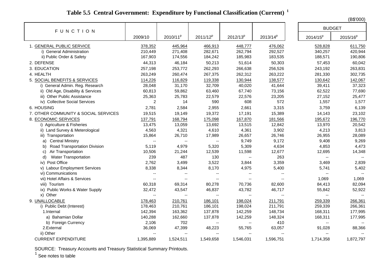# **Table 5.5 Central Government: Expenditure by Functional Classification (Current)<sup>1</sup>**

(B\$'000)

| <b>FUNCTION</b>                      |                          |                          |                          |                          |               | <b>BUDGET</b>               |                          |
|--------------------------------------|--------------------------|--------------------------|--------------------------|--------------------------|---------------|-----------------------------|--------------------------|
|                                      | 2009/10                  | 2010/11 <sup>p</sup>     | 2011/12 <sup>p</sup>     | $2012/13^{p}$            | $2013/14^{p}$ | $2014/15^{p}$               | $2015/16^{p}$            |
| 1. GENERAL PUBLIC SERVICE            | 378,352                  | 445,964                  | 466,913                  | 448,777                  | 476,062       | 528,828                     | 611,750                  |
| i) General Administration            | 210,449                  | 271,408                  | 282,671                  | 262,794                  | 292,527       | 340,257                     | 420,944                  |
| ii) Public Order & Safety            | 167,903                  | 174,556                  | 184,242                  | 185,983                  | 183,535       | 188,571                     | 190,806                  |
| 2. DEFENSE                           | 44,313                   | 46,184                   | 50,213                   | 51,614                   | 50,303        | 57,453                      | 60,042                   |
| 3. EDUCATION                         | 257,198                  | 253,772                  | 262,293                  | 266,638                  | 256,526       | 243,192                     | 263,831                  |
| 4. HEALTH                            | 263,249                  | 260,474                  | 267,375                  | 262,312                  | 263,222       | 281,330                     | 302,735                  |
| 5. SOCIAL BENEFITS & SERVICES        | 114,226                  | 116,829                  | 119,338                  | 130,944                  | 138,577       | 130,642                     | 142,067                  |
| i) General Admin. Reg. Research      | 28,048                   | 31,170                   | 32,709                   | 40,020                   | 41,644        | 39,411                      | 37,323                   |
| ii) Old Age, Disability & Services   | 60,813                   | 59,862                   | 63,460                   | 67,740                   | 73,156        | 62,522                      | 77,690                   |
| iii) Other Public Assistance         | 25,363                   | 25,783                   | 22,579                   | 22,576                   | 23,205        | 27,152                      | 25,477                   |
| iv) Collective Social Services       | 2                        | 14                       | 590                      | 608                      | 572           | 1,557                       | 1,577                    |
| 6. HOUSING                           | 2,781                    | 2,584                    | 2,955                    | 2,661                    | 3,315         | 3,759                       | 6,139                    |
| 7. OTHER COMMUNITY & SOCIAL SERVICES | 19,515                   | 19,149                   | 19,372                   | 17,191                   | 15,389        | 14,143                      | 23,102                   |
| 8. ECONOMIC SERVICES                 | 137,791                  | 168,794                  | 175,098                  | 167,870                  | 181,566       | 195,672                     | 196,770                  |
| i) Agriculture & Fisheries           | 13,475                   | 13,059                   | 13,692                   | 13,515                   | 12,842        | 13,970                      | 20,542                   |
| ii) Land Survey & Meterological      | 4,563                    | 4,321                    | 4,610                    | 4,361                    | 3,902         | 4,213                       | 3,813                    |
| iii) Transportation                  | 15,864                   | 26,710                   | 17,989                   | 26,657                   | 26,746        | 26,955                      | 28,089                   |
| <b>Central Ministry</b><br>a)        | $\overline{\phantom{a}}$ | $\overline{\phantom{a}}$ | $\overline{\phantom{a}}$ | 9,749                    | 9,172         | 9,408                       | 9,269                    |
| Road Transportation Division<br>b)   | 5,119                    | 4,979                    | 5,320                    | 5,309                    | 4,634         | 4,853                       | 4,473                    |
| Air Transportation<br>C)             | 10,506                   | 21,244                   | 12,539                   | 11,598                   | 12,677        | 12,695                      | 14,348                   |
| <b>Water Transportation</b><br>d)    | 239                      | 487                      | 130                      | --                       | 263           | $\mathcal{L}_{\mathcal{F}}$ | $\overline{\phantom{a}}$ |
| iv) Post Office                      | 2,762                    | 3,499                    | 3,522                    | 3,844                    | 3,359         | 3,469                       | 2,839                    |
| v) Labour Employment Services        | 8,338                    | 8,344                    | 8,170                    | 4,975                    | 5,400         | 5,741                       | 5,402                    |
| vi) Communications                   | $\overline{\phantom{a}}$ | $\overline{\phantom{a}}$ | $\mathbf{u}$             | --                       | $\mathbf{u}$  | $\mathbf{u}$                | $\overline{\phantom{a}}$ |
| vii) Hotel Affairs & Services        | $\overline{\phantom{a}}$ | $\overline{\phantom{a}}$ | $\overline{\phantom{a}}$ | $\overline{\phantom{a}}$ | $\mathbf{u}$  | 1,069                       | 1,069                    |
| viii) Tourism                        | 60,318                   | 69,314                   | 80,278                   | 70,736                   | 82,600        | 84,413                      | 82,094                   |
| ix) Public Works & Water Supply      | 32,472                   | 43,547                   | 46,837                   | 43,782                   | 46,717        | 55,842                      | 52,922                   |
| x) Other                             | $\overline{\phantom{a}}$ | $\mathbf{u}$             | $-$                      | Ξ.                       |               | $\overline{\phantom{a}}$    | $\sim$ $\sim$            |
| 9. UNALLOCABLE                       | 178,463                  | 210,761                  | 186,101                  | 198,024                  | 211,791       | 259,339                     | 266,361                  |
| i) Public Debt (Interest)            | 178,463                  | 210,761                  | 186,101                  | 198,024                  | 211,791       | 259,339                     | 266,361                  |
| 1.Internal                           | 142,394                  | 163,362                  | 137,878                  | 142,259                  | 148,734       | 168,311                     | 177,995                  |
| a) Bahamian Dollar                   | 140,288                  | 162,660                  | 137,878                  | 142,259                  | 148,324       | 168,311                     | 177,995                  |
| b) Foreign Currency                  | 2,106                    | 702                      | $\overline{\phantom{a}}$ | $\overline{\phantom{a}}$ | 410           | $\overline{\phantom{a}}$    | $\overline{\phantom{a}}$ |
| 2.External                           | 36,069                   | 47,399                   | 48,223                   | 55,765                   | 63,057        | 91,028                      | 88,366                   |
| ii) Other                            | --                       | $\overline{\phantom{a}}$ |                          | $\overline{a}$           |               | $\overline{\phantom{a}}$    | $\sim$                   |
| <b>CURRENT EXPENDITURE</b>           | 1,395,889                | 1,524,511                | 1,549,658                | 1,546,031                | 1,596,751     | 1,714,358                   | 1,872,797                |

SOURCE: Treasury Accounts and Treasury Statistical Summary Printouts.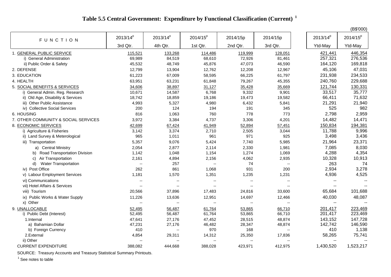## **Table 5.5 Central Government: Expenditure by Functional Classification (Current)<sup>1</sup>**

|                                      |                          |                          |                          |                          |                          |                          | (B\$'000)            |
|--------------------------------------|--------------------------|--------------------------|--------------------------|--------------------------|--------------------------|--------------------------|----------------------|
| FUNCTION                             | $2013/14^{p}$            | $2013/14^{p}$            | $2014/15^{p}$            | 2014/15p                 | 2014/15p                 | $2013/14^{p}$            | 2014/15 <sup>p</sup> |
|                                      | 3rd Qtr.                 | 4th Qtr.                 | 1st Qtr.                 | 2nd Qtr.                 | 3rd Qtr.                 | Ytd-May                  | Ytd-May              |
| 1. GENERAL PUBLIC SERVICE            | 115,521                  | 133,268                  | 114,486                  | 119,999                  | 128,051                  | 421,441                  | 446,354              |
| i) General Administration            | 69,989                   | 84,519                   | 68,610                   | 72,926                   | 81,461                   | 257,321                  | 276,536              |
| ii) Public Order & Safety            | 45,532                   | 48,749                   | 45,876                   | 47,073                   | 46,590                   | 164,120                  | 169,818              |
| 2. DEFENSE                           | 12,799                   | 13,904                   | 12,762                   | 12,208                   | 12,967                   | 45,106                   | 47,031               |
| 3. EDUCATION                         | 61,223                   | 67,009                   | 58,595                   | 66,225                   | 61,797                   | 231,938                  | 234,533              |
| 4. HEALTH                            | 63,951                   | 63,231                   | 61,848                   | 79,267                   | 45,355                   | 240,760                  | 229,688              |
| 5. SOCIAL BENEFITS & SERVICES        | 34,606                   | 38,897                   | 31,127                   | 35,428                   | 35,669                   | 121,744                  | 130,331              |
| i) General Admin. Reg. Research      | 10,671                   | 14,587                   | 6,768                    | 9,332                    | 9,901                    | 33,517                   | 35,777               |
| ii) Old Age, Disability & Services   | 18,742                   | 18,859                   | 19,186                   | 19,473                   | 19,582                   | 66,411                   | 71,632               |
| iii) Other Public Assistance         | 4,993                    | 5,327                    | 4,980                    | 6,432                    | 5,841                    | 21,291                   | 21,940               |
| iv) Collective Social Services       | 200                      | 124                      | 194                      | 191                      | 345                      | 525                      | 982                  |
| 6. HOUSING                           | 816                      | 1,063                    | 760                      | 778                      | 773                      | 2,798                    | 2,959                |
| 7. OTHER COMMUNITY & SOCIAL SERVICES | 3,972                    | 3,384                    | 4,737                    | 3,306                    | 4,201                    | 14,482                   | 14,471               |
| 8. ECONOMIC SERVICES                 | 42,699                   | 67,424                   | 41,949                   | 52,894                   | 57,451                   | 150,834                  | 194,381              |
| i) Agriculture & Fisheries           | 3,142                    | 3,374                    | 2,710                    | 2,505                    | 3,044                    | 11,788                   | 9,996                |
| ii) Land Survey & Meterological      | 965                      | 1,011                    | 961                      | 971                      | 925                      | 3,498                    | 3,436                |
| iii) Transportation                  | 5,357                    | 9,076                    | 5,424                    | 7,740                    | 5,985                    | 21,964                   | 23,371               |
| a) Central Ministry                  | 2,054                    | 2,877                    | 2,114                    | 2,330                    | 1,981                    | 7,085                    | 8,030                |
| b) Road Transportation Division      | 1,142                    | 1,048                    | 1,154                    | 1,274                    | 1,069                    | 4,288                    | 4,354                |
| Air Transportation<br>C)             | 2,161                    | 4,894                    | 2,156                    | 4,062                    | 2,935                    | 10,328                   | 10,913               |
| <b>Water Transportation</b><br>d)    | $\overline{\phantom{a}}$ | 257                      | $\mathbf{L}$             | 74                       | $\overline{\phantom{a}}$ | 263                      | 74                   |
| iv) Post Office                      | 262                      | 861                      | 1,068                    | 931                      | 200                      | 2,934                    | 3,278                |
| v) Labour Employment Services        | 1,181                    | 1,570                    | 1,351                    | 1,235                    | 1,231                    | 4,936                    | 4,525                |
| vi) Communications                   | $\overline{\phantom{a}}$ | $\overline{\phantom{a}}$ | $\sim$                   | $\overline{\phantom{a}}$ | $\overline{\phantom{a}}$ | $\overline{\phantom{a}}$ | --                   |
| vii) Hotel Affairs & Services        | $\overline{a}$           | $\overline{\phantom{a}}$ | $\sim$                   | --                       | $\overline{\phantom{a}}$ | $\sim$                   |                      |
| viii) Tourism                        | 20,566                   | 37,896                   | 17,483                   | 24,816                   | 33,600                   | 65,684                   | 101,688              |
| ix) Public Works & Water Supply      | 11,226                   | 13,636                   | 12,951                   | 14,697                   | 12,466                   | 40,030                   | 48,087               |
| x) Other                             | $\overline{\phantom{a}}$ | $\overline{\phantom{a}}$ | $\overline{\phantom{a}}$ | $\overline{\phantom{a}}$ | $\overline{\phantom{a}}$ | $\mathbf{u}$             |                      |
| 9. UNALLOCABLE                       | 52,495                   | 56,487                   | 61,764                   | 53,865                   | 66,710                   | 201,417                  | 223,469              |
| i) Public Debt (Interest)            | 52,495                   | 56,487                   | 61,764                   | 53,865                   | 66,710                   | 201,417                  | 223,469              |
| 1.Internal                           | 47,641                   | 27,176                   | 47,452                   | 28,515                   | 48,874                   | 143,152                  | 147,728              |
| a) Bahamian Dollar                   | 47,231                   | 27,176                   | 46,482                   | 28,347                   | 48,874                   | 142,742                  | 146,590              |
| b) Foreign Currency                  | 410                      | --                       | 970                      | 168                      | $\overline{\phantom{a}}$ | 410                      | 1,138                |
| 2.External                           | 4,854                    | 29,311                   | 14,312                   | 25,350                   | 17,836                   | 58,265                   | 75,741               |
| ii) Other                            | $\overline{\phantom{a}}$ | $-$                      | $\overline{\phantom{a}}$ | $-$                      | $\overline{\phantom{a}}$ | $\sim$ $\sim$            | $\overline{a}$       |
| <b>CURRENT EXPENDITURE</b>           | 388,082                  | 444,668                  | 388,028                  | 423,971                  | 412,975                  | 1,430,520                | 1,523,217            |

SOURCE: Treasury Accounts and Treasury Statistical Summary Printouts.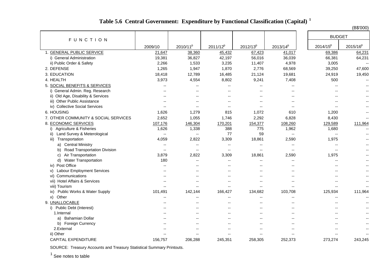|  | Table 5.6 Central Government: Expenditure by Functional Classification (Capital) <sup>1</sup> |  |
|--|-----------------------------------------------------------------------------------------------|--|
|--|-----------------------------------------------------------------------------------------------|--|

(B\$'000)

| <b>FUNCTION</b>                      |                          |                          |                          |                          |                          | <b>BUDGET</b>            |                          |
|--------------------------------------|--------------------------|--------------------------|--------------------------|--------------------------|--------------------------|--------------------------|--------------------------|
|                                      | 2009/10                  | 2010/11 <sup>p</sup>     | 2011/12 <sup>p</sup>     | $2012/13^{p}$            | 2013/14 <sup>p</sup>     | $2014/15^{p}$            | $2015/16^{p}$            |
| 1. GENERAL PUBLIC SERVICE            | 21,647                   | 38,360                   | 45,432                   | 67,423                   | 41,017                   | 69,386                   | 64,231                   |
| i) General Administration            | 19,381                   | 36,827                   | 42,197                   | 56,016                   | 36,039                   | 66,381                   | 64,231                   |
| ii) Public Order & Safety            | 2,266                    | 1,533                    | 3,235                    | 11,407                   | 4,978                    | 3,005                    | $\overline{\phantom{a}}$ |
| 2. DEFENSE                           | 1,265                    | 1,947                    | 1,870                    | 2,776                    | 68,569                   | 39,250                   | 47,600                   |
| 3. EDUCATION                         | 18,418                   | 12,789                   | 16,485                   | 21,124                   | 19,681                   | 24,919                   | 19,450                   |
| 4. HEALTH                            | 3,973                    | 4,554                    | 8,802                    | 9,241                    | 7,408                    | 500                      | --                       |
| 5. SOCIAL BENEFITS & SERVICES        | --                       | $\overline{\phantom{a}}$ | $\overline{\phantom{a}}$ | $-$                      | $\overline{\phantom{a}}$ | --                       | $\overline{\phantom{a}}$ |
| General Admin. Reg. Research<br>i).  | $\overline{a}$           | $-$                      | $\overline{a}$           | $-$                      | $\overline{a}$           | $-$                      | $-$                      |
| ii) Old Age, Disability & Services   | --                       | $\overline{a}$           | $\overline{a}$           | $-$                      | $\overline{a}$           | $-$                      |                          |
| iii) Other Public Assistance         | $\overline{a}$           | $-$                      | $\overline{a}$           | $-$                      | $-$                      | $-$                      |                          |
| iv) Collective Social Services       | --                       | $\overline{\phantom{a}}$ | --                       | $-$                      | --                       | --                       |                          |
| 6. HOUSING                           | 1,626                    | 1,279                    | 815                      | 1,072                    | 610                      | 1,200                    | $-$                      |
| 7. OTHER COMMUNITY & SOCIAL SERVICES | 2,652                    | 1,055                    | 1,746                    | 2,292                    | 6,828                    | 8,430                    | $-$                      |
| 8. ECONOMIC SERVICES                 | 107,176                  | 146,304                  | 170,201                  | 154,377                  | 108,260                  | 129,589                  | 111,964                  |
| Agriculture & Fisheries<br>i)        | 1,626                    | 1,338                    | 388                      | 775                      | 1,962                    | 1,680                    | $-$                      |
| Land Survey & Meterological<br>ii)   | $\overline{\phantom{a}}$ | $\overline{\phantom{a}}$ | 77                       | 59                       | $\overline{\phantom{a}}$ | $\overline{\phantom{a}}$ | $-$                      |
| Transportation<br>iii)               | 4,059                    | 2,822                    | 3,309                    | 18,861                   | 2,590                    | 1,975                    |                          |
| <b>Central Ministry</b><br>a)        | --                       | $\overline{\phantom{a}}$ | --                       | $\overline{\phantom{a}}$ | $\overline{\phantom{a}}$ | $\overline{\phantom{a}}$ | --                       |
| Road Transportation Division<br>b)   | --                       | $\overline{\phantom{a}}$ | --                       | $\sim$                   | $\overline{\phantom{a}}$ | $\overline{a}$           |                          |
| Air Transportation<br>C)             | 3,879                    | 2,822                    | 3,309                    | 18,861                   | 2,590                    | 1,975                    | $- -$                    |
| <b>Water Transportation</b><br>d)    | 180                      | $\sim$                   | $\overline{a}$           | $\sim$                   | $\overline{a}$           | $-$                      | $-$                      |
| iv) Post Office                      | $\overline{\phantom{a}}$ | $\sim$                   | $\overline{a}$           | $-$                      | $\overline{a}$           |                          |                          |
| v) Labour Employment Services        | --                       | $\overline{\phantom{m}}$ | $\overline{a}$           | $\overline{\phantom{a}}$ | $\overline{\phantom{a}}$ | --                       | $- -$                    |
| vi) Communications                   | --                       | $\overline{\phantom{a}}$ | --                       | $\overline{a}$           | $-$                      |                          |                          |
| vii) Hotel Affairs & Services        | --                       | $-$                      | $\overline{a}$           | $-$                      | $\overline{a}$           | $-$                      | $- -$                    |
| viii) Tourism                        | --                       | $\overline{\phantom{a}}$ | $-$                      | $-$                      | $\overline{a}$           | $\overline{a}$           |                          |
| Public Works & Water Supply<br>ix)   | 101,491                  | 142,144                  | 166,427                  | 134,682                  | 103,708                  | 125,934                  | 111,964                  |
| x) Other                             |                          | $-$                      | --                       | --                       |                          |                          |                          |
| 9. UNALLOCABLE                       | $\overline{a}$           | $\overline{a}$           | $\overline{\phantom{a}}$ | $-$                      | $\overline{a}$           | $-$                      | $-$                      |
| <b>Public Debt (Interest)</b><br>i)  | --                       | $\overline{a}$           | $\overline{a}$           | $-$                      | $\overline{a}$           | $-$                      | $-$                      |
| 1.Internal                           | $\overline{a}$           | $-$                      | $-$                      | $-$                      | $\overline{a}$           | $-$                      | $-$                      |
| <b>Bahamian Dollar</b><br>a)         | $\overline{a}$           | $\overline{\phantom{a}}$ | $\overline{a}$           | $-$                      | $\overline{a}$           | --                       |                          |
| b)<br>Foreign Currency               |                          |                          | --                       |                          |                          |                          |                          |
| 2.External                           | $-$                      | $\overline{a}$           | $-$                      | $-$                      | $\overline{a}$           | $\overline{\phantom{a}}$ | $-$                      |
| ii) Other                            | ٠.                       | н.                       | --                       | --                       |                          | --                       | --                       |
| <b>CAPITAL EXPENDITURE</b>           | 156,757                  | 206,288                  | 245,351                  | 258,305                  | 252,373                  | 273,274                  | 243,245                  |

SOURCE: Treasury Accounts and Treasury Statistical Summary Printouts.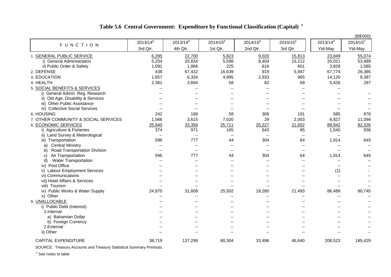## **Table 5.6 Central Government: Expenditure by Functional Classification (Capital)<sup>1</sup>**

|                                      |                          |                          |                          |                          |                          |                          | (B\$'000)                |
|--------------------------------------|--------------------------|--------------------------|--------------------------|--------------------------|--------------------------|--------------------------|--------------------------|
| FUNCTION                             | 2013/14 <sup>p</sup>     | $2013/14^{p}$            | $2014/15^{p}$            | 2014/15 <sup>p</sup>     | $2014/15^{p}$            | 2013/14 <sup>p</sup>     | $2014/15^{p}$            |
|                                      | 3rd Qtr.                 | 4th Qtr.                 | 1st Qtr.                 | 2nd Qtr.                 | 3rd Qtr.                 | Ytd-May                  | Ytd-May                  |
| 1. GENERAL PUBLIC SERVICE            | 6,295                    | 22,700                   | 5,823                    | 9,020                    | 15,813                   | 23,849                   | 55,074                   |
| i) General Administration            | 5,204                    | 20,834                   | 5,598                    | 8,404                    | 15,212                   | 20,021                   | 53,489                   |
| ii) Public Order & Safety            | 1,091                    | 1,866                    | 225                      | 616                      | 601                      | 3,828                    | 1,585                    |
| 2. DEFENSE                           | 438                      | 67,432                   | 16,639                   | 919                      | 5,947                    | 67,774                   | 26,385                   |
| 3. EDUCATION                         | 1,857                    | 6,334                    | 4,995                    | 2,933                    | 965                      | 14,120                   | 9,387                    |
| 4. HEALTH                            | 2,381                    | 3,694                    | 58                       | 62                       | 69                       | 5,426                    | 287                      |
| 5. SOCIAL BENEFITS & SERVICES        | $\overline{\phantom{a}}$ | $-$                      | $-$                      | $\overline{\phantom{a}}$ | $-$                      |                          |                          |
| i) General Admin. Reg. Research      | $-$                      | $-$                      | $-$                      |                          | $-$                      | $-$                      | $-$                      |
| ii) Old Age, Disability & Services   |                          |                          |                          |                          | $\overline{\phantom{a}}$ |                          |                          |
| iii) Other Public Assistance         |                          |                          |                          |                          | ٠.                       |                          |                          |
| iv) Collective Social Services       | $\sim$                   | $\overline{\phantom{a}}$ | $\overline{\phantom{a}}$ | $\sim$                   | $\overline{\phantom{a}}$ | $-$                      |                          |
| 6. HOUSING                           | 242                      | 168                      | 58                       | 306                      | 191                      | 585                      | 876                      |
| 7. OTHER COMMUNITY & SOCIAL SERVICES | 1,566                    | 3,615                    | 7,020                    | 29                       | 2,003                    | 6,827                    | 11,094                   |
| 8. ECONOMIC SERVICES                 | 25,940                   | 33,356                   | 25,711                   | 20,227                   | 21,652                   | 89,942                   | 82,326                   |
| i) Agriculture & Fisheries           | 374                      | 971                      | 165                      | 643                      | 95                       | 1,540                    | 936                      |
| ii) Land Survey & Meterological      | $\overline{\phantom{a}}$ | $-$                      | $\overline{\phantom{a}}$ | $\sim$                   | $\qquad \qquad -$        | $-$                      |                          |
| iii) Transportation                  | 596                      | 777                      | 44                       | 304                      | 64                       | 1,914                    | 645                      |
| <b>Central Ministry</b><br>a)        | $\overline{\phantom{m}}$ | $\overline{\phantom{a}}$ | $\sim$                   | $\sim$                   | $\overline{\phantom{m}}$ | $\qquad \qquad -$        | --                       |
| Road Transportation Division<br>b)   | $\overline{\phantom{m}}$ | $\overline{\phantom{m}}$ | $\overline{\phantom{a}}$ | $\sim$                   | $\overline{\phantom{a}}$ | $\overline{\phantom{m}}$ | $\overline{\phantom{m}}$ |
| Air Transportation<br>C)             | 596                      | 777                      | 44                       | 304                      | 64                       | 1,914                    | 645                      |
| <b>Water Transportation</b><br>d)    | $\overline{a}$           | $-$                      | $-$                      | --                       | $-$                      | $-$                      |                          |
| iv) Post Office                      | $-$                      | $-$                      | $-$                      | --                       | $\overline{\phantom{a}}$ | $\overline{\phantom{a}}$ |                          |
| v) Labour Employment Services        |                          |                          |                          |                          | $\overline{\phantom{a}}$ | (1)                      |                          |
| vi) Communications                   | $\overline{\phantom{a}}$ | $- -$                    | $- -$                    | $\overline{\phantom{a}}$ | $-$                      | $\mathbf{u}$             | --                       |
| vii) Hotel Affairs & Services        | $-$                      | $-$                      | $\overline{\phantom{a}}$ | $\overline{\phantom{a}}$ | $\overline{\phantom{a}}$ | $-$                      |                          |
| viii) Tourism                        | $\overline{\phantom{a}}$ | --                       |                          |                          | $-$                      | $-$                      |                          |
| ix) Public Works & Water Supply      | 24,970                   | 31,608                   | 25,502                   | 19,280                   | 21,493                   | 86,489                   | 80,745                   |
| x) Other                             |                          | --                       | --                       | $\overline{\phantom{a}}$ | $\overline{\phantom{a}}$ | $-$                      |                          |
| 9. UNALLOCABLE                       | $\overline{\phantom{a}}$ | $\overline{\phantom{a}}$ | --                       | $\overline{\phantom{a}}$ | $\overline{\phantom{a}}$ | $-$                      |                          |
| i) Public Debt (Interest)            | $-$                      | $-$                      | $-$                      | --                       | $\overline{\phantom{a}}$ | $-$                      | $-$                      |
| 1.Internal                           | $\overline{\phantom{a}}$ | $\overline{\phantom{a}}$ | $\overline{\phantom{a}}$ | $\overline{\phantom{a}}$ | $\overline{\phantom{a}}$ | $-$                      |                          |
| a) Bahamian Dollar                   |                          |                          |                          | $-$                      | $-$                      |                          |                          |
| b) Foreign Currency                  |                          |                          |                          |                          | $-$                      |                          |                          |
| 2.External                           |                          |                          |                          |                          | $\overline{\phantom{a}}$ |                          |                          |
| ii) Other                            |                          |                          |                          |                          |                          |                          |                          |
| <b>CAPITAL EXPENDITURE</b>           | 38,719                   | 137,299                  | 60,304                   | 33,496                   | 46,640                   | 208,523                  | 185,429                  |

SOURCE: Treasury Accounts and Treasury Statistical Summary Printouts.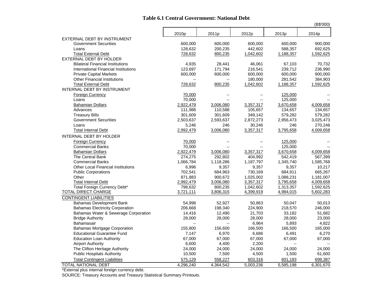#### **Table 6.1 Central Government: National Debt**

|                                                           |                   |                |                      |                    | (B\$'000) |
|-----------------------------------------------------------|-------------------|----------------|----------------------|--------------------|-----------|
|                                                           | 2010 <sub>p</sub> | 2011p          | 2012p                | 2013p              | 2014p     |
| EXTERNAL DEBT BY INSTRUMENT                               |                   |                |                      |                    |           |
| <b>Government Securities</b>                              | 600,000           | 600,000        | 600,000              | 600,000            | 900,000   |
| Loans                                                     | 128,632           | 200,235        | 442,602              | 588,357            | 692,625   |
| <b>Total External Debt</b>                                | 728,632           | 800,235        | 1,042,602            | 1,188,357          | 1,592,625 |
| EXTERNAL DEBT BY HOLDER                                   |                   |                |                      |                    |           |
| <b>Bilateral Financial Institutions</b>                   | 4,935             | 28,441         | 46,061               | 67,103             | 70,732    |
| International Financial Institutions                      | 123,697           | 171,794        | 216,541              | 239,712            | 236,990   |
| <b>Private Capital Markets</b>                            | 600,000           | 600,000        | 600,000              | 600,000            | 900,000   |
| <b>Other Financial Institutions</b>                       |                   |                | 180,000              | 281,542            | 384,903   |
| <b>Total External Debt</b><br>INTERNAL DEBT BY INSTRUMENT | 728,632           | 800,235        | 1,042,602            | 1,188,357          | 1,592,625 |
|                                                           |                   |                |                      |                    |           |
| <b>Foreign Currency</b><br>Loans                          | 70,000<br>70,000  |                | --<br>$\overline{a}$ | 125,000<br>125,000 |           |
| <b>Bahamian Dollars</b>                                   | 2,922,479         | 3,006,080      | 3,357,317            | 3,670,658          | 4,009,658 |
| Advances                                                  | 111,988           | 110,588        | 105,657              | 134,657            | 134,657   |
| <b>Treasury Bills</b>                                     | 301,609           | 301,609        | 349,142              | 579,282            | 579,282   |
| <b>Government Securities</b>                              | 2,503,637         | 2,593,637      | 2,872,273            | 2,956,473          | 3,025,473 |
| Loans                                                     | 5,246             | 246            | 30,246               | 246                | 270,246   |
| <b>Total Internal Debt</b>                                | 2,992,479         | 3,006,080      | 3,357,317            | 3,795,658          | 4,009,658 |
| INTERNAL DEBT BY HOLDER                                   |                   |                |                      |                    |           |
| <b>Foreign Currency</b>                                   | 70,000            |                | $-$                  | 125,000            |           |
| <b>Commercial Banks</b>                                   | 70,000            |                | $\overline{a}$       | 125,000            |           |
| <b>Bahamian Dollars</b>                                   | 2,922,479         | 3,006,080      | 3,357,317            | 3,670,658          | 4,009,658 |
| The Central Bank                                          | 274,275           | 292,802        | 404,992              | 542,419            | 567,399   |
| <b>Commercial Banks</b>                                   | 1,066,784         | 1,118,286      | 1,187,797            | 1,345,740          | 1,585,768 |
| <b>Other Local Financial Institutions</b>                 | 6,996             | 9,357          | 9,357                | 9,357              | 10,217    |
| <b>Public Corporations</b>                                | 702,541           | 684,963        | 730,169              | 684,911            | 665,267   |
| Other                                                     | 871,883           | 900,672        | 1,025,002            | 1,088,231          | 1,181,007 |
| <b>Total Internal Debt</b>                                | 2,992,479         | 3,006,080      | 3,357,317            | 3,795,658          | 4,009,658 |
| Total Foreign Currency Debt*                              | 798,632           | 800,235        | 1,042,602            | 1,313,357          | 1,592,625 |
| <b>TOTAL DIRECT CHARGE</b>                                | 3,721,111         | 3,806,315      | 4,399,919            | 4,984,015          | 5,602,283 |
| <b>CONTINGENT LIABILITIES</b>                             |                   |                |                      |                    |           |
| <b>Bahamas Development Bank</b>                           | 54,998            | 52,927         | 50,863               | 50,047             | 50,013    |
| <b>Bahamas Electricity Corporation</b>                    | 206,668           | 198,340        | 224,900              | 218,570            | 246,000   |
| Bahamas Water & Sewerage Corporation                      | 14,416            | 12,490         | 21,703               | 33,182             | 51,682    |
| <b>Bridge Authority</b>                                   | 28,000            | 28,000         | 28,000               | 28,000             | 23,000    |
| Bahamasair                                                | $-$               | $\overline{a}$ | 6,964                | 5,893              | 4,822     |
| <b>Bahamas Mortgage Corporation</b>                       | 155,800           | 156,600        | 166,500              | 166,500            | 165,000   |
| <b>Educational Guarantee Fund</b>                         | 7,147             | 6,970          | 6,686                | 6,491              | 6,270     |
| <b>Education Loan Authority</b>                           | 67,000            | 67,000         | 67,000               | 67,000             | 67,000    |
| <b>Airport Authority</b>                                  | 6,600             | 4,400          | 2,200                |                    |           |
| The Clifton Heritage Authority                            | 24,000            | 24,000         | 24,000               | 24,000             | 24,000    |
| <b>Public Hospitals Authority</b>                         | 10,500            | 7,500          | 4,500                | 1,500              | 61,600    |
| <b>Total Contingent Liabilities</b>                       | 575,129           | 558,227        | 603,316              | 601,183            | 699,387   |
| <b>TOTAL NATIONAL DEBT</b>                                | 4,296,240         | 4,364,542      | 5,003,236            | 5,585,198          | 6,301,670 |

\*External plus internal foreign currency debt.

SOURCE: Treasury Accounts and Treasury Statistical Summary Printouts.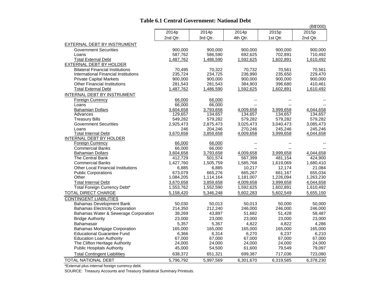### **Table 6.1 Central Government: National Debt**

|                                                                                |                      |                      |                      |                      | (B\$'000)            |
|--------------------------------------------------------------------------------|----------------------|----------------------|----------------------|----------------------|----------------------|
|                                                                                | 2014p                | 2014p                | 2014p                | 2015p                | 2015p                |
|                                                                                | 2nd Qtr.             | 3rd Qtr.             | 4th Qtr.             | 1st Qtr.             | 2nd Qtr.             |
| EXTERNAL DEBT BY INSTRUMENT                                                    |                      |                      |                      |                      |                      |
| <b>Government Securities</b>                                                   | 900,000              | 900,000              | 900,000              | 900,000              | 900,000              |
| Loans                                                                          | 587,762              | 586,590              | 692,625              | 702,891              | 710,492              |
| <b>Total External Debt</b>                                                     | 1,487,762            | 1,486,590            | 1,592,625            | 1,602,891            | 1,610,492            |
| EXTERNAL DEBT BY HOLDER                                                        |                      |                      |                      |                      |                      |
| <b>Bilateral Financial Institutions</b>                                        | 70,495               | 70,322               | 70,732               | 70,561               | 70,561               |
| International Financial Institutions                                           | 235,724              | 234,725              | 236,990              | 235,650              | 229,470              |
| <b>Private Capital Markets</b>                                                 | 900,000              | 900,000              | 900,000              | 900,000              | 900,000              |
| <b>Other Financial Institutions</b>                                            | 281,543              | 281,543              | 384,903              | 396,680              | 410,461              |
| <b>Total External Debt</b>                                                     | 1,487,762            | 1,486,590            | 1,592,625            | 1,602,891            | 1,610,492            |
| INTERNAL DEBT BY INSTRUMENT                                                    |                      |                      |                      |                      |                      |
| <b>Foreign Currency</b>                                                        | 66,000               | 66,000               |                      |                      |                      |
| Loans                                                                          | 66,000               | 66,000               |                      |                      |                      |
| <b>Bahamian Dollars</b><br>Advances                                            | 3,604,658<br>129,657 | 3,793,658<br>134,657 | 4,009,658<br>134,657 | 3,999,658<br>134,657 | 4,044,658<br>134,657 |
| <b>Treasury Bills</b>                                                          | 549,282              | 579,282              | 579,282              | 579,282              | 579,282              |
| <b>Government Securities</b>                                                   | 2,925,473            | 2,875,473            | 3,025,473            | 3,040,473            | 3,085,473            |
| Loans                                                                          | 246                  | 204,246              | 270,246              | 245,246              | 245,246              |
| <b>Total Internal Debt</b>                                                     | 3,670,658            | 3,859,658            | 4,009,658            | 3,999,658            | 4,044,658            |
| INTERNAL DEBT BY HOLDER                                                        |                      |                      |                      |                      |                      |
| <b>Foreign Currency</b>                                                        | 66,000               | 66,000               |                      |                      |                      |
| <b>Commercial Banks</b>                                                        | 66,000               | 66,000               |                      |                      |                      |
| <b>Bahamian Dollars</b>                                                        | 3,604,658            | 3,793,658            | 4,009,658            | 3,999,658            | 4,044,658            |
| The Central Bank                                                               | 412,729              | 501,574              | 567,399              | 481,154              | 424,900              |
| <b>Commercial Banks</b>                                                        | 1,427,760            | 1,505,759            | 1,585,768            | 1,619,069            | 1,680,410            |
| <b>Other Local Financial Institutions</b>                                      | 6,885                | 6,885                | 10,217               | 12,174               | 21,084               |
| <b>Public Corporations</b>                                                     | 673.079              | 665,276              | 665,267              | 661,167              | 655,034              |
| Other                                                                          | 1,084,205            | 1,114,164            | 1,181,007            | 1,226,094            | 1,263,230            |
| <b>Total Internal Debt</b>                                                     | 3,670,658            | 3,859,658            | 4,009,658            | 3,999,658            | 4,044,658            |
| Total Foreign Currency Debt*                                                   | 1,553,762            | 1,552,590            | 1,592,625            | 1,602,891            | 1,610,492            |
| <b>TOTAL DIRECT CHARGE</b>                                                     | 5,158,420            | 5,346,248            | 5,602,283            | 5,602,549            | 5,655,150            |
| <b>CONTINGENT LIABILITIES</b>                                                  |                      |                      |                      |                      |                      |
| <b>Bahamas Development Bank</b>                                                | 50,030               | 50,013               | 50,013               | 50,000               | 50,000               |
| <b>Bahamas Electricity Corporation</b><br>Bahamas Water & Sewerage Corporation | 214,350<br>38,269    | 212,240              | 246,000<br>51,682    | 246,000              | 246,000              |
| <b>Bridge Authority</b>                                                        | 23,000               | 43,897<br>23,000     | 23,000               | 51,428<br>23,000     | 58,487<br>23,000     |
| Bahamasair                                                                     | 5,357                | 5,357                | 4,822                | 4,822                | 4,286                |
| <b>Bahamas Mortgage Corporation</b>                                            | 165,000              | 165,000              | 165,000              | 165,000              | 165,000              |
| <b>Educational Guarantee Fund</b>                                              | 6,366                | 6,314                | 6,270                | 6,237                | 6,210                |
| <b>Education Loan Authority</b>                                                | 67,000               | 67,000               | 67,000               | 67,000               | 67,000               |
| The Clifton Heritage Authority                                                 | 24,000               | 24,000               | 24,000               | 24,000               | 24,000               |
| <b>Public Hospitals Authority</b>                                              | 45,000               | 54,500               | 61,600               | 79,549               | 79,097               |
| <b>Total Contingent Liabilities</b>                                            | 638,372              | 651,321              | 699,387              | 717,036              | 723,080              |
| TOTAL NATIONAL DEBT                                                            | 5,796,792            | 5,997,569            | 6,301,670            | 6,319,585            | 6,378,230            |
|                                                                                |                      |                      |                      |                      |                      |

\*External plus internal foreign currency debt.

SOURCE: Treasury Accounts and Treasury Statistical Summary Printouts.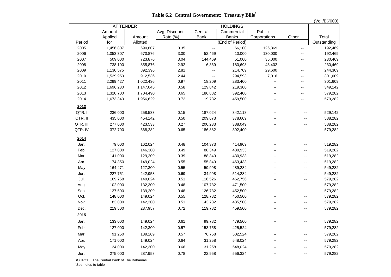**Table 6.2 Central Government: Treasury Bills<sup>1</sup>**

| (Vol./B\$'000) |  |
|----------------|--|
|----------------|--|

|          | <b>AT TENDER</b> |           |               |                          |                 |                                               |                          |             |
|----------|------------------|-----------|---------------|--------------------------|-----------------|-----------------------------------------------|--------------------------|-------------|
|          | Amount           |           | Avg. Discount | Central                  | Commercial      | Public                                        |                          |             |
|          | Applied          | Amount    | Rate (%)      | <b>Bank</b>              | <b>Banks</b>    | Corporations                                  | Other                    | Total       |
| Period   | for              | Allotted  |               |                          | (End of Period) |                                               |                          | Outstanding |
| 2005     | 1,456,807        | 690,807   | 0.35          | $\overline{\phantom{a}}$ | 66,100          | 126,369                                       | $\overline{\phantom{a}}$ | 192,469     |
| 2006     | 1,053,307        | 670,876   | 3.00          | 52,469                   | 10,000          | 130,000                                       | $\overline{a}$           | 192,469     |
| 2007     | 509,000          | 723,876   | 3.04          | 144,469                  | 51,000          | 35,000                                        | --                       | 230,469     |
| 2008     | 738,100          | 855,876   | 2.92          | 6,369                    | 180,698         | 43,402                                        | --                       | 230,469     |
| 2009     | 1,130,575        | 892,396   | 2.81          | $-$                      | 214,709         | 29,600                                        | $-$                      | 244,309     |
| 2010     | 1,529,950        | 912,536   | 2.44          | $\overline{\phantom{a}}$ | 294,593         | 7,016                                         | --                       | 301,609     |
| 2011     | 2,299,427        | 1,022,436 | 0.97          | 18,209                   | 283,400         | --                                            | $\overline{a}$           | 301,609     |
| 2012     | 1,696,230        | 1,147,045 | 0.58          | 129,842                  | 219,300         | $\overline{\phantom{a}}$                      | --                       | 349,142     |
| 2013     | 1,320,700        | 1,704,490 | 0.65          | 186,882                  | 392,400         | $\overline{\phantom{a}}$                      | --                       | 579,282     |
| 2014     | 1,673,340        | 1,956,629 | 0.72          | 119,782                  | 459,500         | --                                            | --                       | 579,282     |
| 2013     |                  |           |               |                          |                 |                                               |                          |             |
| QTR.I    | 236,000          | 258,533   | 0.15          | 187,024                  | 342,118         | --                                            |                          | 529,142     |
| QTR. II  | 435,000          | 454,142   | 0.50          | 209,673                  | 378,609         | --                                            | --                       | 588,282     |
| QTR. III | 277,000          | 423,533   | 0.27          | 200,233                  | 388,049         | $\overline{\phantom{a}}$                      | $-$                      | 588,282     |
| QTR. IV  | 372,700          | 568,282   | 0.65          | 186,882                  | 392,400         | $\overline{\phantom{0}}$                      | $\overline{a}$           | 579,282     |
|          |                  |           |               |                          |                 |                                               |                          |             |
| 2014     |                  |           |               |                          |                 |                                               |                          |             |
| Jan.     | 79,000           | 162,024   | 0.48          | 104,373                  | 414,909         | $-$                                           | $-$                      | 519,282     |
| Feb.     | 127,000          | 146,300   | 0.49          | 88,349                   | 430,933         |                                               |                          | 519,282     |
| Mar.     | 141,000          | 129,209   | 0.39          | 88,349                   | 430,933         | $\overline{\phantom{0}}$                      | $\overline{a}$           | 519,282     |
| Apr.     | 74,350           | 149,024   | 0.55          | 55,849                   | 463,433         | --                                            | $\overline{\phantom{a}}$ | 519,282     |
| May      | 164,471          | 127,300   | 0.55          | 59,998                   | 489,284         | $\overline{\phantom{a}}$                      | $-$                      | 549,282     |
| Jun.     | 227,751          | 242,958   | 0.69          | 34,998                   | 514,284         | --                                            | $\overline{\phantom{a}}$ | 549,282     |
| Jul.     | 169,768          | 149,024   | 0.51          | 116,526                  | 462,756         | $-$                                           | $-$                      | 579,282     |
| Aug.     | 102,000          | 132,300   | 0.48          | 107,782                  | 471,500         | $\overline{\phantom{a}}$                      | $-$                      | 579,282     |
| Sep.     | 137,500          | 139,209   | 0.48          | 126,782                  | 452,500         | --                                            | $\overline{a}$           | 579,282     |
| Oct.     | 148,000          | 149,024   | 0.55          | 128,782                  | 450,500         | $-$                                           | $\qquad \qquad -$        | 579,282     |
| Nov.     | 83,000           | 142,300   | 0.51          | 143,782                  | 435,500         | $\overline{\phantom{a}}$                      | $\overline{\phantom{a}}$ | 579,282     |
| Dec.     | 219,500          | 287,957   | 0.72          | 119,782                  | 459,500         | $\overline{\phantom{a}}$                      | $\qquad \qquad -$        | 579,282     |
| 2015     |                  |           |               |                          |                 |                                               |                          |             |
| Jan.     | 133,000          | 149,024   | 0.61          | 99,782                   | 479,500         | $\overline{\phantom{0}}$                      | $-$                      | 579,282     |
| Feb.     | 127,000          | 142,300   | 0.57          | 153,758                  | 425,524         | $\overline{\phantom{a}}$                      | $\overline{\phantom{a}}$ | 579,282     |
| Mar.     | 91,250           | 139,209   | 0.57          | 76,758                   | 502,524         | $\mathord{\hspace{1pt}\text{--}\hspace{1pt}}$ | $\qquad \qquad -$        | 579,282     |
|          |                  |           |               |                          |                 |                                               |                          |             |
| Apr.     | 171,000          | 149,024   | 0.64          | 31,258                   | 548,024         | $\overline{\phantom{a}}$                      | $\overline{\phantom{a}}$ | 579,282     |
| May      | 134,000          | 142,300   | 0.66          | 31,258                   | 548,024         | --                                            | $\overline{\phantom{a}}$ | 579,282     |
| Jun.     | 275,000          | 287,958   | 0.78          | 22,958                   | 556,324         | $\overline{\phantom{0}}$                      | $\overline{\phantom{a}}$ | 579,282     |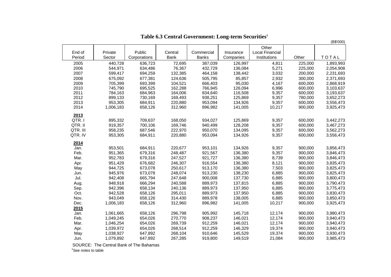| Other<br>Public<br>End of<br>Local Financial<br>Private<br>Central<br>Commercial<br>Insurance<br>TOTAL<br><b>Bank</b><br>Institutions<br>Other<br>Period<br>Sector<br>Corporations<br><b>Banks</b><br>Companies<br>2005<br>440,728<br>636,723<br>72,695<br>387,039<br>126,997<br>4,811<br>225,000<br>1,893,993<br>2006<br>76,367<br>136,084<br>5,271<br>544,971<br>634,486<br>432,729<br>225,000<br>2,054,908<br>694,259<br>132,385<br>138,442<br>3,032<br>2,231,693<br>2007<br>599,417<br>464,158<br>200,000<br>85,857<br>2,932<br>2008<br>675,092<br>677,381<br>124,636<br>505,795<br>300,000<br>2,371,693<br>95,030<br>2009<br>705,399<br>693,399<br>104,521<br>666,403<br>4,167<br>600,000<br>2,868,919<br>2010<br>745,790<br>695,525<br>162,288<br>766,945<br>126,094<br>6,996<br>600,000<br>3,103,637<br>2011<br>116,508<br>9,357<br>784,163<br>684,963<br>164,006<br>834,640<br>600,000<br>3,193,637<br>2012<br>938,251<br>125,869<br>9,357<br>3,652,273<br>899,133<br>730,169<br>169,493<br>780,000<br>2013<br>953,094<br>9,357<br>3,556,473<br>953,305<br>684,911<br>220,880<br>134,926<br>600,000<br>2014<br>896,982<br>141,005<br>10,217<br>900,000<br>1,006,183<br>658,126<br>312,960<br>3,925,473<br>2013<br>QTR.I<br>895,332<br>709,637<br>168,050<br>934,027<br>125,869<br>9,357<br>600,000<br>3,442,273<br>QTR. II<br>700,106<br>128,208<br>9,357<br>919,357<br>169,746<br>940,499<br>600,000<br>3,467,273<br>QTR. III<br>134,095<br>9,357<br>958,235<br>687,546<br>222,970<br>950,070<br>600,000<br>3,562,273<br>QTR. IV<br>953,305<br>684,911<br>220,880<br>953,094<br>134,926<br>9,357<br>600,000<br>3,556,473<br>2014<br>684,911<br>220,677<br>953,101<br>134,926<br>9,357<br>3,856,473<br>Jan.<br>953,501<br>900,000<br>9,357<br>Feb.<br>951,365<br>679,316<br>248,487<br>921,567<br>136,380<br>900,000<br>3,846,473<br>Mar.<br>952,783<br>679,316<br>247,527<br>921,727<br>136,380<br>8,739<br>3,846,473<br>900,000<br>136,380<br>676,682<br>246,307<br>916,554<br>8,121<br>900,000<br>3,835,473<br>Apr.<br>951,429<br>3,825,473<br>May<br>944,725<br>673,078<br>250,617<br>913,170<br>136,380<br>7,503<br>900,000<br>138,230<br>945,976<br>673,078<br>248,074<br>913,230<br>6,885<br>900,000<br>3,825,473<br>Jun.<br>137,730<br>Jul.<br>942,408<br>665,794<br>247,648<br>900,008<br>6,885<br>900,000<br>3,800,473<br>948,918<br>666,294<br>240,588<br>889,973<br>137,815<br>6,885<br>900,000<br>3,790,473<br>Aug.<br>6,885<br>Sep.<br>658,134<br>889,973<br>137,950<br>900,000<br>3,775,473<br>942,396<br>240,136<br>Oct.<br>6,885<br>942,528<br>658,126<br>295,011<br>889,973<br>137,950<br>900,000<br>3,830,473<br>943,049<br>658,126<br>314,430<br>889,978<br>138,005<br>6,885<br>900,000<br>3,850,473<br>Nov.<br>658,126<br>312,960<br>896,982<br>141,005<br>10,217<br>3,925,473<br>Dec.<br>1,006,183<br>900,000<br>2015<br>658,126<br>296,798<br>1,061,665<br>905,992<br>145,718<br>12,174<br>900,000<br>3,980,473<br>Jan.<br>Feb.<br>146,021<br>12,174<br>1,049,245<br>654,026<br>270,770<br>908,237<br>900,000<br>3,940,473<br>Mar.<br>146,021<br>12,174<br>1,046,254<br>654,026<br>269,739<br>912,259<br>900,000<br>3,940,473<br>146,329<br>19,374<br>Apr.<br>1,039,972<br>654,026<br>268,514<br>912,259<br>900,000<br>3,940,473<br>647,892<br>268,104<br>145,529<br>19,374<br>3,930,473<br>May<br>1,038,927<br>910,646<br>900,000 |      |           |         |         |         |         |        |         | (B\$'000) |
|-------------------------------------------------------------------------------------------------------------------------------------------------------------------------------------------------------------------------------------------------------------------------------------------------------------------------------------------------------------------------------------------------------------------------------------------------------------------------------------------------------------------------------------------------------------------------------------------------------------------------------------------------------------------------------------------------------------------------------------------------------------------------------------------------------------------------------------------------------------------------------------------------------------------------------------------------------------------------------------------------------------------------------------------------------------------------------------------------------------------------------------------------------------------------------------------------------------------------------------------------------------------------------------------------------------------------------------------------------------------------------------------------------------------------------------------------------------------------------------------------------------------------------------------------------------------------------------------------------------------------------------------------------------------------------------------------------------------------------------------------------------------------------------------------------------------------------------------------------------------------------------------------------------------------------------------------------------------------------------------------------------------------------------------------------------------------------------------------------------------------------------------------------------------------------------------------------------------------------------------------------------------------------------------------------------------------------------------------------------------------------------------------------------------------------------------------------------------------------------------------------------------------------------------------------------------------------------------------------------------------------------------------------------------------------------------------------------------------------------------------------------------------------------------------------------------------------------------------------------------------------------------------------------------------------------------------------------------------------------------------------------------------------------------------------------------------------------------------------------------------------------------------------------------------------------------------------------------------------------------------------------------------------------------------------------------------------------------------------------------|------|-----------|---------|---------|---------|---------|--------|---------|-----------|
|                                                                                                                                                                                                                                                                                                                                                                                                                                                                                                                                                                                                                                                                                                                                                                                                                                                                                                                                                                                                                                                                                                                                                                                                                                                                                                                                                                                                                                                                                                                                                                                                                                                                                                                                                                                                                                                                                                                                                                                                                                                                                                                                                                                                                                                                                                                                                                                                                                                                                                                                                                                                                                                                                                                                                                                                                                                                                                                                                                                                                                                                                                                                                                                                                                                                                                                                                                   |      |           |         |         |         |         |        |         |           |
|                                                                                                                                                                                                                                                                                                                                                                                                                                                                                                                                                                                                                                                                                                                                                                                                                                                                                                                                                                                                                                                                                                                                                                                                                                                                                                                                                                                                                                                                                                                                                                                                                                                                                                                                                                                                                                                                                                                                                                                                                                                                                                                                                                                                                                                                                                                                                                                                                                                                                                                                                                                                                                                                                                                                                                                                                                                                                                                                                                                                                                                                                                                                                                                                                                                                                                                                                                   |      |           |         |         |         |         |        |         |           |
|                                                                                                                                                                                                                                                                                                                                                                                                                                                                                                                                                                                                                                                                                                                                                                                                                                                                                                                                                                                                                                                                                                                                                                                                                                                                                                                                                                                                                                                                                                                                                                                                                                                                                                                                                                                                                                                                                                                                                                                                                                                                                                                                                                                                                                                                                                                                                                                                                                                                                                                                                                                                                                                                                                                                                                                                                                                                                                                                                                                                                                                                                                                                                                                                                                                                                                                                                                   |      |           |         |         |         |         |        |         |           |
|                                                                                                                                                                                                                                                                                                                                                                                                                                                                                                                                                                                                                                                                                                                                                                                                                                                                                                                                                                                                                                                                                                                                                                                                                                                                                                                                                                                                                                                                                                                                                                                                                                                                                                                                                                                                                                                                                                                                                                                                                                                                                                                                                                                                                                                                                                                                                                                                                                                                                                                                                                                                                                                                                                                                                                                                                                                                                                                                                                                                                                                                                                                                                                                                                                                                                                                                                                   |      |           |         |         |         |         |        |         |           |
|                                                                                                                                                                                                                                                                                                                                                                                                                                                                                                                                                                                                                                                                                                                                                                                                                                                                                                                                                                                                                                                                                                                                                                                                                                                                                                                                                                                                                                                                                                                                                                                                                                                                                                                                                                                                                                                                                                                                                                                                                                                                                                                                                                                                                                                                                                                                                                                                                                                                                                                                                                                                                                                                                                                                                                                                                                                                                                                                                                                                                                                                                                                                                                                                                                                                                                                                                                   |      |           |         |         |         |         |        |         |           |
|                                                                                                                                                                                                                                                                                                                                                                                                                                                                                                                                                                                                                                                                                                                                                                                                                                                                                                                                                                                                                                                                                                                                                                                                                                                                                                                                                                                                                                                                                                                                                                                                                                                                                                                                                                                                                                                                                                                                                                                                                                                                                                                                                                                                                                                                                                                                                                                                                                                                                                                                                                                                                                                                                                                                                                                                                                                                                                                                                                                                                                                                                                                                                                                                                                                                                                                                                                   |      |           |         |         |         |         |        |         |           |
|                                                                                                                                                                                                                                                                                                                                                                                                                                                                                                                                                                                                                                                                                                                                                                                                                                                                                                                                                                                                                                                                                                                                                                                                                                                                                                                                                                                                                                                                                                                                                                                                                                                                                                                                                                                                                                                                                                                                                                                                                                                                                                                                                                                                                                                                                                                                                                                                                                                                                                                                                                                                                                                                                                                                                                                                                                                                                                                                                                                                                                                                                                                                                                                                                                                                                                                                                                   |      |           |         |         |         |         |        |         |           |
|                                                                                                                                                                                                                                                                                                                                                                                                                                                                                                                                                                                                                                                                                                                                                                                                                                                                                                                                                                                                                                                                                                                                                                                                                                                                                                                                                                                                                                                                                                                                                                                                                                                                                                                                                                                                                                                                                                                                                                                                                                                                                                                                                                                                                                                                                                                                                                                                                                                                                                                                                                                                                                                                                                                                                                                                                                                                                                                                                                                                                                                                                                                                                                                                                                                                                                                                                                   |      |           |         |         |         |         |        |         |           |
|                                                                                                                                                                                                                                                                                                                                                                                                                                                                                                                                                                                                                                                                                                                                                                                                                                                                                                                                                                                                                                                                                                                                                                                                                                                                                                                                                                                                                                                                                                                                                                                                                                                                                                                                                                                                                                                                                                                                                                                                                                                                                                                                                                                                                                                                                                                                                                                                                                                                                                                                                                                                                                                                                                                                                                                                                                                                                                                                                                                                                                                                                                                                                                                                                                                                                                                                                                   |      |           |         |         |         |         |        |         |           |
|                                                                                                                                                                                                                                                                                                                                                                                                                                                                                                                                                                                                                                                                                                                                                                                                                                                                                                                                                                                                                                                                                                                                                                                                                                                                                                                                                                                                                                                                                                                                                                                                                                                                                                                                                                                                                                                                                                                                                                                                                                                                                                                                                                                                                                                                                                                                                                                                                                                                                                                                                                                                                                                                                                                                                                                                                                                                                                                                                                                                                                                                                                                                                                                                                                                                                                                                                                   |      |           |         |         |         |         |        |         |           |
|                                                                                                                                                                                                                                                                                                                                                                                                                                                                                                                                                                                                                                                                                                                                                                                                                                                                                                                                                                                                                                                                                                                                                                                                                                                                                                                                                                                                                                                                                                                                                                                                                                                                                                                                                                                                                                                                                                                                                                                                                                                                                                                                                                                                                                                                                                                                                                                                                                                                                                                                                                                                                                                                                                                                                                                                                                                                                                                                                                                                                                                                                                                                                                                                                                                                                                                                                                   |      |           |         |         |         |         |        |         |           |
|                                                                                                                                                                                                                                                                                                                                                                                                                                                                                                                                                                                                                                                                                                                                                                                                                                                                                                                                                                                                                                                                                                                                                                                                                                                                                                                                                                                                                                                                                                                                                                                                                                                                                                                                                                                                                                                                                                                                                                                                                                                                                                                                                                                                                                                                                                                                                                                                                                                                                                                                                                                                                                                                                                                                                                                                                                                                                                                                                                                                                                                                                                                                                                                                                                                                                                                                                                   |      |           |         |         |         |         |        |         |           |
|                                                                                                                                                                                                                                                                                                                                                                                                                                                                                                                                                                                                                                                                                                                                                                                                                                                                                                                                                                                                                                                                                                                                                                                                                                                                                                                                                                                                                                                                                                                                                                                                                                                                                                                                                                                                                                                                                                                                                                                                                                                                                                                                                                                                                                                                                                                                                                                                                                                                                                                                                                                                                                                                                                                                                                                                                                                                                                                                                                                                                                                                                                                                                                                                                                                                                                                                                                   |      |           |         |         |         |         |        |         |           |
|                                                                                                                                                                                                                                                                                                                                                                                                                                                                                                                                                                                                                                                                                                                                                                                                                                                                                                                                                                                                                                                                                                                                                                                                                                                                                                                                                                                                                                                                                                                                                                                                                                                                                                                                                                                                                                                                                                                                                                                                                                                                                                                                                                                                                                                                                                                                                                                                                                                                                                                                                                                                                                                                                                                                                                                                                                                                                                                                                                                                                                                                                                                                                                                                                                                                                                                                                                   |      |           |         |         |         |         |        |         |           |
|                                                                                                                                                                                                                                                                                                                                                                                                                                                                                                                                                                                                                                                                                                                                                                                                                                                                                                                                                                                                                                                                                                                                                                                                                                                                                                                                                                                                                                                                                                                                                                                                                                                                                                                                                                                                                                                                                                                                                                                                                                                                                                                                                                                                                                                                                                                                                                                                                                                                                                                                                                                                                                                                                                                                                                                                                                                                                                                                                                                                                                                                                                                                                                                                                                                                                                                                                                   |      |           |         |         |         |         |        |         |           |
|                                                                                                                                                                                                                                                                                                                                                                                                                                                                                                                                                                                                                                                                                                                                                                                                                                                                                                                                                                                                                                                                                                                                                                                                                                                                                                                                                                                                                                                                                                                                                                                                                                                                                                                                                                                                                                                                                                                                                                                                                                                                                                                                                                                                                                                                                                                                                                                                                                                                                                                                                                                                                                                                                                                                                                                                                                                                                                                                                                                                                                                                                                                                                                                                                                                                                                                                                                   |      |           |         |         |         |         |        |         |           |
|                                                                                                                                                                                                                                                                                                                                                                                                                                                                                                                                                                                                                                                                                                                                                                                                                                                                                                                                                                                                                                                                                                                                                                                                                                                                                                                                                                                                                                                                                                                                                                                                                                                                                                                                                                                                                                                                                                                                                                                                                                                                                                                                                                                                                                                                                                                                                                                                                                                                                                                                                                                                                                                                                                                                                                                                                                                                                                                                                                                                                                                                                                                                                                                                                                                                                                                                                                   |      |           |         |         |         |         |        |         |           |
|                                                                                                                                                                                                                                                                                                                                                                                                                                                                                                                                                                                                                                                                                                                                                                                                                                                                                                                                                                                                                                                                                                                                                                                                                                                                                                                                                                                                                                                                                                                                                                                                                                                                                                                                                                                                                                                                                                                                                                                                                                                                                                                                                                                                                                                                                                                                                                                                                                                                                                                                                                                                                                                                                                                                                                                                                                                                                                                                                                                                                                                                                                                                                                                                                                                                                                                                                                   |      |           |         |         |         |         |        |         |           |
|                                                                                                                                                                                                                                                                                                                                                                                                                                                                                                                                                                                                                                                                                                                                                                                                                                                                                                                                                                                                                                                                                                                                                                                                                                                                                                                                                                                                                                                                                                                                                                                                                                                                                                                                                                                                                                                                                                                                                                                                                                                                                                                                                                                                                                                                                                                                                                                                                                                                                                                                                                                                                                                                                                                                                                                                                                                                                                                                                                                                                                                                                                                                                                                                                                                                                                                                                                   |      |           |         |         |         |         |        |         |           |
|                                                                                                                                                                                                                                                                                                                                                                                                                                                                                                                                                                                                                                                                                                                                                                                                                                                                                                                                                                                                                                                                                                                                                                                                                                                                                                                                                                                                                                                                                                                                                                                                                                                                                                                                                                                                                                                                                                                                                                                                                                                                                                                                                                                                                                                                                                                                                                                                                                                                                                                                                                                                                                                                                                                                                                                                                                                                                                                                                                                                                                                                                                                                                                                                                                                                                                                                                                   |      |           |         |         |         |         |        |         |           |
|                                                                                                                                                                                                                                                                                                                                                                                                                                                                                                                                                                                                                                                                                                                                                                                                                                                                                                                                                                                                                                                                                                                                                                                                                                                                                                                                                                                                                                                                                                                                                                                                                                                                                                                                                                                                                                                                                                                                                                                                                                                                                                                                                                                                                                                                                                                                                                                                                                                                                                                                                                                                                                                                                                                                                                                                                                                                                                                                                                                                                                                                                                                                                                                                                                                                                                                                                                   |      |           |         |         |         |         |        |         |           |
|                                                                                                                                                                                                                                                                                                                                                                                                                                                                                                                                                                                                                                                                                                                                                                                                                                                                                                                                                                                                                                                                                                                                                                                                                                                                                                                                                                                                                                                                                                                                                                                                                                                                                                                                                                                                                                                                                                                                                                                                                                                                                                                                                                                                                                                                                                                                                                                                                                                                                                                                                                                                                                                                                                                                                                                                                                                                                                                                                                                                                                                                                                                                                                                                                                                                                                                                                                   |      |           |         |         |         |         |        |         |           |
|                                                                                                                                                                                                                                                                                                                                                                                                                                                                                                                                                                                                                                                                                                                                                                                                                                                                                                                                                                                                                                                                                                                                                                                                                                                                                                                                                                                                                                                                                                                                                                                                                                                                                                                                                                                                                                                                                                                                                                                                                                                                                                                                                                                                                                                                                                                                                                                                                                                                                                                                                                                                                                                                                                                                                                                                                                                                                                                                                                                                                                                                                                                                                                                                                                                                                                                                                                   |      |           |         |         |         |         |        |         |           |
|                                                                                                                                                                                                                                                                                                                                                                                                                                                                                                                                                                                                                                                                                                                                                                                                                                                                                                                                                                                                                                                                                                                                                                                                                                                                                                                                                                                                                                                                                                                                                                                                                                                                                                                                                                                                                                                                                                                                                                                                                                                                                                                                                                                                                                                                                                                                                                                                                                                                                                                                                                                                                                                                                                                                                                                                                                                                                                                                                                                                                                                                                                                                                                                                                                                                                                                                                                   |      |           |         |         |         |         |        |         |           |
|                                                                                                                                                                                                                                                                                                                                                                                                                                                                                                                                                                                                                                                                                                                                                                                                                                                                                                                                                                                                                                                                                                                                                                                                                                                                                                                                                                                                                                                                                                                                                                                                                                                                                                                                                                                                                                                                                                                                                                                                                                                                                                                                                                                                                                                                                                                                                                                                                                                                                                                                                                                                                                                                                                                                                                                                                                                                                                                                                                                                                                                                                                                                                                                                                                                                                                                                                                   |      |           |         |         |         |         |        |         |           |
|                                                                                                                                                                                                                                                                                                                                                                                                                                                                                                                                                                                                                                                                                                                                                                                                                                                                                                                                                                                                                                                                                                                                                                                                                                                                                                                                                                                                                                                                                                                                                                                                                                                                                                                                                                                                                                                                                                                                                                                                                                                                                                                                                                                                                                                                                                                                                                                                                                                                                                                                                                                                                                                                                                                                                                                                                                                                                                                                                                                                                                                                                                                                                                                                                                                                                                                                                                   |      |           |         |         |         |         |        |         |           |
|                                                                                                                                                                                                                                                                                                                                                                                                                                                                                                                                                                                                                                                                                                                                                                                                                                                                                                                                                                                                                                                                                                                                                                                                                                                                                                                                                                                                                                                                                                                                                                                                                                                                                                                                                                                                                                                                                                                                                                                                                                                                                                                                                                                                                                                                                                                                                                                                                                                                                                                                                                                                                                                                                                                                                                                                                                                                                                                                                                                                                                                                                                                                                                                                                                                                                                                                                                   |      |           |         |         |         |         |        |         |           |
|                                                                                                                                                                                                                                                                                                                                                                                                                                                                                                                                                                                                                                                                                                                                                                                                                                                                                                                                                                                                                                                                                                                                                                                                                                                                                                                                                                                                                                                                                                                                                                                                                                                                                                                                                                                                                                                                                                                                                                                                                                                                                                                                                                                                                                                                                                                                                                                                                                                                                                                                                                                                                                                                                                                                                                                                                                                                                                                                                                                                                                                                                                                                                                                                                                                                                                                                                                   |      |           |         |         |         |         |        |         |           |
|                                                                                                                                                                                                                                                                                                                                                                                                                                                                                                                                                                                                                                                                                                                                                                                                                                                                                                                                                                                                                                                                                                                                                                                                                                                                                                                                                                                                                                                                                                                                                                                                                                                                                                                                                                                                                                                                                                                                                                                                                                                                                                                                                                                                                                                                                                                                                                                                                                                                                                                                                                                                                                                                                                                                                                                                                                                                                                                                                                                                                                                                                                                                                                                                                                                                                                                                                                   |      |           |         |         |         |         |        |         |           |
|                                                                                                                                                                                                                                                                                                                                                                                                                                                                                                                                                                                                                                                                                                                                                                                                                                                                                                                                                                                                                                                                                                                                                                                                                                                                                                                                                                                                                                                                                                                                                                                                                                                                                                                                                                                                                                                                                                                                                                                                                                                                                                                                                                                                                                                                                                                                                                                                                                                                                                                                                                                                                                                                                                                                                                                                                                                                                                                                                                                                                                                                                                                                                                                                                                                                                                                                                                   |      |           |         |         |         |         |        |         |           |
|                                                                                                                                                                                                                                                                                                                                                                                                                                                                                                                                                                                                                                                                                                                                                                                                                                                                                                                                                                                                                                                                                                                                                                                                                                                                                                                                                                                                                                                                                                                                                                                                                                                                                                                                                                                                                                                                                                                                                                                                                                                                                                                                                                                                                                                                                                                                                                                                                                                                                                                                                                                                                                                                                                                                                                                                                                                                                                                                                                                                                                                                                                                                                                                                                                                                                                                                                                   |      |           |         |         |         |         |        |         |           |
|                                                                                                                                                                                                                                                                                                                                                                                                                                                                                                                                                                                                                                                                                                                                                                                                                                                                                                                                                                                                                                                                                                                                                                                                                                                                                                                                                                                                                                                                                                                                                                                                                                                                                                                                                                                                                                                                                                                                                                                                                                                                                                                                                                                                                                                                                                                                                                                                                                                                                                                                                                                                                                                                                                                                                                                                                                                                                                                                                                                                                                                                                                                                                                                                                                                                                                                                                                   |      |           |         |         |         |         |        |         |           |
|                                                                                                                                                                                                                                                                                                                                                                                                                                                                                                                                                                                                                                                                                                                                                                                                                                                                                                                                                                                                                                                                                                                                                                                                                                                                                                                                                                                                                                                                                                                                                                                                                                                                                                                                                                                                                                                                                                                                                                                                                                                                                                                                                                                                                                                                                                                                                                                                                                                                                                                                                                                                                                                                                                                                                                                                                                                                                                                                                                                                                                                                                                                                                                                                                                                                                                                                                                   |      |           |         |         |         |         |        |         |           |
|                                                                                                                                                                                                                                                                                                                                                                                                                                                                                                                                                                                                                                                                                                                                                                                                                                                                                                                                                                                                                                                                                                                                                                                                                                                                                                                                                                                                                                                                                                                                                                                                                                                                                                                                                                                                                                                                                                                                                                                                                                                                                                                                                                                                                                                                                                                                                                                                                                                                                                                                                                                                                                                                                                                                                                                                                                                                                                                                                                                                                                                                                                                                                                                                                                                                                                                                                                   |      |           |         |         |         |         |        |         |           |
|                                                                                                                                                                                                                                                                                                                                                                                                                                                                                                                                                                                                                                                                                                                                                                                                                                                                                                                                                                                                                                                                                                                                                                                                                                                                                                                                                                                                                                                                                                                                                                                                                                                                                                                                                                                                                                                                                                                                                                                                                                                                                                                                                                                                                                                                                                                                                                                                                                                                                                                                                                                                                                                                                                                                                                                                                                                                                                                                                                                                                                                                                                                                                                                                                                                                                                                                                                   |      |           |         |         |         |         |        |         |           |
|                                                                                                                                                                                                                                                                                                                                                                                                                                                                                                                                                                                                                                                                                                                                                                                                                                                                                                                                                                                                                                                                                                                                                                                                                                                                                                                                                                                                                                                                                                                                                                                                                                                                                                                                                                                                                                                                                                                                                                                                                                                                                                                                                                                                                                                                                                                                                                                                                                                                                                                                                                                                                                                                                                                                                                                                                                                                                                                                                                                                                                                                                                                                                                                                                                                                                                                                                                   |      |           |         |         |         |         |        |         |           |
|                                                                                                                                                                                                                                                                                                                                                                                                                                                                                                                                                                                                                                                                                                                                                                                                                                                                                                                                                                                                                                                                                                                                                                                                                                                                                                                                                                                                                                                                                                                                                                                                                                                                                                                                                                                                                                                                                                                                                                                                                                                                                                                                                                                                                                                                                                                                                                                                                                                                                                                                                                                                                                                                                                                                                                                                                                                                                                                                                                                                                                                                                                                                                                                                                                                                                                                                                                   | Jun. | 1,079,892 | 647,892 | 267,285 | 919,800 | 149,519 | 21,084 | 900,000 | 3,985,473 |

## **Table 6.3 Central Government: Long-term Securities1**

SOURCE: The Central Bank of The Bahamas

<sup>1</sup>See notes to table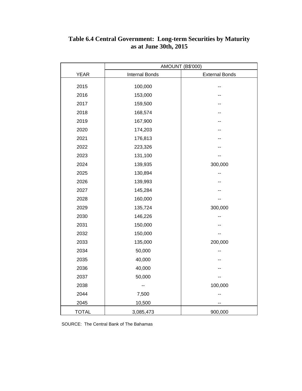|              | <b>AMOUNT (B\$'000)</b> |                       |  |  |  |  |
|--------------|-------------------------|-----------------------|--|--|--|--|
| <b>YEAR</b>  | <b>Internal Bonds</b>   | <b>External Bonds</b> |  |  |  |  |
| 2015         | 100,000                 |                       |  |  |  |  |
| 2016         | 153,000                 |                       |  |  |  |  |
| 2017         | 159,500                 |                       |  |  |  |  |
| 2018         | 168,574                 |                       |  |  |  |  |
| 2019         | 167,900                 |                       |  |  |  |  |
| 2020         | 174,203                 |                       |  |  |  |  |
| 2021         | 176,813                 |                       |  |  |  |  |
| 2022         | 223,326                 |                       |  |  |  |  |
| 2023         | 131,100                 |                       |  |  |  |  |
| 2024         | 139,935                 | 300,000               |  |  |  |  |
| 2025         | 130,894                 |                       |  |  |  |  |
| 2026         | 139,993                 |                       |  |  |  |  |
| 2027         | 145,284                 |                       |  |  |  |  |
| 2028         | 160,000                 |                       |  |  |  |  |
| 2029         | 135,724                 | 300,000               |  |  |  |  |
| 2030         | 146,226                 |                       |  |  |  |  |
| 2031         | 150,000                 |                       |  |  |  |  |
| 2032         | 150,000                 |                       |  |  |  |  |
| 2033         | 135,000                 | 200,000               |  |  |  |  |
| 2034         | 50,000                  |                       |  |  |  |  |
| 2035         | 40,000                  |                       |  |  |  |  |
| 2036         | 40,000                  |                       |  |  |  |  |
| 2037         | 50,000                  |                       |  |  |  |  |
| 2038         |                         | 100,000               |  |  |  |  |
| 2044         | 7,500                   |                       |  |  |  |  |
| 2045         | 10,500                  |                       |  |  |  |  |
| <b>TOTAL</b> | 3,085,473               | 900,000               |  |  |  |  |

### **Table 6.4 Central Government: Long-term Securities by Maturity as at June 30th, 2015**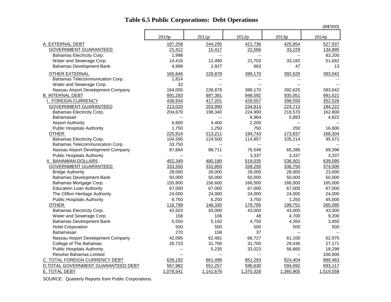|                                         |                          |                          |                          |                    | (B\$'000)      |
|-----------------------------------------|--------------------------|--------------------------|--------------------------|--------------------|----------------|
|                                         | 2010p                    | 2011p                    | 2012p                    | 2013p              | 2014p          |
| A. EXTERNAL DEBT                        | 187,258                  | 244,295                  | 421,736                  | 425,854            | 527,937        |
| <b>GOVERNMENT GUARANTEED</b>            | 21,412                   | 15,417                   | 22,566                   | 33,229             | 134,895        |
| Bahamas Electricity Corp.               | 1,998                    | $\overline{\phantom{a}}$ | $\overline{\phantom{a}}$ | $\overline{a}$     | 83,200         |
| Water and Sewerage Corp.                | 14,416                   | 12,490                   | 21,703                   | 33,182             | 51,682         |
| <b>Bahamas Development Bank</b>         | 4,998                    | 2,927                    | 863                      | 47                 | 13             |
| OTHER EXTERNAL                          | 165,846                  | 228,878                  | 399,170                  | 392,625            | 393,042        |
| Bahamas Telecommunication Corp.         | 1,814                    |                          |                          |                    |                |
| Water and Sewerage Corp.                | 32                       |                          |                          |                    |                |
| Nassau Airport Development Company      | 164,000                  | 228,878                  | 399,170                  | 392,625            | 393,042        |
| <b>B. INTERNAL DEBT</b>                 | 891,283                  | 897,381                  | 948,592                  | 935,051            | 991,621        |
| I. FOREIGN CURRENCY                     | 438,934                  | 417,201                  | 429,557                  | 398,550            | 352,526        |
| <b>GOVERNMENT GUARANTEED</b>            | 213,020                  | 203,990                  | 234,814                  | 224,713            | 184,222        |
|                                         |                          | 198,340                  | 224,900                  | 218,570            | 162,800        |
| Bahamas Electricity Corp.<br>Bahamasair | 204,670                  | $\overline{a}$           | 6,964                    | 5,893              | 4,822          |
|                                         | 6,600                    | 4,400                    | 2,200                    |                    |                |
| <b>Airport Authority</b>                |                          |                          |                          |                    |                |
| <b>Public Hospitals Authority</b>       | 1,750                    | 1,250                    | 750                      | 250                | 16,600         |
| <b>OTHER</b>                            | 225,914                  | 213,211                  | 194,743                  | 173,837<br>105,214 | 168,304        |
| Bahamas Electricity Corp.               | 104,500                  | 124,500                  | 114,857                  |                    | 95,571         |
| Bahamas Telecommunication Corp.         | 33,750                   | $\overline{\phantom{a}}$ | $\overline{\phantom{a}}$ | Ξ.                 | Ξ.             |
| Nassau Airport Development Company      | 87,664                   | 88,711                   | 76,549                   | 65,286             | 69,396         |
| <b>Public Hospitals Authority</b>       |                          |                          | 3,337                    | 3,337              | 3,337          |
| <b>II. BAHAMIAN DOLLARS</b>             | 452,349                  | 480,180                  | 519,035                  | 536,501            | 639,095        |
| <b>GOVERNMENT GUARANTEED</b>            | 333,550                  | 331,850                  | 339,250                  | 336,750            | 374,000        |
| <b>Bridge Authority</b>                 | 28,000                   | 28,000                   | 28,000                   | 28,000             | 23,000         |
| <b>Bahamas Development Bank</b>         | 50,000                   | 50,000                   | 50,000                   | 50,000             | 50,000         |
| Bahamas Mortgage Corp.                  | 155,800                  | 156,600                  | 166,500                  | 166,500            | 165,000        |
| <b>Education Loan Authority</b>         | 67,000                   | 67,000                   | 67,000                   | 67,000             | 67,000         |
| The Clifton Heritage Authority          | 24,000                   | 24,000                   | 24,000                   | 24,000             | 24,000         |
| <b>Public Hospitals Authority</b>       | 8,750                    | 6,250                    | 3,750                    | 1,250              | 45,000         |
| <b>OTHER</b>                            | 118,799                  | 148,330                  | 179,785                  | 199,751            | 265,095        |
| Bahamas Electricity Corp.               | 43,503                   | 43,000                   | 43,000                   | 43,000             | 43,000         |
| Water and Sewerage Corp.                | 158                      | 106                      | 48                       | 4,700              | 9,200          |
| <b>Bahamas Development Bank</b>         | 5,550                    | 5,150                    | 4,750                    | 4,350              | 3,950          |
| <b>Hotel Corporation</b>                | 500                      | 500                      | 500                      | 500                | 500            |
| Bahamasair                              | 270                      | 158                      | 37                       | Ξ.                 | $\overline{a}$ |
| Nassau Airport Development Company      | 42,095                   | 62,481                   | 66,727                   | 61,100             | 62,975         |
| College of The Bahamas                  | 26,723                   | 31,700                   | 31,700                   | 29,436             | 27,171         |
| <b>Public Hospitals Authority</b>       | $\overline{\phantom{a}}$ | 5,235                    | 33,023                   | 56,665             | 18,299         |
| <b>Resolve Bahamas Limited</b>          | $\overline{a}$           | $\overline{a}$           |                          |                    | 100,000        |
| C. TOTAL FOREIGN CURRENCY DEBT          | 626,192                  | 661,496                  | 851,293                  | 824,404            | 880,463        |
| D.TOTAL GOVERNMENT GUARANTEED DEBT      | 567,982                  | 551,257                  | 596,630                  | 594,692            | 693,117        |
| E. TOTAL DEBT                           | 1,078,541                | 1,141,676                | 1,370,328                | 1,360,905          | 1,519,558      |

## **Table 6.5 Public Corporations: Debt Operations**

SOURCE: Quarterly Reports from Public Corporations.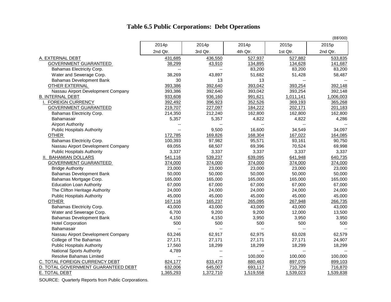## **Table 6.5 Public Corporations: Debt Operations**

|                                     |                          |                |                |           | (B\$'000)      |
|-------------------------------------|--------------------------|----------------|----------------|-----------|----------------|
|                                     | 2014p                    | 2014p          | 2014p          | 2015p     | 2015p          |
|                                     | 2nd Qtr.                 | 3rd Qtr.       | 4th Qtr.       | 1st Qtr.  | 2nd Qtr.       |
| A. EXTERNAL DEBT                    | 431,685                  | 436,550        | 527,937        | 527,882   | 533,835        |
| GOVERNMENT GUARANTEED               | 38,299                   | 43,910         | 134,895        | 134,628   | 141,687        |
| Bahamas Electricity Corp.           | $\overline{\phantom{a}}$ | $\overline{a}$ | 83,200         | 83,200    | 83,200         |
| Water and Sewerage Corp.            | 38,269                   | 43,897         | 51,682         | 51,428    | 58,487         |
| <b>Bahamas Development Bank</b>     | 30                       | 13             | 13             |           |                |
| <b>OTHER EXTERNAL</b>               | 393,386                  | 392,640        | 393,042        | 393,254   | 392,148        |
| Nassau Airport Development Company  | 393,386                  | 392,640        | 393,042        | 393,254   | 392,148        |
| <b>B. INTERNAL DEBT</b>             | 933,608                  | 936,160        | 991,621        | 1,011,141 | 1,006,003      |
| I. FOREIGN CURRENCY                 | 392,492                  | 396,923        | 352,526        | 369,193   | 365,268        |
| <b>GOVERNMENT GUARANTEED</b>        | 219,707                  | 227,097        | 184,222        | 202,171   | 201,183        |
| Bahamas Electricity Corp.           | 214,350                  | 212,240        | 162,800        | 162,800   | 162,800        |
| Bahamasair                          | 5,357                    | 5,357          | 4,822          | 4,822     | 4,286          |
| <b>Airport Authority</b>            | $\overline{a}$           |                |                |           | $-$            |
| <b>Public Hospitals Authority</b>   |                          | 9,500          | 16,600         | 34,549    | 34,097         |
| <b>OTHER</b>                        | 172,785                  | 169,826        | 168,304        | 167,022   | 164,085        |
| Bahamas Electricity Corp.           | 100,393                  | 97,982         | 95,571         | 93,161    | 90,750         |
| Nassau Airport Development Company  | 69,055                   | 68,507         | 69,396         | 70,524    | 69,998         |
| <b>Public Hospitals Authority</b>   | 3,337                    | 3,337          | 3,337          | 3,337     | 3,337          |
| <b>II. BAHAMIAN DOLLARS</b>         | 541,116                  | 539,237        | 639,095        | 641,948   | 640,735        |
| GOVERNMENT GUARANTEED               | 374,000                  | 374,000        | 374,000        | 374,000   | 374,000        |
| <b>Bridge Authority</b>             | 23,000                   | 23,000         | 23,000         | 23,000    | 23,000         |
| <b>Bahamas Development Bank</b>     | 50,000                   | 50,000         | 50,000         | 50,000    | 50,000         |
| Bahamas Mortgage Corp.              | 165,000                  | 165,000        | 165,000        | 165,000   | 165,000        |
| <b>Education Loan Authority</b>     | 67,000                   | 67,000         | 67,000         | 67,000    | 67,000         |
| The Clifton Heritage Authority      | 24,000                   | 24,000         | 24,000         | 24,000    | 24,000         |
| <b>Public Hospitals Authority</b>   | 45,000                   | 45,000         | 45,000         | 45,000    | 45,000         |
| <b>OTHER</b>                        | 167,116                  | 165,237        | 265,095        | 267,948   | 266,735        |
| Bahamas Electricity Corp.           | 43,000                   | 43,000         | 43,000         | 43,000    | 43,000         |
| Water and Sewerage Corp.            | 6,700                    | 9,200          | 9,200          | 12,000    | 13,500         |
| <b>Bahamas Development Bank</b>     | 4,150                    | 4,150          | 3,950          | 3,950     | 3,950          |
| <b>Hotel Corporation</b>            | 500                      | 500            | 500            | 500       | 500            |
| Bahamasair                          |                          |                | $\overline{a}$ |           | $\overline{a}$ |
| Nassau Airport Development Company  | 63,246                   | 62,917         | 62,975         | 63,028    | 62,579         |
| College of The Bahamas              | 27,171                   | 27,171         | 27,171         | 27,171    | 24,907         |
| <b>Public Hospitals Authority</b>   | 17,560                   | 18,299         | 18,299         | 18,299    | 18,299         |
| <b>National Sports Authority</b>    | 4,789                    |                | $\overline{a}$ |           |                |
| <b>Resolve Bahamas Limited</b>      | $\mathbf{u}$             | $\sim$         | 100,000        | 100,000   | 100,000        |
| C. TOTAL FOREIGN CURRENCY DEBT      | 824,177                  | 833,473        | 880,463        | 897,075   | 899,103        |
| D. TOTAL GOVERNMENT GUARANTEED DEBT | 632,006                  | 645,007        | 693,117        | 710,799   | 716,870        |
| E. TOTAL DEBT                       | 1,365,293                | 1,372,710      | 1,519,558      | 1,539,023 | 1,539,838      |

SOURCE: Quarterly Reports from Public Corporations.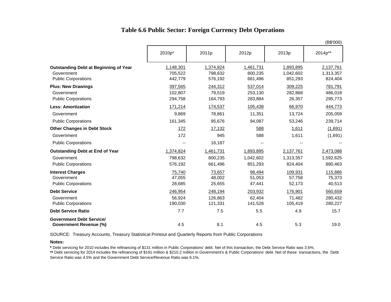### **Table 6.6 Public Sector: Foreign Currency Debt Operations**

|                                                                                          | (B\$'000)                       |                                 |                                   |                                   |                                   |  |  |  |
|------------------------------------------------------------------------------------------|---------------------------------|---------------------------------|-----------------------------------|-----------------------------------|-----------------------------------|--|--|--|
|                                                                                          | 2010p*                          | 2011p                           | 2012p                             | 2013p                             | 2014p**                           |  |  |  |
| <b>Outstanding Debt at Beginning of Year</b><br>Government<br><b>Public Corporations</b> | 1,148,301<br>705,522<br>442,779 | 1,374,824<br>798,632<br>576,192 | 1,461,731<br>800,235<br>661,496   | 1,893,895<br>1,042,602<br>851,293 | 2,137,761<br>1,313,357<br>824,404 |  |  |  |
| <b>Plus: New Drawings</b><br>Government<br><b>Public Corporations</b>                    | 397,565<br>102,807<br>294,758   | 244,312<br>79,519<br>164,793    | 537,014<br>253,130<br>283,884     | 309,225<br>282,868<br>26,357      | 781,791<br>486,018<br>295,773     |  |  |  |
| <b>Less: Amortization</b>                                                                | 171,214                         | 174,537                         | 105,438                           | 66,970                            | 444,773                           |  |  |  |
| Government                                                                               | 9,869                           | 78,861                          | 11,351                            | 13,724                            | 205,059                           |  |  |  |
| <b>Public Corporations</b>                                                               | 161,345                         | 95,676                          | 94,087                            | 53,246                            | 239,714                           |  |  |  |
| <b>Other Changes in Debt Stock</b>                                                       | <u>172</u>                      | 17,132                          | 588                               | 1,611                             | (1,691)                           |  |  |  |
| Government                                                                               | 172                             | 945                             | 588                               | 1,611                             | (1,691)                           |  |  |  |
| <b>Public Corporations</b>                                                               | --                              | 16,187                          | $\overline{\phantom{a}}$          |                                   |                                   |  |  |  |
| <b>Outstanding Debt at End of Year</b><br>Government<br><b>Public Corporations</b>       | 1,374,824<br>798,632<br>576,192 | 1,461,731<br>800,235<br>661,496 | 1,893,895<br>1,042,602<br>851,293 | 2,137,761<br>1,313,357<br>824,404 | 2,473,088<br>1,592,625<br>880,463 |  |  |  |
| <b>Interest Charges</b><br>Government<br><b>Public Corporations</b>                      | 75,740<br>47,055<br>28,685      | 73,657<br>48,002<br>25,655      | 98,494<br>51,053<br>47,441        | 109,931<br>57,758<br>52,173       | 115,886<br>75,373<br>40,513       |  |  |  |
| <b>Debt Service</b><br>Government<br><b>Public Corporations</b>                          | 246,954<br>56,924<br>190,030    | 248,194<br>126,863<br>121,331   | 203,932<br>62,404<br>141,528      | 176,901<br>71,482<br>105,419      | 560,659<br>280,432<br>280,227     |  |  |  |
| <b>Debt Service Ratio</b>                                                                | 7.7                             | 7.5                             | 5.5                               | 4.9                               | 15.7                              |  |  |  |
| <b>Government Debt Service/</b><br><b>Government Revenue (%)</b>                         | 4.5                             | 8.1                             | 4.5                               | 5.3                               | 19.0                              |  |  |  |

SOURCE: Treasury Accounts, Treasury Statistical Printout and Quarterly Reports from Public Corporations

**Notes:**

**\*** Debt servicing for 2010 includes the refinancing of \$131 million in Public Corporations' debt. Net of this transaction, the Debt Service Ratio was 3.6%.

**\*\*** Debt servicing for 2014 includes the refinancing of \$191 million & \$210.2 million in Government's & Public Corporations' debt. Net of these transactions, the Debt Service Ratio was 4.5% and the Government Debt Service/Revenue Ratio was 6.1%.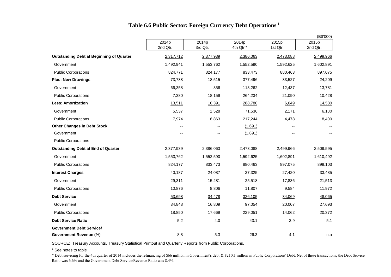|                                                 |                                        |                          |                    |                   | (B\$'000)         |  |
|-------------------------------------------------|----------------------------------------|--------------------------|--------------------|-------------------|-------------------|--|
|                                                 | 2014p<br>2014p<br>2nd Qtr.<br>3rd Qtr. |                          | 2014p<br>4th Qtr.* | 2015p<br>1st Qtr. | 2015p<br>2nd Qtr. |  |
| <b>Outstanding Debt at Beginning of Quarter</b> | 2,317,712                              | 2,377,939                | 2,386,063          | 2,473,088         | 2,499,966         |  |
| Government                                      | 1,492,941                              | 1,553,762                | 1,552,590          | 1,592,625         | 1,602,891         |  |
| <b>Public Corporations</b>                      | 824,771                                | 824,177                  | 833,473            | 880,463           | 897,075           |  |
| <b>Plus: New Drawings</b>                       | 73,738                                 | 18,515                   | 377,496            | 33,527            | 24,209            |  |
| Government                                      | 66,358                                 | 356                      | 113,262            | 12,437            | 13,781            |  |
| <b>Public Corporations</b>                      | 7,380                                  | 18,159                   | 264,234            | 21,090            | 10,428            |  |
| <b>Less: Amortization</b>                       | 13,511                                 | 10,391                   | 288,780            | 6,649             | 14,580            |  |
| Government                                      | 5,537                                  | 1,528                    | 71,536             | 2,171             | 6,180             |  |
| <b>Public Corporations</b>                      | 7,974                                  | 8,863                    | 217,244            | 4,478             | 8,400             |  |
| <b>Other Changes in Debt Stock</b>              |                                        |                          | (1,691)            |                   |                   |  |
| Government                                      | $-$                                    | $\overline{\phantom{a}}$ | (1,691)            |                   |                   |  |
| <b>Public Corporations</b>                      | $\overline{a}$                         | $\overline{\phantom{a}}$ |                    |                   |                   |  |
| <b>Outstanding Debt at End of Quarter</b>       | 2,377,939                              | 2,386,063                | 2,473,088          | 2,499,966         | 2,509,595         |  |
| Government                                      | 1,553,762                              | 1,552,590                | 1,592,625          | 1,602,891         | 1,610,492         |  |
| <b>Public Corporations</b>                      | 824,177                                | 833,473                  | 880,463            | 897,075           | 899,103           |  |
| <b>Interest Charges</b>                         | 40,187                                 | 24,087                   | 37,325             | 27,420            | 33,485            |  |
| Government                                      | 29,311                                 | 15,281                   | 25,518             | 17,836            | 21,513            |  |
| <b>Public Corporations</b>                      | 10,876                                 | 8,806                    | 11,807             | 9,584             | 11,972            |  |
| <b>Debt Service</b>                             | 53,698                                 | 34,478                   | 326,105            | 34,069            | 48,065            |  |
| Government                                      | 34,848                                 | 16,809                   | 97,054             | 20,007            | 27,693            |  |
| <b>Public Corporations</b>                      | 18,850                                 | 17,669                   | 229,051            | 14,062            | 20,372            |  |
| <b>Debt Service Ratio</b>                       | 5.2                                    | 4.0                      | 43.1               | 3.9               | 5.1               |  |
| <b>Government Debt Service/</b>                 |                                        |                          |                    |                   |                   |  |

### **Table 6.6 Public Sector: Foreign Currency Debt Operations <sup>1</sup>**

SOURCE: Treasury Accounts, Treasury Statistical Printout and Quarterly Reports from Public Corporations.

<sup>1</sup> See notes to table

\* Debt servicing for the 4th quarter of 2014 includes the refinancing of \$66 million in Government's debt & \$210.1 million in Public Corporations' Debt. Net of these transactions, the Debt Service Ratio was 6.6% and the Government Debt Service/Revenue Ratio was 8.4%.

**Government Revenue (%)** 8.8 5.3 26.3 4.1 n.a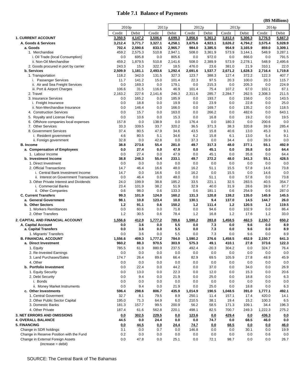### **Table 7.1 Balance of Payments**

|                                                                               | (B\$ Millions)    |                  |              |                  |                |                  |               |                  |                   |                  |
|-------------------------------------------------------------------------------|-------------------|------------------|--------------|------------------|----------------|------------------|---------------|------------------|-------------------|------------------|
|                                                                               | 2010 <sub>p</sub> |                  | 2011p        |                  | 2012p          |                  | 2013p         |                  | 2014 <sub>p</sub> |                  |
|                                                                               | Credit            | Debit            | Credit       | Debit            | Credit         | Debit            | Credit        | Debit            | Credit            | Debit            |
| <b>1. CURRENT ACCOUNT</b>                                                     | 3,350.5           | 4,147.2          | 3,506.6      | 4,699.3          | 3,856.6        | 5,361.2          | 3,812.4       | 5,306.3          | 3,776.5           | 5,667.3          |
| A. Goods & Services                                                           | 3,212.4           | 3,771.7          | 3.327.1      | 4,258.1          | 3,675.6        | 4,923.1          | 3,626.2       | 4,794.2          | 3,575.4           | 5,028.9          |
| a. Goods                                                                      | 702.4             | 2,590.6          | 833.5        | 2,965.7          | 984.0          | 3,385.5          | 954.9         | 3,165.9          | 859.0             | 3,309.1          |
| 1. Merchandise<br>i. Oil Trade (local Consumption)                            | 459.2<br>0.0      | 2,575.3<br>695.8 | 510.8<br>0.0 | 2,947.1<br>805.6 | 508.0<br>0.0   | 3,361.9<br>972.0 | 573.9<br>0.0  | 3,144.1<br>866.0 | 548.9<br>0.0      | 3,287.1<br>791.5 |
| ii. Non-Oil Merchandise                                                       | 459.2             | 1,879.5          | 510.8        | 2,141.6          | 508.0          | 2,389.9          | 573.9         | 2,278.1          | 548.9             | 2,495.6          |
| 2. Goods procured in port by carrier                                          | 243.3             | 15.3             | 322.7        | 18.5             | 476.0          | 23.6             | 381.0         | 21.9             | 310.1             | 22.0             |
| b. Services                                                                   | 2,509.9           | 1,181.1          | 2,493.6      | 1,292.4          | 2,691.6        | 1.537.7          | 2,671.2       | 1,628.3          | 2,716.4           | 1,719.8          |
| 1. Transportation                                                             | 118.2             | 342.0            | 131.5        | 327.3            | 123.7          | 388.3            | 127.4         | 372.2            | 122.3             | 407.7            |
| i. Passenger Services<br>ii. Air and Sea Freight Services                     | 11.7<br>0.0       | 141.2<br>169.3   | 15.0<br>0.0  | 101.4<br>179.1   | 22.3<br>0.0    | 97.5<br>215.3    | 20.3<br>0.0   | 100.0<br>205.3   | 20.3<br>0.0       | 115.7<br>224.9   |
| iii. Port & Airport Charges                                                   | 106.6             | 31.5             | 116.6        | 46.9             | 101.4          | 75.4             | 107.2         | 67.0             | 102.1             | 67.1             |
| 2. Travel                                                                     | 2,163.2           | 227.6            | 2,141.6      | 246.3            | 2,311.6        | 285.7            | 2,284.7       | 262.5            | 2,308.3           | 211.5            |
| 3. Insurance Services                                                         | 0.0               | 165.2            | 0.0          | 185.9            | 0.0            | 193.7            | 0.0           | 158.0            | 0.0               | 143.5            |
| i. Freight Insurance                                                          | 0.0               | 18.8             | 0.0          | 19.9             | 0.0            | 23.9             | 0.0           | 22.8             | 0.0               | 25.0             |
| ii. Non-Merchandise Insurance<br>4. Construction Services                     | 0.0<br>0.0        | 146.4<br>15.7    | 0.0<br>0.0   | 166.0<br>163.0   | 0.0<br>0.0     | 169.7<br>266.2   | 0.0<br>0.0    | 135.2<br>482.6   | 0.0<br>0.0        | 118.5<br>643.1   |
| 5. Royalty and License Fees                                                   | 0.0               | 10.6             | 0.0          | 15.3             | 0.0            | 16.8             | 0.0           | 19.2             | 0.0               | 19.5             |
| 6. Offshore companies local expenses                                          | 157.8             | 0.0              | 138.9        | 0.0              | 176.4          | 0.0              | 180.3         | 0.0              | 200.6             | 0.0              |
| <b>Other Services</b><br>7.                                                   | 33.3              | 339.5            | 33.7         | 320.2            | 36.5           | 371.3            | 38.3          | 320.8            | 39.9              | 285.4            |
| 8. Government Services                                                        | 37.4              | 80.5             | 47.9         | 34.6             | 43.5           | 15.8             | 40.6          | 13.0             | 45.3              | 9.1              |
| i. Resident government                                                        | 4.6<br>32.8       | 80.5<br>0.0      | 5.1<br>42.8  | 34.6<br>0.0      | 6.2<br>37.3    | 15.8<br>0.0      | 6.1<br>34.4   | 13.0<br>0.0      | 5.4<br>39.9       | 9.1<br>0.0       |
| ii. Foreign government<br><b>B.</b> Income                                    | 38.8              | 273.6            | 55.4         | 281.0            | 49.7           | 317.3            | 48.0          | 377.1            | 55.1              | 492.9            |
| a. Compensation of Employees                                                  | 0.0               | 27.4             | 0.0          | 47.9             | 0.0            | 45.1             | 0.0           | 35.8             | 0.0               | 64.4             |
| 1. Labour Income                                                              | 0.0               | 27.4             | 0.0          | 47.9             | 0.0            | 45.1             | 0.0           | 35.8             | 0.0               | 64.4             |
| b. Investment Income                                                          | 38.8              | 246.3            | 55.4         | 233.1            | 49.7           | 272.2            | 48.0          | 341.3            | 55.1              | 428.5            |
| 1. Direct Investment<br>2. Official Transactions                              | 0.0<br>14.7       | 0.0<br>46.4      | 0.0<br>16.6  | 0.0<br>48.0      | 0.0<br>16.2    | 0.0<br>51.1      | 0.0           | 0.0<br>57.8      | 0.0<br>14.6       | 0.0<br>73.8      |
| i. Central Bank Investment Income                                             | 14.7              | 0.0              | 16.6         | 0.0              | 16.2           | 0.0              | 15.5<br>15.5  | 0.0              | 14.6              | 0.0              |
| ii. Interest on Government Transactions                                       | 0.0               | 46.4             | 0.0          | 48.0             | 0.0            | 51.1             | 0.0           | 57.8             | 0.0               | 73.8             |
| 3. Other Private Interest and Dividends                                       | 24.0              | 199.9            | 38.8         | 185.2            | 33.5           | 221.1            | 32.5          | 283.5            | 40.5              | 354.7            |
| i. Commercial Banks                                                           | 23.4              | 101.9            | 38.2         | 51.9             | 32.9           | 40.0             | 31.9          | 28.6             | 39.9              | 67.7             |
| ii. Other Companies<br><b>C. Current Transfers</b>                            | 0.6<br>99.3       | 98.0<br>101.9    | 0.6<br>124.0 | 133.3<br>160.2   | 0.6<br>131.3   | 181.1<br>120.8   | 0.6<br>138.2  | 254.9<br>135.0   | 0.6<br>145.9      | 287.0<br>145.5   |
| a. General Government                                                         | 98.1              | 10.8             | 123.4        | 10.0             | 130.1          | 9.4              | 137.0         | 14.5             | 144.7             | 26.0             |
| b. Other Sectors                                                              | 1.2               | 91.1             | 0.6          | 150.2            | 1.2            | 111.4            | 1.2           | 120.5            | $1.2$             | 119.5            |
| 1. Workers Remittances                                                        | 0.0               | 60.6             | 0.0          | 71.8             | 0.0            | 94.6             | 0.0           | 102.9            | 0.0               | 86.4             |
| 2. Other Transfers                                                            | 1.2               | 30.5             | 0.6          | 78.4             | 1.2            | 16.8             | 1.2           | 17.6             | 1.2               | 33.0             |
| 2. CAPITAL AND FINANCIAL ACCOUNT                                              | 1,556.6           | 412.9            | 1,777.2      | 789.6            | 1.590.2        | 283.8            | 1,458.5       | 462.5            | 2,150.7           | 650.2            |
| A. Capital Account                                                            | 0.0               | 3.6              | 0.0          | 5.5              | 0.0            | 7.3<br>7.3       | 0.0           | 9.6<br>9.6       | 0.0               | 8.9              |
| a. Capital Transfers<br>1. Migrants' Transfers                                | 0.0<br>0.0        | 3.6<br>3.6       | 0.0<br>0.0   | 5.5<br>5.5       | 0.0<br>0.0     | 7.3              | 0.0<br>0.0    | 9.6              | 0.0<br>0.0        | 8.9<br>8.9       |
| <b>B. FINANCIAL ACCOUNT</b>                                                   | 1,556.6           | 409.3            | 1,777.2      | 784.0            | 1,590.2        | 276.6            | 1,458.5       | 452.9            | 2,150.7           | 641.3            |
| a. Direct Investment                                                          | 960.2             | 88.3             | 970.5        | 303.9            | 575.3          | 49.1             | 410.1         | 27.8             | 373.6             | 122.3            |
| 1. Equity                                                                     | 785.5             | 61.9             | 880.9        | 237.5            | 492.4          | $-20.3$          | 304.2         | 0.0              | 324.7             | 76.4             |
| 2. Re-Invested Earnings                                                       | 0.0               | 0.0              | 0.0          | 0.0              | 0.0            | 0.0              | 0.0           | 0.0              | 0.0               | 0.0              |
| 3. Land Purchases/Sales<br>4. Other                                           | 174.7             | 26.4<br>0.0      | 89.6         | 66.4             | 82.9<br>0.0    | 69.5             | 105.9         | 27.8<br>0.0      | 48.9              | 45.9             |
| b. Portfolio Investment                                                       | 0.0<br>0.0        | 22.4             | 0.0<br>0.0   | 0.0<br>44.2      | 0.0            | 0.0<br>37.0      | 0.0<br>0.0    | 34.0             | 0.0<br>0.0        | 0.0<br>26.9      |
| 1. Equity Security                                                            | 0.0               | 13.0             | 0.0          | 22.3             | 0.0            | 12.0             | 0.0           | 15.3             | 0.0               | 20.6             |
| 2. Debt Security                                                              | 0.0               | 9.4              | 0.0          | 21.9             | 0.0            | 25.0             | 0.0           | 18.8             | 0.0               | 6.3              |
| i. Bonds                                                                      | 0.0               | 0.0              | 0.0          | 0.0              | 0.0            | 0.0              | 0.0           | 0.0              | 0.0               | 0.0              |
| ii. Money Market Instruments                                                  | 0.0               | 9.4              | 0.0          | 21.9             | 0.0            | 25.0             | 0.0           | 18.8             | 0.0               | 6.3              |
| c. Other Investments                                                          | 596.4             | 298.6            | 806.7        | 435.9            | 1,014.9        | 190.5            | 1,048.5       | 391.0            | 1,777.1           | 492.1            |
| 1. Central Goverment<br>2. Other Public Sector Capital                        | 32.7<br>195.0     | 8.1<br>71.3      | 79.5<br>64.9 | 8.9<br>6.0       | 250.1<br>210.5 | 11.4<br>38.1     | 157.1<br>19.4 | 17.4<br>15.2     | 420.0<br>100.3    | 14.1<br>6.5      |
| 3. Domestic Banks                                                             | 181.3             | 157.7            | 99.5         | 200.9            | 56.2           | 58.5             | 171.3         | 109.1            | 34.4              | 196.3            |
| 4. Other Private                                                              | 187.4             | 61.6             | 562.8        | 220.1            | 498.1          | 82.5             | 700.7         | 249.3            | 1,222.3           | 275.2            |
| <b>3. NET ERRORS AND OMISSIONS</b>                                            | 0.0               | 302.5            | 229.5        | 0.0              | 123.6          | 0.0              | 429.4         | 0.0              | 436.3             | 0.0              |
| <b>4. OVERALL BALANCE</b>                                                     | 44.5              | 0.0              | 24.4         | 0.0              | 0.0            | 74.7             | 0.0           | 68.5             | 46.0              | 0.0              |
| 5. FINANCING                                                                  | 0.0               | 44.5             | 0.0          | 24.4             | 74.7           | 0.0              | 68.5          | 0.0              | 0.0               | <u>46.0</u>      |
| Change in SDR holdings                                                        | 3.1               | 0.0              | 0.7          | 0.0              | 146.8          | 0.0              | 0.0           | 30.1             | 0.0               | 19.9             |
| Change in Reserve Position with the Fund<br>Change in External Foreign Assets | 0.2<br>0.0        | 0.0<br>47.8      | 0.0          | 0.0<br>25.1      | 0.0<br>0.0     | 0.0              | 0.0           | 0.0              | 0.6<br>0.0        | 0.0<br>26.7      |
| $(increase = debt)$                                                           |                   |                  | 0.0          |                  |                | 72.1             | 98.7          | 0.0              |                   |                  |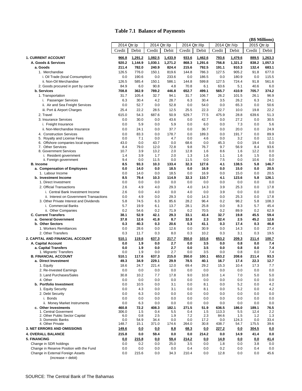### **Table 7.1 Balance of Payments**

|                                                          | (B\$ Millions)                                               |              |              |              |              |               |              |               |              |               |
|----------------------------------------------------------|--------------------------------------------------------------|--------------|--------------|--------------|--------------|---------------|--------------|---------------|--------------|---------------|
|                                                          | 2014 Qtr.IIIp<br>2014 Qtr.IVp<br>2014 Qtr.lp<br>2014 Qtr.IIp |              |              |              |              |               | 2015 Qtr.lp  |               |              |               |
|                                                          | Credit                                                       | Debit        | Credit       | Debit        | Credit       | Debit         | Credit       | Debit         | Credit       | Debit         |
| 1. CURRENT ACCOUNT                                       | 966.8                                                        | 1,291.2      | 1,082.5      | 1,433.9      | 933.6        | 1,462.6       | 793.6        | 1,479.6       |              | 889.5 1,263.3 |
| A. Goods & Services                                      | 920.2                                                        | 1,144.9      | 1,030.1      | 1,271.2      | 868.3        | 1,291.6       | 756.8        | 1.321.2       | 838.2        | 1,057.3       |
| a. Goods                                                 | 211.4                                                        | 782.0        | 240.9        | 824.4        | 215.6        | 792.5         | 191.1        | 910.3         | 132.4        | 683.1         |
| 1. Merchandise                                           | 126.5                                                        | 776.0        | 150.1        | 819.6        | 144.8        | 786.3         | 127.5        | 905.2         | 91.8         | 677.0         |
| i. Oil Trade (local Consumption)                         | 0.0                                                          | 190.6        | 0.0          | 233.6        | 0.0          | 186.5         | 0.0          | 180.9         | 0.0          | 115.5         |
| ii. Non-Oil Merchandise                                  | 126.5                                                        | 585.4        | 150.1        | 586.1        | 144.8        | 599.8         | 127.5        | 724.4         | 91.8         | 561.6         |
| 2. Goods procured in port by carrier                     | 84.9                                                         | 6.0          | 90.8         | 4.8          | 70.8         | 6.1           | 63.6         | 5.1           | 40.6         | 6.0           |
| b. Services                                              | 708.8                                                        | 362.9        | 789.2        | 446.8        | 652.7        | 499.1         | 565.7        | 410.9         | 705.7        | 374.2         |
| 1. Transportation                                        | 31.7                                                         | 105.4        | 32.7         | 94.1         | 31.7         | 106.7         | 26.2         | 101.5         | 26.1         | 96.9          |
| i. Passenger Services                                    | 6.3                                                          | 30.4         | 4.2          | 28.7         | 6.3          | 30.4          | 3.5          | 26.2          | 6.3          | 24.1          |
| ii. Air and Sea Freight Services                         | 0.0                                                          | 52.7         | 0.0          | 52.8         | 0.0          | 54.0          | 0.0          | 65.3          | 0.0          | 50.6          |
| iii. Port & Airport Charges                              | 25.4                                                         | 22.2         | 28.5         | 12.5         | 25.5         | 22.3          | 22.7         | 10.0          | 19.8         | 22.2          |
| 2. Travel                                                | 615.0                                                        | 54.3         | 687.6        | 50.9         | 529.7        | 77.5          | 475.9        | 28.8          | 639.6        | 51.3          |
| 3. Insurance Services                                    | 0.0<br>0.0                                                   | 30.0<br>5.9  | 0.0<br>0.0   | 43.6<br>5.9  | 0.0<br>0.0   | 42.7<br>6.0   | 0.0          | 27.2<br>7.3   | 0.0<br>0.0   | 30.5<br>5.6   |
| i. Freight Insurance<br>ii. Non-Merchandise Insurance    | 0.0                                                          | 24.1         | 0.0          | 37.7         | 0.0          | 36.7          | 0.0<br>0.0   | 20.0          | 0.0          | 24.9          |
|                                                          |                                                              | 83.3         | 0.0          | 178.7        | 0.0          | 189.3         |              |               | 0.0          | 89.9          |
| 4. Construction Services<br>5. Royalty and License Fees  | 0.0<br>0.0                                                   | 7.1          | 0.0          | 4.7          | 0.0          | 4.6           | 0.0<br>0.0   | 191.7<br>3.2  | 0.0          | 12.1          |
| 6. Offshore companies local expenses                     | 43.0                                                         | 0.0          | 43.7         | 0.0          | 68.6         | 0.0           | 45.3         | 0.0           | 19.4         | 0.0           |
| 7. Other Services                                        | 8.4                                                          | 79.0         | 12.0         | 72.8         | 9.8          | 76.7          | 9.7          | 56.9          | 8.4          | 93.6          |
| 8. Government Services                                   | 10.7                                                         | 3.9          | 13.2         | 2.0          | 12.8         | 1.6           | 8.6          | 1.6           | 12.2         | 0.0           |
| i. Resident government                                   | 1.4                                                          | 3.9          | 1.7          | 2.0          | 1.3          | 1.6           | 1.1          | 1.6           | 1.5          | 0.0           |
| ii. Foreign government                                   | 9.4                                                          | 0.0          | 11.5         | 0.0          | 11.5         | 0.0           | 7.5          | 0.0           | 10.6         | 0.0           |
| <b>B.</b> Income                                         | 8.5                                                          | 93.3         | 10.3<br>0.0  | 133.4        | 32.3<br>0.0  | 127.6<br>16.9 | 4.1          | 138.5<br>15.0 | 5.8<br>0.0   | 146.7         |
| a. Compensation of Employees<br>1. Labour Income         | 0.0<br>0.0                                                   | 14.0<br>14.0 | 0.0          | 18.5<br>18.5 | 0.0          | 16.9          | 0.0<br>0.0   | 15.0          | 0.0          | 20.5<br>20.5  |
| b. Investment Income                                     | 8.5                                                          | 79.4         | 10.3         | 114.9        | 32.3         | 110.7         | 4.1          | 123.6         | 5.8          | 126.1         |
| 1. Direct Investment                                     | 0.0                                                          | 0.0          | 0.0          | 0.0          | 0.0          | 0.0           | 0.0          | 0.0           | 0.0          | 0.0           |
| 2. Official Transactions                                 | 2.6                                                          | 4.9          | 4.0          | 29.3         | 4.0          | 14.3          | 3.9          | 25.3          | 0.0          | 17.8          |
| i. Central Bank Investment Income                        | 2.6                                                          | 0.0          | 4.0          | 0.0          | 4.0          | 0.0           | 3.9          | 0.0           | 0.0          | 0.0           |
| ii. Interest on Government Transactions                  | 0.0                                                          | 4.9          | 0.0          | 29.3         | 0.0          | 14.3          | 0.0          | 25.3          | 0.0          | 17.8          |
| 3. Other Private Interest and Dividends                  | 5.8                                                          | 74.5         | 6.3          | 85.6         | 28.2         | 96.4          | 0.2          | 98.2          | 5.8          | 108.3         |
| i. Commercial Banks                                      | 5.7                                                          | 19.9         | 6.1          | 13.7         | 28.1         | 25.8          | 0.0          | 8.3           | 5.7          | 45.4          |
| ii. Other Companies                                      | 0.2                                                          | 54.6         | 0.2          | 71.9         | 0.2          | 70.5          | 0.2          | 89.9          | 0.2          | 62.9          |
| <b>C. Current Transfers</b>                              | 38.1                                                         | 52.9         | 42.1         | 29.3         | 33.1         | 43.4          | 32.7         | 19.8          | 45.5         | 59.4          |
| a. General Government                                    | 37.8                                                         | 12.6         | 41.8         | 8.7          | 32.8         | 2.3           | 32.4         | 2.5           | 45.2         | 12.6          |
| b. Other Sectors                                         | 0.3                                                          | 40.3         | 0.3          | 20.6         | 0.3          | 41.1          | 0.3          | 17.4          | 0.3          | 46.8          |
| 1. Workers Remittances                                   | 0.0                                                          | 28.6         | 0.0          | 12.6         | 0.0          | 30.9          | 0.0          | 14.3          | 0.0          | 27.4          |
| 2. Other Transfers                                       | 0.3                                                          | 11.7         | 0.3          | 8.0          | 0.3          | 10.2          | 0.3          | 3.1           | 0.3          | 19.5          |
| 2. CAPITAL AND FINANCIAL ACCOUNT                         | 510.1                                                        | 119.6        | 637.3        | 217.7        | 350.0        | 103.6         | 653.2        | 209.3         | 211.4        | 100.7         |
| A. Capital Account                                       | 0.0<br>0.0                                                   | 1.9<br>1.9   | 0.0<br>0.0   | 2.7<br>2.7   | 0.0<br>0.0   | 3.5<br>3.5    | 0.0<br>0.0   | 0.8<br>0.8    | 0.0<br>0.0   | 7.4<br>7.4    |
| a. Capital Transfers<br>1. Migrants' Transfers           | 0.0                                                          | 1.9          | 0.0          | 2.7          | 0.0          | 3.5           | 0.0          | 0.8           | 0.0          | 7.4           |
| <b>B. FINANCIAL ACCOUNT</b>                              | 510.1                                                        | 117.6        | 637.3        | 215.0        | 350.0        | 100.1         | 653.2        | 208.6         | 211.4        | 93.3          |
| a. Direct Investment                                     | 49.3                                                         | 34.9         | 229.1        | 29.9         | 78.5         | 40.1          | 16.7         | 17.4          | 22.3         | 12.7          |
| 1. Equity                                                | 18.6                                                         | 24.7         | 221.4        | 12.0         | 69.4         | 29.2          | 15.3         | 10.4          | 17.3         | 7.7           |
| 2. Re-Invested Earnings                                  | 0.0                                                          | 0.0          | 0.0          | 0.0          | 0.0          | 0.0           | 0.0          | 0.0           | 0.0          | 0.0           |
| 3. Land Purchases/Sales                                  | 30.8                                                         | 10.2         | 7.7          | 17.8         | 9.0          | 10.8          | 1.4          | 7.0           | 5.0          | 5.0           |
| 4. Other                                                 | 0.0                                                          | 0.0          | 0.0          | 0.0          | 0.0          | 0.0           | 0.0          | 0.0           | 0.0          | 0.0           |
| b. Portfolio Investment                                  | 0.0                                                          | 10.5         | 0.0          | 3.1          | 0.0          | 8.1           | 0.0          | 5.2           | 0.0          | 4.2           |
| 1. Equity Security                                       | 0.0                                                          | 4.3          | 0.0          | 3.1          | 0.0          | 8.1           | 0.0          | 5.2           | 0.0          | 4.2           |
| 2. Debt Security                                         | 0.0                                                          | 6.3          | 0.0          | 0.0          | 0.0          | 0.0           | 0.0          | 0.0           | 0.0          | 0.0           |
| i. Bonds                                                 | 0.0                                                          | 0.0          | 0.0          | 0.0          | 0.0          | 0.0           | 0.0          | 0.0           | 0.0          | 0.0           |
| ii. Money Market Instruments<br>c. Other Investments     | 0.0<br>460.8                                                 | 6.3<br>72.2  | 0.0<br>408.3 | 0.0          | 0.0<br>271.5 | 0.0<br>51.9   | 0.0<br>636.5 | 0.0<br>186.0  | 0.0<br>189.1 | 0.0<br>76.5   |
| 1. Central Goverment                                     | 306.0                                                        | 1.5          | 0.4          | 182.1<br>5.5 | 0.4          | 1.5           | 113.3        | 5.5           | 12.4         | 2.2           |
| 2. Other Public Sector Capital                           | 6.0                                                          | 0.8          | 2.5          | 1.9          | 7.2          | 2.3           | 84.6         | 1.5           | 1.2          | 1.3           |
| 3. Domestic Banks                                        | 0.0                                                          | 54.9         | 34.4         | 0.0          | 0.0          | 17.2          | 0.0          | 124.3         | 0.0          | 33.4          |
| 4. Other Private                                         | 148.7                                                        | 15.1         | 371.0        | 174.6        | 264.0        | 30.8          | 438.7        | 54.7<br>175.5 |              | 39.6          |
| <b>3. NET ERRORS AND OMISSIONS</b>                       | <u>149.6</u>                                                 | 0.0          | 0.0          | 8.8          | 68.3         | 0.0           | 227.2        | 0.0           | 304.5        | 0.0           |
| <b>4. OVERALL BALANCE</b>                                | 215.8                                                        | 0.0          | 59.4         | 0.0          | 0.0          | 214.2         | 0.0          | 14.9          | 41.4         | $0.0\,$       |
| 5. FINANCING                                             | <u>0.0</u>                                                   | 215.8        | 0.0          | 59.4         | 214.2        | <u>0.0</u>    | <u>14.9</u>  | <u>0.0</u>    | 0.0          | <u>41.4</u>   |
| Change in SDR holdings                                   | 0.0                                                          | 0.2          | 0.0          | 25.0         | 3.5          | 0.0           | 1.8          | 0.0           | 3.8          | 0.0           |
| Change in Reserve Position with the Fund                 | 0.0                                                          | 0.0          | 0.0          | 0.0          | 0.4          | 0.0           | 0.2          | 0.0           | 0.4          | 0.0           |
| Change in External Foreign Assets<br>$(increase = debt)$ | 0.0                                                          | 215.6        | 0.0          | 34.3         | 210.4        | 0.0           | 12.8         | 0.0           | 0.0          | 45.6          |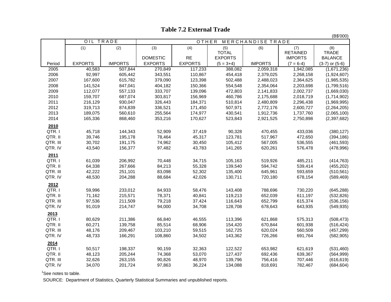### **Table 7.2 External Trade**

(B\$'000)

|          | OIL TRADE      |                | OTHER<br>MERCHANDISE TRADE |                |                |                |                 |                    |  |  |  |
|----------|----------------|----------------|----------------------------|----------------|----------------|----------------|-----------------|--------------------|--|--|--|
|          | (1)            | (2)            | (3)                        | (4)            | (5)            | (6)            | (7)             | (8)                |  |  |  |
|          |                |                |                            |                | <b>TOTAL</b>   |                | <b>RETAINED</b> | <b>TRADE</b>       |  |  |  |
|          |                |                | <b>DOMESTIC</b>            | <b>RE</b>      | <b>EXPORTS</b> |                | <b>IMPORTS</b>  | <b>BALANCE</b>     |  |  |  |
| Period   | <b>EXPORTS</b> | <b>IMPORTS</b> | <b>EXPORTS</b>             | <b>EXPORTS</b> | $(5 = 3+4)$    | <b>IMPORTS</b> | $(7 = 6-4)$     | $(3-7)$ or $(5-6)$ |  |  |  |
| 2005     | 40,583         | 507,844        | 270,849                    | 117,233        | 388,082        | 2,059,318      | 1,942,085       | (1,671,236)        |  |  |  |
| 2006     | 92,997         | 605,442        | 343,551                    | 110,867        | 454,418        | 2,379,025      | 2,268,158       | (1,924,607)        |  |  |  |
| 2007     | 167,600        | 615,782        | 379,090                    | 123,398        | 502,488        | 2,488,023      | 2,364,625       | (1,985,535)        |  |  |  |
| 2008     | 141,524        | 847,041        | 404,182                    | 150,366        | 554,548        | 2,354,064      | 2,203,698       | (1,799,516)        |  |  |  |
| 2009     | 112,077        | 557,133        | 333,707                    | 139,096        | 472,803        | 2,141,833      | 2,002,737       | (1,669,030)        |  |  |  |
| 2010     | 159,707        | 687,074        | 303,817                    | 156,969        | 460,786        | 2,175,688      | 2,018,719       | (1,714,902)        |  |  |  |
| 2011     | 216,129        | 930,047        | 326,443                    | 184,371        | 510,814        | 2,480,809      | 2,296,438       | (1,969,995)        |  |  |  |
| 2012     | 319,713        | 874,839        | 336,521                    | 171,450        | 507,971        | 2,772,176      | 2,600,727       | (2,264,205)        |  |  |  |
| 2013     | 189,075        | 560,610        | 255,564                    | 174,977        | 430,541        | 1,912,736      | 1,737,760       | (2,065,100)        |  |  |  |
| 2014     | 165,336        | 868,460        | 353,216                    | 170,627        | 523,843        | 2,921,525      | 2,750,898       | (2, 397, 682)      |  |  |  |
| 2010     |                |                |                            |                |                |                |                 |                    |  |  |  |
| QTR.I    | 45,718         | 144,343        | 52,909                     | 37,419         | 90,328         | 470,455        | 433,036         | (380, 127)         |  |  |  |
| QTR. II  | 39,746         | 195,178        | 78,464                     | 45,317         | 123,781        | 517,967        | 472,650         | (394, 186)         |  |  |  |
| QTR. III | 30,702         | 191,175        | 74,962                     | 30,450         | 105,412        | 567,005        | 536,555         | (461, 593)         |  |  |  |
| QTR. IV  | 43,540         | 156,377        | 97,482                     | 43,783         | 141,265        | 620,261        | 576,478         | (478, 996)         |  |  |  |
| 2011     |                |                |                            |                |                |                |                 |                    |  |  |  |
| QTR.I    | 61,039         | 206,992        | 70,448                     | 34,715         | 105,163        | 519,926        | 485,211         | (414, 763)         |  |  |  |
| QTR. II  | 64,338         | 267,666        | 84,213                     | 55,328         | 139,540        | 594,742        | 539,414         | (455, 202)         |  |  |  |
| QTR. III | 42,222         | 251,101        | 83,098                     | 52,302         | 135,400        | 645,961        | 593,659         | (510, 561)         |  |  |  |
| QTR. IV  | 48,530         | 204,288        | 88,684                     | 42,026         | 130,711        | 720,180        | 678,154         | (589, 469)         |  |  |  |
|          |                |                |                            |                |                |                |                 |                    |  |  |  |
| 2012     |                |                |                            |                |                |                |                 |                    |  |  |  |
| QTR.I    | 59,996         | 233,012        | 84,933                     | 58,476         | 143,408        | 788,696        | 730,220         | (645, 288)         |  |  |  |
| QTR. II  | 71,162         | 215,571        | 78,371                     | 40,841         | 119,213        | 652,039        | 611,197         | (532, 826)         |  |  |  |
| QTR. III | 97,536         | 211,509        | 79,218                     | 37,424         | 116,643        | 652,799        | 615,374         | (536, 156)         |  |  |  |
| QTR. IV  | 91,019         | 214,747        | 94,000                     | 34,708         | 128,708        | 678,643        | 643,935         | (549, 935)         |  |  |  |
| 2013     |                |                |                            |                |                |                |                 |                    |  |  |  |
| QTR.I    | 80,629         | 211,386        | 66,840                     | 46,555         | 113,396        | 621,868        | 575,313         | (508, 473)         |  |  |  |
| QTR. II  | 60,271         | 139,758        | 85,514                     | 68,906         | 154,420        | 670,844        | 601,938         | (516, 424)         |  |  |  |
| QTR. III | 48,176         | 209,467        | 103,210                    | 59,515         | 162,725        | 620,024        | 560,509         | (457, 299)         |  |  |  |
| QTR. IV  | 48,733         | 166,291        | 108,860                    | 34,502         | 143,362        | 726,266        | 691,764         | (582, 905)         |  |  |  |
| 2014     |                |                |                            |                |                |                |                 |                    |  |  |  |
| QTR.I    | 50,517         | 198,337        | 90,159                     | 32,363         | 122,522        | 653,982        | 621,619         | (531, 460)         |  |  |  |
| QTR. II  | 48,123         | 205,244        | 74,368                     | 53,070         | 127,437        | 692,436        | 639,367         | (564, 999)         |  |  |  |
| QTR. III | 32,626         | 263,155        | 90,826                     | 48,970         | 139,796        | 756,416        | 707,446         | (616, 619)         |  |  |  |
| QTR. IV  | 34,070         | 201,724        | 97,863                     | 36,224         | 134,088        | 818,691        | 782,467         | (684, 604)         |  |  |  |
|          |                |                |                            |                |                |                |                 |                    |  |  |  |

<sup>1</sup>See notes to table.

SOURCE: Department of Statistics, Quarterly Statistical Summaries and unpublished reports.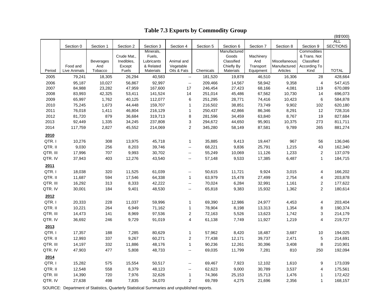|          |              |                         |                      |                         |                             |           |                          |                  |                          |                         | (B\$'000)       |
|----------|--------------|-------------------------|----------------------|-------------------------|-----------------------------|-----------|--------------------------|------------------|--------------------------|-------------------------|-----------------|
|          |              |                         |                      |                         |                             |           |                          |                  |                          |                         | <b>ALL</b>      |
|          | Section 0    | Section 1               | Section 2            | Section 3               | Section 4                   | Section 5 | Section 6                | Section 7        | Section 8                | Section 9               | <b>SECTIONS</b> |
|          |              |                         |                      | Minerals,               |                             |           | Manufactured             |                  |                          | Commodities             |                 |
|          |              |                         | Crude Mat.,          | Fuels,                  |                             |           | Goods                    | Machinery        |                          | & Trans. Not            |                 |
|          | Food and     | <b>Beverages</b><br>And | Inedibles,<br>Except | Lubricants<br>& Related | Animal and                  |           | Classified<br>Chiefly By | And<br>Transport | Miscellaneous            | Classified              |                 |
| Period   | Live Animals | Tobacco                 | Fuels                | <b>Materials</b>        | Vegetable<br>Oils & Fats    | Chemicals | Materials                | Equipment        | Manufactured<br>Articles | According To<br>Kind    | <b>TOTAL</b>    |
| 2005     | 79,241       | 18,305                  | 26,294               | 40,583                  | $\overline{\phantom{a}}$    | 181,520   | 19,878                   | 46,510           | 16,306                   | 28                      | 428,664         |
| 2006     | 95,187       | 10,027                  | 56,867               | 92,997                  | $\overline{\phantom{a}}$    | 209,466   | 14,567                   | 58,942           | 9,358                    | $\overline{4}$          | 547,415         |
| 2007     | 84,988       | 23,282                  | 47,959               | 167,600                 | 17                          | 246,454   | 27,423                   | 68,166           | 4,081                    | 119                     | 670,089         |
| 2008     | 83,993       | 42,325                  | 53,411               | 141,524                 | 14                          | 251,014   | 45,486                   | 67,562           | 10,730                   | 14                      | 696,073         |
| 2009     | 65,997       | 1,762                   | 40,125               | 112,077                 | 6                           | 251,295   | 28,771                   | 74,416           | 10,423                   | 6                       | 584,878         |
| 2010     | 75,245       | 1,673                   | 44,448               | 159,707                 | $\mathbf{1}$                | 216,502   | 38,851                   | 73,749           | 9,902                    | 102                     | 620,180         |
| 2011     | 76,018       | 1,411                   | 46,804               | 216,129                 | $\mathbf{1}$                | 250,437   | 42,866                   | 86,346           | 8,291                    | 12                      | 728,316         |
| 2012     | 81,720       | 879                     | 36,684               | 319,713                 | 8                           | 281,596   | 34,459                   | 63,840           | 8,767                    | 19                      | 827,684         |
| 2013     | 92,449       | 1,335                   | 34,245               | 237,808                 | 3                           | 294,672   | 44,650                   | 95,901           | 10,375                   | 273                     | 811,711         |
| 2014     | 117,759      | 2,827                   | 45,552               | 214,069                 | $\overline{c}$              | 345,280   | 58,149                   | 87,581           | 9,789                    | 265                     | 881,274         |
|          |              |                         |                      |                         |                             |           |                          |                  |                          |                         |                 |
| 2010     |              |                         |                      |                         |                             |           |                          |                  |                          |                         |                 |
| QTR.I    | 10,276       | 308                     | 13,975               | 45,718                  | $\mathbf{1}$                | 35,885    | 9,413                    | 19,447           | 967                      | 56                      | 136,046         |
| QTR. II  | 9,030        | 256                     | 8,203                | 39,746                  | --                          | 68,221    | 9,836                    | 25,791           | 1,215                    | 43                      | 162,340         |
| QTR. III | 17,996       | 707                     | 9,993                | 30,702                  | $\mathcal{L}_{\mathcal{F}}$ | 55,249    | 10,069                   | 11,126           | 1,233                    | $\overline{\mathbf{c}}$ | 137,079         |
| QTR. IV  | 37,943       | 403                     | 12,276               | 43,540                  | --                          | 57,148    | 9,533                    | 17,385           | 6,487                    | $\mathbf{1}$            | 184,715         |
| 2011     |              |                         |                      |                         |                             |           |                          |                  |                          |                         |                 |
| QTR.I    | 18,038       | 320                     | 11,525               | 61,039                  | --                          | 50,615    | 11,721                   | 9,924            | 3,015                    | 4                       | 166,202         |
| QTR. II  | 11,687       | 594                     | 17,546               | 64,338                  | $\mathbf{1}$                | 63,979    | 15,478                   | 27,499           | 2,754                    | 4                       | 203,878         |
| QTR. III | 16,292       | 313                     | 8,333                | 42,222                  | $\mathcal{L}_{\mathcal{F}}$ | 70,024    | 6,284                    | 32,991           | 1,161                    | 2                       | 177,622         |
| QTR. IV  | 30,001       | 184                     | 9,401                | 48,530                  | $\mathbf{H}$                | 65,818    | 9,383                    | 15,932           | 1,362                    | $\overline{c}$          | 180,614         |
| 2012     |              |                         |                      |                         |                             |           |                          |                  |                          |                         |                 |
| QTR.I    | 20,333       | 228                     | 11,037               | 59,996                  | $\mathbf{1}$                | 69,390    | 12,986                   | 24,977           | 4,453                    | 4                       | 203,404         |
| QTR. II  | 10,221       | 264                     | 6,949                | 71,162                  | $\mathbf{1}$                | 78,904    | 8,198                    | 13,313           | 1,354                    | 8                       | 190,374         |
| QTR. III |              |                         | 8,969                | 97,536                  | $\overline{c}$              |           | 5,526                    | 13,623           | 1,742                    |                         |                 |
| QTR. IV  | 14,473       | 141                     | 9,729                |                         | $\overline{\mathbf{4}}$     | 72,163    |                          |                  | 1,219                    | 3<br>$\overline{4}$     | 214,179         |
|          | 36,692       | 246                     |                      | 91,019                  |                             | 61,138    | 7,749                    | 11,927           |                          |                         | 219,727         |
| 2013     |              |                         |                      |                         |                             |           |                          |                  |                          |                         |                 |
| QTR.I    | 17,357       | 188                     | 7,285                | 80,629                  | $\mathbf{1}$                | 57,962    | 8,420                    | 18,487           | 3,687                    | 10                      | 194,025         |
| QTR. II  | 12,993       | 337                     | 9,267                | 60,271                  | 2                           | 77,438    | 12,171                   | 39,737           | 2,471                    | 5                       | 214,691         |
| QTR. III | 14,197       | 332                     | 11,886               | 48,176                  | $\mathbf{1}$                | 90,236    | 12,261                   | 30,396           | 3,408                    | 8                       | 210,901         |
| QTR. IV  | 47,903       | 477                     | 5,808                | 48,733                  | щ.                          | 69,035    | 11,799                   | 7,281            | 810                      | 250                     | 192,094         |
| 2014     |              |                         |                      |                         |                             |           |                          |                  |                          |                         |                 |
| QTR.I    | 15,282       | 575                     | 15,554               | 50,517                  | $\overline{a}$              | 69,467    | 7,923                    | 12,102           | 1,610                    | 9                       | 173,039         |
| QTR. II  | 12,548       | 558                     | 8,379                | 48,123                  | $\sim$                      | 62,623    | 9,000                    | 30,789           | 3,537                    | 4                       | 175,561         |
| QTR. III | 14,390       | 720                     | 7,976                | 32,626                  | $\mathbf{1}$                | 74,366    | 25,153                   | 15,713           | 1,476                    | 1                       | 172,422         |
| QTR. IV  | 27,638       | 498                     | 7,835                | 34,070                  | $\overline{c}$              | 69,789    | 4,275                    | 21,696           | 2,356                    | $\mathbf{1}$            | 168,157         |
|          |              |                         |                      |                         |                             |           |                          |                  |                          |                         |                 |

# **Table 7.3 Exports by Commodity Group**

SOURCE: Department of Statistics, Quarterly Statistical Summaries and unpublished reports.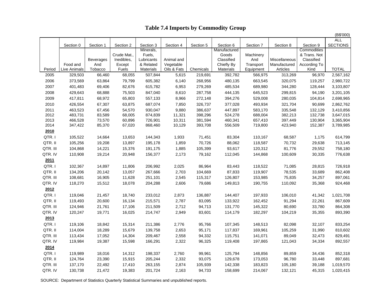## **Table 7.4 Imports by Commodity Group**

|          |              |                  |                           |                      |             |           |                     |                  |               |                            | (B\$'000)       |
|----------|--------------|------------------|---------------------------|----------------------|-------------|-----------|---------------------|------------------|---------------|----------------------------|-----------------|
|          |              |                  |                           |                      |             |           |                     |                  |               |                            | <b>ALL</b>      |
|          | Section 0    | Section 1        | Section 2                 | Section 3            | Section 4   | Section 5 | Section 6           | Section 7        | Section 8     | Section 9                  | <b>SECTIONS</b> |
|          |              |                  |                           | Minerals,            |             |           | Manufactured        |                  |               | Commodities                |                 |
|          |              | <b>Beverages</b> | Crude Mat.,<br>Inedibles, | Fuels,<br>Lubricants | Animal and  |           | Goods<br>Classified | Machinery<br>And | Miscellaneous | & Trans. Not<br>Classified |                 |
|          | Food and     | And              | Except                    | & Related            | Vegetable   |           | Chiefly By          | Transport        | Manufactured  | According To               |                 |
| Period   | Live Animals | Tobacco          | Fuels                     | <b>Materials</b>     | Oils & Fats | Chemicals | <b>Materials</b>    | Equipment        | Articles      | Kind                       | <b>TOTAL</b>    |
| 2005     | 329,503      | 66,460           | 68,055                    | 507,844              | 5,615       | 219,691   | 392,782             | 566,975          | 313,269       | 96,970                     | 2,567,162       |
| 2006     | 373,569      | 63,864           | 79,799                    | 605,382              | 6,140       | 268,956   | 480,135             | 663,545          | 320,075       | 119,257                    | 2,980,722       |
| 2007     | 401,483      | 69,406           | 82,676                    | 615,782              | 6,953       | 279,269   | 485,534             | 689,980          | 344,280       | 128,444                    | 3,103,807       |
| 2008     | 429,643      | 68,888           | 75,503                    | 847,040              | 8,610       | 287,758   | 444,135             | 645,523          | 299,815       | 94,190                     | 3,201,105       |
| 2009     | 417,811      | 68,972           | 65,803                    | 557,133              | 8,966       | 272,148   | 394,276             | 529,008          | 280,035       | 104,814                    | 2,698,965       |
| 2010     | 426,554      | 67,307           | 63,875                    | 687,074              | 7,850       | 326,737   | 377,028             | 493,934          | 321,704       | 90,699                     | 2,862,762       |
| 2011     | 463,523      | 67,456           | 54,570                    | 930,047              | 9,880       | 386,637   | 447,897             | 583,170          | 335,548       | 132,129                    | 3,410,856       |
| 2012     | 483,731      | 83,589           | 68,005                    | 874,839              | 11,321      | 398,296   | 524,278             | 688,004          | 382,213       | 132,738                    | 3,647,015       |
| 2013     | 466,528      | 73,570           | 60,896                    | 726,901              | 10,311      | 381,594   | 460,341             | 657,410          | 397,449       | 130,904                    | 3,365,904       |
| 2014     | 347,422      | 85,370           | 67,020                    | 868,460              | 10,129      | 393,708   | 556,509             | 719,800          | 423,940       | 152,387                    | 3,789,985       |
| 2010     |              |                  |                           |                      |             |           |                     |                  |               |                            |                 |
| QTR.I    | 105,522      | 14,664           | 13,653                    | 144,343              | 1,933       | 71,451    | 83,304              | 110,167          | 68,587        | 1,175                      | 614,799         |
| QTR. II  | 105,256      | 19,208           | 13,897                    | 195,178              | 1,859       | 70,726    | 88,062              | 118,587          | 70,732        | 29,638                     | 713,145         |
| QTR. III | 104,868      | 14,221           | 15,376                    | 191,175              | 1,885       | 105,399   | 93,617              | 120,312          | 81,776        | 29,552                     | 758,180         |
| QTR. IV  | 110,908      | 19,214           | 20,948                    | 156,377              | 2,173       | 79,162    | 112,045             | 144,868          | 100,609       | 30,335                     | 776,638         |
| 2011     |              |                  |                           |                      |             |           |                     |                  |               |                            |                 |
| QTR.I    | 102,367      | 14,897           | 11,806                    | 206,992              | 2,025       | 86,964    | 83,443              | 118,522          | 71,085        | 28,815                     | 726,918         |
| QTR. II  | 134,206      | 20,142           | 13,057                    | 267,666              | 2,703       | 104,669   | 87,833              | 119,907          | 78,535        | 33,689                     | 862,408         |
| QTR. III | 108,681      | 16,905           | 11,628                    | 251,101              | 2,545       | 115,317   | 126,807             | 153,985          | 75,835        | 34,257                     | 897,061         |
| QTR. IV  | 118,270      | 15,512           | 18,078                    | 204,288              | 2,606       | 79,686    | 149,813             | 190,755          | 110,092       | 35,368                     | 924,468         |
| 2012     |              |                  |                           |                      |             |           |                     |                  |               |                            |                 |
| QTR.I    | 119,046      | 21,457           | 18,740                    | 233,012              | 2,873       | 136,887   | 144,407             | 197,933          | 106,010       | 41,342                     | 1,021,708       |
| QTR. II  | 119,493      | 20,600           | 16,134                    | 215,571              | 2,787       | 83,095    | 133,922             | 162,452          | 91,294        | 22,261                     | 867,609         |
| QTR. III | 124,946      | 21,761           | 17,106                    | 211,509              | 2,712       | 94,713    | 131,770             | 145,322          | 80,690        | 33,780                     | 864,308         |
| QTR. IV  | 120,247      | 19,771           | 16,025                    | 214,747              | 2,949       | 83,601    | 114,179             | 182,297          | 104,219       | 35,355                     | 893,390         |
| 2013     |              |                  |                           |                      |             |           |                     |                  |               |                            |                 |
| QTR.I    | 119,106      | 18,842           | 15,314                    | 211,386              | 2,776       | 95,766    | 107,345             | 148,513          | 82,098        | 32,107                     | 833,254         |
| QTR. II  | 114,004      | 18,289           | 15,679                    | 139,758              | 2,653       | 95,171    | 117,837             | 169,961          | 105,259       | 31,990                     | 810,602         |
| QTR. III | 113,434      | 17,052           | 14,304                    | 209,467              | 2,558       | 94,332    | 115,751             | 141,071          | 89,049        | 32,473                     | 829,491         |
| QTR. IV  | 119,984      | 19,387           | 15,598                    | 166,291              | 2,322       | 96,325    | 119,408             | 197,865          | 121,043       | 34,334                     | 892,557         |
| 2014     |              |                  |                           |                      |             |           |                     |                  |               |                            |                 |
| QTR.I    | 119,989      | 18,016           | 14,312                    | 198,337              | 2,760       | 99,961    | 125,794             | 148,856          | 89,859        | 34,436                     | 852,318         |
| QTR. II  | 124,764      | 23,390           | 15,915                    | 205,244              | 2,332       | 93,075    | 129,678             | 173,053          | 96,780        | 33,448                     | 897,681         |
| QTR. III | 137,170      | 22,492           | 17,410                    | 263,155              | 2,874       | 105,939   | 142,338             | 183,823          | 105,180       | 39,188                     | 1,019,570       |
| QTR. IV  | 130,738      | 21,472           | 19,383                    | 201,724              | 2,163       | 94,733    | 158,699             | 214,067          | 132,121       | 45,315                     | 1,020,415       |

SOURCE: Department of Statistics Quarterly Statistical Summaries and unpublished reports.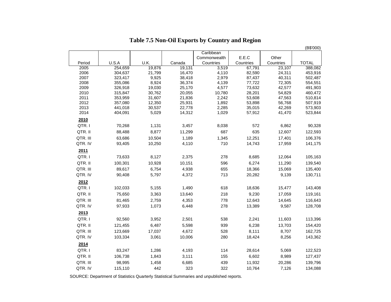|              |                    |                 |                  |                |                  |                  | (B\$'000)          |
|--------------|--------------------|-----------------|------------------|----------------|------------------|------------------|--------------------|
|              |                    |                 |                  | Caribbean      |                  |                  |                    |
|              |                    |                 |                  | Commonwealth   | E.E.C            | Other            |                    |
| Period       | U.S.A              | U.K.            | Canada           | Countries      | Countries        | Countries        | <b>TOTAL</b>       |
| 2005         | 254,659            | 19,876          | 19,131           | 3,519          | 67,791           | 23,107           | 388,082            |
| 2006<br>2007 | 304,637<br>323,417 | 21,799<br>9,925 | 16,470<br>38,418 | 4,110<br>2,979 | 82,590<br>87,437 | 24,311<br>40,311 | 453,916<br>502,487 |
| 2008         | 355,086            | 8,924           | 36,374           | 4,139          | 77,722           | 72,305           | 554,551            |
| 2009         | 326,918            | 19,030          | 25,170           | 4,577          | 73,632           | 42,577           | 491,903            |
| 2010         | 315,847            | 30,762          | 20,055           | 10,780         | 28,201           | 54,829           | 460,472            |
| 2011         | 353,959            | 31,607          | 21,836           | 2,242          | 53,608           | 47,563           | 510,814            |
| 2012         | 357,080            | 12,350          | 25,931           | 1,892          | 53,898           | 56,768           | 507,919            |
| 2013         | 441,018            | 30,537          | 22,778           | 2,285          | 35,015           | 42,269           | 573,903            |
| 2014         | 404,091            | 5,029           | 14,312           | 1,029          | 57,912           | 41,470           | 523,844            |
| 2010         |                    |                 |                  |                |                  |                  |                    |
| QTR.I        | 70,268             | 1,131           | 3,457            | 8,038          | 572              | 6,862            | 90,328             |
| QTR. II      | 88,488             | 8,877           | 11,299           | 687            | 635              | 12,607           | 122,593            |
| QTR. III     | 63,686             | 10,504          | 1,189            | 1,345          | 12,251           | 17,401           | 106,376            |
| QTR. IV      | 93,405             | 10,250          | 4,110            | 710            | 14,743           | 17,959           | 141,175            |
| 2011         |                    |                 |                  |                |                  |                  |                    |
| QTR.I        | 73,633             | 8,127           | 2,375            | 278            | 8,685            | 12,064           | 105,163            |
| QTR. II      | 100,301            | 10,928          | 10,151           | 596            | 6,274            | 11,290           | 139,540            |
|              |                    |                 |                  |                |                  |                  |                    |
| QTR. III     | 89,617             | 6,754<br>5,797  | 4,938            | 655<br>713     | 18,366           | 15,069           | 135,400            |
| QTR. IV      | 90,408             |                 | 4,372            |                | 20,282           | 9,139            | 130,711            |
| 2012         |                    |                 |                  |                |                  |                  |                    |
| QTR.I        | 102,033            | 5,155           | 1,490            | 618            | 18,636           | 15,477           | 143,408            |
| QTR. II      | 75,650             | 3,363           | 13,640           | 218            | 9,230            | 17,059           | 119,161            |
| QTR. III     | 81,465             | 2,759           | 4,353            | 778            | 12,643           | 14,645           | 116,643            |
| QTR. IV      | 97,933             | 1,073           | 6,448            | 278            | 13,389           | 9,587            | 128,708            |
| 2013         |                    |                 |                  |                |                  |                  |                    |
| QTR.I        | 92,560             | 3,952           | 2,501            | 538            | 2,241            | 11,603           | 113,396            |
| QTR. II      | 121,455            | 6,487           | 5,598            | 939            | 6,238            | 13,703           | 154,420            |
| QTR. III     | 123,669            | 17,037          | 4,672            | 528            | 8,111            | 8,707            | 162,725            |
|              |                    |                 |                  |                |                  |                  |                    |
| QTR. IV      | 103,334            | 3,061           | 10,006           | 280            | 18,424           | 8,256            | 143,362            |
| 2014         |                    |                 |                  |                |                  |                  |                    |
| QTR.I        | 83,247             | 1,286           | 4,193            | 114            | 28,614           | 5,069            | 122,523            |
| QTR. II      | 106,738            | 1,843           | 3,111            | 155            | 6,602            | 8,989            | 127,437            |
| QTR. III     | 98,995             | 1,458           | 6,685            | 439            | 11,932           | 20,286           | 139,796            |
| QTR. IV      | 115,110            | 442             | 323              | 322            | 10,764           | 7,126            | 134,088            |

## **Table 7.5 Non-Oil Exports by Country and Region**

SOURCE: Department of Statistics Quarterly Statistical Summaries and unpublished reports.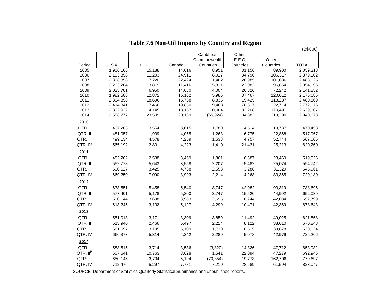|                      |                        |                  |                  |                     |                  |                    | (B\$'000)              |
|----------------------|------------------------|------------------|------------------|---------------------|------------------|--------------------|------------------------|
|                      |                        |                  |                  | Caribbean           | Other            |                    |                        |
|                      |                        |                  |                  | Commonwealth        | E.E.C            | Other              |                        |
| Period               | U.S.A.                 | U.K.             | Canada           | Countries           | Countries        | Countries          | <b>TOTAL</b>           |
| 2005                 | 1,900,106              | 15,188           | 14,016           | 8,951               | 31,156           | 89,900             | 2,059,318              |
| 2006                 | 2,193,858              | 11,203           | 24,911           | 8,017               | 34,796           | 106,317            | 2,379,102              |
| 2007                 | 2,308,358              | 17,220           | 22,424           | 11,402              | 26,985           | 101,636            | 2,488,025              |
| 2008                 | 2,203,204              | 13,819           | 11,416           | 5,811               | 23,082           | 96,864             | 2,354,196              |
| 2009                 | 2,023,781              | 6,950            | 14,030           | 4,004               | 20,826           | 72,242             | 2,141,832              |
| 2010                 | 1,982,586              | 12,872           | 16,162           | 5,986               | 37,467           | 120,612            | 2,175,685              |
| 2011                 | 2,304,858              | 18,696           | 15,758           | 8,835               | 19,425           | 113,237            | 2,480,809              |
| 2012                 | 2,414,341              | 17,466           | 19,850<br>18,157 | 19,488              | 78,317           | 222,714            | 2,772,176              |
| 2013<br>2014         | 2,392,922<br>2,558,777 | 14,145<br>23,509 | 20,139           | 10,084<br>(65, 924) | 33,208<br>84,882 | 170,491<br>319,290 | 2,639,007<br>2,940,673 |
| 2010                 |                        |                  |                  |                     |                  |                    |                        |
| QTR.I                | 437,203                | 3,554            | 3,615            | 1,780               | 4,514            | 19,787             | 470,453                |
| QTR. II              | 481,057                | 1,939            | 4,065            | 1,263               | 6,775            | 22,868             | 517,967                |
| QTR. III             | 499,134                | 4,578            | 4,259            | 1,533               | 4,757            | 52,744             | 567,005                |
| QTR. IV              | 565,192                | 2,801            | 4,223            | 1,410               | 21,421           | 25,213             | 620,260                |
| 2011                 |                        |                  |                  |                     |                  |                    |                        |
| QTR.I                | 482,202                | 2,538            | 3,469            | 1,861               | 6,387            | 23,469             | 519,926                |
| QTR. II              | 552,778                | 5,643            | 3,558            | 2,207               | 5,482            | 25,074             | 594,742                |
| QTR. III             | 600,627                | 3,425            | 4,738            | 2,553               | 3,288            | 31,329             | 645,961                |
| QTR. IV              | 669,250                | 7,090            | 3,993            | 2,214               | 4,268            | 33,365             | 720,180                |
| 2012                 |                        |                  |                  |                     |                  |                    |                        |
| QTR.I                | 633,551                | 5,458            | 5,540            | 8,747               | 42,082           | 93,319             | 788,696                |
| QTR. II              | 577,401                | 5,178            | 5,200            | 3,747               | 15,520           | 44,992             | 652,039                |
| QTR. III             | 590,144                | 3,698            | 3,983            | 2,695               | 10,244           | 42,034             | 652,799                |
| QTR. IV              | 613,245                | 3,132            | 5,127            | 4,299               | 10,471           | 42,369             | 678,643                |
| 2013                 |                        |                  |                  |                     |                  |                    |                        |
| QTR.I                | 551,013                | 3,171            | 3,309            | 3,859               | 11,492           | 49,025             | 621,868                |
| QTR. II              | 613,940                | 2,466            | 5,497            | 2,214               | 8,122            | 38,610             | 670,848                |
| QTR. III             | 561,597                | 3,195            | 5,109            | 1,730               | 8,515            | 39,878             | 620,024                |
| QTR. IV              | 666,373                | 5,314            | 4,242            | 2,280               | 5,078            | 42,979             | 726,266                |
| 2014                 |                        |                  |                  |                     |                  |                    |                        |
| QTR.I                | 588,515                | 3,714            | 3,536            | (3,820)             | 14,326           | 47,712             | 653,982                |
| QTR. II <sup>R</sup> | 607,641                | 10,763           | 3,628            | 1,541               | 22,094           | 47,279             | 692,946                |
| QTR. III             | 650,145                | 3,734            | 5,194            | (70, 854)           | 19,773           | 162,706            | 770,697                |
| QTR. IV              | 712,476                | 5,297            | 7,781            | 7,210               | 28,689           | 61,594             | 823,047                |
|                      |                        |                  |                  |                     |                  |                    |                        |

|  | Table 7.6 Non-Oil Imports by Country and Region |
|--|-------------------------------------------------|
|  |                                                 |

SOURCE: Department of Statistics Quarterly Statistical Summaries and unpublished reports.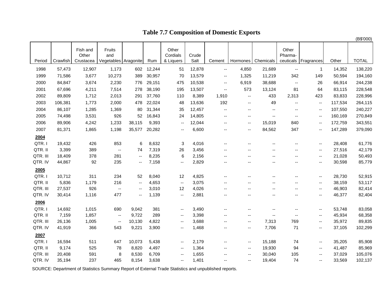# **Table 7.7 Composition of Domestic Exports**

|          |          |                                |                                       |                          |        |                                |               |                          |                          |                          |                          |                          |         | (B\$'000)    |
|----------|----------|--------------------------------|---------------------------------------|--------------------------|--------|--------------------------------|---------------|--------------------------|--------------------------|--------------------------|--------------------------|--------------------------|---------|--------------|
| Period   | Crawfish | Fish and<br>Other<br>Crustacea | Fruits<br>and<br>Vegetables Aragonite |                          | Rum    | Other<br>Cordials<br>& Liquers | Crude<br>Salt | Cement                   | Hormones                 | Chemicals                | Other<br>Pharma-         | ceuticals Fragrances     | Other   | <b>TOTAL</b> |
| 1998     | 57,473   | 12,907                         | 1,173                                 | 602                      | 12,244 | 51                             | 12,878        | $\overline{\phantom{a}}$ | 4,850                    | 21,689                   | $\overline{\phantom{a}}$ | $\overline{1}$           | 14,352  | 138,220      |
| 1999     | 71,586   | 3,677                          | 10,273                                | 389                      | 30,957 | 70                             | 13,579        | $\overline{\phantom{a}}$ | 1,325                    | 11,219                   | 342                      | 149                      | 50,594  | 194,160      |
| 2000     | 84,847   | 3,674                          | 2,230                                 | 776                      | 29,151 | 475                            | 10,538        | $\overline{\phantom{a}}$ | 6,919                    | 38,688                   | $\overline{\phantom{a}}$ | 26                       | 66,914  | 244,238      |
| 2001     | 67,696   | 4,211                          | 7,514                                 | 278                      | 38,190 | 195                            | 13,507        | $\overline{\phantom{a}}$ | 573                      | 13,124                   | 81                       | 64                       | 83,115  | 228,548      |
| 2002     | 89,809   | 1,712                          | 2,013                                 | 291                      | 37,760 | 110                            | 8,389         | 1,910                    | $\sim$                   | 433                      | 2,313                    | 423                      | 83,833  | 228,996      |
| 2003     | 106,381  | 1,773                          | 2,000                                 | 478                      | 22,024 | 48                             | 13,636        | 192                      | $\mathbf{u}$             | 49                       | $\overline{\phantom{a}}$ | $\overline{\phantom{a}}$ | 117,534 | 264,115      |
| 2004     | 86,107   | 1,285                          | 1,369                                 | 80                       | 31,344 | 35                             | 12,457        | $\overline{\phantom{a}}$ | $\mathbf{u}$             | $\overline{\phantom{a}}$ | --                       | --                       | 107,550 | 240,227      |
| 2005     | 74,498   | 3,531                          | 926                                   | 52                       | 16,843 | 24                             | 14,805        | $\overline{\phantom{a}}$ | $\sim$ $\sim$            | ۰.                       | --                       | --                       | 160,169 | 270,849      |
| 2006     | 89,906   | 4,242                          | 1,233                                 | 38,115                   | 9,393  | $\ddot{\phantom{1}}$           | 12,044        | --                       | $\overline{\phantom{a}}$ | 15,019                   | 840                      | ۰.                       | 172,759 | 343,551      |
| 2007     | 81,371   | 1,865                          | 1,198                                 | 35,577                   | 20,282 | $\overline{\phantom{a}}$       | 6,600         | --                       | $-$                      | 84,562                   | 347                      | --                       | 147,289 | 379,090      |
| 2004     |          |                                |                                       |                          |        |                                |               |                          |                          |                          |                          |                          |         |              |
| QTR.I    | 19,432   | 426                            | 853                                   | 6                        | 8,632  | 3                              | 4,016         | $\overline{\phantom{a}}$ | --                       | --                       | $\qquad \qquad -$        | --                       | 28,408  | 61,776       |
| QTR. II  | 3,399    | 389                            | $\overline{\phantom{a}}$              | 74                       | 7,319  | 26                             | 3,456         | --                       | $-$                      | --                       | --                       | ۰.                       | 27,516  | 42,179       |
| QTR. III | 18,409   | 378                            | 281                                   | $\overline{\phantom{a}}$ | 8,235  | 6                              | 2,156         | --                       | $-$                      | --                       | --                       | --                       | 21,028  | 50,493       |
| QTR. IV  | 44,867   | 92                             | 235                                   | $\overline{\phantom{a}}$ | 7,158  | $\overline{\phantom{a}}$       | 2,829         | $\overline{\phantom{a}}$ | $-$                      | $\overline{\phantom{a}}$ | --                       | --                       | 30,598  | 85,779       |
| 2005     |          |                                |                                       |                          |        |                                |               |                          |                          |                          |                          |                          |         |              |
| QTR.I    | 10,712   | 311                            | 234                                   | 52                       | 8,040  | 12                             | 4,825         | $\overline{\phantom{a}}$ | $-$                      | --                       | $\overline{\phantom{a}}$ | --                       | 28,730  | 52,915       |
| QTR. II  | 5,836    | 1,179                          | 216                                   | $\overline{\phantom{a}}$ | 4,653  | $\overline{\phantom{a}}$       | 3,075         | --                       | $\overline{a}$           | --                       | --                       | --                       | 38,159  | 53,117       |
| QTR. III | 27,537   | 926                            | $\overline{\phantom{a}}$              | $\overline{\phantom{a}}$ | 3,010  | 12                             | 4,026         | --                       | --                       | --                       | --                       | ۰.                       | 46,903  | 82,414       |
| QTR. IV  | 30,414   | 1,116                          | 477                                   | --                       | 1,139  | $\overline{\phantom{a}}$       | 2,881         | --                       | --                       | --                       | --                       | ۰.                       | 46,377  | 82,404       |
| 2006     |          |                                |                                       |                          |        |                                |               |                          |                          |                          |                          |                          |         |              |
| QTR.I    | 14,692   | 1,015                          | 690                                   | 9,042                    | 381    | $\overline{\phantom{a}}$       | 3,490         | $\overline{a}$           | $\sim$ $\sim$            | $\overline{a}$           | $\overline{\phantom{a}}$ | --                       | 53,748  | 83,058       |
| QTR. II  | 7,159    | 1,857                          | $\overline{\phantom{a}}$              | 9,722                    | 289    | --                             | 3,398         | --                       | --                       | --                       | --                       | ۰.                       | 45,934  | 68,358       |
| QTR. III | 26,136   | 1,005                          | $\overline{\phantom{a}}$              | 10,130                   | 4,822  | --                             | 3,688         | --                       | $\overline{\phantom{a}}$ | 7,313                    | 769                      | ۰.                       | 35,972  | 89,835       |
| QTR. IV  | 41,919   | 366                            | 543                                   | 9,221                    | 3,900  | --                             | 1,468         | --                       | --                       | 7,706                    | 71                       | ۰.                       | 37,105  | 102,299      |
| 2007     |          |                                |                                       |                          |        |                                |               |                          |                          |                          |                          |                          |         |              |
| QTR.I    | 16,594   | 511                            | 647                                   | 10,073                   | 5,438  | $\overline{\phantom{a}}$       | 2,179         | $\overline{a}$           | $\overline{\phantom{a}}$ | 15,188                   | 74                       | ۰.                       | 35,205  | 85,908       |
| QTR. II  | 9,174    | 525                            | 78                                    | 8,820                    | 4,497  | $\overline{\phantom{a}}$       | 1,364         | --                       | --                       | 19,930                   | 94                       | $\overline{\phantom{a}}$ | 41,487  | 85,969       |
| QTR. III | 20,408   | 591                            | 8                                     | 8,530                    | 6,709  | $\overline{\phantom{a}}$       | 1,655         | --                       | $\overline{\phantom{a}}$ | 30,040                   | 105                      | --                       | 37,029  | 105,076      |
| QTR. IV  | 35,194   | 237                            | 465                                   | 8,154                    | 3,638  | --                             | 1,401         | --                       | --                       | 19,404                   | 74                       | --                       | 33,569  | 102,137      |

SOURCE: Department of Statistics Summary Report of External Trade Statistics and unpublished reports.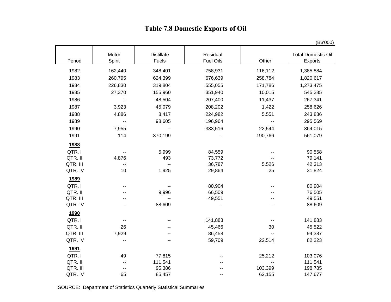# **Table 7.8 Domestic Exports of Oil**

|             |                 |                            |                              |         | (B\$'000)                                   |
|-------------|-----------------|----------------------------|------------------------------|---------|---------------------------------------------|
| Period      | Motor<br>Spirit | <b>Distillate</b><br>Fuels | Residual<br><b>Fuel Oils</b> | Other   | <b>Total Domestic Oil</b><br><b>Exports</b> |
| 1982        | 162,440         | 348,401                    | 758,931                      | 116,112 | 1,385,884                                   |
| 1983        | 260,795         | 624,399                    | 676,639                      | 258,784 | 1,820,617                                   |
| 1984        | 226,830         | 319,804                    | 555,055                      | 171,786 | 1,273,475                                   |
| 1985        | 27,370          | 155,960                    | 351,940                      | 10,015  | 545,285                                     |
| 1986        | --              | 48,504                     | 207,400                      | 11,437  | 267,341                                     |
| 1987        | 3,923           | 45,079                     | 208,202                      | 1,422   | 258,626                                     |
| 1988        | 4,886           | 8,417                      | 224,982                      | 5,551   | 243,836                                     |
| 1989        | --              | 98,605                     | 196,964                      |         | 295,569                                     |
| 1990        | 7,955           |                            | 333,516                      | 22,544  | 364,015                                     |
| 1991        | 114             | 370,199                    |                              | 190,766 | 561,079                                     |
| 1988        |                 |                            |                              |         |                                             |
| QTR.I       |                 | 5,999                      | 84,559                       |         | 90,558                                      |
| QTR. II     | 4,876           | 493                        | 73,772                       |         | 79,141                                      |
| QTR. III    |                 | $\overline{a}$             | 36,787                       | 5,526   | 42,313                                      |
| QTR. IV     | 10              | 1,925                      | 29,864                       | 25      | 31,824                                      |
| 1989        |                 |                            |                              |         |                                             |
| QTR.I       | --              |                            | 80,904                       |         | 80,904                                      |
| QTR. II     |                 | 9,996                      | 66,509                       |         | 76,505                                      |
| QTR. III    |                 | --                         | 49,551                       |         | 49,551                                      |
| QTR. IV     | --              | 88,609                     |                              | --      | 88,609                                      |
| <b>1990</b> |                 |                            |                              |         |                                             |
| QTR.I       | --              |                            | 141,883                      |         | 141,883                                     |
| QTR. II     | 26              |                            | 45,466                       | 30      | 45,522                                      |
| QTR. III    | 7,929           |                            | 86,458                       |         | 94,387                                      |
| QTR. IV     |                 |                            | 59,709                       | 22,514  | 82,223                                      |
| <u>1991</u> |                 |                            |                              |         |                                             |
| QTR.I       | 49              | 77,815                     |                              | 25,212  | 103,076                                     |
| QTR. II     | --              | 111,541                    |                              |         | 111,541                                     |
| QTR. III    | --              | 95,386                     |                              | 103,399 | 198,785                                     |
| QTR. IV     | 65              | 85,457                     | --                           | 62,155  | 147,677                                     |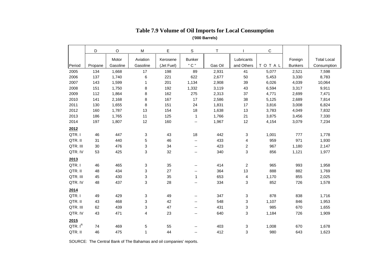|          | D       | O        | M                       | Е          | S                           | T       |            | С            |                |                    |
|----------|---------|----------|-------------------------|------------|-----------------------------|---------|------------|--------------|----------------|--------------------|
|          |         | Motor    | Aviation                | Kerosene   | <b>Bunker</b>               |         | Lubricants |              | Foreign        | <b>Total Local</b> |
| Period   | Propane | Gasoline | Gasoline                | (Jet Fuel) | " C "                       | Gas Oil | and Others | <b>TOTAL</b> | <b>Bunkers</b> | Consumption        |
| 2005     | 134     | 1,668    | 17                      | 198        | 89                          | 2,931   | 41         | 5,077        | 2,521          | 7,598              |
| 2006     | 137     | 1,740    | 6                       | 221        | 622                         | 2,677   | 50         | 5,453        | 3,330          | 8,783              |
| 2007     | 143     | 1,599    | 1                       | 201        | 1,134                       | 2,908   | 39         | 6,026        | 4,039          | 10,064             |
| 2008     | 151     | 1,750    | 8                       | 192        | 1,332                       | 3,119   | 43         | 6,594        | 3,317          | 9,911              |
| 2009     | 112     | 1,864    | 8                       | 162        | 275                         | 2,313   | 37         | 4,771        | 2,699          | 7,471              |
| 2010     | 141     | 2,168    | 8                       | 167        | 17                          | 2,586   | 38         | 5,125        | 2,689          | 7,814              |
| 2011     | 130     | 1,655    | 8                       | 151        | 24                          | 1,831   | 17         | 3,816        | 3,008          | 6,824              |
| 2012     | 160     | 1,787    | 13                      | 154        | 18                          | 1,638   | 13         | 3,783        | 4,049          | 7,832              |
| 2013     | 186     | 1,765    | 11                      | 125        | $\overline{1}$              | 1,766   | 21         | 3,875        | 3,456          | 7,330              |
| 2014     | 197     | 1,807    | 12                      | 160        | $\mathcal{L}_{\mathcal{F}}$ | 1,967   | 12         | 4,154        | 3,079          | 7,234              |
| 2012     |         |          |                         |            |                             |         |            |              |                |                    |
| QTR. I   | 46      | 447      | 3                       | 43         | 18                          | 442     | 3          | 1,001        | 777            | 1,778              |
| QTR. II  | 31      | 440      | 5                       | 46         | --                          | 433     | 4          | 959          | 971            | 1,930              |
| QTR. III | 30      | 476      | 3                       | 34         | $\overline{\phantom{a}}$    | 423     | 2          | 967          | 1,180          | 2,147              |
| QTR. IV  | 53      | 425      | 3                       | 32         | ۰.                          | 340     | 3          | 856          | 1,121          | 1,977              |
| 2013     |         |          |                         |            |                             |         |            |              |                |                    |
| QTR.I    | 46      | 465      | 3                       | 35         | ۰.                          | 414     | 2          | 965          | 993            | 1,958              |
| QTR. II  | 48      | 434      | 3                       | 27         | --                          | 364     | 13         | 888          | 882            | 1,769              |
| QTR. III | 45      | 430      | 3                       | 35         | $\mathbf{1}$                | 653     | 4          | 1,170        | 855            | 2,025              |
| QTR. IV  | 48      | 437      | 3                       | 28         | ۰.                          | 334     | 3          | 852          | 726            | 1,578              |
| 2014     |         |          |                         |            |                             |         |            |              |                |                    |
| QTR. I   | 49      | 429      | 3                       | 49         | --                          | 347     | 3          | 878          | 838            | 1,716              |
| QTR. II  | 43      | 468      | 3                       | 42         | --                          | 548     | 3          | 1,107        | 846            | 1,953              |
| QTR. III | 62      | 439      | 3                       | 47         | $\overline{a}$              | 431     | 3          | 985          | 670            | 1,655              |
| QTR. IV  | 43      | 471      | $\overline{\mathbf{4}}$ | 23         | ۰.                          | 640     | 3          | 1,184        | 726            | 1,909              |
| 2015     |         |          |                         |            |                             |         |            |              |                |                    |
| QTR. IR  | 74      | 469      | 5                       | 55         |                             | 403     | 3          | 1,008        | 670            | 1,678              |
| QTR. II  | 46      | 475      | 1                       | 44         | --                          | 412     | 3          | 980          | 643            | 1,623              |

### **Table 7.9 Volume of Oil Imports for Local Consumption ('000 Barrels)**

SOURCE: The Central Bank of The Bahamas and oil companies' reports.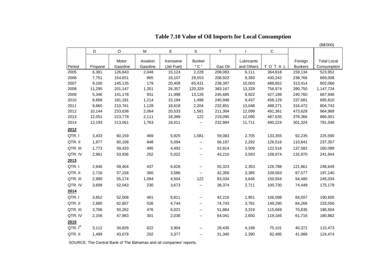|                     |         |             |          |            |                          |         |            |         |                | (B\$'000)          |
|---------------------|---------|-------------|----------|------------|--------------------------|---------|------------|---------|----------------|--------------------|
|                     | D       | $\mathsf O$ | M        | E          | S                        | $\top$  |            | С       |                |                    |
|                     |         | Motor       | Aviation | Kerosene   | <b>Bunker</b>            |         | Lubricants |         | Foreign        | <b>Total Local</b> |
| Period              | Propane | Gasoline    | Gasoline | (Jet Fuel) | " C "                    | Gas Oil | and Others | TOTAL   | <b>Bunkers</b> | Consumption        |
| 2005                | 6,381   | 126,843     | 2,048    | 15,124     | 2,228                    | 206,083 | 6,111      | 364,818 | 159,134        | 523,952            |
| 2006                | 7,751   | 154,651     | 865      | 19,107     | 29,553                   | 208,922 | 9,393      | 430,242 | 238,766        | 669,008            |
| 2007                | 9,100   | 145,135     | 179      | 20,408     | 65,431                   | 238,397 | 10,003     | 488,652 | 313,414        | 802,066            |
| 2008                | 11,295  | 201,147     | 1,351    | 26,357     | 120,329                  | 383,167 | 13,329     | 756,974 | 390,750        | 1,147,724          |
| 2009                | 5,346   | 141,178     | 931      | 11,998     | 13,126                   | 245,685 | 8,922      | 427,186 | 240,760        | 667,946            |
| 2010                | 8,658   | 181,181     | 1,214    | 15,194     | 1,498                    | 240,948 | 9,437      | 458,129 | 237,681        | 695,810            |
| 2011                | 9,660   | 210,761     | 1,128    | 18,618     | 2,204                    | 232,851 | 13,048     | 488,271 | 316,472        | 804,743            |
| 2012                | 10,144  | 233,636     | 2,064    | 20,533     | 1,581                    | 211,304 | 12,099     | 491,361 | 473,628        | 964,989            |
| 2013                | 12,051  | 223,778     | 2,111    | 18,389     | 122                      | 219,090 | 12,095     | 487,635 | 378,366        | 866,001            |
| 2014                | 12,193  | 213,061     | 1,763    | 18,611     | $\overline{\phantom{a}}$ | 232,884 | 11,711     | 490,224 | 301,324        | 791,548            |
| 2012                |         |             |          |            |                          |         |            |         |                |                    |
| QTR.I               | 3,433   | 60,159      | 469      | 5,925      | 1,581                    | 59,083  | 2,705      | 133,355 | 92,235         | 225,590            |
| QTR. II             | 1,977   | 60,108      | 848      | 5,094      | $\overline{\phantom{a}}$ | 56,197  | 2,292      | 126,516 | 110,841        | 237,357            |
| QTR. III            | 1,773   | 59,433      | 495      | 4,492      | $\overline{\phantom{a}}$ | 52,814  | 3,509      | 122,516 | 137,582        | 260,098            |
| QTR. IV             | 2,961   | 53,936      | 252      | 5,022      | $\overline{\phantom{a}}$ | 43,210  | 3,593      | 108,974 | 132,970        | 241,944            |
| 2013                |         |             |          |            |                          |         |            |         |                |                    |
| QTR. I              | 2,646   | 59,404      | 437      | 6,626      | $\overline{\phantom{a}}$ | 55,323  | 2,353      | 126,788 | 121,861        | 248,649            |
| QTR. II             | 2,716   | 57,158      | 360      | 3,586      | $\overline{\phantom{a}}$ | 42,358  | 3,385      | 109,563 | 87,577         | 197,140            |
| QTR. III            | 2,990   | 55,174      | 1,084    | 4,504      | 122                      | 83,034  | 3,646      | 150,554 | 94,480         | 245,034            |
| QTR. IV             | 3,699   | 52,043      | 230      | 3,673      | $\overline{\phantom{a}}$ | 38,374  | 2,711      | 100,730 | 74,449         | 175,179            |
| 2014                |         |             |          |            |                          |         |            |         |                |                    |
| QTR.I               | 3,652   | 52,008      | 461      | 5,811      | $\overline{\phantom{a}}$ | 42,216  | 1,951      | 106,098 | 84,507         | 190,605            |
| QTR. II             | 2,680   | 62,807      | 526      | 4,744      | $\overline{\phantom{a}}$ | 74,743  | 3,791      | 149,290 | 84,266         | 233,556            |
| QTR. III            | 3,706   | 50,262      | 476      | 6,021      | $\overline{\phantom{a}}$ | 51,884  | 3,319      | 115,669 | 70,835         | 186,504            |
| QTR. IV             | 2,156   | 47,983      | 301      | 2,036      | $\overline{\phantom{a}}$ | 64,041  | 2,650      | 119,166 | 61,716         | 180,882            |
| 2015                |         |             |          |            |                          |         |            |         |                |                    |
| QTR. I <sup>R</sup> | 3,112   | 34,829      | 622      | 3,904      | --                       | 28,435  | 4,199      | 75,101  | 40,372         | 115,473            |
| QTR. II             | 1,499   | 43,678      | 202      | 3,377      | --                       | 31,340  | 2,390      | 82,485  | 41,988         | 124,474            |

 **Table 7.10 Value of Oil Imports for Local Consumption**

SOURCE: The Central Bank of The Bahamas and oil companies' reports.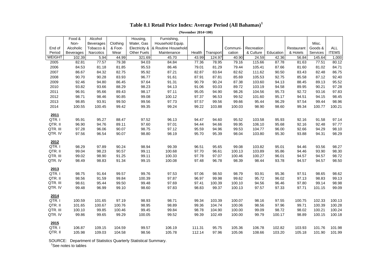|          | Food &           | Alcohol          |          | Housing,      | Furnishing,         |        |           |          |            |           |            |          |              |
|----------|------------------|------------------|----------|---------------|---------------------|--------|-----------|----------|------------|-----------|------------|----------|--------------|
|          | Non-             | <b>Beverages</b> | Clothing | Water, Gas    | Household Equip.    |        |           |          |            |           |            | Misc.    |              |
| End of   | Alcoholic        | Tobacco &        | & Foot-  | Electricity & | & Routine Household |        |           | Communi- | Recreation |           | Restaurant | Goods &  | ALL          |
| Period   | <b>Beverages</b> | Narcotics        | Wear     | Other Fuels   | Maintenance         | Health | Transport | cation   | & Culture  | Education | & Hotels   | Services | <b>ITEMS</b> |
| WEIGHT   | 102.39           | 5.94             | 44.99    | 321.69        | 45.70               | 43.99  | 124.97    | 40.90    | 24.59      | 42.36     | 56.84      | 145.64   | 1,000        |
| 2005     | 82.81            | 77.57            | 79.38    | 94.03         | 84.84               | 77.36  | 78.95     | 79.16    | 115.66     | 87.78     | 81.63      | 77.51    | 80.12        |
| 2006     | 84.53            | 81.18            | 81.85    | 95.53         | 86.46               | 79.01  | 81.29     | 79.44    | 105.41     | 87.66     | 81.60      | 81.02    | 84.71        |
| 2007     | 86.67            | 84.32            | 82.75    | 95.92         | 87.21               | 82.87  | 83.64     | 82.62    | 111.62     | 90.50     | 83.43      | 82.48    | 86.75        |
| 2008     | 90.70            | 90.28            | 83.93    | 96.77         | 91.61               | 87.91  | 87.81     | 85.69    | 105.53     | 92.75     | 85.58      | 87.12    | 92.40        |
| 2009     | 92.46            | 94.80            | 86.45    | 97.64         | 91.31               | 90.79  | 90.24     | 87.38    | 103.60     | 94.13     | 88.45      | 89.13    | 95.52        |
| 2010     | 93.82            | 93.66            | 88.29    | 98.23         | 94.13               | 91.06  | 93.03     | 89.72    | 103.19     | 94.58     | 89.95      | 90.21    | 97.28        |
| 2011     | 96.91            | 95.66            | 89.43    | 98.17         | 97.11               | 95.05  | 94.90     | 98.26    | 104.56     | 95.73     | 92.72      | 93.16    | 97.83        |
| 2012     | 98.71            | 98.46            | 90.85    | 99.08         | 100.12              | 97.37  | 96.53     | 99.52    | 101.60     | 95.17     | 94.51      | 94.15    | 98.45        |
| 2013     | 98.85            | 93.91            | 99.50    | 99.56         | 97.73               | 97.57  | 99.56     | 99.66    | 95.44      | 96.29     | 97.54      | 99.44    | 98.96        |
| 2014     | 100.55           | 100.45           | 99.42    | 99.35         | 99.24               | 99.22  | 103.88    | 100.03   | 98.90      | 98.60     | 99.34      | 100.77   | 100.21       |
| 2011     |                  |                  |          |               |                     |        |           |          |            |           |            |          |              |
| QTR.I    | 95.91            | 95.27            | 88.47    | 97.52         | 96.13               | 94.47  | 94.60     | 95.52    | 103.58     | 95.93     | 92.16      | 91.58    | 97.14        |
| QTR. II  | 96.90            | 94.76            | 89.11    | 97.60         | 97.01               | 94.44  | 94.66     | 99.95    | 106.10     | 95.68     | 92.16      | 92.48    | 97.77        |
| QTR. III | 97.28            | 96.06            | 90.07    | 98.75         | 97.12               | 95.59  | 94.96     | 99.53    | 104.77     | 96.00     | 92.66      | 94.29    | 98.10        |
| QTR. IV  | 97.56            | 96.54            | 90.07    | 98.80         | 98.19               | 95.70  | 95.39     | 98.04    | 103.80     | 95.30     | 93.88      | 94.31    | 98.29        |
| 2012     |                  |                  |          |               |                     |        |           |          |            |           |            |          |              |
| QTR.I    | 98.29            | 97.89            | 90.24    | 98.94         | 99.39               | 96.51  | 95.65     | 99.08    | 103.82     | 95.01     | 94.46      | 93.56    | 98.27        |
| QTR. II  | 99.04            | 98.23            | 90.57    | 99.11         | 100.68              | 97.70  | 96.61     | 100.13   | 103.89     | 95.86     | 94.46      | 93.90    | 98.30        |
| QTR. III | 99.02            | 98.90            | 91.25    | 99.11         | 100.33              | 97.78  | 97.07     | 100.46   | 100.27     | 96.01     | 94.57      | 94.57    | 98.72        |
| QTR. IV  | 98.49            | 98.83            | 91.34    | 99.15         | 100.08              | 97.48  | 96.78     | 98.39    | 98.44      | 93.78     | 94.57      | 94.57    | 98.50        |
| 2013     |                  |                  |          |               |                     |        |           |          |            |           |            |          |              |
| QTR.I    | 98.75            | 91.64            | 99.57    | 99.76         | 97.53               | 97.06  | 98.50     | 98.79    | 93.91      | 95.36     | 97.51      | 98.65    | 98.62        |
| QTR. II  | 98.56            | 91.59            | 99.84    | 100.39        | 97.87               | 96.97  | 99.98     | 99.62    | 95.72      | 96.02     | 97.13      | 98.83    | 99.13        |
| QTR. III | 98.61            | 95.44            | 99.50    | 99.48         | 97.69               | 97.41  | 100.39    | 100.10   | 94.56      | 96.46     | 97.80      | 99.14    | 98.98        |
| QTR. IV  | 99.48            | 96.99            | 99.10    | 98.60         | 97.83               | 98.83  | 99.37     | 100.13   | 97.57      | 97.33     | 97.71      | 101.15   | 99.09        |
| 2014     |                  |                  |          |               |                     |        |           |          |            |           |            |          |              |
| QTR.I    | 100.59           | 101.65           | 97.19    | 98.93         | 98.71               | 99.34  | 103.39    | 100.07   | 98.16      | 97.55     | 100.75     | 102.33   | 100.13       |
| QTR. II  | 101.65           | 100.67           | 100.76   | 98.95         | 98.89               | 99.36  | 104.74    | 100.06   | 98.56      | 97.96     | 99.71      | 100.39   | 100.28       |
| QTR. III | 100.10           | 99.85            | 100.46   | 99.45         | 99.84               | 98.78  | 104.90    | 100.00   | 99.09      | 98.72     | 98.02      | 100.21   | 100.24       |
| QTR. IV  | 99.86            | 99.65            | 99.29    | 100.05        | 99.52               | 99.39  | 102.49    | 100.00   | 99.79      | 100.17    | 98.89      | 100.15   | 100.18       |
| 2015     |                  |                  |          |               |                     |        |           |          |            |           |            |          |              |
| QTR.I    | 106.87           | 109.15           | 104.59   | 99.57         | 106.19              | 111.31 | 95.75     | 105.36   | 106.78     | 102.82    | 103.93     | 101.76   | 101.98       |
| QTR. II  | 105.98           | 109.03           | 104.58   | 98.56         | 105.78              | 112.14 | 97.96     | 105.06   | 108.66     | 103.20    | 105.18     | 101.90   | 101.99       |

## **Table 8.1 Retail Price Index: Average Period (All Bahamas)<sup>1</sup>**

 **(November 2014=100)**

SOURCE: Department of Statistics Quarterly Statistical Summary.

<sup>1</sup>See notes to tables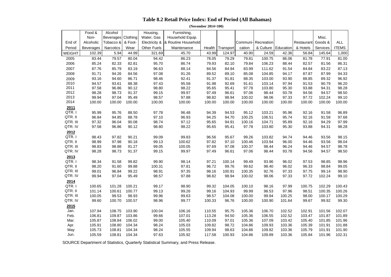### **Table 8.2 Retail Price Index: End of Period (All Bahamas)**

 **(November 2014=100)**

|               | Food &           | Alcohol          |          | Housing,           | Furnishing,                         |        |           |        |                    |           |            |          |              |
|---------------|------------------|------------------|----------|--------------------|-------------------------------------|--------|-----------|--------|--------------------|-----------|------------|----------|--------------|
|               | Non-             | <b>Beverages</b> | Clothing | Water, Gas         | Household Equip.                    |        |           |        |                    |           |            | Misc.    |              |
| End of        | Alcoholic        | Tobacco &        | & Foot-  |                    | Electricity &   & Routine Household |        |           |        | Communi-Recreation |           | Restaurant | Goods &  | <b>ALL</b>   |
| Period        | <b>Beverages</b> | Narcotics        | Wear     | <b>Other Fuels</b> | Maintenance                         | Health | Transport | cation | & Culture          | Education | & Hotels   | Services | <b>ITEMS</b> |
| <b>WEIGHT</b> | 102.39           | 5.94             | 44.99    | 321.69             | 45.70                               | 43.99  | 124.97    | 40.90  | 24.59              | 42.36     | 56.84      | 145.64   | 1,000        |
| 2005          | 83.44            | 79.57            | 80.04    | 94.42              | 86.23                               | 78.05  | 79.29     | 79.81  | 100.75             | 86.06     | 81.78      | 77.91    | 81.00        |
| 2006          | 85.24            | 82.33            | 82.81    | 95.70              | 86.74                               | 79.93  | 82.10     | 79.84  | 106.23             | 88.44     | 82.57      | 81.56    | 86.31        |
| 2007          | 87.76            | 85.79            | 83.19    | 96.63              | 88.14                               | 84.56  | 84.94     | 83.99  | 111.62             | 91.54     | 84.84      | 83.22    | 87.13        |
| 2008          | 91.71            | 94.26            | 84.56    | 97.08              | 91.26                               | 89.52  | 89.10     | 85.08  | 104.85             | 94.17     | 87.87      | 87.99    | 94.33        |
| 2009          | 93.16            | 94.60            | 86.71    | 98.46              | 92.41                               | 91.37  | 91.81     | 88.35  | 103.00             | 93.90     | 88.85      | 89.32    | 96.92        |
| 2010          | 94.57            | 93.61            | 88.38    | 97.43              | 95.58                               | 91.98  | 92.69     | 91.61  | 103.14             | 97.94     | 91.53      | 90.79    | 96.20        |
| 2011          | 97.58            | 96.86            | 90.12    | 98.80              | 98.22                               | 95.65  | 95.41     | 97.78  | 103.80             | 95.30     | 93.88      | 94.31    | 98.28        |
| 2012          | 98.28            | 98.73            | 91.37    | 99.15              | 99.97                               | 97.49  | 96.61     | 97.06  | 98.44              | 93.78     | 94.56      | 94.57    | 98.50        |
| 2013          | 99.94            | 97.04            | 95.49    | 98.57              | 97.88                               | 98.82  | 98.94     | 100.02 | 98.06              | 97.33     | 97.72      | 102.24   | 99.10        |
| 2014          | 100.00           | 100.00           | 100.00   | 100.00             | 100.00                              | 100.00 | 100.00    | 100.00 | 100.00             | 100.00    | 100.00     | 100.00   | 100.00       |
| 2011          |                  |                  |          |                    |                                     |        |           |        |                    |           |            |          |              |
| QTR.I         | 95.99            | 95.76            | 88.50    | 97.78              | 96.48                               | 94.39  | 94.53     | 95.12  | 103.21             | 95.96     | 92.16      | 91.58    | 96.89        |
| QTR. II       | 96.84            | 94.85            | 88.78    | 97.10              | 96.93                               | 94.25  | 94.70     | 100.25 | 106.51             | 95.74     | 92.16      | 91.58    | 97.68        |
| QTR. III      | 97.32            | 96.04            | 90.08    | 98.74              | 97.12                               | 95.65  | 94.91     | 100.16 | 104.71             | 95.89     | 92.16      | 94.29    | 97.99        |
| QTR. IV       | 97.58            | 96.86            | 90.12    | 98.80              | 98.22                               | 95.65  | 95.41     | 97.78  | 103.80             | 95.30     | 93.88      | 94.31    | 98.28        |
| 2012          |                  |                  |          |                    |                                     |        |           |        |                    |           |            |          |              |
| QTR.I         | 98.43            | 97.82            | 90.21    | 99.09              | 99.83                               | 96.56  | 95.67     | 99.26  | 103.82             | 94.74     | 94.46      | 93.56    | 98.15        |
| QTR. II       | 98.99            | 97.98            | 90.18    | 99.13              | 100.62                              | 97.82  | 97.10     | 100.46 | 103.94             | 96.00     | 94.46      | 93.56    | 98.04        |
| QTR. III      | 98.83            | 98.88            | 91.27    | 99.05              | 100.05                              | 97.69  | 97.08     | 100.37 | 98.44              | 96.24     | 94.46      | 94.57    | 98.78        |
| QTR. IV       | 98.28            | 98.73            | 91.37    | 99.15              | 99.97                               | 97.49  | 96.61     | 97.06  | 98.44              | 93.78     | 94.56      | 94.57    | 98.50        |
| 2013          |                  |                  |          |                    |                                     |        |           |        |                    |           |            |          |              |
| QTR.I         | 98.34            | 91.58            | 99.82    | 99.90              | 98.14                               | 97.21  | 100.14    | 99.49  | 93.96              | 96.02     | 97.53      | 98.85    | 98.96        |
| QTR. II       | 98.20            | 91.60            | 99.88    | 100.31             | 97.81                               | 96.72  | 99.76     | 99.62  | 98.40              | 96.02     | 96.33      | 98.84    | 99.05        |
| QTR. III      | 99.01            | 96.84            | 99.22    | 98.91              | 97.35                               | 98.16  | 100.91    | 100.35 | 92.76              | 97.33     | 97.75      | 99.14    | 98.90        |
| QTR. IV       | 99.94            | 97.04            | 95.49    | 98.57              | 97.88                               | 98.82  | 98.94     | 100.02 | 98.06              | 97.33     | 97.72      | 102.24   | 99.10        |
| 2014          |                  |                  |          |                    |                                     |        |           |        |                    |           |            |          |              |
| QTR.I         | 100.65           | 101.28           | 100.21   | 99.17              | 98.90                               | 99.32  | 104.05    | 100.10 | 98.16              | 97.99     | 100.75     | 102.29   | 100.43       |
| QTR. II       | 101.14           | 100.61           | 100.77   | 99.13              | 99.26                               | 99.16  | 104.93    | 99.99  | 98.53              | 97.96     | 98.51      | 100.35   | 100.26       |
| QTR. III      | 100.05           | 99.53            | 98.93    | 99.96              | 99.63                               | 98.57  | 104.08    | 100.00 | 99.94              | 100.25    | 98.00      | 100.17   | 100.29       |
| QTR. IV       | 99.60            | 100.70           | 100.57   | 98.96              | 99.77                               | 100.33 | 96.76     | 100.00 | 100.90             | 101.64    | 99.67      | 99.92    | 99.30        |
| 2015          |                  |                  |          |                    |                                     |        |           |        |                    |           |            |          |              |
| Jan.          | 107.94           | 108.75           | 103.90   | 100.04             | 106.16                              | 110.55 | 95.75     | 105.36 | 106.70             | 102.52    | 102.91     | 101.56   | 102.07       |
| Feb.          | 106.81           | 109.87           | 103.86   | 99.66              | 107.01                              | 113.28 | 94.50     | 105.36 | 106.55             | 102.52    | 103.47     | 101.87   | 101.89       |
| Mar.          | 105.87           | 108.84           | 106.02   | 99.00              | 105.40                              | 110.09 | 97.01     | 105.36 | 107.09             | 103.42    | 105.40     | 101.85   | 101.96       |
| Apr.          | 105.91           | 108.80           | 104.34   | 98.24              | 105.03                              | 109.82 | 98.72     | 104.86 | 109.93             | 103.36    | 105.39     | 101.91   | 101.88       |
| May           | 105.73           | 108.81           | 104.34   | 98.24              | 105.55                              | 109.94 | 98.63     | 104.86 | 109.82             | 103.36    | 105.79     | 101.91   | 101.90       |
| Jun.          | 105.59           | 108.81           | 104.34   | 97.63              | 105.92                              | 117.58 | 100.93    | 104.86 | 109.89             | 103.36    | 105.84     | 101.96   | 102.31       |
|               |                  |                  |          |                    |                                     |        |           |        |                    |           |            |          |              |

SOURCE Department of Statistics, Quarterly Statistical Summary, and Press Release.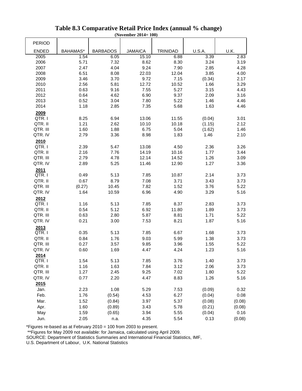|               |          |                 | LIVILMULL <i>E</i> VIT | TO A            |               |        |
|---------------|----------|-----------------|------------------------|-----------------|---------------|--------|
| <b>PERIOD</b> |          |                 |                        |                 |               |        |
| <b>ENDED</b>  | BAHAMAS* | <b>BARBADOS</b> | <b>JAMAICA</b>         | <b>TRINIDAD</b> | <b>U.S.A.</b> | U.K.   |
| 2005          | 1.54     | 6.05            | 15.10                  | 6.88            | 3.39          | 2.83   |
| 2006          | 5.71     | 7.32            | 8.62                   | 8.30            | 3.24          | 3.19   |
| 2007          | 2.47     | 4.04            | 9.24                   | 7.90            | 2.85          | 4.28   |
| 2008          | 6.51     | 8.08            | 22.03                  | 12.04           | 3.85          | 4.00   |
| 2009          | 3.46     | 3.70            | 9.72                   | 7.15            | (0.34)        | 2.17   |
| 2010          | 2.56     | 5.81            | 12.72                  | 10.52           | 1.66          | 3.29   |
| 2011          | 0.63     | 9.16            | 7.55                   | 5.27            | 3.15          | 4.43   |
| 2012          | 0.64     | 4.62            | 6.90                   | 9.37            | 2.09          | 3.16   |
| 2013          | 0.52     | 3.04            | 7.80                   | 5.22            | 1.46          | 4.46   |
| 2014          | 1.18     | 2.85            | 7.35                   | 5.68            | 1.63          | 4.46   |
|               |          |                 |                        |                 |               |        |
| 2009          |          |                 |                        |                 |               |        |
| QTR.I         | 8.25     | 6.94            | 13.06                  | 11.55           | (0.04)        | 3.01   |
| QTR. II       | 1.21     | 2.62            | 10.10                  | 10.18           | (1.15)        | 2.12   |
| QTR. III      | 1.60     | 1.88            | 6.75                   | 5.04            | (1.62)        | 1.46   |
| QTR. IV       | 2.79     | 3.36            | 8.98                   | 1.83            | 1.46          | 2.10   |
| 2010          |          |                 |                        |                 |               |        |
| QTR.I         | 2.39     | 5.47            | 13.08                  | 4.50            | 2.36          | 3.26   |
| QTR. II       | 2.16     | 7.76            | 14.19                  | 10.16           | 1.77          | 3.44   |
| QTR. III      | 2.79     | 4.78            | 12.14                  | 14.52           | 1.26          | 3.09   |
| QTR. IV       | 2.89     | 5.25            | 11.46                  | 12.90           | 1.27          | 3.36   |
| 2011          |          |                 |                        |                 |               |        |
| QTR.I         | 0.49     | 5.13            | 7.85                   | 10.87           | 2.14          | 3.73   |
| QTR. II       | 0.67     | 8.79            | 7.08                   | 3.71            | 3.43          | 3.73   |
| QTR. III      | (0.27)   | 10.45           | 7.82                   | 1.52            | 3.76          | 5.22   |
| QTR. IV       | 1.64     | 10.59           | 6.96                   | 4.90            | 3.29          | 5.16   |
| 2012          |          |                 |                        |                 |               |        |
| QTR.I         | 1.16     | 5.13            | 7.85                   | 8.37            | 2.83          | 3.73   |
| QTR. II       | 0.54     | 5.12            | 6.92                   | 11.80           | 1.89          | 3.73   |
| QTR. III      | 0.63     | 2.80            | 5.87                   | 8.81            | 1.71          | 5.22   |
| QTR. IV       | 0.21     | 3.00            | 7.53                   | 8.21            | 1.87          | 5.16   |
| 2013          |          |                 |                        |                 |               |        |
| QTR.I         | 0.35     | 5.13            | 7.85                   | 6.67            | 1.68          | 3.73   |
| QTR. II       | 0.84     | 1.76            | 9.03                   | 5.99            | 1.38          | 3.73   |
| QTR. III      | 0.27     | 3.57            | 9.85                   | 3.96            | 1.55          | 5.22   |
| QTR. IV       |          |                 |                        |                 |               |        |
|               | 0.60     | 1.69            | 4.47                   | 4.24            | 1.23          | 5.16   |
| 2014          |          |                 |                        |                 |               |        |
| QTR.I         | 1.54     | 5.13            | 7.85                   | 3.76            | 1.40          | 3.73   |
| QTR. II       | 1.16     | 1.63            | 7.84                   | 3.12            | 2.06          | 3.73   |
| QTR. III      | 1.27     | 2.45            | 9.25                   | 7.02            | 1.80          | 5.22   |
| QTR. IV       | 0.77     | 2.20            | 4.47                   | 8.83            | 1.26          | 5.16   |
| 2015          |          |                 |                        |                 |               |        |
| Jan.          | 2.23     | 1.08            | 5.29                   | 7.53            | (0.09)        | 0.32   |
| Feb.          | 1.76     | (0.54)          | 4.53                   | 6.27            | (0.04)        | 0.08   |
| Mar.          | 1.52     | (0.84)          | 3.97                   | 5.37            | (0.08)        | (0.08) |
| Apr.          | 1.60     | (0.89)          | 3.43                   | 5.78            | (0.21)        | (0.08) |
| May           | 1.59     | (0.65)          | 3.94                   | 5.55            | (0.04)        | 0.16   |
| Jun.          | 2.05     | n.a.            | 4.35                   | 5.54            | 0.13          | (0.08) |
|               |          |                 |                        |                 |               |        |

### **Table 8.3 Comparative Retail Price Index (annual % change) (November 2014= 100)**

\*Figures re-based as at February 2010 = 100 from 2003 to present.

\*\*Figures for May 2009 not available: for Jamaica, calculated using April 2009.

SOURCE: Department of Statistics Summaries and International Financial Statistics, IMF,

U.S. Department of Labour, U.K. National Statistics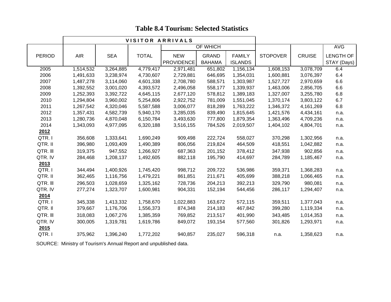|               |            |            | VISITOR ARRIVALS |                   |               |                |                 |               |                  |
|---------------|------------|------------|------------------|-------------------|---------------|----------------|-----------------|---------------|------------------|
|               |            |            |                  |                   | OF WHICH      |                |                 |               | <b>AVG</b>       |
| <b>PERIOD</b> | <b>AIR</b> | <b>SEA</b> | <b>TOTAL</b>     | <b>NEW</b>        | <b>GRAND</b>  | <b>FAMILY</b>  | <b>STOPOVER</b> | <b>CRUISE</b> | <b>LENGTH OF</b> |
|               |            |            |                  | <b>PROVIDENCE</b> | <b>BAHAMA</b> | <b>ISLANDS</b> |                 |               | STAY (Days)      |
| 2005          | 1,514,532  | 3,264,885  | 4,779,417        | 2,971,481         | 651,802       | 1,156,134      | 1,608,153       | 3,078,709     | 6.4              |
| 2006          | 1,491,633  | 3,238,974  | 4,730,607        | 2,729,881         | 646,695       | 1,354,031      | 1,600,881       | 3,076,397     | 6.4              |
| 2007          | 1,487,278  | 3,114,060  | 4,601,338        | 2,708,780         | 588,571       | 1,303,987      | 1,527,727       | 2,970,659     | 6.6              |
| 2008          | 1,392,552  | 3,001,020  | 4,393,572        | 2,496,058         | 558,177       | 1,339,937      | 1,463,006       | 2,856,705     | $6.6\,$          |
| 2009          | 1,252,393  | 3,392,722  | 4,645,115        | 2,677,120         | 578,812       | 1,389,183      | 1,327,007       | 3,255,780     | 6.8              |
| 2010          | 1,294,804  | 3,960,002  | 5,254,806        | 2,922,752         | 781,009       | 1,551,045      | 1,370,174       | 3,803,122     | 6.7              |
| 2011          | 1,267,542  | 4,320,046  | 5,587,588        | 3,006,077         | 818,289       | 1,763,222      | 1,346,372       | 4,161,269     | 6.8              |
| 2012          | 1,357,431  | 4,582,739  | 5,940,170        | 3,285,035         | 839,490       | 1,815,645      | 1,421,576       | 4,434,161     | n.a.             |
| 2013          | 1,280,736  | 4,870,048  | 6,150,784        | 3,493,630         | 777,800       | 1,879,354      | 1,363,496       | 4,709,236     | n.a.             |
| 2014          | 1,343,093  | 4,977,095  | 6,320,188        | 3,516,155         | 784,526       | 2,019,507      | 1,404,102       | 4,804,701     | n.a.             |
| 2012          |            |            |                  |                   |               |                |                 |               |                  |
| QTR.I         | 356,608    | 1,333,641  | 1,690,249        | 909,498           | 222,724       | 558,027        | 370,298         | 1,302,956     | n.a.             |
| QTR. II       | 396,980    | 1,093,409  | 1,490,389        | 806,056           | 219,824       | 464,509        | 418,551         | 1,042,882     | n.a.             |
| QTR. III      | 319,375    | 947,552    | 1,266,927        | 687,363           | 201,152       | 378,412        | 347,938         | 902,856       | n.a.             |
| QTR. IV       | 284,468    | 1,208,137  | 1,492,605        | 882,118           | 195,790       | 414,697        | 284,789         | 1,185,467     | n.a.             |
| 2013          |            |            |                  |                   |               |                |                 |               |                  |
| QTR.I         | 344,494    | 1,400,926  | 1,745,420        | 998,712           | 209,722       | 536,986        | 359,371         | 1,368,283     | n.a.             |
| QTR. II       | 362,465    | 1,116,756  | 1,479,221        | 861,851           | 211,671       | 405,699        | 388,218         | 1,066,465     | n.a.             |
| QTR. III      | 296,503    | 1,028,659  | 1,325,162        | 728,736           | 204,213       | 392,213        | 329,790         | 980,081       | n.a.             |
| QTR. IV       | 277,274    | 1,323,707  | 1,600,981        | 904,331           | 152,194       | 544,456        | 286,117         | 1,294,407     | n.a.             |
| 2014          |            |            |                  |                   |               |                |                 |               |                  |
| QTR.I         | 345,338    | 1,413,332  | 1,758,670        | 1,022,883         | 163,672       | 572,115        | 359,511         | 1,377,043     | n.a.             |
| QTR. II       | 379,667    | 1,176,706  | 1,556,373        | 874,348           | 214,183       | 467,842        | 399,280         | 1,119,334     | n.a.             |
| QTR. III      | 318,083    | 1,067,276  | 1,385,359        | 769,852           | 213,517       | 401,990        | 343,485         | 1,014,353     | n.a.             |
| QTR. IV       | 300,005    | 1,319,781  | 1,619,786        | 849,072           | 193,154       | 577,560        | 301,826         | 1,293,971     | n.a.             |
| 2015          |            |            |                  |                   |               |                |                 |               |                  |
| QTR.I         | 375,962    | 1,396,240  | 1,772,202        | 940,857           | 235,027       | 596,318        | n.a.            | 1,358,623     | n.a.             |

# **Table 8.4 Tourism: Selected Statistics**

SOURCE: Ministry of Tourism's Annual Report and unpublished data.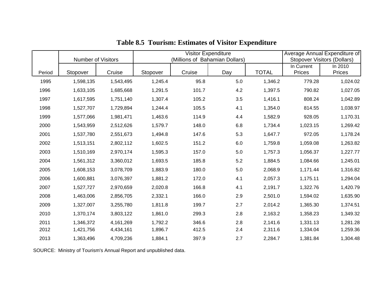|        | <b>Number of Visitors</b> |           |          | Visitor Expenditure<br>(Millions of Bahamian Dollars) |         | Average Annual Expenditure of<br><b>Stopover Visitors (Dollars)</b> |                      |                   |
|--------|---------------------------|-----------|----------|-------------------------------------------------------|---------|---------------------------------------------------------------------|----------------------|-------------------|
| Period | Stopover                  | Cruise    | Stopover | Cruise                                                | Day     | <b>TOTAL</b>                                                        | In Current<br>Prices | In 2010<br>Prices |
| 1995   | 1,598,135                 | 1,543,495 | 1,245.4  | 95.8                                                  | 5.0     | 1,346.2                                                             | 779.28               | 1,024.02          |
| 1996   | 1,633,105                 | 1,685,668 | 1,291.5  | 101.7                                                 | 4.2     | 1,397.5                                                             | 790.82               | 1,027.05          |
| 1997   | 1,617,595                 | 1,751,140 | 1,307.4  | 105.2                                                 | 3.5     | 1,416.1                                                             | 808.24               | 1,042.89          |
| 1998   | 1,527,707                 | 1,729,894 | 1,244.4  | 105.5                                                 | 4.1     | 1,354.0                                                             | 814.55               | 1,038.97          |
| 1999   | 1,577,066                 | 1,981,471 | 1,463.6  | 114.9                                                 | 4.4     | 1,582.9                                                             | 928.05               | 1,170.31          |
| 2000   | 1,543,959                 | 2,512,626 | 1,579.7  | 148.0                                                 | 6.8     | 1,734.4                                                             | 1,023.15             | 1,269.42          |
| 2001   | 1,537,780                 | 2,551,673 | 1,494.8  | 147.6                                                 | 5.3     | 1,647.7                                                             | 972.05               | 1,178.24          |
| 2002   | 1,513,151                 | 2,802,112 | 1,602.5  | 151.2                                                 | $6.0\,$ | 1,759.8                                                             | 1,059.08             | 1,263.82          |
| 2003   | 1,510,169                 | 2,970,174 | 1,595.3  | 157.0                                                 | 5.0     | 1,757.3                                                             | 1,056.37             | 1,227.77          |
| 2004   | 1,561,312                 | 3,360,012 | 1,693.5  | 185.8                                                 | 5.2     | 1,884.5                                                             | 1,084.66             | 1,245.01          |
| 2005   | 1,608,153                 | 3,078,709 | 1,883.9  | 180.0                                                 | 5.0     | 2,068.9                                                             | 1,171.44             | 1,316.82          |
| 2006   | 1,600,881                 | 3,076,397 | 1,881.2  | 172.0                                                 | 4.1     | 2,057.3                                                             | 1,175.11             | 1,294.04          |
| 2007   | 1,527,727                 | 2,970,659 | 2,020.8  | 166.8                                                 | 4.1     | 2,191.7                                                             | 1,322.76             | 1,420.79          |
| 2008   | 1,463,006                 | 2,856,705 | 2,332.1  | 166.0                                                 | 2.9     | 2,501.0                                                             | 1,594.02             | 1,635.90          |
| 2009   | 1,327,007                 | 3,255,780 | 1,811.8  | 199.7                                                 | 2.7     | 2,014.2                                                             | 1,365.30             | 1,374.51          |
| 2010   | 1,370,174                 | 3,803,122 | 1,861.0  | 299.3                                                 | 2.8     | 2,163.2                                                             | 1,358.23             | 1,349.32          |
| 2011   | 1,346,372                 | 4,161,269 | 1,792.2  | 346.6                                                 | 2.8     | 2,141.6                                                             | 1,331.13             | 1,281.28          |
| 2012   | 1,421,756                 | 4,434,161 | 1,896.7  | 412.5                                                 | 2.4     | 2,311.6                                                             | 1,334.04             | 1,259.36          |
| 2013   | 1,363,496                 | 4,709,236 | 1,884.1  | 397.9                                                 | 2.7     | 2,284.7                                                             | 1,381.84             | 1,304.48          |

# **Table 8.5 Tourism: Estimates of Visitor Expenditure**

SOURCE: Ministry of Tourism's Annual Report and unpublished data.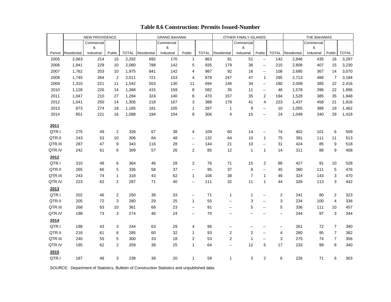|                |                | <b>NEW PROVIDENCE</b> |                |                |             | <b>GRAND BAHAMA</b> |                         |                     |                          | OTHER FAMILY ISLANDS     |                                                                                                |                | THE BAHAMAS    |                   |                |                |
|----------------|----------------|-----------------------|----------------|----------------|-------------|---------------------|-------------------------|---------------------|--------------------------|--------------------------|------------------------------------------------------------------------------------------------|----------------|----------------|-------------------|----------------|----------------|
|                |                | Commercial            |                |                |             | Commercial          |                         |                     |                          | Commercial               |                                                                                                |                |                | Commercial        |                |                |
|                |                | &                     |                |                |             | &                   |                         |                     |                          | &                        |                                                                                                |                |                | &                 |                |                |
| Period<br>2005 | Residential    | Industrial<br>214     | Public         | <b>TOTAL</b>   | Residential | Industrial<br>170   | Public                  | <b>TOTAL</b><br>863 | Residential<br>91        | Industrial<br>51         | Public                                                                                         | <b>TOTAL</b>   | Residential    | Industrial<br>435 | Public<br>16   | <b>TOTAL</b>   |
| 2006           | 2,063<br>1,841 | 229                   | 15<br>10       | 2,292<br>2,080 | 692<br>788  | 142                 | $\mathbf{1}$<br>5       | 935                 | 179                      | 36                       | $\mathord{\hspace{1pt}\text{--}\hspace{1pt}}$<br>$\mathord{\hspace{1pt}\text{--}\hspace{1pt}}$ | 142<br>215     | 2,846<br>2,808 | 407               | 15             | 3,297<br>3,230 |
| 2007           | 1,762          | 203                   | 10             | 1,975          | 841         | 142                 | 4                       | 987                 | 92                       | 16                       | $\sim$                                                                                         | 108            | 2,695          | 367               | 14             | 3,070          |
| 2008           | 1,745          | 264                   | 2              | 2,011          | 721         | 153                 | 4                       | 878                 | 247                      | 47                       | $\mathbf{1}$                                                                                   | 295            | 2,713          | 466               | $\overline{7}$ | 3,184          |
| 2009           | 1,310          | 221                   | 11             | 1,542          | 553         | 130                 | 11                      | 694                 | 146                      | 34                       | $\sim$                                                                                         | 180            | 2,009          | 385               | 22             | 2,416          |
| 2010           | 1,128          | 226                   | 14             | 1,368          | 415         | 159                 | 8                       | 582                 | 35                       | 11                       | $\bullet\bullet$                                                                               | 46             | 1,578          | 396               | 22             | 1,996          |
| 2011           | 1,047          | 210                   | 27             | 1,284          | 324         | 140                 | 6                       | 470                 | 157                      | 35                       | 2                                                                                              | 194            | 1,528          | 385               | 35             | 1,948          |
| 2012           | 1,041          | 250                   | 14             | 1,305          | 218         | 167                 | 3                       | 388                 | 178                      | 41                       | $\overline{4}$                                                                                 | 223            | 1,437          | 458               | 21             | 1,916          |
| 2013           | 873            | 274                   | 18             | 1,165          | 181         | 105                 | $\mathbf{1}$            | 287                 | 1                        | 9                        | $\sim$                                                                                         | 10             | 1,055          | 388               | 19             | 1,462          |
| 2014           | 851            | 221                   | 16             | 1,088          | 194         | 104                 | 8                       | 306                 | 4                        | 15                       | $\sim$                                                                                         | 24             | 1,049          | 340               | 29             | 1,418          |
|                |                |                       |                |                |             |                     |                         |                     |                          |                          |                                                                                                |                |                |                   |                |                |
| 2011           |                |                       |                |                |             |                     |                         |                     |                          |                          |                                                                                                |                |                |                   |                |                |
| QTR.I          | 275            | 49                    | $\overline{2}$ | 326            | 67          | 38                  | 4                       | 109                 | 60                       | 14                       | $\rightarrow$                                                                                  | 74             | 402            | 101               | 6              | 509            |
| QTR.II         | 243            | 53                    | 10             | 306            | 84          | 48                  | $\sim$                  | 132                 | 64                       | 10                       | $\mathbf{1}$                                                                                   | 75             | 391            | 111               | 11             | 513            |
| QTR.III        | 287            | 47                    | 9              | 343            | 116         | 28                  | $\sim$ $-$              | 144                 | 21                       | 10                       | $\sim$                                                                                         | 31             | 424            | 85                | 9              | 518            |
| QTR.IV         | 242            | 61                    | 6              | 309            | 57          | 26                  | $\overline{2}$          | 85                  | 12                       | $\mathbf{1}$             | $\mathbf{1}$                                                                                   | 14             | 311            | 88                | 9              | 408            |
| 2012           |                |                       |                |                |             |                     |                         |                     |                          |                          |                                                                                                |                |                |                   |                |                |
| QTR.I          | 310            | 48                    | 6              | 364            | 46          | 28                  | $\overline{2}$          | 76                  | 71                       | 15                       | 2                                                                                              | 88             | 427            | 91                | 10             | 528            |
| QTR.II         | 265            | 66                    | 5              | 336            | 58          | 37                  | $\sim$                  | 95                  | 37                       | 8                        | $\sim$                                                                                         | 45             | 360            | 111               | 5              | 476            |
| QTR.III        | 243            | 74                    | $\mathbf{1}$   | 318            | 43          | 62                  | $\mathbf{1}$            | 106                 | 38                       | $\overline{7}$           | $\mathbf{1}$                                                                                   | 46             | 324            | 143               | 3              | 470            |
| QTR.IV         | 223            | 62                    | $\overline{2}$ | 287            | 71          | 40                  | $\sim$                  | 111                 | 32                       | 11                       | $\mathbf{1}$                                                                                   | 44             | 326            | 113               | 3              | 442            |
| 2013           |                |                       |                |                |             |                     |                         |                     |                          |                          |                                                                                                |                |                |                   |                |                |
| QTR.I          | 202            | 46                    | $\overline{2}$ | 250            | 38          | 33                  | $\sim$                  | 71                  | $\mathbf{1}$             | $\mathbf{1}$             | $\sim$                                                                                         | $\overline{2}$ | 241            | 80                | $\overline{c}$ | 323            |
| QTR.II         | 205            | 72                    | 3              | 280            | 29          | 25                  | $\mathbf{1}$            | 55                  | $\sim$ $-$               | 3                        | $\sim$                                                                                         | 3              | 234            | 100               | $\overline{4}$ | 338            |
| QTR.III        | 268            | 83                    | 10             | 361            | 68          | 23                  | $\sim$                  | 91                  | $\sim$                   | 5                        | $\sim$                                                                                         | $\,$ 5 $\,$    | 336            | 111               | 10             | 457            |
| QTR.IV         | 198            | 73                    | 3              | 274            | 46          | 24                  | $\sim$                  | 70                  | $\sim$ $-$               | ш,                       | ц.                                                                                             | 44             | 244            | 97                | 3              | 344            |
| 2014           |                |                       |                |                |             |                     |                         |                     |                          |                          |                                                                                                |                |                |                   |                |                |
| QTR.I          | 198            | 43                    | 3              | 244            | 63          | 29                  | 4                       | 96                  | $\overline{\phantom{a}}$ | $\overline{\phantom{a}}$ | $\rightarrow$                                                                                  | $\sim$         | 261            | 72                | $\overline{7}$ | 340            |
| QTR.II         | 218            | 61                    | 6              | 285            | 60          | 32                  | $\mathbf{1}$            | 93                  | $\overline{\mathbf{c}}$  | $\overline{2}$           | $\sim$                                                                                         | 4              | 280            | 95                | $\overline{7}$ | 382            |
| QTR.III        | 240            | 55                    | 5              | 300            | 33          | 18                  | $\overline{\mathbf{c}}$ | 53                  | $\overline{2}$           | $\mathbf{1}$             | $\sim$                                                                                         | 3              | 275            | 74                | $\overline{7}$ | 356            |
| QTR.IV         | 195            | 62                    | $\overline{2}$ | 259            | 38          | 25                  | $\mathbf{1}$            | 64                  | ш.                       | 12                       | 5                                                                                              | 17             | 233            | 99                | 8              | 340            |
| 2015           |                |                       |                |                |             |                     |                         |                     |                          |                          |                                                                                                |                |                |                   |                |                |
| QTR.I          | 187            | 48                    | 3              | 238            | 38          | 20                  | $\mathbf{1}$            | 59                  | $\mathbf{1}$             | 3                        | 2                                                                                              | 6              | 226            | 71                | 6              | 303            |

### **Table 8.6 Construction: Permits Issued-Number**

SOURCE: Department of Statistics, Bulletin of Construction Statistics and unpublished data.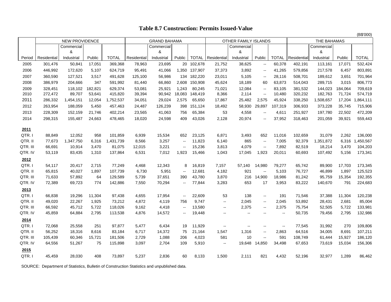### **Table 8.7 Construction: Permits Issued-Value**

|          |             |                       |         |              |             |                     |                          |            |                          |                      |                                               |                |             |             |         | (B\$'000)    |
|----------|-------------|-----------------------|---------|--------------|-------------|---------------------|--------------------------|------------|--------------------------|----------------------|-----------------------------------------------|----------------|-------------|-------------|---------|--------------|
|          |             | <b>NEW PROVIDENCE</b> |         |              |             | <b>GRAND BAHAMA</b> |                          |            |                          | OTHER FAMILY ISLANDS |                                               |                |             | THE BAHAMAS |         |              |
|          |             | Commercial            |         |              |             | Commercial          |                          |            |                          | Commercial           |                                               |                |             | Commercial  |         |              |
|          |             | &                     |         |              |             | &                   |                          |            |                          | &                    |                                               |                |             | &           |         |              |
| Period   | Residential | Industrial            | Public  | <b>TOTAL</b> | Residential | Industrial          | Public                   |            | <b>TOTAL</b> Residential | Industrial           | Public                                        | <b>TOTAL</b>   | Residential | Industrial  | Public  | <b>TOTAL</b> |
| 2005     | 301,476     | 50.841                | 17,051  | 369,368      | 78,963      | 23,695              |                          | 20 102,678 | 21,752                   | 38,625               | $\overline{\phantom{a}}$                      | 60,378         | 402,191     | 113,161     | 17,071  | 532,424      |
| 2006     | 446,992     | 172,620               | 5,107   | 624,719      | 95,491      | 41,066              | 1,350                    | 137,907    | 37,373                   | 3,892                | $\sim$                                        | 41,265         | 579,856     | 217,578     | 6,457   | 803,891      |
| 2007     | 360,590     | 127,521               | 3.517   | 491,628      | 125,100     | 56,986              | 134                      | 182,220    | 23,011                   | 5,105                | $\overline{\phantom{a}}$                      | 28,116         | 508,701     | 189,612     | 3,651   | 701,964      |
| 2008     | 386,979     | 204.666               | 347     | 591,992      | 81,440      | 66.860              | 2,608                    | 150,908    | 45.624                   | 18.189               | 60                                            | 63,873         | 514,043     | 289.715     | 3,015   | 806,773      |
| 2009     | 328.451     | 118.102               | 182.821 | 629.374      | 53.081      | 25.921              | 1.243                    | 80.245     | 71.021                   | 12.084               | $\sim$                                        | 83.105         | 381.532     | 144.023     | 184.064 | 709.619      |
| 2010     | 272,472     | 89,707                | 53,641  | 415,820      | 39,394      | 90,942              | 18,083                   | 148,419    | 8,366                    | 2,114                | $\sim$                                        | 10,480         | 320,232     | 182,763     | 71,724  | 574,719      |
| 2011     | 286,332     | 1,454,151             | 12,054  | 1,752,537    | 34,051      | 29,024              | 2,575                    | 65,650     | 17,867                   | 25,482               | 2,575                                         | 45,924         | 338,250     | 1,508,657   | 17,204  | 1,864,111    |
| 2012     | 263,954     | 188,059               | 5,450   | 457,463      | 24,487      | 126,239             | 398                      | 151,124    | 18,492                   | 58,930               | 29.897                                        | 107,319        | 306,933     | 373,228     | 35,745  | 715,906      |
| 2013     | 228,309     | 152,159               | 21,746  | 402,214      | 23,565      | 41,063              | 756                      | 65,384     | 53                       | 4,558                | --                                            | 4,611          | 251,927     | 197,780     | 22,502  | 472,209      |
| 2014     | 298,315     | 155,487               | 24,663  | 478,465      | 18,020      | 24,598              | 409                      | 43,026     | 2,128                    | 20,974               | --                                            | 37,952         | 318,463     | 201,059     | 39,921  | 559,443      |
| 2011     |             |                       |         |              |             |                     |                          |            |                          |                      |                                               |                |             |             |         |              |
| QTR.I    | 88.849      | 12,052                | 958     | 101.859      | 6,939       | 15,534              | 652                      | 23,125     | 6.871                    | 3,493                | 652                                           | 11,016         | 102,659     | 31.079      | 2,262   | 136,000      |
| QTR. II  | 77.673      | 1,347,750             | 6.316   | 1,431,739    | 8,566       | 3,257               | $\sim$                   | 11,823     | 6,140                    | 865                  | $\sim$                                        | 7,005          | 92,379      | 1,351,872   | 6,316   | 1,450,567    |
| QTR. III | 66,691      | 10.914                | 3.470   | 81,075       | 12,015      | 3,221               | $\overline{a}$           | 15,236     | 3,813                    | 4.079                | $\sim$                                        | 7,892          | 82,519      | 18,214      | 3,470   | 104,203      |
| QTR. IV  | 53,119      | 83,435                | 1,310   | 137,864      | 6,531       | 7,012               | 1,923                    | 15,466     | 1,043                    | 17,045               | 1,923                                         | 20,011         | 60,693      | 107,492     | 5,156   | 173,341      |
| 2012     |             |                       |         |              |             |                     |                          |            |                          |                      |                                               |                |             |             |         |              |
| QTR.I    | 54,117      | 20,417                | 2,715   | 77,249       | 4,468       | 12,343              | 8                        | 16,819     | 7,157                    | 57,140               | 14,980                                        | 79,277         | 65,742      | 89,900      | 17,703  | 173,345      |
| QTR. II  | 65,815      | 40,027                | 1.897   | 107,739      | 6,730       | 5,951               | $\sim$                   | 12,681     | 4,182                    | 921                  | $\sim$                                        | 5,103          | 76,727      | 46,899      | 1,897   | 125,523      |
| QTR. III | 71.633      | 57.892                | 64      | 129,589      | 5,739       | 37.651              | 390                      | 43,780     | 3.870                    | 216                  | 14,900                                        | 18,986         | 81,242      | 95,759      | 15,354  | 192,355      |
| QTR. IV  | 72,389      | 69.723                | 774     | 142,886      | 7,550       | 70,294              | $\sim$                   | 77,844     | 3,283                    | 653                  | 17                                            | 3,953          | 83,222      | 140,670     | 791     | 224,683      |
| 2013     |             |                       |         |              |             |                     |                          |            |                          |                      |                                               |                |             |             |         |              |
| QTR.I    | 66,838      | 19,296                | 11,304  | 97,438       | 4,655       | 17,954              | $\sim$                   | 22,609     | 53                       | 138                  | $\overline{\phantom{a}}$                      | 191            | 71,546      | 37,388      | 11,304  | 120,238      |
| QTR. II  | 49,020      | 22,267                | 1,925   | 73,212       | 4,872       | 4,119               | 756                      | 9,747      | $\sim$                   | 2,045                | $\mathord{\rightarrow} \mathord{\rightarrow}$ | 2,045          | 53,892      | 28,431      | 2,681   | 85,004       |
| QTR. III | 66,592      | 45,712                | 5,722   | 118,026      | 9,162       | 4,418               | $\overline{\phantom{a}}$ | 13,580     | $\rightarrow$            | 2,375                | $\mathord{\rightarrow} \mathord{\rightarrow}$ | 2,375          | 75,754      | 52,505      | 5,722   | 133,981      |
| QTR. IV  | 45,859      | 64,884                | 2,795   | 113,538      | 4,876       | 14,572              | $\rightarrow$            | 19,448     | $\sim$ $\sim$            | $\sim$               | $\sim$                                        | $\overline{a}$ | 50,735      | 79,456      | 2,795   | 132,986      |
| 2014     |             |                       |         |              |             |                     |                          |            |                          |                      |                                               |                |             |             |         |              |
| QTR.I    | 72,068      | 25,558                | 251     | 97,877       | 5,477       | 6,434               | 19                       | 11,929     | $\sim$                   | ц.                   | $\overline{\phantom{a}}$                      | $\rightarrow$  | 77,545      | 31,992      | 270     | 109,806      |
| QTR. II  | 56,252      | 18,316                | 8,616   | 83,184       | 6,717       | 14,372              | 75                       | 21,164     | 1,547                    | 1,316                | $\overline{\phantom{a}}$                      | 2,863          | 64,516      | 34,005      | 8,691   | 107,211      |
| QTR. III | 105,439     | 60,346                | 15,721  | 181,506      | 2,729       | 1,088               | 206                      | 4,023      | 581                      | 10                   | ц.                                            | 591            | 108,749     | 61,444      | 15,927  | 186,120      |
| QTR. IV  | 64,556      | 51,267                | 75      | 115,898      | 3,097       | 2,704               | 109                      | 5,910      | $\rightarrow$            | 19,648               | 14,850                                        | 34,498         | 67,653      | 73,619      | 15,034  | 156,306      |
| 2015     |             |                       |         |              |             |                     |                          |            |                          |                      |                                               |                |             |             |         |              |
| QTR.I    | 45,459      | 28,030                | 408     | 73,897       | 5,237       | 2,836               | 60                       | 8,133      | 1,500                    | 2,111                | 821                                           | 4,432          | 52,196      | 32,977      | 1,289   | 86,462       |
|          |             |                       |         |              |             |                     |                          |            |                          |                      |                                               |                |             |             |         |              |

SOURCE: Department of Statistics, Bulletin of Construction Statistics and unpublished data.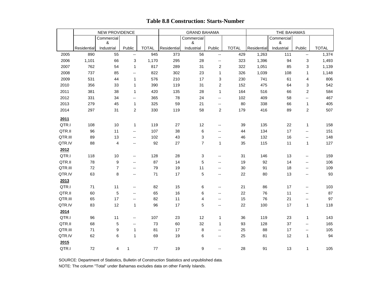|         |             | NEW PROVIDENCE  |                             |              |             | <b>GRAND BAHAMA</b> |                          |              |             | THE BAHAMAS     |                              |              |
|---------|-------------|-----------------|-----------------------------|--------------|-------------|---------------------|--------------------------|--------------|-------------|-----------------|------------------------------|--------------|
|         |             | Commercial<br>& |                             |              |             | Commercial<br>&     |                          |              |             | Commercial<br>& |                              |              |
|         | Residential | Industrial      | Public                      | <b>TOTAL</b> | Residential | Industrial          | Public                   | <b>TOTAL</b> | Residential | Industrial      | Public                       | <b>TOTAL</b> |
| 2005    | 890         | 55              | $\overline{\phantom{a}}$    | 945          | 373         | 56                  | $\sim$                   | 429          | 1,263       | 111             | $\sim$                       | 1,374        |
| 2006    | 1,101       | 66              | 3                           | 1,170        | 295         | 28                  | --                       | 323          | 1,396       | 94              | 3                            | 1,493        |
| 2007    | 762         | 54              | $\mathbf{1}$                | 817          | 289         | 31                  | $\overline{\mathbf{c}}$  | 322          | 1,051       | 85              | 3                            | 1,139        |
| 2008    | 737         | 85              | Ξ.                          | 822          | 302         | 23                  | $\mathbf{1}$             | 326          | 1,039       | 108             | $\mathbf{1}$                 | 1,148        |
| 2009    | 531         | 44              | $\mathbf{1}$                | 576          | 210         | 17                  | 3                        | 230          | 741         | 61              | 4                            | 806          |
| 2010    | 356         | 33              | $\mathbf{1}$                | 390          | 119         | 31                  | $\overline{\mathbf{c}}$  | 152          | 475         | 64              | 3                            | 542          |
| 2011    | 381         | 38              | $\mathbf{1}$                | 420          | 135         | 28                  | $\mathbf{1}$             | 164          | 516         | 66              | $\overline{2}$               | 584          |
| 2012    | 331         | 34              | Щ,                          | 365          | 78          | 24                  | 44                       | 102          | 409         | 58              | $\sim$                       | 467          |
| 2013    | 279         | 45              | $\mathbf{1}$                | 325          | 59          | 21                  | Щ,                       | 80           | 338         | 66              | 1                            | 405          |
| 2014    | 297         | 31              | $\overline{2}$              | 330          | 119         | 58                  | 2                        | 179          | 416         | 89              | 2                            | 507          |
| 2011    |             |                 |                             |              |             |                     |                          |              |             |                 |                              |              |
| QTR.I   | 108         | 10              | $\mathbf{1}$                | 119          | 27          | 12                  | Щ,                       | 39           | 135         | 22              | 1                            | 158          |
| QTR.II  | 96          | 11              | $\sim$                      | 107          | 38          | 6                   | $\sim$                   | 44           | 134         | 17              | $\sim$                       | 151          |
| QTR.III | 89          | 13              | $\mathcal{L}_{\mathcal{F}}$ | 102          | 43          | $\mathsf 3$         | Щ,                       | 46           | 132         | 16              | $\sim$                       | 148          |
| QTR.IV  | 88          | 4               | $\mathbf{H}$                | 92           | 27          | $\overline{7}$      | 1                        | 35           | 115         | 11              | $\mathbf{1}$                 | 127          |
| 2012    |             |                 |                             |              |             |                     |                          |              |             |                 |                              |              |
| QTR.I   | 118         | 10              | $\overline{\phantom{m}}$    | 128          | 28          | 3                   | $\overline{\phantom{a}}$ | 31           | 146         | 13              | $\mathbf{u}$                 | 159          |
| QTR.II  | 78          | 9               | $\overline{\phantom{a}}$    | 87           | 14          | $\mathbf 5$         | $\overline{\phantom{a}}$ | 19           | 92          | 14              | $\sim$                       | 106          |
| QTR.III | 72          | $\overline{7}$  | $\overline{\phantom{a}}$    | 79           | 19          | 11                  | --                       | 30           | 91          | 18              | $\sim$                       | 109          |
| QTR.IV  | 63          | 8               | $\mathbf{u}$                | 71           | 17          | 5                   | Щ,                       | 22           | 80          | 13              | $\sim$                       | 93           |
| 2013    |             |                 |                             |              |             |                     |                          |              |             |                 |                              |              |
| QTR.I   | 71          | 11              | $\overline{\phantom{a}}$    | 82           | 15          | 6                   | $\overline{\phantom{a}}$ | 21           | 86          | 17              | $\overline{\phantom{a}}$     | 103          |
| QTR.II  | 60          | 5               | $\sim$                      | 65           | 16          | 6                   | --                       | 22           | 76          | 11              | $\qquad \qquad \blacksquare$ | 87           |
| QTR.III | 65          | 17              | $\sim$                      | 82           | 11          | 4                   | $\overline{\phantom{a}}$ | 15           | 76          | 21              | $\overline{\phantom{a}}$     | 97           |
| QTR.IV  | 83          | 12              | 1                           | 96           | 17          | 5                   | $\overline{\phantom{a}}$ | 22           | 100         | 17              | 1                            | 118          |
| 2014    |             |                 |                             |              |             |                     |                          |              |             |                 |                              |              |
| QTR.I   | 96          | 11              | $\sim$                      | 107          | 23          | 12                  | 1                        | 36           | 119         | 23              | 1                            | 143          |
| QTR.II  | 68          | 5               | $\overline{\phantom{a}}$    | 73           | 60          | 32                  | $\mathbf{1}$             | 93           | 128         | 37              | $\rightarrow$                | 165          |
| QTR.III | 71          | 9               | $\mathbf{1}$                | 81           | 17          | 8                   | $\overline{\phantom{a}}$ | 25           | 88          | 17              | $\sim$                       | 105          |
| QTR.IV  | 62          | 6               | $\mathbf{1}$                | 69           | 19          | 6                   | $\overline{\phantom{a}}$ | 25           | 81          | 12              | 1                            | 94           |
| 2015    |             |                 |                             |              |             |                     |                          |              |             |                 |                              |              |
| QTR.I   | 72          | 4               | $\mathbf{1}$                | 77           | 19          | 9                   | ш.                       | 28           | 91          | 13              | $\mathbf{1}$                 | 105          |

### **Table 8.8 Construction: Starts-Number**

 NOTE: The column "Total" under Bahamas excludes data on other Family Islands. SOURCE: Department of Statistics, Bulletin of Construction Statistics and unpublished data.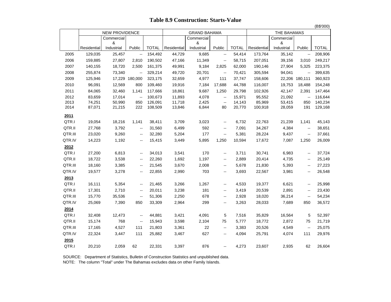|         |             |                 |                             |              |             |                     |                          |              |             |                 |                             | (B\$'000)    |
|---------|-------------|-----------------|-----------------------------|--------------|-------------|---------------------|--------------------------|--------------|-------------|-----------------|-----------------------------|--------------|
|         |             | NEW PROVIDENCE  |                             |              |             | <b>GRAND BAHAMA</b> |                          |              |             | THE BAHAMAS     |                             |              |
|         |             | Commercial      |                             |              |             | Commercial          |                          |              |             | Commercial      |                             |              |
|         | Residential | &<br>Industrial | Public                      | <b>TOTAL</b> | Residential | &<br>Industrial     | Public                   | <b>TOTAL</b> | Residential | &<br>Industrial | Public                      | <b>TOTAL</b> |
| 2005    | 129,035     | 25,457          | $\mathbb{Z}^{\mathbb{Z}}$   | 154,492      | 44,729      | 9,685               | $\sim$                   | 54,414       | 173,764     | 35,142          | $\mathcal{L}_{\mathcal{P}}$ | 208,906      |
| 2006    | 159,885     | 27,807          | 2,810                       | 190,502      | 47,166      | 11,349              | Ξ.                       | 58,715       | 207,051     | 39,156          | 3,010                       | 249,217      |
| 2007    | 140,155     | 18,720          | 2,500                       | 161,375      | 49,991      | 9,184               | 2,825                    | 62,000       | 190,146     | 27,904          | 5,325                       | 223,375      |
| 2008    | 255,874     | 73,340          | $\ddotsc$                   | 329,214      | 49,720      | 20,701              | $\sim$                   | 70,421       | 305,594     | 94,041          | $\sim$                      | 399,635      |
| 2009    | 125,946     | 17,229          | 180,000                     | 323,175      | 32,659      | 4,977               | 111                      | 37,747       | 158,606     |                 | 22,206 180,111              | 360,923      |
| 2010    | 96,091      | 12,569          | 800                         | 109,460      | 19,916      | 7,184               | 17,688                   | 44,788       | 116,007     | 19,753          | 18,488                      | 154,248      |
| 2011    | 84,065      | 32,460          | 1,141                       | 117,666      | 18,861      | 9,687               | 1,250                    | 29,798       | 102,926     | 42,147          | 2,391                       | 147,464      |
| 2012    | 83,659      | 17,014          | $\ddotsc$                   | 100,673      | 11,893      | 4,078               | Щ,                       | 15,971       | 95,552      | 21,092          | Щ,                          | 116,644      |
| 2013    | 74,251      | 50,990          | 850                         | 126,091      | 11,718      | 2,425               | $\ddotsc$                | 14,143       | 85,969      | 53,415          | 850                         | 140,234      |
| 2014    | 87,071      | 21,215          | 222                         | 108,509      | 13,846      | 6,844               | 80                       | 20,770       | 100,918     | 28,059          | 191                         | 129,168      |
| 2011    |             |                 |                             |              |             |                     |                          |              |             |                 |                             |              |
| QTR.I   | 19,054      | 18,216          | 1,141                       | 38,411       | 3,709       | 3,023               | $\overline{\phantom{a}}$ | 6,732        | 22,763      | 21,239          | 1,141                       | 45,143       |
| QTR.II  | 27,768      | 3,792           | $\sim$                      | 31,560       | 6,499       | 592                 | $\rightarrow$            | 7,091        | 34,267      | 4,384           | $\sim$                      | 38,651       |
| QTR.III | 23,020      | 9,260           | $\sim$                      | 32,280       | 5,204       | 177                 | $\overline{\phantom{a}}$ | 5,381        | 28,224      | 9,437           | $\overline{\phantom{a}}$    | 37,661       |
| QTR.IV  | 14,223      | 1,192           | $\overline{\phantom{a}}$    | 15,415       | 3,449       | 5,895               | 1,250                    | 10,594       | 17,672      | 7,087           | 1,250                       | 26,009       |
| 2012    |             |                 |                             |              |             |                     |                          |              |             |                 |                             |              |
| QTR.I   | 27,200      | 6,813           | $\bullet\bullet$            | 34,013       | 3,541       | 170                 | $\mathbf{u}$             | 3,711        | 30,741      | 6,983           | $\mathbf{u}$                | 37,724       |
| QTR.II  | 18,722      | 3,538           | $\sim$                      | 22,260       | 1,692       | 1,197               | $\mathbf{u}$             | 2,889        | 20,414      | 4,735           | $\mathbf{u}$                | 25,149       |
| QTR.III | 18,160      | 3,385           | $\sim$                      | 21,545       | 3,670       | 2,008               | $\overline{a}$           | 5,678        | 21,830      | 5,393           | $\overline{\phantom{a}}$    | 27,223       |
| QTR.IV  | 19,577      | 3,278           | $\sim$                      | 22,855       | 2,990       | 703                 | $\sim$                   | 3,693        | 22,567      | 3,981           | $\sim$                      | 26,548       |
| 2013    |             |                 |                             |              |             |                     |                          |              |             |                 |                             |              |
| QTR.I   | 16,111      | 5,354           | $\sim$                      | 21,465       | 3,266       | 1,267               | $\mathbf{u}$             | 4,533        | 19,377      | 6,621           | $\overline{\phantom{a}}$    | 25,998       |
| QTR.II  | 17,301      | 2,710           | $\sim$                      | 20,011       | 3,238       | 181                 | $\sim$                   | 3,419        | 20,539      | 2,891           | $\overline{\phantom{a}}$    | 23,430       |
| QTR.III | 15,770      | 35,536          | $\mathcal{L}_{\mathcal{F}}$ | 51,306       | 2,250       | 678                 | $\overline{\phantom{a}}$ | 2,928        | 18,020      | 36,214          | $\overline{\phantom{a}}$    | 54,234       |
| QTR.IV  | 25,069      | 7,390           | 850                         | 33,309       | 2,964       | 299                 | $\overline{\phantom{a}}$ | 3,263        | 28,033      | 7,689           | 850                         | 36,572       |
| 2014    |             |                 |                             |              |             |                     |                          |              |             |                 |                             |              |
| QTR.I   | 32,408      | 12,473          | $\sim$                      | 44,881       | 3,421       | 4,091               | 5                        | 7,516        | 35,829      | 16,564          | 5                           | 52,397       |
| QTR.II  | 15,174      | 768             | $\sim$                      | 15,943       | 3,598       | 2,104               | 75                       | 5,777        | 18,772      | 2,872           | 75                          | 21,719       |
| QTR.III | 17,165      | 4,527           | 111                         | 21,803       | 3,361       | 22                  | $\overline{\phantom{a}}$ | 3,383        | 20,526      | 4,549           | $\overline{\phantom{a}}$    | 25,075       |
| QTR.IV  | 22,324      | 3,447           | 111                         | 25,882       | 3,467       | 627                 | $\rightarrow$            | 4,094        | 25,791      | 4,074           | 111                         | 29,976       |
| 2015    |             |                 |                             |              |             |                     |                          |              |             |                 |                             |              |
| QTR.I   | 20,210      | 2,059           | 62                          | 22,331       | 3,397       | 876                 | $\sim$                   | 4,273        | 23,607      | 2,935           | 62                          | 26,604       |
|         |             |                 |                             |              |             |                     |                          |              |             |                 |                             |              |

### **Table 8.9 Construction: Starts-Value**

SOURCE: Department of Statistics, Bulletin of Construction Statistics and unpublished data.

NOTE: The column "Total" under The Bahamas excludes data on other Family Islands.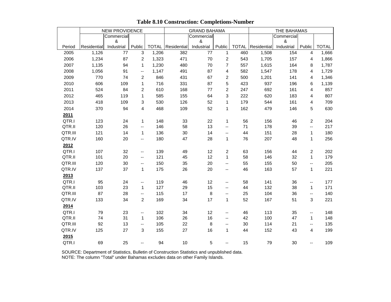|         |             | <b>NEW PROVIDENCE</b>   |                          |       |                          | <b>GRAND BAHAMA</b> |                          |              |             | THE BAHAMAS     |                          |              |
|---------|-------------|-------------------------|--------------------------|-------|--------------------------|---------------------|--------------------------|--------------|-------------|-----------------|--------------------------|--------------|
|         |             | Commercial              |                          |       |                          | Commercial          |                          |              |             | Commercial      |                          |              |
| Period  | Residential | $\pmb{8}$<br>Industrial | Public                   |       | <b>TOTAL</b> Residential | &<br>Industrial     | Public                   | <b>TOTAL</b> | Residential | &<br>Industrial | Public                   | <b>TOTAL</b> |
| 2005    | 1,126       | 77                      | 3                        | 1,206 | 382                      | 77                  | $\mathbf{1}$             | 460          | 1,508       | 154             | $\overline{4}$           | 1,666        |
| 2006    | 1,234       | 87                      | 2                        | 1,323 | 471                      | 70                  | $\overline{c}$           | 543          | 1,705       | 157             | 4                        | 1,866        |
| 2007    | 1,135       | 94                      | $\mathbf{1}$             | 1,230 | 480                      | 70                  | $\overline{7}$           | 557          | 1,615       | 164             | 8                        | 1,787        |
| 2008    | 1,056       | 91                      | $\overline{\phantom{a}}$ | 1,147 | 491                      | 87                  | 4                        | 582          | 1,547       | 178             | 4                        | 1,729        |
| 2009    | 770         | 74                      | 2                        | 846   | 431                      | 67                  | $\overline{2}$           | 500          | 1,201       | 141             | 4                        | 1,346        |
| 2010    | 606         | 109                     | $\mathbf{1}$             | 716   | 331                      | 87                  | 5                        | 423          | 937         | 196             | 6                        | 1,139        |
| 2011    | 524         | 84                      | 2                        | 610   | 168                      | 77                  | $\overline{2}$           | 247          | 692         | 161             | 4                        | 857          |
| 2012    | 465         | 119                     | $\mathbf{1}$             | 585   | 155                      | 64                  | 3                        | 222          | 620         | 183             | 4                        | 807          |
| 2013    | 418         | 109                     | 3                        | 530   | 126                      | 52                  | $\mathbf{1}$             | 179          | 544         | 161             | $\overline{4}$           | 709          |
| 2014    | 370         | 94                      | 4                        | 468   | 109                      | 52                  | $\mathbf 1$              | 162          | 479         | 146             | $\sqrt{5}$               | 630          |
| 2011    |             |                         |                          |       |                          |                     |                          |              |             |                 |                          |              |
| QTR.I   | 123         | 24                      | $\mathbf{1}$             | 148   | 33                       | 22                  | $\mathbf 1$              | 56           | 156         | 46              | $\overline{2}$           | 204          |
| QTR.II  | 120         | 26                      | $\overline{\phantom{a}}$ | 146   | 58                       | 13                  | $\overline{\phantom{a}}$ | 71           | 178         | 39              | $\overline{\phantom{a}}$ | 217          |
| QTR.III | 121         | 14                      | $\mathbf{1}$             | 136   | 30                       | 14                  | $\overline{\phantom{a}}$ | 44           | 151         | 28              | $\mathbf{1}$             | 180          |
| QTR.IV  | 160         | 20                      | $\overline{\phantom{a}}$ | 180   | 47                       | 28                  | $\mathbf 1$              | 76           | 207         | 48              | $\mathbf{1}$             | 256          |
| 2012    |             |                         |                          |       |                          |                     |                          |              |             |                 |                          |              |
| QTR.I   | 107         | 32                      | $\overline{\phantom{a}}$ | 139   | 49                       | 12                  | $\overline{c}$           | 63           | 156         | 44              | $\overline{2}$           | 202          |
| QTR.II  | 101         | 20                      | $\overline{\phantom{a}}$ | 121   | 45                       | 12                  | $\mathbf{1}$             | 58           | 146         | 32              | $\mathbf{1}$             | 179          |
| QTR.III | 120         | 30                      | --                       | 150   | 35                       | 20                  | $\overline{\phantom{a}}$ | 55           | 155         | 50              | $\overline{\phantom{a}}$ | 205          |
| QTR.IV  | 137         | 37                      | $\mathbf{1}$             | 175   | 26                       | 20                  | $\overline{\phantom{a}}$ | 46           | 163         | 57              | $\mathbf{1}$             | 221          |
| 2013    |             |                         |                          |       |                          |                     |                          |              |             |                 |                          |              |
| QTR.I   | 95          | 24                      | $\overline{\phantom{a}}$ | 119   | 46                       | 12                  | --                       | 58           | 141         | 36              | --                       | 177          |
| QTR.II  | 103         | 23                      | $\mathbf{1}$             | 127   | 29                       | 15                  | $\overline{\phantom{a}}$ | 44           | 132         | 38              | $\mathbf{1}$             | 171          |
| QTR.III | 87          | 28                      | $\overline{\phantom{a}}$ | 115   | 17                       | $\,8\,$             | --                       | 25           | 104         | 36              | --                       | 140          |
| QTR.IV  | 133         | 34                      | $\overline{2}$           | 169   | 34                       | 17                  | $\mathbf{1}$             | 52           | 167         | 51              | 3                        | 221          |
| 2014    |             |                         |                          |       |                          |                     |                          |              |             |                 |                          |              |
| QTR.I   | 79          | 23                      | $\overline{\phantom{a}}$ | 102   | 34                       | 12                  | ۰.                       | 46           | 113         | 35              | --                       | 148          |
| QTR.II  | 74          | 31                      | $\mathbf{1}$             | 106   | 26                       | 16                  | $\overline{\phantom{a}}$ | 42           | 100         | 47              | $\mathbf{1}$             | 148          |
| QTR.III | 92          | 13                      | $\overline{\phantom{a}}$ | 105   | 22                       | 8                   | --                       | 30           | 114         | 21              | $\overline{\phantom{a}}$ | 135          |
| QTR.IV  | 125         | 27                      | 3                        | 155   | 27                       | 16                  | $\mathbf{1}$             | 44           | 152         | 43              | 4                        | 199          |
| 2015    |             |                         |                          |       |                          |                     |                          |              |             |                 |                          |              |
| QTR.I   | 69          | 25                      | $\overline{\phantom{a}}$ | 94    | $10$                     | 5                   | --                       | 15           | 79          | 30              | $-$                      | 109          |

### **Table 8.10 Construction: Completions-Number**

SOURCE: Department of Statistics, Bulletin of Construction Statistics and unpublished data.

NOTE: The column "Total" under Bahamas excludes data on other Family Islands.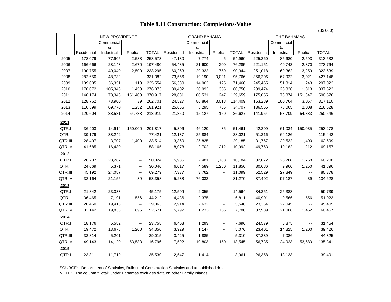|         |             |                       |                          |              |             |                     |                          |              |             |             |                             | (B\$'000)    |
|---------|-------------|-----------------------|--------------------------|--------------|-------------|---------------------|--------------------------|--------------|-------------|-------------|-----------------------------|--------------|
|         |             | <b>NEW PROVIDENCE</b> |                          |              |             | <b>GRAND BAHAMA</b> |                          |              |             | THE BAHAMAS |                             |              |
|         |             | Commercial            |                          |              |             | Commercial          |                          |              |             | Commercial  |                             |              |
|         | Residential | &                     | Public                   | <b>TOTAL</b> | Residential | &<br>Industrial     | Public                   | <b>TOTAL</b> | Residential | &           | Public                      | <b>TOTAL</b> |
|         |             | Industrial            |                          |              |             |                     |                          |              |             | Industrial  |                             |              |
| 2005    | 178,079     | 77,905                | 2,588                    | 258,573      | 47,180      | 7,774               | 5                        | 54,960       | 225,260     | 85,680      | 2,593                       | 313,532      |
| 2006    | 166,666     | 28,143                | 2,670                    | 197,480      | 54,485      | 21,600              | 200                      | 76,285       | 221,151     | 49,743      | 2,870                       | 273,764      |
| 2007    | 190,755     | 40,040                | 2,500                    | 233,295      | 60,263      | 29,322              | 759                      | 90,344       | 251,018     | 69,362      | 3,259                       | 323,639      |
| 2008    | 282,650     | 48,732                | 44                       | 331,382      | 73,556      | 19,190              | 3,021                    | 95,766       | 356,206     | 67,922      | 3,021                       | 427,148      |
| 2009    | 189,085     | 36,351                | 118                      | 225,554      | 56,380      | 14,963              | 125                      | 71,468       | 245,465     | 51,314      | 243                         | 297,022      |
| 2010    | 170,072     | 105,343               | 1,458                    | 276,873      | 39,402      | 20,993              | 355                      | 60,750       | 209,474     | 126,336     | 1,813                       | 337,623      |
| 2011    | 146,174     | 73,343                | 151,400                  | 370,917      | 28,881      | 100,531             | 247                      | 129,659      | 175,055     | 173,874     | 151,647                     | 500,576      |
| 2012    | 128,762     | 73,900                | 39                       | 202,701      | 24,527      | 86,864              | 3,018                    | 114,409      | 153,289     | 160,764     | 3,057                       | 317,110      |
| 2013    | 110,899     | 69,770                | 1,252                    | 181,921      | 25,656      | 8,295               | 756                      | 34,707       | 136,555     | 78,065      | 2,008                       | 216,628      |
| 2014    | 120,604     | 38,581                | 54,733                   | 213,919      | 21,350      | 15,127              | 150                      | 36,627       | 141,954     | 53,709      | 54,883                      | 250,546      |
| 2011    |             |                       |                          |              |             |                     |                          |              |             |             |                             |              |
| QTR.I   | 36,903      | 14,914                | 150,000                  | 201,817      | 5,306       | 46,120              | 35                       | 51,461       | 42,209      | 61,034      | 150,035                     | 253,278      |
| QTR.II  | 39,179      | 38,242                | $\bar{\phantom{a}}$      | 77,421       | 12,137      | 25,884              | $\sim$                   | 38,021       | 51,316      | 64,126      | $\mathcal{L}_{\mathcal{F}}$ | 115,442      |
| QTR.III | 28,407      | 3,707                 | 1,400                    | 33,514       | 3,360       | 25,825              | 44                       | 29,185       | 31,767      | 29,532      | 1,400                       | 62,699       |
| QTR.IV  | 41,685      | 16,480                | 44                       | 58,165       | 8,078       | 2,702               | 212                      | 10,992       | 49,763      | 19,182      | 212                         | 69,157       |
| 2012    |             |                       |                          |              |             |                     |                          |              |             |             |                             |              |
| QTR.I   | 26,737      | 23,287                | $\overline{\phantom{a}}$ | 50,024       | 5,935       | 2,481               | 1,768                    | 10,184       | 32,672      | 25,768      | 1,768                       | 60,208       |
| QTR.II  | 24,669      | 5,371                 | $\sim$                   | 30,040       | 6,017       | 4,589               | 1,250                    | 11,856       | 30,686      | 9,960       | 1,250                       | 41,896       |
| QTR.III | 45,192      | 24,087                | 44                       | 69,279       | 7,337       | 3,762               | $\frac{1}{2}$            | 11,099       | 52,529      | 27,849      | $\sim$                      | 80,378       |
| QTR.IV  | 32,164      | 21,155                | 39                       | 53,358       | 5,238       | 76,032              | ц.                       | 81,270       | 37,402      | 97,187      | 39                          | 134,628      |
| 2013    |             |                       |                          |              |             |                     |                          |              |             |             |                             |              |
| QTR.I   | 21,842      | 23,333                | $\sim$ $-$               | 45,175       | 12,509      | 2,055               | $\rightarrow$            | 14,564       | 34,351      | 25,388      | $\sim$                      | 59,739       |
| QTR.II  | 36,465      | 7,191                 | 556                      | 44,212       | 4,436       | 2,375               | $\overline{\phantom{a}}$ | 6,811        | 40,901      | 9,566       | 556                         | 51,023       |
| QTR.III | 20,450      | 19,413                | $\sim$ $-$               | 39,863       | 2,914       | 2,632               | ц.                       | 5,546        | 23,364      | 22,045      | $\sim$                      | 45,409       |
| QTR.IV  | 32,142      | 19,833                | 696                      | 52,671       | 5,797       | 1,233               | 756                      | 7,786        | 37,939      | 21,066      | 1,452                       | 60,457       |
| 2014    |             |                       |                          |              |             |                     |                          |              |             |             |                             |              |
| QTR.I   | 18,176      | 5,582                 | 44                       | 23,758       | 6,403       | 1,293               | ц.                       | 7,696        | 24,579      | 6,875       | $\sim$                      | 31,454       |
| QTR.II  | 19,472      | 13,678                | 1,200                    | 34,350       | 3,929       | 1,147               | $\overline{\phantom{a}}$ | 5,076        | 23,401      | 14,825      | 1,200                       | 39,426       |
| QTR.III | 33,814      | 5,201                 | ц,                       | 39,015       | 3,425       | 1,885               | --                       | 5,310        | 37,239      | 7,086       | $\sim$                      | 44,325       |
| QTR.IV  | 49,143      | 14,120                | 53,533                   | 116,796      | 7,592       | 10,803              | 150                      | 18,545       | 56,735      | 24,923      | 53,683                      | 135,341      |
| 2015    |             |                       |                          |              |             |                     |                          |              |             |             |                             |              |
| QTR.I   | 23,811      | 11,719                | $\sim$                   | 35,530       | 2,547       | 1,414               | $\sim$                   | 3,961        | 26,358      | 13,133      | $\sim$                      | 39,491       |
|         |             |                       |                          |              |             |                     |                          |              |             |             |                             |              |

### **Table 8.11 Construction: Completions-Value**

SOURCE: Department of Statistics, Bulletin of Construction Statistics and unpublished data.

NOTE: The column "Total" under Bahamas excludes data on other Family Islands.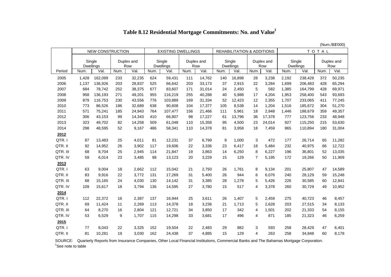| Table 8.12 Residential Mortgage Commitments: No. and Value <sup>1</sup> |  |
|-------------------------------------------------------------------------|--|
|-------------------------------------------------------------------------|--|

(Num./B\$'000)

|          |                     | <b>NEW CONSTRUCTION</b> |      |                   |      | <b>EXISTING DWELLINGS</b>  |                   |        |      | <b>REHABILITATION &amp; ADDITIONS</b> |                |                   |       |                            | TOTAL |                   |
|----------|---------------------|-------------------------|------|-------------------|------|----------------------------|-------------------|--------|------|---------------------------------------|----------------|-------------------|-------|----------------------------|-------|-------------------|
|          | Single<br>Dwellings |                         |      | Duplex and<br>Row |      | Single<br><b>Dwellings</b> | Duplex and<br>Row |        |      | Single<br><b>Dwellings</b>            |                | Duplex and<br>Row |       | Single<br><b>Dwellings</b> |       | Duplex and<br>Row |
| Period   | Num.                | Val.                    | Num. | Val.              | Num. | Val.                       | Num.              | Val.   | Num. | Val.                                  | Num.           | Val.              | Num.  | Val.                       | Num.  | Val.              |
| 2005     | 1,428               | 162,099                 | 233  | 32,235            | 624  | 59,431                     | 111               | 14,762 | 140  | 16,898                                | 28             | 3,238             | 2,192 | 238,428                    | 372   | 50,235            |
| 2006     | 1,137               | 136,926                 | 203  | 28,837            | 525  | 66,642                     | 203               | 33,173 | 37   | 2,915                                 | 22             | 3,284             | 1,699 | 206,483                    | 428   | 65,294            |
| 2007     | 684                 | 78,742                  | 252  | 38,375            | 677  | 83,607                     | 171               | 31,014 | 24   | 2,450                                 | 5              | 582               | 1,385 | 164,799                    | 428   | 69,971            |
| 2008     | 958                 | 136,193                 | 271  | 49,201            | 955  | 116,219                    | 255               | 40,288 | 40   | 5,988                                 | 17             | 4,204             | 1,953 | 258,400                    | 543   | 93,693            |
| 2009     | 879                 | 116,753                 | 230  | 43,556            | 776  | 103,889                    | 169               | 31,334 | 52   | 12,423                                | 12             | 2,355             | 1,707 | 233,065                    | 411   | 77,245            |
| 2010     | 773                 | 86,526                  | 186  | 32,689            | 638  | 90,608                     | 104               | 17,377 | 105  | 8,538                                 | 14             | 1,204             | 1,516 | 185,672                    | 304   | 51,270            |
| 2011     | 571                 | 75,241                  | 185  | 24,943            | 764  | 107,477                    | 156               | 21,466 | 111  | 5,961                                 | 18             | 2,948             | 1,446 | 188,679                    | 359   | 49,357            |
| 2012     | 306                 | 43,153                  | 99   | 14,343            | 410  | 66,807                     | 98                | 17,227 | 61   | 13,796                                | 36             | 17,378            | 777   | 123,756                    | 233   | 48,948            |
| 2013     | 323                 | 49,702                  | 82   | 14,258            | 509  | 61,048                     | 110               | 15,358 | 95   | 4,500                                 | 23             | 24,014            | 927   | 115,250                    | 215   | 53,630            |
| 2014     | 298                 | 48,595                  | 52   | 9,167             | 486  | 58,341                     | 110               | 14,378 | 81   | 3,958                                 | 18             | 7,459             | 865   | 110,894                    | 180   | 31,004            |
| 2012     |                     |                         |      |                   |      |                            |                   |        |      |                                       |                |                   |       |                            |       |                   |
| QTR.I    | 87                  | 13,483                  | 25   | 4,011             | 81   | 12,231                     | 37                | 6,799  | 9    | 1,000                                 | 3              | 472               | 177   | 26,714                     | 65    | 11,282            |
| QTR. II  | 92                  | 14,952                  | 26   | 3,902             | 117  | 19,606                     | 22                | 3,336  | 23   | 6,417                                 | 18             | 5,484             | 232   | 40,975                     | 66    | 12,722            |
| QTR. III | 68                  | 8.704                   | 25   | 2,945             | 114  | 21,847                     | 19                | 3,863  | 14   | 6,250                                 | 8              | 6,227             | 196   | 36,801                     | 52    | 13,035            |
| QTR. IV  | 59                  | 6,014                   | 23   | 3,485             | 98   | 13,123                     | 20                | 3,229  | 15   | 129                                   | $\overline{7}$ | 5,195             | 172   | 19,266                     | 50    | 11,909            |
| 2013     |                     |                         |      |                   |      |                            |                   |        |      |                                       |                |                   |       |                            |       |                   |
| QTR.I    | 63                  | 9,004                   | 18   | 2,662             | 112  | 15,042                     | 21                | 2,793  | 26   | 1,761                                 | 8              | 9,134             | 201   | 25,807                     | 47    | 14,589            |
| QTR. II  | 83                  | 9,916                   | 22   | 3,772             | 131  | 17,269                     | 31                | 5,400  | 26   | 944                                   | 6              | 6,076             | 240   | 28,129                     | 59    | 15,248            |
| QTR. III | 68                  | 15,165                  | 24   | 4,030             | 130  | 14,142                     | 31                | 3,385  | 28   | 1,278                                 | 5              | 5,426             | 226   | 30,585                     | 60    | 12,841            |
| QTR. IV  | 109                 | 15,617                  | 18   | 3,794             | 136  | 14,595                     | 27                | 3,780  | 15   | 517                                   | 4              | 3,378             | 260   | 30,729                     | 49    | 10,952            |
| 2014     |                     |                         |      |                   |      |                            |                   |        |      |                                       |                |                   |       |                            |       |                   |
| QTR.I    | 112                 | 22,372                  | 16   | 2,387             | 137  | 16,944                     | 25                | 3,611  | 26   | 1,407                                 | 5              | 2,459             | 275   | 40,723                     | 46    | 8,457             |
| QTR. II  | 69                  | 11,424                  | 11   | 2,269             | 113  | 14,378                     | 18                | 3,236  | 21   | 1,713                                 | 5              | 2,628             | 203   | 27,515                     | 34    | 8,133             |
| QTR. III | 64                  | 8,270                   | 16   | 2,804             | 121  | 12,721                     | 34                | 3,850  | 17   | 342                                   | 4              | 1,501             | 202   | 21,333                     | 54    | 8,155             |
| QTR. IV  | 53                  | 6,529                   | 9    | 1,707             | 115  | 14,298                     | 33                | 3,681  | 17   | 496                                   | 4              | 871               | 185   | 21,323                     | 46    | 6,259             |
| 2015     |                     |                         |      |                   |      |                            |                   |        |      |                                       |                |                   |       |                            |       |                   |
| QTR.     | 77                  | 8,043                   | 22   | 3,325             | 152  | 19,504                     | 22                | 2,483  | 29   | 882                                   | 3              | 593               | 258   | 28,429                     | 47    | 6,401             |
| QTR. II  | 81                  | 10,281                  | 19   | 3,030             | 162  | 24,438                     | 37                | 4,885  | 15   | 129                                   | 4              | 263               | 258   | 34,848                     | 60    | 8,178             |

 SOURCE: Quarterly Reports from Insurance Companies, Other Local Financial Institutions, Commercial Banks and The Bahamas Mortgage Corporation. <sup>1</sup>See note to table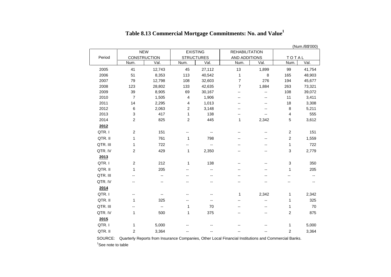|            |                         |                          |                   |                          |                          |                          |         | (Num./B\$'000) |
|------------|-------------------------|--------------------------|-------------------|--------------------------|--------------------------|--------------------------|---------|----------------|
| <b>NEW</b> |                         |                          |                   | <b>EXISTING</b>          | <b>REHABILITATION</b>    |                          |         |                |
| Period     |                         | CONSTRUCTION             | <b>STRUCTURES</b> |                          | AND ADDITIONS            |                          | TOTAL   |                |
|            | Num.                    | Val.                     | Num.              | Val.                     | Num.                     | Val.                     | Num.    | Val.           |
| 2005       | 41                      | 12,743                   | 45                | 27,112                   | 13                       | 1,899                    | 99      | 41,754         |
| 2006       | 51                      | 8,353                    | 113               | 40,542                   | 1                        | 8                        | 165     | 48,903         |
| 2007       | 79                      | 12,798                   | 108               | 32,603                   | $\overline{7}$           | 276                      | 194     | 45,677         |
| 2008       | 123                     | 28,802                   | 133               | 42,635                   | $\overline{7}$           | 1,884                    | 263     | 73,321         |
| 2009       | 39                      | 8,905                    | 69                | 30,167                   | $\overline{\phantom{a}}$ | --                       | 108     | 39,072         |
| 2010       | $\overline{7}$          | 1,505                    | 4                 | 1,906                    | --                       | --                       | 11      | 3,411          |
| 2011       | 14                      | 2,295                    | 4                 | 1,013                    | --                       | --                       | 18      | 3,308          |
| 2012       | $\,6$                   | 2,063                    | $\overline{2}$    | 3,148                    | --                       | --                       | $\,8\,$ | 5,211          |
| 2013       | 3                       | 417                      | 1                 | 138                      | --                       | --                       | 4       | 555            |
| 2014       | $\overline{\mathbf{c}}$ | 825                      | $\overline{2}$    | 445                      | 1                        | 2,342                    | 5       | 3,612          |
| 2012       |                         |                          |                   |                          |                          |                          |         |                |
| QTR.I      | 2                       | 151                      | --                | --                       | --                       | --                       | 2       | 151            |
| QTR. II    | $\mathbf{1}$            | 761                      | 1                 | 798                      | --                       | $-$                      | 2       | 1,559          |
| QTR. III   | 1                       | 722                      | --                | --                       | --                       | --                       | 1       | 722            |
| QTR. IV    | $\boldsymbol{2}$        | 429                      | 1                 | 2,350                    | -−                       | --                       | 3       | 2,779          |
| 2013       |                         |                          |                   |                          |                          |                          |         |                |
| QTR.I      | $\overline{c}$          | 212                      | 1                 | 138                      | --                       | --                       | 3       | 350            |
| QTR. II    | $\mathbf{1}$            | 205                      | --                | $\overline{\phantom{a}}$ | --                       |                          | 1       | 205            |
| QTR. III   | $-$                     | $\overline{a}$           |                   | $\overline{a}$           | $-$                      | $-$                      | $-$     | --             |
| QTR. IV    | $-$                     | --                       | --                | --                       | --                       | --                       | --      | --             |
| 2014       |                         |                          |                   |                          |                          |                          |         |                |
| QTR.I      | --                      | $\overline{\phantom{a}}$ | --                | --                       | 1                        | 2,342                    | 1       | 2,342          |
| QTR. II    | 1                       | 325                      | --                | --                       | $\overline{a}$           | $\overline{\phantom{a}}$ | 1       | 325            |
| QTR. III   | --                      | $\overline{\phantom{a}}$ | 1                 | 70                       | --                       | $\overline{a}$           | 1       | 70             |
| QTR. IV    | $\mathbf{1}$            | 500                      | $\mathbf{1}$      | 375                      | $\overline{\phantom{a}}$ | $\overline{\phantom{a}}$ | 2       | 875            |
| 2015       |                         |                          |                   |                          |                          |                          |         |                |
| QTR.I      | 1                       | 5,000                    | --                | --                       | --                       | --                       | 1       | 5,000          |
| QTR. II    |                         |                          |                   |                          |                          |                          |         |                |
|            | $\overline{2}$          | 3,364                    | --                | --                       | --                       | --                       | 2       | 3,364          |

# **Table 8.13 Commercial Mortgage Commitments: No. and Value<sup>1</sup>**

SOURCE: Quarterly Reports from Insurance Companies, Other Local Financial Institutions and Commercial Banks.

 $1$ See note to table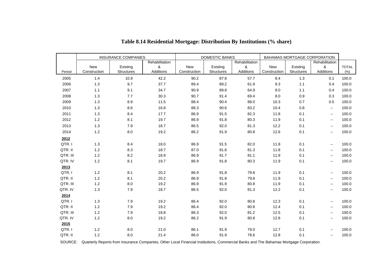|          | <b>INSURANCE COMPANIES</b> |            |                |              | DOMESTIC BANKS    |                | BAHAMAS MORTGAGE CORPORATION |            |                             |              |
|----------|----------------------------|------------|----------------|--------------|-------------------|----------------|------------------------------|------------|-----------------------------|--------------|
|          | Rehabilitation             |            | Rehabilitation |              |                   | Rehabilitation |                              |            |                             |              |
|          | <b>New</b>                 | Existing   | &              | New          | Existing          | &              | New                          | Existing   | &                           | <b>TOTAL</b> |
| Period   | Construction               | Structures | Additions      | Construction | <b>Structures</b> | Additions      | Construction                 | Structures | Additions                   | (% )         |
| 2005     | 1.4                        | 10.9       | 42.2           | 90.2         | 87.8              | 57.7           | 8.4                          | 1.3        | 0.1                         | 100.0        |
| 2006     | 1.3                        | 9.7        | 37.7           | 89.4         | 89.2              | 61.9           | 9.3                          | 1.1        | 0.4                         | 100.0        |
| 2007     | 1.1                        | 9.1        | 34.7           | 90.9         | 89.8              | 64.9           | 8.0                          | 1.1        | 0.4                         | 100.0        |
| 2008     | 1.3                        | 7.7        | 30.3           | 90.7         | 91.4              | 69.4           | 8.0                          | 0.9        | 0.3                         | 100.0        |
| 2009     | 1.3                        | 8.9        | 11.5           | 88.4         | 90.4              | 88.0           | 10.3                         | 0.7        | 0.5                         | 100.0        |
| 2010     | 1.3                        | 8.6        | 16.8           | 88.3         | 90.6              | 83.2           | 10.4                         | 0.8        | $\sim$                      | 100.0        |
| 2011     | 1.3                        | 8.4        | 17.7           | 86.9         | 91.5              | 82.3           | 11.8                         | 0.1        | $\sim$                      | 100.0        |
| 2012     | $1.2$                      | 8.1        | 19.7           | 86.9         | 91.8              | 80.3           | 11.9                         | 0.1        | $\sim$                      | 100.0        |
| 2013     | 1.3                        | 7.9        | 18.7           | 86.5         | 92.0              | 81.3           | 12.2                         | 0.1        | $\sim$                      | 100.0        |
| 2014     | $1.2$                      | $8.0\,$    | 19.2           | 86.2         | 91.9              | 80.8           | 12.6                         | 0.1        | $\sim$                      | 100.0        |
| 2012     |                            |            |                |              |                   |                |                              |            |                             |              |
| QTR.I    | 1.3                        | 8.4        | 18.0           | 86.9         | 91.5              | 82.0           | 11.8                         | 0.1        | $\mathcal{L}_{\mathcal{L}}$ | 100.0        |
| QTR. II  | $1.2$                      | 8.3        | 18.7           | 87.0         | 91.6              | 81.3           | 11.8                         | 0.1        | $\sim$                      | 100.0        |
| QTR. III | 1.2                        | 8.2        | 18.9           | 86.9         | 91.7              | 81.1           | 11.9                         | 0.1        | $\mathcal{L}_{\mathcal{L}}$ | 100.0        |
| QTR. IV  | $1.2$                      | 8.1        | 19.7           | 86.9         | 91.8              | 80.3           | 11.9                         | 0.1        | н.                          | 100.0        |
| 2013     |                            |            |                |              |                   |                |                              |            |                             |              |
| QTR.I    | $1.2$                      | 8.1        | 20.2           | 86.9         | 91.8              | 79.8           | 11.9                         | 0.1        | $\sim$                      | 100.0        |
| QTR. II  | $1.2$                      | 8.1        | 20.2           | 86.9         | 91.8              | 79.8           | 11.9                         | 0.1        | $\sim$                      | 100.0        |
| QTR. III | $1.2$                      | 8.0        | 19.2           | 86.9         | 91.9              | 80.8           | 11.9                         | 0.1        | н.                          | 100.0        |
| QTR. IV  | 1.3                        | 7.9        | 18.7           | 86.5         | 92.0              | 81.3           | 12.2                         | 0.1        | $\sim$                      | 100.0        |
| 2014     |                            |            |                |              |                   |                |                              |            |                             |              |
| QTR.I    | 1.3                        | 7.9        | 19.2           | 86.4         | 92.0              | 80.8           | 12.3                         | 0.1        | н.                          | 100.0        |
| QTR. II  | $1.2$                      | 7.9        | 19.2           | 86.4         | 92.0              | 80.8           | 12.4                         | 0.1        | $\mathcal{L}_{\mathcal{L}}$ | 100.0        |
| QTR. III | $1.2$                      | 7.9        | 18.8           | 86.3         | 92.0              | 81.2           | 12.5                         | 0.1        | $\sim$                      | 100.0        |
| QTR. IV  | $1.2$                      | $8.0\,$    | 19.2           | 86.2         | 91.9              | 80.8           | 12.6                         | 0.1        | $\sim$                      | 100.0        |
| 2015     |                            |            |                |              |                   |                |                              |            |                             |              |
| QTR.I    | 1.2                        | 8.0        | 21.0           | 86.1         | 91.9              | 79.0           | 12.7                         | 0.1        | $\sim$                      | 100.0        |
| QTR. II  | 1.2                        | 8.0        | 21.4           | 86.0         | 91.9              | 78.6           | 12.8                         | 0.1        | $\sim$                      | 100.0        |

## **Table 8.14 Residential Mortgage: Distribution By Institutions (% share)**

SOURCE: Quarterly Reports from Insurance Companies, Other Local Financial Institutions, Commercial Banks and The Bahamas Mortgage Corporation.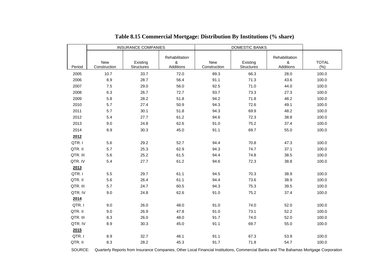|          |                            | <b>INSURANCE COMPANIES</b>    |                                  |                            |                               |                                  |                     |
|----------|----------------------------|-------------------------------|----------------------------------|----------------------------|-------------------------------|----------------------------------|---------------------|
| Period   | <b>New</b><br>Construction | Existing<br><b>Structures</b> | Rehabilitation<br>&<br>Additions | <b>New</b><br>Construction | Existing<br><b>Structures</b> | Rehabilitation<br>&<br>Additions | <b>TOTAL</b><br>(%) |
| 2005     | 10.7                       | 33.7                          | 72.0                             | 89.3                       | 66.3                          | 28.0                             | 100.0               |
| 2006     | 8.9                        | 28.7                          | 56.4                             | 91.1                       | 71.3                          | 43.6                             | 100.0               |
| 2007     | 7.5                        | 29.0                          | 56.0                             | 92.5                       | 71.0                          | 44.0                             | 100.0               |
| 2008     | 6.3                        | 26.7                          | 72.7                             | 93.7                       | 73.3                          | 27.3                             | 100.0               |
| 2009     | 5.8                        | 28.2                          | 51.8                             | 94.2                       | 71.8                          | 48.2                             | 100.0               |
| 2010     | 5.7                        | 27.4                          | 50.9                             | 94.3                       | 72.6                          | 49.1                             | 100.0               |
| 2011     | 5.7                        | 30.1                          | 51.8                             | 94.3                       | 69.9                          | 48.2                             | 100.0               |
| 2012     | 5.4                        | 27.7                          | 61.2                             | 94.6                       | 72.3                          | 38.8                             | 100.0               |
| 2013     | 9.0                        | 24.8                          | 62.6                             | 91.0                       | 75.2                          | 37.4                             | 100.0               |
| 2014     | 8.9                        | 30.3                          | 45.0                             | 91.1                       | 69.7                          | 55.0                             | 100.0               |
| 2012     |                            |                               |                                  |                            |                               |                                  |                     |
| QTR.I    | 5.6                        | 29.2                          | 52.7                             | 94.4                       | 70.8                          | 47.3                             | 100.0               |
| QTR. II  | 5.7                        | 25.3                          | 62.9                             | 94.3                       | 74.7                          | 37.1                             | 100.0               |
| QTR. III | 5.6                        | 25.2                          | 61.5                             | 94.4                       | 74.8                          | 38.5                             | 100.0               |
| QTR. IV  | 5.4                        | 27.7                          | 61.2                             | 94.6                       | 72.3                          | 38.8                             | 100.0               |
| 2013     |                            |                               |                                  |                            |                               |                                  |                     |
| QTR.I    | 5.5                        | 29.7                          | 61.1                             | 94.5                       | 70.3                          | 38.9                             | 100.0               |
| QTR. II  | 5.6                        | 26.4                          | 61.1                             | 94.4                       | 73.6                          | 38.9                             | 100.0               |
| QTR. III | 5.7                        | 24.7                          | 60.5                             | 94.3                       | 75.3                          | 39.5                             | 100.0               |
| QTR. IV  | 9.0                        | 24.8                          | 62.6                             | 91.0                       | 75.2                          | 37.4                             | 100.0               |
| 2014     |                            |                               |                                  |                            |                               |                                  |                     |
| QTR.I    | 9.0                        | 26.0                          | 48.0                             | 91.0                       | 74.0                          | 52.0                             | 100.0               |
| QTR. II  | 9.0                        | 26.9                          | 47.8                             | 91.0                       | 73.1                          | 52.2                             | 100.0               |
| QTR. III | 8.3                        | 26.0                          | 48.0                             | 91.7                       | 74.0                          | 52.0                             | 100.0               |
| QTR. IV  | 8.9                        | 30.3                          | 45.0                             | 91.1                       | 69.7                          | 55.0                             | 100.0               |
| 2015     |                            |                               |                                  |                            |                               |                                  |                     |
| QTR.I    | 8.9                        | 32.7                          | 46.1                             | 91.1                       | 67.3                          | 53.9                             | 100.0               |
| QTR. II  | 8.3                        | 28.2                          | 45.3                             | 91.7                       | 71.8                          | 54.7                             | 100.0               |

SOURCE: Quarterly Reports from Insurance Companies, Other Local Financial Institutions, Commercial Banks and The Bahamas Mortgage Corporation.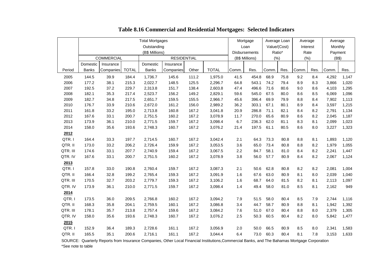|          | <b>Total Mortgages</b>                  |           |              |              |           |       |                      | Mortgage       |        | Average Loan |      | Average  |         | Average |       |
|----------|-----------------------------------------|-----------|--------------|--------------|-----------|-------|----------------------|----------------|--------|--------------|------|----------|---------|---------|-------|
|          |                                         |           |              | Outstanding  |           |       |                      | Loan           |        | Value/(Cost) |      | Interest |         | Monthly |       |
|          | (B\$ Millions)                          |           |              |              |           |       | <b>Disbursements</b> |                | Ratio* |              | Rate |          | Payment |         |       |
|          | <b>COMMERCIAL</b><br><b>RESIDENTIAL</b> |           |              |              |           |       |                      | (B\$ Millions) |        | (%)          | (%)  |          | (B\$)   |         |       |
|          | Domestic                                | Insurance |              | Domestic     | Insurance |       |                      |                |        |              |      |          |         |         |       |
| Period   | <b>Banks</b>                            | Companies | <b>TOTAL</b> | <b>Banks</b> | Companies | Other | <b>TOTAL</b>         | Comm.          | Res.   | Comm.        | Res. | Comm.    | Res.    | Comm.   | Res.  |
| 2005     | 144.5                                   | 39.9      | 184.4        | 1,736.7      | 145.6     | 111.2 | 1,975.0              | 41.5           | 454.8  | 68.9         | 75.8 | 9.2      | 8.4     | 4,292   | 1,147 |
| 2006     | 177.2                                   | 38.1      | 215.3        | 2,022.7      | 148.5     | 125.5 | 2,296.7              | 64.8           | 543.1  | 74.2         | 79.4 | 8.9      | 8.3     | 3,866   | 1,020 |
| 2007     | 192.5                                   | 37.2      | 229.7        | 2,313.8      | 151.7     | 138.4 | 2,603.8              | 47.4           | 496.6  | 71.6         | 80.6 | 9.0      | 8.6     | 4,103   | 1,295 |
| 2008     | 182.1                                   | 35.3      | 217.4        | 2,523.7      | 156.2     | 149.2 | 2,829.1              | 59.6           | 545.0  | 67.5         | 80.0 | 8.6      | 8.5     | 6,069   | 1,096 |
| 2009     | 182.7                                   | 34.8      | 217.5        | 2,651.7      | 159.5     | 155.5 | 2,966.7              | 45.6           | 396.4  | 69.9         | 79.9 | 8.8      | 8.4     | 7,902   | 1,113 |
| 2010     | 176.7                                   | 33.9      | 210.6        | 2,672.0      | 161.2     | 156.0 | 2,989.2              | 36.2           | 303.1  | 67.1         | 80.1 | 8.9      | 8.4     | 3,597   | 1,215 |
| 2011     | 161.8                                   | 33.2      | 195.0        | 2,713.8      | 160.8     | 167.2 | 3,041.8              | 20.9           | 286.8  | 71.1         | 82.1 | 8.4      | 8.2     | 2,791   | 1,134 |
| 2012     | 167.6                                   | 33.1      | 200.7        | 2,751.5      | 160.2     | 167.2 | 3,078.9              | 11.7           | 270.0  | 65.6         | 80.9 | 8.6      | 8.2     | 2,045   | 1,187 |
| 2013     | 173.9                                   | 36.1      | 210.0        | 2,771.5      | 159.7     | 167.2 | 3,098.4              | 6.7            | 236.3  | 62.0         | 81.1 | 8.3      | 8.1     | 2,099   | 1,023 |
| 2014     | 158.0                                   | 35.6      | 193.6        | 2,748.3      | 160.7     | 167.2 | 3,076.2              | 21.4           | 197.5  | 61.1         | 80.5 | 8.6      | 8.0     | 3,227   | 1,323 |
| 2012     |                                         |           |              |              |           |       |                      |                |        |              |      |          |         |         |       |
| QTR.I    | 164.4                                   | 33.3      | 197.7        | 2,714.5      | 160.7     | 167.2 | 3,042.4              | 2.1            | 64.3   | 73.3         | 80.8 | 8.8      | 8.1     | 1,893   | 1,120 |
| QTR. II  | 173.0                                   | 33.2      | 206.2        | 2,726.4      | 159.9     | 167.2 | 3,053.5              | 3.6            | 65.0   | 73.4         | 80.8 | 8.8      | 8.2     | 1,979   | 1,055 |
| QTR. III | 174.6                                   | 33.1      | 207.7        | 2,740.9      | 159.4     | 167.2 | 3,067.5              | 2.2            | 84.7   | 58.1         | 81.0 | 8.4      | 8.2     | 2,241   | 1,447 |
| QTR. IV  | 167.6                                   | 33.1      | 200.7        | 2,751.5      | 160.2     | 167.2 | 3,078.9              | 3.8            | 56.0   | 57.7         | 80.9 | 8.4      | 8.2     | 2,067   | 1,124 |
| 2013     |                                         |           |              |              |           |       |                      |                |        |              |      |          |         |         |       |
| QTR.I    | 157.8                                   | 33.0      | 190.8        | 2,760.4      | 159.7     | 167.2 | 3,087.3              | 2.1            | 50.6   | 62.8         | 80.8 | 8.2      | 8.2     | 2,081   | 1,004 |
| QTR. II  | 166.4                                   | 32.8      | 199.2        | 2,765.4      | 159.3     | 167.2 | 3,091.9              | 1.6            | 67.6   | 63.0         | 80.9 | 8.1      | 8.0     | 2,039   | 1,040 |
| QTR. III | 170.5                                   | 32.7      | 203.2        | 2,779.7      | 159.3     | 167.2 | 3,106.2              | 1.6            | 68.7   | 64.0         | 81.5 | 8.2      | 8.1     | 2,113   | 1,097 |
| QTR. IV  | 173.9                                   | 36.1      | 210.0        | 2,771.5      | 159.7     | 167.2 | 3,098.4              | 1.4            | 49.4   | 58.0         | 81.0 | 8.5      | 8.1     | 2,162   | 949   |
| 2014     |                                         |           |              |              |           |       |                      |                |        |              |      |          |         |         |       |
| QTR.I    | 173.5                                   | 36.0      | 209.5        | 2,766.8      | 160.2     | 167.2 | 3,094.2              | 7.9            | 51.5   | 58.0         | 80.4 | 8.5      | 7.9     | 2,744   | 1,116 |
| QTR. II  | 168.3                                   | 35.8      | 204.1        | 2,759.5      | 160.1     | 167.2 | 3,086.8              | 3.4            | 44.7   | 58.7         | 80.9 | 8.8      | 8.1     | 1,942   | 1,392 |
| QTR. III | 178.1                                   | 35.7      | 213.8        | 2,757.4      | 159.6     | 167.2 | 3,084.2              | 7.6            | 51.0   | 67.0         | 80.4 | 8.8      | 8.0     | 2,379   | 1,305 |
| QTR. IV  | 158.0                                   | 35.6      | 193.6        | 2,748.3      | 160.7     | 167.2 | 3,076.2              | 2.5            | 50.3   | 60.5         | 80.4 | 8.2      | 8.0     | 5,842   | 1,477 |
| 2015     |                                         |           |              |              |           |       |                      |                |        |              |      |          |         |         |       |
| QTR.I    | 152.9                                   | 36.4      | 189.3        | 2,728.6      | 161.1     | 167.2 | 3,056.9              | 2.0            | 50.0   | 66.5         | 80.9 | 8.5      | 8.0     | 2,341   | 1,583 |
| QTR. II  | 165.5                                   | 35.1      | 200.6        | 2,716.1      | 161.1     | 167.2 | 3,044.4              | 6.4            | 73.0   | 60.3         | 80.4 | 8.1      | 7.8     | 3,153   | 1,633 |
|          |                                         |           |              |              |           |       |                      |                |        |              |      |          |         |         |       |

## **Table 8.16 Commercial and Residential Mortgages: Selected Indicators**

 SOURCE: Quarterly Reports from Insurance Companies, Other Local Financial Institutions,Commercial Banks, and The Bahamas Mortgage Corporation \*See note to table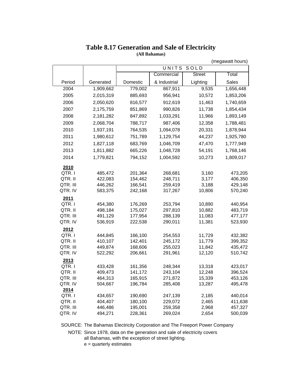|                     |                    |                    |                    |                  | (megawatt hours)   |
|---------------------|--------------------|--------------------|--------------------|------------------|--------------------|
|                     |                    |                    | UNITS              | SOLD             |                    |
|                     |                    |                    | Commercial         | <b>Street</b>    | Total              |
| Period              | Generated          | Domestic           | & Industrial       | Lighting         | Sales              |
| 2004                | 1,909,662          | 779,002            | 867,911            | 9,535            | 1,656,448          |
| 2005                | 2,015,319          | 885,693            | 956,941            | 10,572           | 1,853,206          |
| 2006                | 2,050,620          | 816,577            | 912,619            | 11,463           | 1,740,659          |
| 2007                | 2,175,759          | 851,869            | 990,826            | 11,738           | 1,854,434          |
| 2008                | 2,181,282          | 847,892            | 1,033,291          | 11,966           | 1,893,149          |
| 2009                | 2,068,704          | 788,717            | 987,406            | 12,358           | 1,788,481          |
| 2010                | 1,937,191          | 764,535            | 1,094,078          | 20,331           | 1,878,944          |
| 2011                | 1,980,612          | 751,789            | 1,129,754          | 44,237           | 1,925,780          |
| 2012                | 1,827,118          | 683,769            | 1,046,709          | 47,470           | 1,777,949          |
| 2013                | 1,811,882          | 665,226            | 1,048,728          | 54,191           | 1,768,146          |
| 2014                | 1,779,821          | 794,152            | 1,004,592          | 10,273           | 1,809,017          |
|                     |                    |                    |                    |                  |                    |
| 2010<br>QTR.I       | 485,472            | 201,364            | 268,681            | 3,160            | 473,205            |
| QTR. II             | 422,083            | 154,462            | 248,711            | 3,177            | 406,350            |
| QTR. III            | 446,262            | 166,541            | 259,419            | 3,188            | 429,148            |
| QTR. IV             | 583,375            | 242,168            | 317,267            | 10,806           | 570,240            |
| 2011                |                    |                    |                    |                  |                    |
| QTR.I               | 454,380            | 176,269            | 253,794            | 10,890           | 440,954            |
| QTR. II             | 498,184            | 175,027            | 297,810            | 10,882           | 483,719            |
| QTR. III            | 491,129            | 177,954            | 288,139            | 11,083           | 477,177            |
| QTR. IV             | 536,919            | 222,538            | 290,011            | 11,381           | 523,930            |
| 2012                |                    |                    |                    |                  |                    |
| QTR.I               | 444,845            | 166,100            | 254,553            | 11,729           | 432,382            |
| QTR. II             | 410,107            | 142,401            | 245,172            | 11,779           | 399,352            |
| QTR. III            | 449,874            | 168,606            | 255,023            | 11,842           | 435,472            |
| QTR. IV             | 522,292            | 206,661            | 291,961            | 12,120           | 510,742            |
| 2013                |                    |                    |                    |                  |                    |
| QTR.I               | 433,428            | 161,356            | 248,344            | 13,318           | 423,017            |
| QTR. II             | 409,473            | 141,172            | 243,104            | 12,248           | 396,524            |
| QTR. III<br>QTR. IV | 464,313<br>504,667 | 165,915<br>196,784 | 271,872<br>285,408 | 15,339<br>13,287 | 453,126<br>495,478 |
| 2014                |                    |                    |                    |                  |                    |
| QTR.I               | 434,657            | 190,690            | 247,139            | 2,185            | 440,014            |
| QTR. II             | 404,407            | 180,100            | 229,072            | 2,465            | 411,638            |
| QTR. III            | 446,486            | 195,001            | 259,358            | 2,968            | 457,327            |
| QTR. IV             | 494,271            | 228,361            | 269,024            | 2,654            | 500,039            |

# **Table 8.17 Generation and Sale of Electricity**

**(All Bahamas)**

SOURCE: The Bahamas Electricity Corporation and The Freeport Power Company

NOTE: Since 1978, data on the generation and sale of electricity covers all Bahamas, with the exception of street lighting.

e = quarterly estimates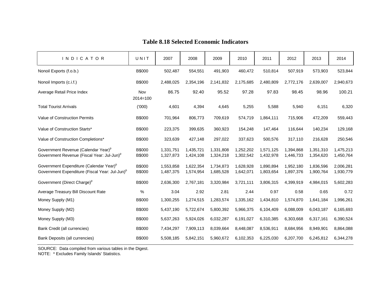| <b>INDICATOR</b>                                                                                                  | UNIT                    | 2007                   | 2008                   | 2009                   | 2010                   | 2011                   | 2012                   | 2013                   | 2014                   |
|-------------------------------------------------------------------------------------------------------------------|-------------------------|------------------------|------------------------|------------------------|------------------------|------------------------|------------------------|------------------------|------------------------|
| Nonoil Exports (f.o.b.)                                                                                           | B\$000                  | 502,487                | 554,551                | 491,903                | 460,472                | 510,814                | 507,919                | 573,903                | 523,844                |
| Nonoil Imports (c.i.f.)                                                                                           | B\$000                  | 2,488,025              | 2,354,196              | 2,141,832              | 2,175,685              | 2,480,809              | 2,772,176              | 2,639,007              | 2,940,673              |
| Average Retail Price Index                                                                                        | Nov<br>$2014 = 100$     | 86.75                  | 92.40                  | 95.52                  | 97.28                  | 97.83                  | 98.45                  | 98.96                  | 100.21                 |
| <b>Total Tourist Arrivals</b>                                                                                     | (000)                   | 4,601                  | 4,394                  | 4,645                  | 5,255                  | 5,588                  | 5,940                  | 6,151                  | 6,320                  |
| Value of Construction Permits                                                                                     | B\$000                  | 701,964                | 806,773                | 709,619                | 574,719                | 1,864,111              | 715,906                | 472,209                | 559,443                |
| Value of Construction Starts*                                                                                     | <b>B\$000</b>           | 223,375                | 399,635                | 360,923                | 154,248                | 147,464                | 116,644                | 140,234                | 129,168                |
| Value of Construction Completions*                                                                                | B\$000                  | 323,639                | 427,148                | 297,022                | 337,623                | 500,576                | 317,110                | 216,628                | 250,546                |
| Government Revenue (Calendar Year) <sup>p</sup><br>Government Revenue (Fiscal Year: Jul-Jun) <sup>p</sup>         | <b>B\$000</b><br>B\$000 | 1,331,751<br>1,327,873 | 1,435,721<br>1,424,108 | 1,331,808<br>1,324,218 | 1,252,202<br>1,302,542 | 1,571,125<br>1,432,978 | 1,394,868<br>1,446,733 | 1,351,310<br>1,354,620 | 1,475,213<br>1,450,764 |
| Government Expenditure (Calendar Year) <sup>p</sup><br>Government Expenditure (Fiscal Year: Jul-Jun) <sup>P</sup> | B\$000<br>B\$000        | 1,553,858<br>1,487,375 | 1,622,354<br>1,574,954 | 1,734,873<br>1,685,528 | 1,628,928<br>1,642,071 | 1,890,894<br>1,803,654 | 1,952,180<br>1,897,376 | 1,836,596<br>1,900,764 | 2,006,281<br>1,930,779 |
| Government (Direct Charge) <sup>p</sup>                                                                           | B\$000                  | 2,636,300              | 2,767,181              | 3,320,984              | 3,721,111              | 3,806,315              | 4,399,919              | 4,984,015              | 5,602,283              |
| Average Treasury Bill Discount Rate                                                                               | $\%$                    | 3.04                   | 2.92                   | 2.81                   | 2.44                   | 0.97                   | 0.58                   | 0.65                   | 0.72                   |
| Money Supply (M1)                                                                                                 | B\$000                  | 1,300,255              | 1,274,515              | 1,283,574              | 1,335,162              | 1,434,810              | 1,574,870              | 1,641,184              | 1,996,261              |
| Money Supply (M2)                                                                                                 | <b>B\$000</b>           | 5,437,190              | 5,722,674              | 5,800,392              | 5,966,375              | 6,104,409              | 6,088,009              | 6,043,187              | 6,165,693              |
| Money Supply (M3)                                                                                                 | B\$000                  | 5,637,263              | 5,924,026              | 6,032,287              | 6,191,027              | 6,310,385              | 6,303,668              | 6,317,161              | 6,390,524              |
| Bank Credit (all currencies)                                                                                      | <b>B\$000</b>           | 7,434,297              | 7,909,113              | 8,039,664              | 8,448,087              | 8,536,911              | 8,684,956              | 8,949,901              | 8,864,088              |
| Bank Deposits (all currencies)                                                                                    | B\$000                  | 5,508,185              | 5,842,151              | 5,960,672              | 6,102,353              | 6,225,030              | 6,207,700              | 6,245,812              | 6,344,278              |

## **Table 8.18 Selected Economic Indicators**

SOURCE: Data compiled from various tables in the Digest.

NOTE: \* Excludes Family Islands' Statistics.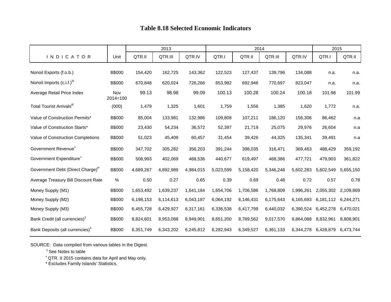## **Table 8.18 Selected Economic Indicators**

|                                              |                     | 2013      |           |           |           | 2014      | 2015      |           |                               |           |
|----------------------------------------------|---------------------|-----------|-----------|-----------|-----------|-----------|-----------|-----------|-------------------------------|-----------|
| <b>INDICATOR</b>                             | Unit                | QTR.II    | QTR.III   | QTR.IV    | QTR.I     | QTR.II    | QTR.III   | QTR.IV    | QTR.I                         | QTR.II    |
| Nonoil Exports (f.o.b.)                      | B\$000              | 154,420   | 162,725   | 143,362   | 122,523   | 127,437   | 139,796   | 134,088   | n.a.                          | n.a.      |
| Nonoil Imports $(c.i.f.)^R$                  | B\$000              | 670,848   | 620,024   | 726,266   | 653,982   | 692,946   | 770,697   | 823,047   | n.a.                          | n.a.      |
| Average Retail Price Index                   | Nov<br>$2014 = 100$ | 99.13     | 98.98     | 99.09     | 100.13    | 100.28    | 100.24    | 100.18    | 101.98                        | 101.99    |
| Total Tourist Arrivals <sup>R</sup>          | (000)               | 1,479     | 1,325     | 1,601     | 1,759     | 1,556     | 1,385     | 1,620     | 1,772                         | n.a.      |
| Value of Construction Permits*               | B\$000              | 85,004    | 133,981   | 132,986   | 109,808   | 107,211   | 186,120   | 156,306   | 86,462                        | n.a       |
| Value of Construction Starts*                | <b>B\$000</b>       | 23,430    | 54,234    | 36,572    | 52,397    | 21,719    | 25,075    | 29,976    | 26,604                        | n.a       |
| Value of Construction Completions            | B\$000              | 51,023    | 45,409    | 60,457    | 31,454    | 39,426    | 44,325    | 135,341   | 39,491                        | n.a       |
| Government Revenue <sup>+</sup>              | B\$000              | 347,702   | 305,282   | 356,203   | 391,244   | 398,035   | 316,471   | 369,463   | 488,429                       | 359,192   |
| Government Expenditure <sup>+</sup>          | <b>B</b> \$000      | 508,993   | 402,069   | 468,536   | 440,677   | 619,497   | 468,386   | 477,721   | 479,903                       | 361,822   |
| Government Debt (Direct Charge) <sup>P</sup> | B\$000              | 4,689,267 | 4,892,989 | 4,984,015 | 5,023,599 | 5,158,420 | 5,346,248 | 5,602,283 | 5,602,549                     | 5,655,150 |
| Average Treasury Bill Discount Rate          | $\%$                | 0.50      | 0.27      | 0.65      | 0.39      | 0.69      | 0.48      | 0.72      | 0.57                          | 0.78      |
| Money Supply (M1)                            | B\$000              | 1,653,492 | 1,639,237 | 1,641,184 | 1,654,706 | 1,706,586 | 1,768,809 | 1,996,261 | 2,055,302 2,109,869           |           |
| Money Supply (M2)                            | <b>B</b> \$000      | 6,198,153 | 6,114,613 | 6,043,187 | 6,064,192 | 6,146,431 | 6,175,643 | 6,165,693 | 6,181,112 6,244,271           |           |
| Money Supply (M3)                            | B\$000              | 6,455,728 | 6,429,927 | 6,317,161 | 6,336,538 | 6,417,799 | 6,440,032 | 6,390,524 | 6,452,278                     | 6,470,021 |
| Bank Credit (all currencies) <sup>1</sup>    | B\$000              | 8,824,601 | 8,953,088 | 8,949,901 | 8,651,200 | 8,789,562 | 9,017,570 | 8,864,088 | 8,832,961                     | 8,808,901 |
| Bank Deposits (all currencies) <sup>1</sup>  | B\$000              | 6,351,749 | 6,343,202 | 6,245,812 | 6,282,943 | 6,349,527 | 6,361,133 |           | 6,344,278 6,428,879 6,473,744 |           |

SOURCE: Data compiled from various tables in the Digest.

<sup>1</sup> See Notes to table

<sup>+</sup> QTR. II 2015 contains data for April and May only.

\* Excludes Family Islands' Statistics.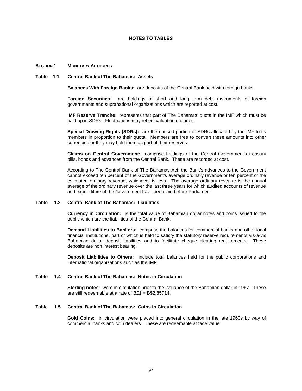#### **NOTES TO TABLES**

#### **SECTION 1 MONETARY AUTHORITY**

#### **Table 1.1 Central Bank of The Bahamas: Assets**

**Balances With Foreign Banks:** are deposits of the Central Bank held with foreign banks.

**Foreign Securities**: are holdings of short and long term debt instruments of foreign governments and supranational organizations which are reported at cost.

**IMF Reserve Tranche:** represents that part of The Bahamas' quota in the IMF which must be paid up in SDRs. Fluctuations may reflect valuation changes.

**Special Drawing Rights (SDRs):** are the unused portion of SDRs allocated by the IMF to its members in proportion to their quota. Members are free to convert these amounts into other currencies or they may hold them as part of their reserves.

**Claims on Central Government:** comprise holdings of the Central Government's treasury bills, bonds and advances from the Central Bank. These are recorded at cost.

According to The Central Bank of The Bahamas Act, the Bank's advances to the Government cannot exceed ten percent of the Government's average ordinary revenue or ten percent of the estimated ordinary revenue, whichever is less. The average ordinary revenue is the annual average of the ordinary revenue over the last three years for which audited accounts of revenue and expenditure of the Government have been laid before Parliament.

#### **Table 1.2 Central Bank of The Bahamas: Liabilities**

**Currency in Circulation:** is the total value of Bahamian dollar notes and coins issued to the public which are the liabilities of the Central Bank.

**Demand Liabilities to Bankers**: comprise the balances for commercial banks and other local financial institutions, part of which is held to satisfy the statutory reserve requirements vis-à-vis Bahamian dollar deposit liabilities and to facilitate cheque clearing requirements. These deposits are non interest bearing.

**Deposit Liabilities to Others:** include total balances held for the public corporations and international organizations such as the IMF.

#### **Table 1.4 Central Bank of The Bahamas: Notes in Circulation**

**Sterling notes**: were in circulation prior to the issuance of the Bahamian dollar in 1967. These are still redeemable at a rate of  $B£1 = B$2.85714$ .

#### **Table 1.5 Central Bank of The Bahamas: Coins in Circulation**

**Gold Coins:** in circulation were placed into general circulation in the late 1960s by way of commercial banks and coin dealers. These are redeemable at face value.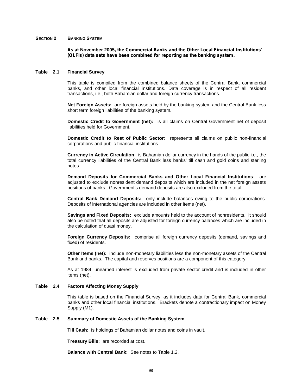#### **SECTION 2 BANKING SYSTEM**

*As at* **November 2005***, the Commercial Banks and the Other Local Financial Institutions' (OLFIs) data sets have been combined for reporting as the banking system.*

#### **Table 2.1 Financial Survey**

This table is compiled from the combined balance sheets of the Central Bank, commercial banks, and other local financial institutions. Data coverage is in respect of all resident transactions, i.e., both Bahamian dollar and foreign currency transactions.

**Net Foreign Assets:** are foreign assets held by the banking system and the Central Bank less short term foreign liabilities of the banking system.

**Domestic Credit to Government (net):** is all claims on Central Government net of deposit liabilities held for Government.

**Domestic Credit to Rest of Public Sector**: represents all claims on public non-financial corporations and public financial institutions.

**Currency in Active Circulation**: is Bahamian dollar currency in the hands of the public i.e., the total currency liabilities of the Central Bank less banks' till cash and gold coins and sterling notes.

**Demand Deposits for Commercial Banks and Other Local Financial Institutions**: are adjusted to exclude nonresident demand deposits which are included in the net foreign assets positions of banks. Government's demand deposits are also excluded from the total.

**Central Bank Demand Deposits:** only include balances owing to the public corporations. Deposits of international agencies are included in other items (net).

**Savings and Fixed Deposits:** exclude amounts held to the account of nonresidents. It should also be noted that all deposits are adjusted for foreign currency balances which are included in the calculation of quasi money.

**Foreign Currency Deposits:** comprise all foreign currency deposits (demand, savings and fixed) of residents.

**Other Items (net):** include non-monetary liabilities less the non-monetary assets of the Central Bank and banks. The capital and reserves positions are a component of this category.

As at 1984, unearned interest is excluded from private sector credit and is included in other items (net).

#### **Table 2.4 Factors Affecting Money Supply**

This table is based on the Financial Survey, as it includes data for Central Bank, commercial banks and other local financial institutions. Brackets denote a contractionary impact on Money Supply (M1).

#### **Table 2.5 Summary of Domestic Assets of the Banking System**

**Till Cash:** is holdings of Bahamian dollar notes and coins in vault**.**

**Treasury Bills:** are recorded at cost.

**Balance with Central Bank:** See notes to Table 1.2.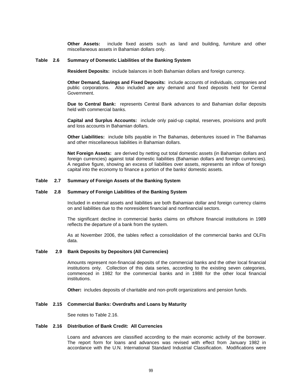**Other Assets:** include fixed assets such as land and building, furniture and other miscellaneous assets in Bahamian dollars only.

#### **Table 2.6 Summary of Domestic Liabilities of the Banking System**

**Resident Deposits:** include balances in both Bahamian dollars and foreign currency.

**Other Demand, Savings and Fixed Deposits:** include accounts of individuals, companies and public corporations. Also included are any demand and fixed deposits held for Central Government.

**Due to Central Bank:** represents Central Bank advances to and Bahamian dollar deposits held with commercial banks.

**Capital and Surplus Accounts:** include only paid-up capital, reserves, provisions and profit and loss accounts in Bahamian dollars.

**Other Liabilities:** include bills payable in The Bahamas, debentures issued in The Bahamas and other miscellaneous liabilities in Bahamian dollars.

**Net Foreign Assets:** are derived by netting out total domestic assets (in Bahamian dollars and foreign currencies) against total domestic liabilities (Bahamian dollars and foreign currencies). A negative figure, showing an excess of liabilities over assets, represents an inflow of foreign capital into the economy to finance a portion of the banks' domestic assets.

#### **Table 2.7 Summary of Foreign Assets of the Banking System**

#### **Table 2.8 Summary of Foreign Liabilities of the Banking System**

Included in external assets and liabilities are both Bahamian dollar and foreign currency claims on and liabilities due to the nonresident financial and nonfinancial sectors.

The significant decline in commercial banks claims on offshore financial institutions in 1989 reflects the departure of a bank from the system.

As at November 2006, the tables reflect a consolidation of the commercial banks and OLFIs data.

#### **Table 2.9 Bank Deposits by Depositors (All Currencies)**

Amounts represent non-financial deposits of the commercial banks and the other local financial institutions only. Collection of this data series, according to the existing seven categories, commenced in 1982 for the commercial banks and in 1988 for the other local financial institutions.

**Other***:* includes deposits of charitable and non-profit organizations and pension funds.

#### **Table 2.15 Commercial Banks: Overdrafts and Loans by Maturity**

See notes to Table 2.16.

#### **Table 2.16 Distribution of Bank Credit: All Currencies**

Loans and advances are classified according to the main economic activity of the borrower. The report form for loans and advances was revised with effect from January 1982 in accordance with the U.N. International Standard Industrial Classification. Modifications were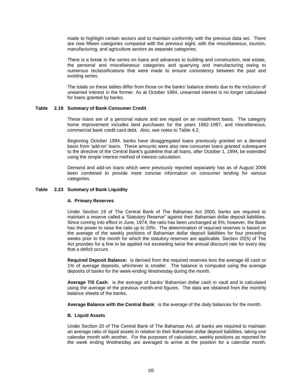made to highlight certain sectors and to maintain conformity with the previous data set. There are now fifteen categories compared with the previous eight, with the miscellaneous, tourism, manufacturing, and agriculture sectors as separate categories.

There is a break in the series on loans and advances to building and construction, real estate, the personal and miscellaneous categories and quarrying and manufacturing owing to numerous reclassifications that were made to ensure consistency between the past and existing series.

The totals on these tables differ from those on the banks' balance sheets due to the inclusion of unearned interest in the former. As at October 1994, unearned interest is no longer calculated for loans granted by banks.

#### **Table 2.19 Summary of Bank Consumer Credit**

These loans are of a personal nature and are repaid on an installment basis. The category home improvement includes land purchases for the years 1982-1987, and miscellaneous, commercial bank credit card debt. Also, see notes to Table 4.2.

Beginning October 1994, banks have disaggregated loans previously granted on a demand basis from 'add-on' loans. These amounts were also new consumer loans granted subsequent to the directive of the Central Bank's guideline that all loans, after October 1, 1994, be extended using the simple interest method of interest calculation.

Demand and add-on loans which were previously reported separately has as of August 2006 been combined to provide more concise information on consumer lending for various categories.

#### **Table 2.23 Summary of Bank Liquidity**

#### **A. Primary Reserves**

Under Section 19 of The Central Bank of The Bahamas Act 2000, banks are required to maintain a reserve called a 'Statutory Reserve" against their Bahamian dollar deposit liabilities. Since coming into effect in June, 1974, the ratio has been unchanged at 5%; however, the Bank has the power to raise the ratio up to 20%. The determination of required reserves is based on the average of the weekly positions of Bahamian dollar deposit liabilities for four preceding weeks prior to the month for which the statutory reserves are applicable. Section 20(5) of The Act provides for a fine to be applied not exceeding twice the annual discount rate for every day that a deficit occurs.

**Required Deposit Balance:** is derived from the required reserves less the average till cash or 1% of average deposits, whichever is smaller. The balance is computed using the average deposits of banks for the week-ending Wednesday during the month.

**Average Till Cash**: is the average of banks' Bahamian dollar cash in vault and is calculated using the average of the previous month-end figures. The data are obtained from the monthly balance sheets of the banks.

**Average Balance with the Central Bank**: is the average of the daily balances for the month.

#### **B. Liquid Assets**

Under Section 20 of The Central Bank of The Bahamas Act, all banks are required to maintain an average ratio of liquid assets in relation to their Bahamian dollar deposit liabilities, taking one calendar month with another. For the purposes of calculation, weekly positions as reported for the week ending Wednesday are averaged to arrive at the position for a calendar month.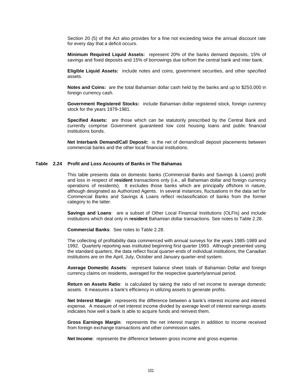Section 20 (5) of the Act also provides for a fine not exceeding twice the annual discount rate for every day that a deficit occurs.

**Minimum Required Liquid Assets:** represent 20% of the banks demand deposits, 15% of savings and fixed deposits and 15% of borrowings due to/from the central bank and inter bank.

**Eligible Liquid Assets:** include notes and coins, government securities, and other specified assets.

**Notes and Coins:** are the total Bahamian dollar cash held by the banks and up to \$250,000 in foreign currency cash.

**Government Registered Stocks:** include Bahamian dollar registered stock, foreign currency stock for the years 1979-1981.

**Specified Assets:** are those which can be statutorily prescribed by the Central Bank and currently comprise Government guaranteed low cost housing loans and public financial institutions bonds.

**Net Interbank Demand/Call Deposit:** is the net of demand/call deposit placements between commercial banks and the other local financial institutions.

#### **Table 2.24 Profit and Loss Accounts of Banks in The Bahamas**

This table presents data on domestic banks (Commercial Banks and Savings & Loans) profit and loss in respect of **resident** transactions only (i.e., all Bahamian dollar and foreign currency operations of residents). It excludes those banks which are principally offshore in nature, although designated as Authorized Agents. In several instances, fluctuations in the data set for Commercial Banks and Savings & Loans reflect reclassification of banks from the former category to the latter.

**Savings and Loans**: are a subset of Other Local Financial Institutions (OLFIs) and include institutions which deal only in **resident** Bahamian dollar transactions. See notes to Table 2.28.

**Commercial Banks**: See notes to Table 2.28.

The collecting of profitability data commenced with annual surveys for the years 1985-1989 and 1992. Quarterly reporting was instituted beginning first quarter 1993. Although presented using the standard quarters, the data reflect fiscal quarter-ends of individual institutions; the Canadian institutions are on the April, July, October and January quarter-end system.

**Average Domestic Assets**: represent balance sheet totals of Bahamian Dollar and foreign currency claims on residents, averaged for the respective quarterly/annual period.

**Return on Assets Ratio**: is calculated by taking the ratio of net income to average domestic assets. It measures a bank's efficiency in utilizing assets to generate profits.

**Net Interest Margin:** represents the difference between a bank's interest income and interest expense. A measure of net interest income divided by average level of interest earnings assets indicates how well a bank is able to acquire funds and reinvest them.

**Gross Earnings Margin**: represents the net interest margin in addition to income received from foreign exchange transactions and other commission sales.

**Net Income**: represents the difference between gross income and gross expense.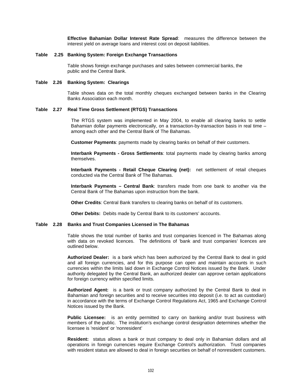**Effective Bahamian Dollar Interest Rate Spread**: measures the difference between the interest yield on average loans and interest cost on deposit liabilities.

#### **Table 2.25 Banking System: Foreign Exchange Transactions**

Table shows foreign exchange purchases and sales between commercial banks, the public and the Central Bank.

#### **Table 2.26 Banking System: Clearings**

Table shows data on the total monthly cheques exchanged between banks in the Clearing Banks Association each month.

#### **Table 2.27 Real Time Gross Settlement (RTGS) Transactions**

The RTGS system was implemented in May 2004, to enable all clearing banks to settle Bahamian dollar payments electronically, on a transaction-by-transaction basis in real time – among each other and the Central Bank of The Bahamas.

**Customer Payments**: payments made by clearing banks on behalf of their customers.

**Interbank Payments - Gross Settlements**: total payments made by clearing banks among themselves.

**Interbank Payments - Retail Cheque Clearing (net):** net settlement of retail cheques conducted via the Central Bank of The Bahamas.

**Interbank Payments – Central Bank**: transfers made from one bank to another via the Central Bank of The Bahamas upon instruction from the bank.

**Other Credits**: Central Bank transfers to clearing banks on behalf of its customers.

**Other Debits:** Debits made by Central Bank to its customers' accounts.

#### **Table 2.28 Banks and Trust Companies Licensed in The Bahamas**

Table shows the total number of banks and trust companies licenced in The Bahamas along with data on revoked licences. The definitions of 'bank and trust companies' licences are outlined below.

**Authorized Dealer:** is a bank which has been authorized by the Central Bank to deal in gold and all foreign currencies, and for this purpose can open and maintain accounts in such currencies within the limits laid down in Exchange Control Notices issued by the Bank. Under authority delegated by the Central Bank, an authorized dealer can approve certain applications for foreign currency within specified limits.

**Authorized Agent:** is a bank or trust company authorized by the Central Bank to deal in Bahamian and foreign securities and to receive securities into deposit (i.e. to act as custodian) in accordance with the terms of Exchange Control Regulations Act, 1965 and Exchange Control Notices issued by the Bank.

**Public Licensee:** is an entity permitted to carry on banking and/or trust business with members of the public. The institution's exchange control designation determines whether the licensee is 'resident' or 'nonresident'

**Resident:** status allows a bank or trust company to deal only in Bahamian dollars and all operations in foreign currencies require Exchange Control's authorization. Trust companies with resident status are allowed to deal in foreign securities on behalf of nonresident customers.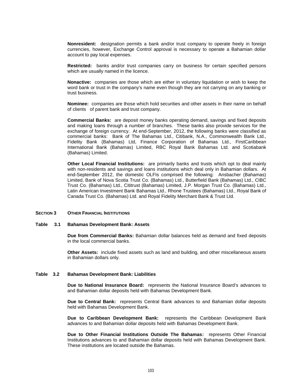**Nonresident:** designation permits a bank and/or trust company to operate freely in foreign currencies, however, Exchange Control approval is necessary to operate a Bahamian dollar account to pay local expenses.

**Restricted:** banks and/or trust companies carry on business for certain specified persons which are usually named in the licence.

**Nonactive:** companies are those which are either in voluntary liquidation or wish to keep the word bank or trust in the company's name even though they are not carrying on any banking or trust business.

**Nominee:** companies are those which hold securities and other assets in their name on behalf of clients of parent bank and trust company.

**Commercial Banks:** are deposit money banks operating demand, savings and fixed deposits and making loans through a number of branches. These banks also provide services for the exchange of foreign currency. At end-September, 2012, the following banks were classified as commercial banks: Bank of The Bahamas Ltd., Citibank, N.A., Commonwealth Bank Ltd., Fidelity Bank (Bahamas) Ltd, Finance Corporation of Bahamas Ltd., FirstCaribbean International Bank (Bahamas) Limited, RBC Royal Bank Bahamas Ltd. and Scotiabank (Bahamas) Limited.

**Other Local Financial Institutions:** are primarily banks and trusts which opt to deal mainly with non-residents and savings and loans institutions which deal only in Bahamian dollars. At end-September 2012, the domestic OLFIs comprised the following: Ansbacher (Bahamas) Limited, Bank of Nova Scotia Trust Co. (Bahamas) Ltd., Butterfield Bank (Bahamas) Ltd., CIBC Trust Co. (Bahamas) Ltd., Cititrust (Bahamas) Limited, J.P. Morgan Trust Co. (Bahamas) Ltd., Latin American Investment Bank Bahamas Ltd., Rhone Trustees (Bahamas) Ltd., Royal Bank of Canada Trust Co. (Bahamas) Ltd. and Royal Fidelity Merchant Bank & Trust Ltd.

#### **SECTION 3 OTHER FINANCIAL INSTITUTIONS**

#### **Table 3.1 Bahamas Development Bank: Assets**

**Due from Commercial Banks:** Bahamian dollar balances held as demand and fixed deposits in the local commercial banks.

**Other Assets:** include fixed assets such as land and building, and other miscellaneous assets in Bahamian dollars only.

#### **Table 3.2 Bahamas Development Bank: Liabilities**

**Due to National Insurance Board:** represents the National Insurance Board's advances to and Bahamian dollar deposits held with Bahamas Development Bank.

**Due to Central Bank:** represents Central Bank advances to and Bahamian dollar deposits held with Bahamas Development Bank.

**Due to Caribbean Development Bank:** represents the Caribbean Development Bank advances to and Bahamian dollar deposits held with Bahamas Development Bank.

**Due to Other Financial Institutions Outside The Bahamas:** represents Other Financial Institutions advances to and Bahamian dollar deposits held with Bahamas Development Bank. These institutions are located outside the Bahamas.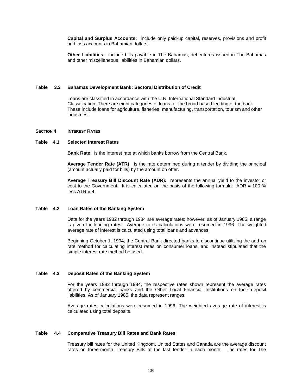**Capital and Surplus Accounts:** include only paid-up capital, reserves, provisions and profit and loss accounts in Bahamian dollars.

**Other Liabilities:** include bills payable in The Bahamas, debentures issued in The Bahamas and other miscellaneous liabilities in Bahamian dollars.

### **Table 3.3 Bahamas Development Bank: Sectoral Distribution of Credit**

Loans are classified in accordance with the U.N. International Standard Industrial Classification. There are eight categories of loans for the broad based lending of the bank. These include loans for agriculture, fisheries, manufacturing, transportation, tourism and other industries.

### **SECTION 4 INTEREST RATES**

#### **Table 4.1 Selected Interest Rates**

**Bank Rate**: is the interest rate at which banks borrow from the Central Bank.

**Average Tender Rate (ATR)**: is the rate determined during a tender by dividing the principal (amount actually paid for bills) by the amount on offer.

**Average Treasury Bill Discount Rate (ADR):** represents the annual yield to the investor or cost to the Government. It is calculated on the basis of the following formula:  $ADR = 100\%$ less  $ATR \times 4$ .

### **Table 4.2 Loan Rates of the Banking System**

Data for the years 1982 through 1984 are average rates; however, as of January 1985, a range is given for lending rates. Average rates calculations were resumed in 1996. The weighted average rate of interest is calculated using total loans and advances.

Beginning October 1, 1994, the Central Bank directed banks to discontinue utilizing the add-on rate method for calculating interest rates on consumer loans, and instead stipulated that the simple interest rate method be used.

#### **Table 4.3 Deposit Rates of the Banking System**

For the years 1982 through 1984, the respective rates shown represent the average rates offered by commercial banks and the Other Local Financial Institutions on their deposit liabilities. As of January 1985, the data represent ranges.

Average rates calculations were resumed in 1996. The weighted average rate of interest is calculated using total deposits.

#### **Table 4.4 Comparative Treasury Bill Rates and Bank Rates**

Treasury bill rates for the United Kingdom, United States and Canada are the average discount rates on three-month Treasury Bills at the last tender in each month. The rates for The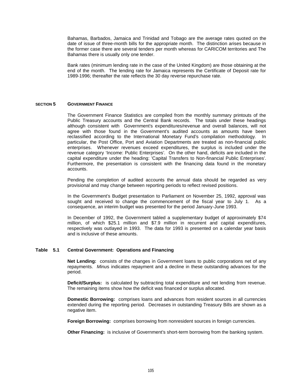Bahamas, Barbados, Jamaica and Trinidad and Tobago are the average rates quoted on the date of issue of three-month bills for the appropriate month. The distinction arises because in the former case there are several tenders per month whereas for CARICOM territories and The Bahamas there is usually only one tender.

Bank rates (minimum lending rate in the case of the United Kingdom) are those obtaining at the end of the month. The lending rate for Jamaica represents the Certificate of Deposit rate for 1989-1996; thereafter the rate reflects the 30 day reverse repurchase rate.

### **SECTION 5 GOVERNMENT FINANCE**

The Government Finance Statistics are compiled from the monthly summary printouts of the Public Treasury accounts and the Central Bank records. The totals under these headings although consistent with Government's expenditures/revenue and overall balances, will not agree with those found in the Government's audited accounts as amounts have been reclassified according to the International Monetary Fund's compilation methodology. In particular, the Post Office, Port and Aviation Departments are treated as non-financial public enterprises. Whenever revenues exceed expenditures, the surplus is included under the revenue category 'Income: Public Enterprises'. On the other hand, deficits are included in the capital expenditure under the heading: 'Capital Transfers to Non-financial Public Enterprises'. Furthermore, the presentation is consistent with the financing data found in the monetary accounts.

Pending the completion of audited accounts the annual data should be regarded as very provisional and may change between reporting periods to reflect revised positions.

In the Government's Budget presentation to Parliament on November 25, 1992, approval was sought and received to change the commencement of the fiscal year to July 1. As a consequence, an interim budget was presented for the period January-June 1993.

In December of 1992, the Government tabled a supplementary budget of approximately \$74 million, of which \$25.1 million and \$7.9 million in recurrent and capital expenditures, respectively was outlayed in 1993. The data for 1993 is presented on a calendar year basis and is inclusive of these amounts.

# **Table 5.1 Central Government: Operations and Financing**

**Net Lending:** consists of the changes in Government loans to public corporations net of any repayments. *Minu*s indicates repayment and a decline in these outstanding advances for the period.

**Deficit/Surplus:** is calculated by subtracting total expenditure and net lending from revenue. The remaining items show how the deficit was financed or surplus allocated.

**Domestic Borrowing:** comprises loans and advances from resident sources in all currencies extended during the reporting period. Decreases in outstanding Treasury Bills are shown as a negative item.

**Foreign Borrowing:** comprises borrowing from nonresident sources in foreign currencies.

**Other Financing:** is inclusive of Government's short-term borrowing from the banking system.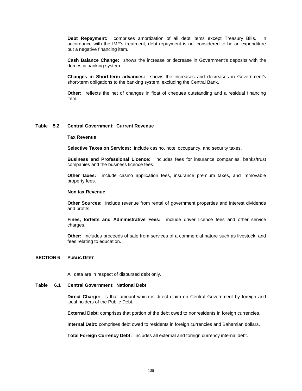**Debt Repayment:** comprises amortization of all debt items except Treasury Bills. In accordance with the IMF's treatment, debt repayment is not considered to be an expenditure but a negative financing item.

**Cash Balance Change:** shows the increase or decrease in Government's deposits with the domestic banking system.

**Changes in Short-term advances:** shows the increases and decreases in Government's short-term obligations to the banking system, excluding the Central Bank.

**Other:** reflects the net of changes in float of cheques outstanding and a residual financing item.

### **Table 5.2 Central Government: Current Revenue**

#### **Tax Revenue**

**Selective Taxes on Services:** include casino, hotel occupancy, and security taxes.

**Business and Professional Licence:** includes fees for insurance companies, banks/trust companies and the business licence fees.

**Other taxes:** include casino application fees, insurance premium taxes, and immovable property fees.

#### **Non tax Revenue**

**Other Sources:** include revenue from rental of government properties and interest dividends and profits.

**Fines, forfeits and Administrative Fees:** include driver licence fees and other service charges.

**Other:** includes proceeds of sale from services of a commercial nature such as livestock; and fees relating to education.

# **SECTION 6 PUBLIC DEBT**

All data are in respect of disbursed debt only.

# **Table 6.1 Central Government: National Debt**

**Direct Charge:** is that amount which is direct claim on Central Government by foreign and local holders of the Public Debt.

**External Debt**: comprises that portion of the debt owed to nonresidents in foreign currencies.

**Internal Debt:** comprises debt owed to residents in foreign currencies and Bahamian dollars.

**Total Foreign Currency Debt:** includes all external and foreign currency internal debt.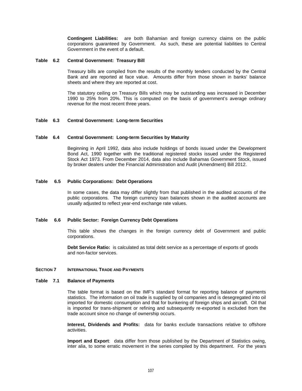**Contingent Liabilities:** are both Bahamian and foreign currency claims on the public corporations guaranteed by Government. As such, these are potential liabilities to Central Government in the event of a default.

### **Table 6.2 Central Government: Treasury Bill**

Treasury bills are compiled from the results of the monthly tenders conducted by the Central Bank and are reported at face value. Amounts differ from those shown in banks' balance sheets and where they are reported at cost.

The statutory ceiling on Treasury Bills which may be outstanding was increased in December 1990 to 25% from 20%. This is computed on the basis of government's average ordinary revenue for the most recent three years.

# **Table 6.3 Central Government: Long-term Securities**

### **Table 6.4 Central Government: Long-term Securities by Maturity**

Beginning in April 1992, data also include holdings of bonds issued under the Development Bond Act, 1990 together with the traditional registered stocks issued under the Registered Stock Act 1973. From December 2014, data also include Bahamas Government Stock, issued by broker dealers under the Financial Administration and Audit (Amendment) Bill 2012.

### **Table 6.5 Public Corporations: Debt Operations**

In some cases, the data may differ slightly from that published in the audited accounts of the public corporations. The foreign currency loan balances shown in the audited accounts are usually adjusted to reflect year-end exchange rate values.

#### **Table 6.6 Public Sector: Foreign Currency Debt Operations**

This table shows the changes in the foreign currency debt of Government and public corporations.

**Debt Service Ratio:** is calculated as total debt service as a percentage of exports of goods and non-factor services.

#### **SECTION 7 INTERNATIONAL TRADE AND PAYMENTS**

# **Table 7.1 Balance of Payments**

The table format is based on the IMF's standard format for reporting balance of payments statistics. The information on oil trade is supplied by oil companies and is desegregated into oil imported for domestic consumption and that for bunkering of foreign ships and aircraft. Oil that is imported for trans-shipment or refining and subsequently re-exported is excluded from the trade account since no change of ownership occurs.

**Interest, Dividends and Profits:** data for banks exclude transactions relative to offshore activities.

**Import and Export**: data differ from those published by the Department of Statistics owing, inter alia, to some erratic movement in the series compiled by this department. For the years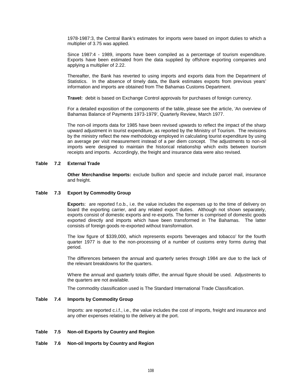1978-1987:3, the Central Bank's estimates for imports were based on import duties to which a multiplier of 3.75 was applied.

Since 1987:4 - 1989, imports have been compiled as a percentage of tourism expenditure. Exports have been estimated from the data supplied by offshore exporting companies and applying a multiplier of 2.22.

Thereafter, the Bank has reverted to using imports and exports data from the Department of Statistics. In the absence of timely data, the Bank estimates exports from previous years' information and imports are obtained from The Bahamas Customs Department.

**Travel:** debit is based on Exchange Control approvals for purchases of foreign currency.

For a detailed exposition of the components of the table, please see the article, 'An overview of Bahamas Balance of Payments 1973-1979', Quarterly Review, March 1977.

The non-oil imports data for 1985 have been revised upwards to reflect the impact of the sharp upward adjustment in tourist expenditure, as reported by the Ministry of Tourism. The revisions by the ministry reflect the new methodology employed in calculating tourist expenditure by using an average per visit measurement instead of a per diem concept. The adjustments to non-oil imports were designed to maintain the historical relationship which exits between tourism receipts and imports. Accordingly, the freight and insurance data were also revised.

# **Table 7.2 External Trade**

**Other Merchandise Imports:** exclude bullion and specie and include parcel mail, insurance and freight.

### **Table 7.3 Export by Commodity Group**

**Export**s: are reported f.o.b., i.e. the value includes the expenses up to the time of delivery on board the exporting carrier, and any related export duties. Although not shown separately, exports consist of domestic exports and re-exports. The former is comprised of domestic goods exported directly and imports which have been transformed in The Bahamas. The latter consists of foreign goods re-exported without transformation.

The low figure of \$339,000, which represents exports 'beverages and tobacco' for the fourth quarter 1977 is due to the non-processing of a number of customs entry forms during that period.

The differences between the annual and quarterly series through 1984 are due to the lack of the relevant breakdowns for the quarters.

Where the annual and quarterly totals differ, the annual figure should be used. Adjustments to the quarters are not available.

The commodity classification used is The Standard International Trade Classification.

# **Table 7.4 Imports by Commodity Group**

Imports: are reported c.i.f., i.e., the value includes the cost of imports, freight and insurance and any other expenses relating to the delivery at the port.

# **Table 7.5 Non-oil Exports by Country and Region**

**Table 7.6 Non-oil Imports by Country and Region**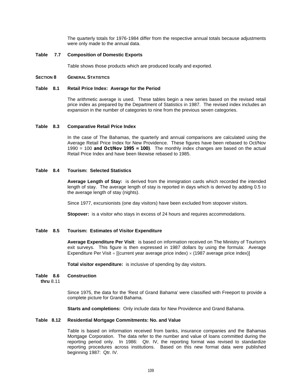The quarterly totals for 1976-1984 differ from the respective annual totals because adjustments were only made to the annual data.

# **Table 7.7 Composition of Domestic Exports**

Table shows those products which are produced locally and exported.

# **SECTION 8 GENERAL STATISTICS**

#### **Table 8.1 Retail Price Index: Average for the Period**

The arithmetic average is used. These tables begin a new series based on the revised retail price index as prepared by the Department of Statistics in 1987. The revised index includes an expansion in the number of categories to nine from the previous seven categories.

### **Table 8.3 Comparative Retail Price Index**

In the case of The Bahamas, the quarterly and annual comparisons are calculated using the Average Retail Price Index for New Providence. These figures have been rebased to Oct/Nov 1990 = 100 *and Oct/Nov 1995 = 100)*. The monthly index changes are based on the actual Retail Price Index and have been likewise rebased to 1985.

# **Table 8.4 Tourism: Selected Statistics**

**Average Length of Stay:** is derived from the immigration cards which recorded the intended length of stay. The average length of stay is reported in days which is derived by adding 0.5 to the average length of stay (nights).

Since 1977, excursionists (one day visitors) have been excluded from stopover visitors.

**Stopover:** is a visitor who stays in excess of 24 hours and requires accommodations.

# **Table 8.5 Tourism: Estimates of Visitor Expenditure**

**Average Expenditure Per Visit**: is based on information received on The Ministry of Tourism's exit surveys. This figure is then expressed in 1987 dollars by using the formula: Average Expenditure Per Visit  $\div$  [(current year average price index)  $\times$  (1987 average price index)]

**Total visitor expenditure:** is inclusive of spending by day visitors.

# **Table 8.6 Construction**

**thru** 8.11

Since 1975, the data for the 'Rest of Grand Bahama' were classified with Freeport to provide a complete picture for Grand Bahama.

**Starts and completions:** Only include data for New Providence and Grand Bahama.

### **Table 8.12 Residential Mortgage Commitments: No. and Value**

Table is based on information received from banks, insurance companies and the Bahamas Mortgage Corporation. The data refer to the number and value of loans committed during the reporting period only. In 1986: Qtr. IV, the reporting format was revised to standardize reporting procedures across institutions. Based on this new format data were published beginning 1987: Qtr. IV.